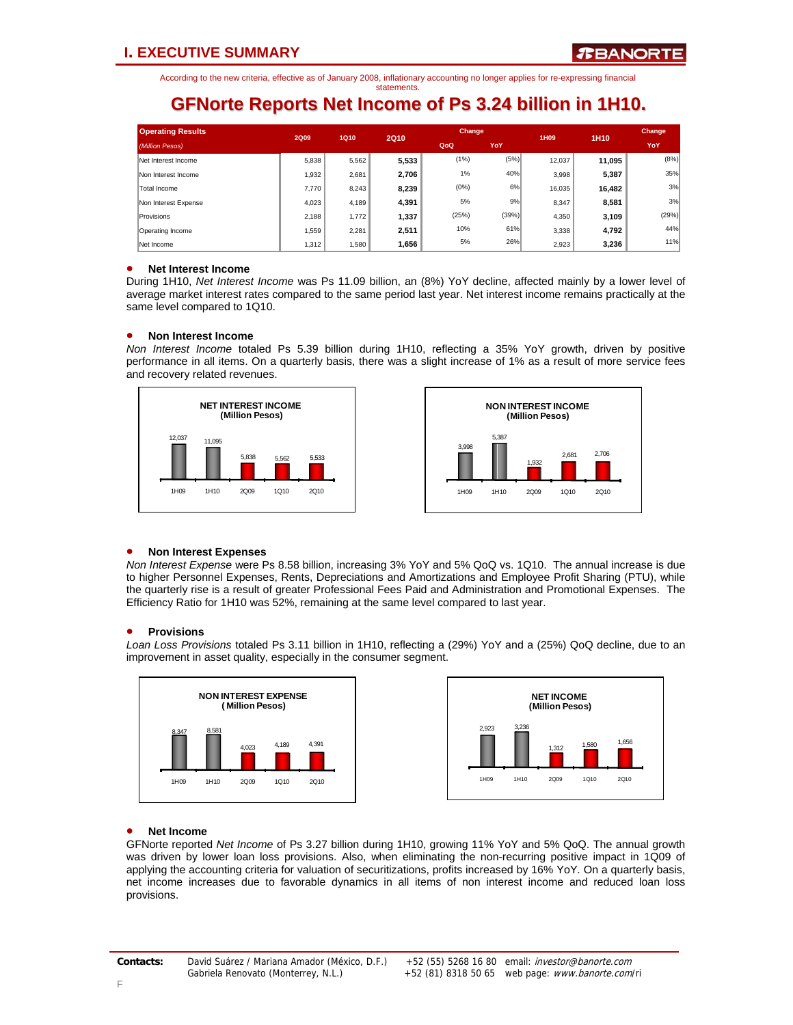According to the new criteria, effective as of January 2008, inflationary accounting no longer applies for re-expressing financial statements.

## **GFNorte Reports Net Income of Ps 3.24 billion in 1H10.**

| <b>Operating Results</b> | <b>2Q09</b> |       | Change<br><b>2Q10</b><br>1Q10 |       | 1H09  | 1H10   | Change |       |
|--------------------------|-------------|-------|-------------------------------|-------|-------|--------|--------|-------|
| (Million Pesos)          |             |       |                               | QoQ   | YoY.  |        |        | YoY   |
| Net Interest Income      | 5,838       | 5,562 | 5,533                         | (1%)  | (5%)  | 12.037 | 11,095 | (8%)  |
| Non Interest Income      | 1,932       | 2,681 | 2,706                         | 1%    | 40%   | 3.998  | 5,387  | 35%   |
| Total Income             | 7,770       | 8,243 | 8,239                         | (0%)  | 6%    | 16.035 | 16,482 | 3%    |
| Non Interest Expense     | 4.023       | 4,189 | 4,391                         | 5%    | 9%    | 8.347  | 8,581  | 3%    |
| Provisions               | 2.188       | 1,772 | 1,337                         | (25%) | (39%) | 4,350  | 3,109  | (29%) |
| Operating Income         | 1,559       | 2,281 | 2,511                         | 10%   | 61%   | 3.338  | 4,792  | 44%   |
| Net Income               | 1,312       | 1,580 | 1,656                         | 5%    | 26%   | 2,923  | 3,236  | 11%   |

#### • **Net Interest Income**

During 1H10, *Net Interest Income* was Ps 11.09 billion, an (8%) YoY decline, affected mainly by a lower level of average market interest rates compared to the same period last year. Net interest income remains practically at the same level compared to 1Q10.

#### • **Non Interest Income**

*Non Interest Income* totaled Ps 5.39 billion during 1H10, reflecting a 35% YoY growth, driven by positive performance in all items. On a quarterly basis, there was a slight increase of 1% as a result of more service fees and recovery related revenues.





#### • **Non Interest Expenses**

*Non Interest Expense* were Ps 8.58 billion, increasing 3% YoY and 5% QoQ vs. 1Q10. The annual increase is due to higher Personnel Expenses, Rents, Depreciations and Amortizations and Employee Profit Sharing (PTU), while the quarterly rise is a result of greater Professional Fees Paid and Administration and Promotional Expenses. The Efficiency Ratio for 1H10 was 52%, remaining at the same level compared to last year.

#### • **Provisions**

*Loan Loss Provisions* totaled Ps 3.11 billion in 1H10, reflecting a (29%) YoY and a (25%) QoQ decline, due to an improvement in asset quality, especially in the consumer segment.





#### • **Net Income**

GFNorte reported *Net Income* of Ps 3.27 billion during 1H10, growing 11% YoY and 5% QoQ. The annual growth was driven by lower loan loss provisions. Also, when eliminating the non-recurring positive impact in 1Q09 of applying the accounting criteria for valuation of securitizations, profits increased by 16% YoY. On a quarterly basis, net income increases due to favorable dynamics in all items of non interest income and reduced loan loss provisions.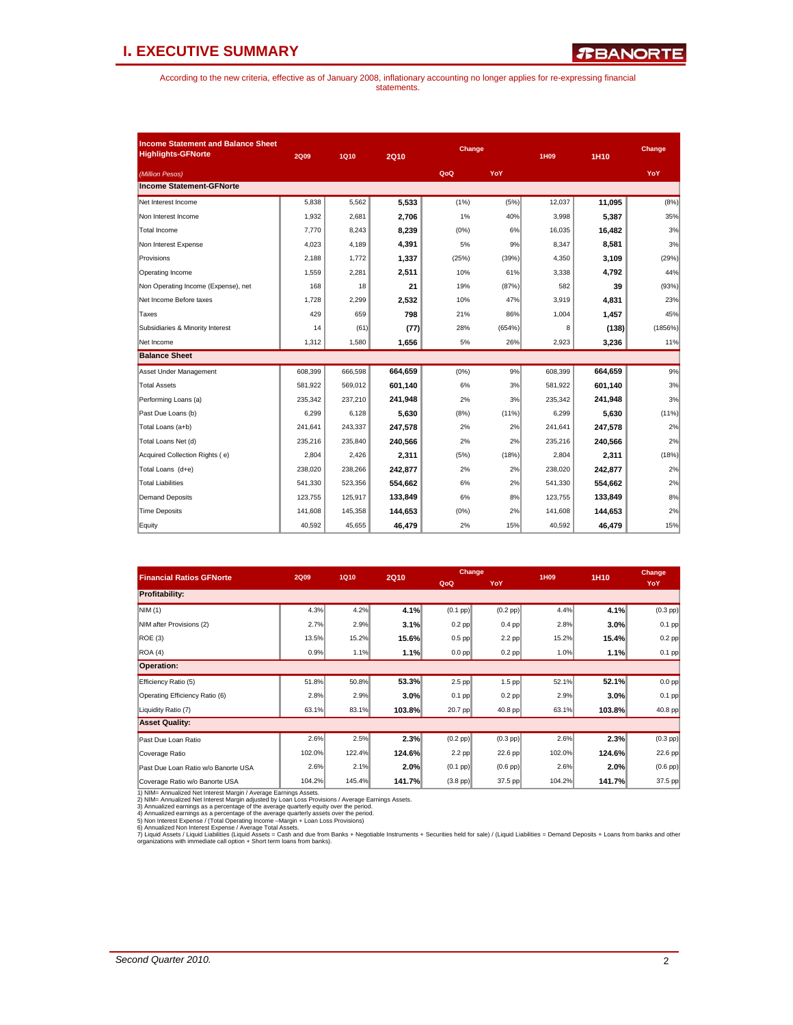## **I. EXECUTIVE SUMMARY**

According to the new criteria, effective as of January 2008, inflationary accounting no longer applies for re-expressing financial statements.

| <b>Income Statement and Balance Sheet</b><br><b>Highlights-GFNorte</b> | <b>2Q09</b> | <b>1Q10</b> | <b>2Q10</b> | Change  |          | 1H09    | 1H10    | <b>Change</b> |
|------------------------------------------------------------------------|-------------|-------------|-------------|---------|----------|---------|---------|---------------|
| (Million Pesos)                                                        |             |             |             | QoQ     | YoY      |         |         | YoY           |
| <b>Income Statement-GFNorte</b>                                        |             |             |             |         |          |         |         |               |
| Net Interest Income                                                    | 5.838       | 5,562       | 5,533       | (1% )   | (5%)     | 12,037  | 11,095  | (8%)          |
| Non Interest Income                                                    | 1,932       | 2,681       | 2.706       | 1%      | 40%      | 3,998   | 5,387   | 35%           |
| Total Income                                                           | 7,770       | 8,243       | 8,239       | $(0\%)$ | 6%       | 16,035  | 16,482  | 3%            |
| Non Interest Expense                                                   | 4,023       | 4,189       | 4,391       | 5%      | 9%       | 8,347   | 8,581   | 3%            |
| Provisions                                                             | 2,188       | 1,772       | 1,337       | (25%)   | (39%)    | 4,350   | 3,109   | (29%)         |
| Operating Income                                                       | 1,559       | 2,281       | 2,511       | 10%     | 61%      | 3,338   | 4,792   | 44%           |
| Non Operating Income (Expense), net                                    | 168         | 18          | 21          | 19%     | (87%)    | 582     | 39      | (93%)         |
| Net Income Before taxes                                                | 1.728       | 2,299       | 2.532       | 10%     | 47%      | 3,919   | 4.831   | 23%           |
| Taxes                                                                  | 429         | 659         | 798         | 21%     | 86%      | 1,004   | 1,457   | 45%           |
| Subsidiaries & Minority Interest                                       | 14          | (61)        | (77)        | 28%     | (654%)   | 8       | (138)   | (1856%)       |
| Net Income                                                             | 1,312       | 1,580       | 1,656       | 5%      | 26%      | 2,923   | 3,236   | 11%           |
| <b>Balance Sheet</b>                                                   |             |             |             |         |          |         |         |               |
| Asset Under Management                                                 | 608,399     | 666.598     | 664.659     | $(0\%)$ | 9%       | 608,399 | 664.659 | 9%            |
| <b>Total Assets</b>                                                    | 581.922     | 569.012     | 601,140     | 6%      | 3%       | 581,922 | 601,140 | 3%            |
| Performing Loans (a)                                                   | 235,342     | 237,210     | 241,948     | 2%      | 3%       | 235,342 | 241.948 | 3%            |
| Past Due Loans (b)                                                     | 6,299       | 6,128       | 5,630       | (8%)    | $(11\%)$ | 6,299   | 5.630   | $(11\%)$      |
| Total Loans (a+b)                                                      | 241.641     | 243.337     | 247,578     | 2%      | 2%       | 241.641 | 247,578 | 2%            |
| Total Loans Net (d)                                                    | 235.216     | 235.840     | 240,566     | 2%      | 2%       | 235.216 | 240,566 | 2%            |
| Acquired Collection Rights (e)                                         | 2.804       | 2.426       | 2,311       | (5%)    | (18%)    | 2.804   | 2,311   | (18%)         |
| Total Loans (d+e)                                                      | 238,020     | 238,266     | 242,877     | 2%      | 2%       | 238,020 | 242,877 | 2%            |
| <b>Total Liabilities</b>                                               | 541,330     | 523,356     | 554,662     | 6%      | 2%       | 541,330 | 554,662 | 2%            |
| <b>Demand Deposits</b>                                                 | 123,755     | 125,917     | 133,849     | 6%      | 8%       | 123,755 | 133,849 | 8%            |
| Time Deposits                                                          | 141,608     | 145,358     | 144,653     | $(0\%)$ | 2%       | 141,608 | 144,653 | 2%            |
| Equity                                                                 | 40.592      | 45.655      | 46,479      | 2%      | 15%      | 40.592  | 46,479  | 15%           |

| <b>Financial Ratios GFNorte</b>     | <b>2Q09</b> | 1Q10   | <b>2Q10</b> |               | Change        | 1H09   | 1H <sub>10</sub> | Change          |
|-------------------------------------|-------------|--------|-------------|---------------|---------------|--------|------------------|-----------------|
|                                     |             |        |             | QoQ           | YoY           |        |                  | YoY             |
| <b>Profitability:</b>               |             |        |             |               |               |        |                  |                 |
| NIM (1)                             | 4.3%        | 4.2%   | 4.1%        | $(0.1$ pp)    | $(0.2$ pp $)$ | 4.4%   | 4.1%             | $(0.3$ pp)      |
| NIM after Provisions (2)            | 2.7%        | 2.9%   | 3.1%        | $0.2$ pp      | $0.4$ pp      | 2.8%   | 3.0%             | $0.1$ pp        |
| ROE(3)                              | 13.5%       | 15.2%  | 15.6%       | $0.5$ pp      | $2.2$ pp      | 15.2%  | 15.4%            | $0.2$ pp        |
| ROA(4)                              | 0.9%        | 1.1%   | 1.1%        | $0.0$ pp      | $0.2$ pp      | 1.0%   | 1.1%             | $0.1$ pp        |
| <b>Operation:</b>                   |             |        |             |               |               |        |                  |                 |
| Efficiency Ratio (5)                | 51.8%       | 50.8%  | 53.3%       | $2.5$ pp      | $1.5$ pp      | 52.1%  | 52.1%            | $0.0$ pp        |
| Operating Efficiency Ratio (6)      | 2.8%        | 2.9%   | 3.0%        | $0.1$ pp      | $0.2$ pp      | 2.9%   | 3.0%             | $0.1$ pp        |
| Liquidity Ratio (7)                 | 63.1%       | 83.1%  | 103.8%      | 20.7 pp       | 40.8 pp       | 63.1%  | 103.8%           | 40.8 pp         |
| <b>Asset Quality:</b>               |             |        |             |               |               |        |                  |                 |
| Past Due Loan Ratio                 | 2.6%        | 2.5%   | 2.3%        | $(0.2$ pp $)$ | $(0.3$ pp)    | 2.6%   | 2.3%             | $(0.3$ pp)      |
| Coverage Ratio                      | 102.0%      | 122.4% | 124.6%      | $2.2$ pp      | 22.6 pp       | 102.0% | 124.6%           | 22.6 pp         |
| Past Due Loan Ratio w/o Banorte USA | 2.6%        | 2.1%   | 2.0%        | $(0.1$ pp)    | $(0.6$ pp)    | 2.6%   | 2.0%             | $(0.6$ pp $)\ $ |
| Coverage Ratio w/o Banorte USA      | 104.2%      | 145.4% | 141.7%      | $(3.8$ pp)    | 37.5 pp       | 104.2% | 141.7%           | 37.5 pp         |

Coverage Ratio w/o Banorte USA  $104.2\%$  104.2% 145.4% 141.7% (3.8 pp) 37.5 pp 104.2% 141.7% 141.7% 137.5 pp 104.2% 141.7% 104.2% 141.7% 120 minimalized Net Interest Margin *A* verage Earnings Assets.<br>2) NIM= Annualized Ne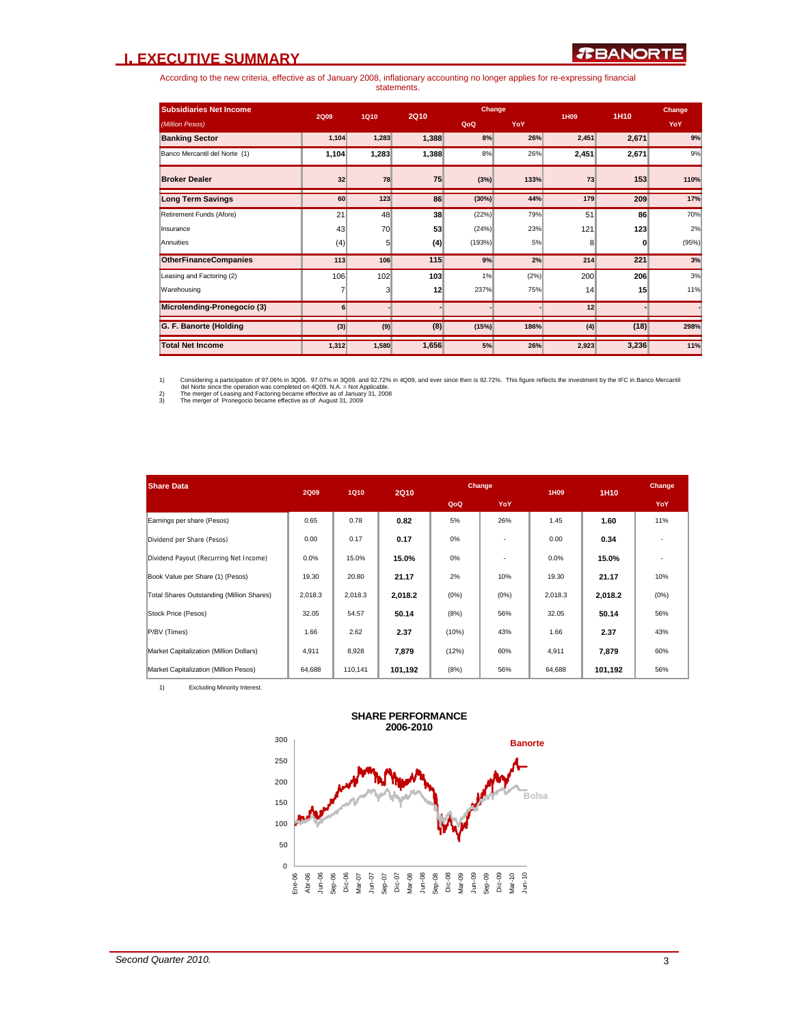### **I. EXECUTIVE SUMMARY**

According to the new criteria, effective as of January 2008, inflationary accounting no longer applies for re-expressing financial statements.

| <b>Subsidiaries Net Income</b> | <b>2Q09</b> | 1Q10           | <b>2Q10</b> |        | Change | 1H09  | 1H10  | Change |
|--------------------------------|-------------|----------------|-------------|--------|--------|-------|-------|--------|
| (Million Pesos)                |             |                |             | QoQ    | YoY    |       |       | YoY    |
| <b>Banking Sector</b>          | 1,104       | 1,283          | 1,388       | 8%     | 26%    | 2,451 | 2,671 | 9%     |
| Banco Mercantil del Norte (1)  | 1,104       | 1,283          | 1,388       | 8%     | 26%    | 2,451 | 2,671 | 9%     |
| <b>Broker Dealer</b>           | 32          | 78             | 75          | (3%)   | 133%   | 73    | 153   | 110%   |
| <b>Long Term Savings</b>       | 60          | 123            | 86          | (30%)  | 44%    | 179   | 209   | 17%    |
| Retirement Funds (Afore)       | 21          | 48             | 38          | (22%)  | 79%    | 51    | 86    | 70%    |
| Insurance                      | 43          | 70             | 53          | (24%)  | 23%    | 121   | 123   | 2%     |
| Annuities                      | (4)         | 5 <sub>l</sub> | (4)         | (193%) | 5%     | 8     | 0     | (95%)  |
| <b>OtherFinanceCompanies</b>   | 113         | 106            | 115         | 9%     | 2%     | 214   | 221   | 3%     |
| Leasing and Factoring (2)      | 106         | 102            | 103         | 1%     | (2%)   | 200   | 206   | 3%     |
| Warehousing                    | 7           | 3              | 12          | 237%   | 75%    | 14    | 15    | 11%    |
| Microlending-Pronegocio (3)    | 6           |                |             |        |        | 12    |       |        |
| G. F. Banorte (Holding         | (3)         | (9)            | (8)         | (15%)  | 186%   | (4)   | (18)  | 298%   |
| <b>Total Net Income</b>        | 1,312       | 1,580          | 1,656       | 5%     | 26%    | 2,923 | 3,236 | 11%    |

1) Considering a participation of 97.06% in 3Q06. 97.07% in 3Q09. and ever since then is 92.72%. This figure reflects the investment by the IFC in Banco Mercantil<br>2) The merger of Leasing and Factoring became effective as

| <b>Share Data</b>                         | <b>2Q09</b> | 1Q10    | <b>2Q10</b> |       | Change     | 1H09    | 1H10    | Change     |
|-------------------------------------------|-------------|---------|-------------|-------|------------|---------|---------|------------|
|                                           |             |         |             | QoQ   | <b>YoY</b> |         |         | <b>YoY</b> |
| Earnings per share (Pesos)                | 0.65        | 0.78    | 0.82        | 5%    | 26%        | 1.45    | 1.60    | 11%        |
| Dividend per Share (Pesos)                | 0.00        | 0.17    | 0.17        | $0\%$ | ٠          | 0.00    | 0.34    |            |
| Dividend Payout (Recurring Net Income)    | 0.0%        | 15.0%   | 15.0%       | 0%    |            | 0.0%    | 15.0%   |            |
| Book Value per Share (1) (Pesos)          | 19.30       | 20.80   | 21.17       | 2%    | 10%        | 19.30   | 21.17   | 10%        |
| Total Shares Outstanding (Million Shares) | 2,018.3     | 2,018.3 | 2,018.2     | (0%)  | (0%)       | 2,018.3 | 2,018.2 | (0%)       |
| Stock Price (Pesos)                       | 32.05       | 54.57   | 50.14       | (8%)  | 56%        | 32.05   | 50.14   | 56%        |
| P/BV (Times)                              | 1.66        | 2.62    | 2.37        | (10%) | 43%        | 1.66    | 2.37    | 43%        |
| Market Capitalization (Million Dollars)   | 4,911       | 8,928   | 7,879       | (12%) | 60%        | 4,911   | 7,879   | 60%        |
| Market Capitalization (Million Pesos)     | 64,688      | 110,141 | 101,192     | (8%)  | 56%        | 64,688  | 101,192 | 56%        |

1) Excluding Minority Interest.

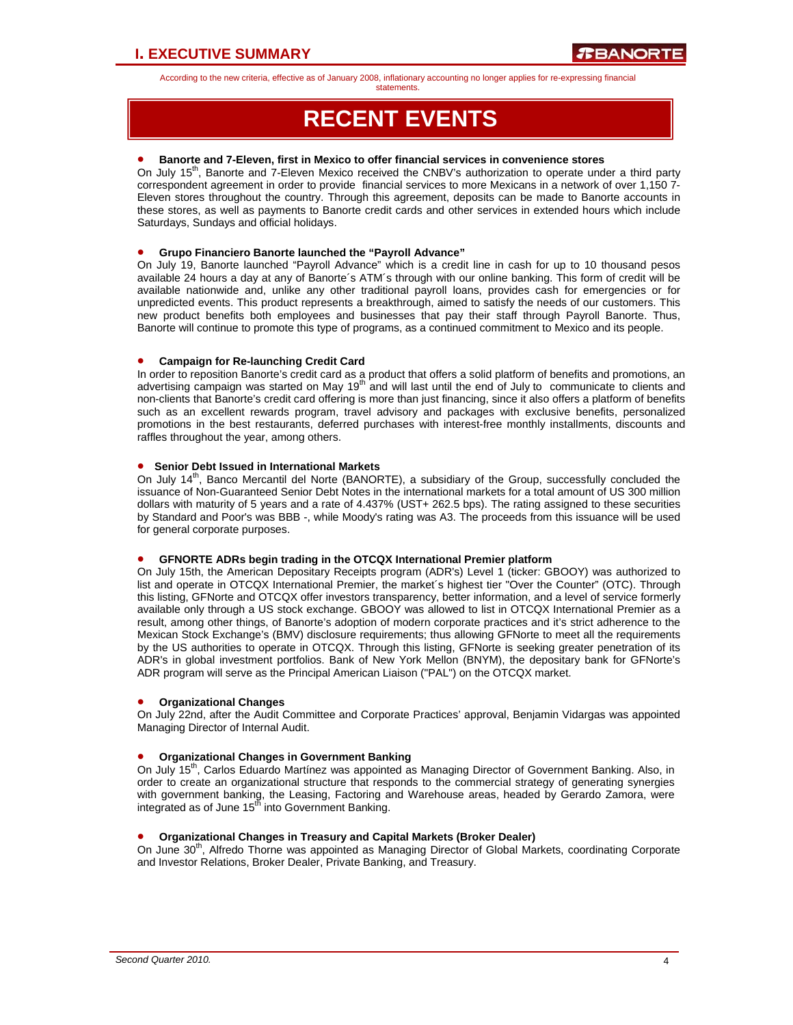According to the new criteria, effective as of January 2008, inflationary accounting no longer applies for re-expressing financial

statements.

# **RECENT EVENTS**

#### • **Banorte and 7-Eleven, first in Mexico to offer financial services in convenience stores**

On July 15<sup>th</sup>, Banorte and 7-Eleven Mexico received the CNBV's authorization to operate under a third party correspondent agreement in order to provide financial services to more Mexicans in a network of over 1,150 7- Eleven stores throughout the country. Through this agreement, deposits can be made to Banorte accounts in these stores, as well as payments to Banorte credit cards and other services in extended hours which include Saturdays, Sundays and official holidays.

#### • **Grupo Financiero Banorte launched the "Payroll Advance"**

On July 19, Banorte launched "Payroll Advance" which is a credit line in cash for up to 10 thousand pesos available 24 hours a day at any of Banorte´s ATM´s through with our online banking. This form of credit will be available nationwide and, unlike any other traditional payroll loans, provides cash for emergencies or for unpredicted events. This product represents a breakthrough, aimed to satisfy the needs of our customers. This new product benefits both employees and businesses that pay their staff through Payroll Banorte. Thus, Banorte will continue to promote this type of programs, as a continued commitment to Mexico and its people.

#### • **Campaign for Re-launching Credit Card**

In order to reposition Banorte's credit card as a product that offers a solid platform of benefits and promotions, an advertising campaign was started on May 19<sup>th</sup> and will last until the end of July to communicate to clients and non-clients that Banorte's credit card offering is more than just financing, since it also offers a platform of benefits such as an excellent rewards program, travel advisory and packages with exclusive benefits, personalized promotions in the best restaurants, deferred purchases with interest-free monthly installments, discounts and raffles throughout the year, among others.

#### • **Senior Debt Issued in International Markets**

On July 14<sup>th</sup>, Banco Mercantil del Norte (BANORTE), a subsidiary of the Group, successfully concluded the issuance of Non-Guaranteed Senior Debt Notes in the international markets for a total amount of US 300 million dollars with maturity of 5 years and a rate of 4.437% (UST+ 262.5 bps). The rating assigned to these securities by Standard and Poor's was BBB -, while Moody's rating was A3. The proceeds from this issuance will be used for general corporate purposes.

#### • **GFNORTE ADRs begin trading in the OTCQX International Premier platform**

On July 15th, the American Depositary Receipts program (ADR's) Level 1 (ticker: GBOOY) was authorized to list and operate in OTCQX International Premier, the market´s highest tier "Over the Counter" (OTC). Through this listing, GFNorte and OTCQX offer investors transparency, better information, and a level of service formerly available only through a US stock exchange. GBOOY was allowed to list in OTCQX International Premier as a result, among other things, of Banorte's adoption of modern corporate practices and it's strict adherence to the Mexican Stock Exchange's (BMV) disclosure requirements; thus allowing GFNorte to meet all the requirements by the US authorities to operate in OTCQX. Through this listing, GFNorte is seeking greater penetration of its ADR's in global investment portfolios. Bank of New York Mellon (BNYM), the depositary bank for GFNorte's ADR program will serve as the Principal American Liaison ("PAL") on the OTCQX market.

#### • **Organizational Changes**

On July 22nd, after the Audit Committee and Corporate Practices' approval, Benjamin Vidargas was appointed Managing Director of Internal Audit.

#### • **Organizational Changes in Government Banking**

On July 15<sup>th</sup>, Carlos Eduardo Martínez was appointed as Managing Director of Government Banking. Also, in order to create an organizational structure that responds to the commercial strategy of generating synergies with government banking, the Leasing, Factoring and Warehouse areas, headed by Gerardo Zamora, were integrated as of June 15<sup>th</sup> into Government Banking.

#### • **Organizational Changes in Treasury and Capital Markets (Broker Dealer)**

On June 30<sup>th</sup>, Alfredo Thorne was appointed as Managing Director of Global Markets, coordinating Corporate and Investor Relations, Broker Dealer, Private Banking, and Treasury.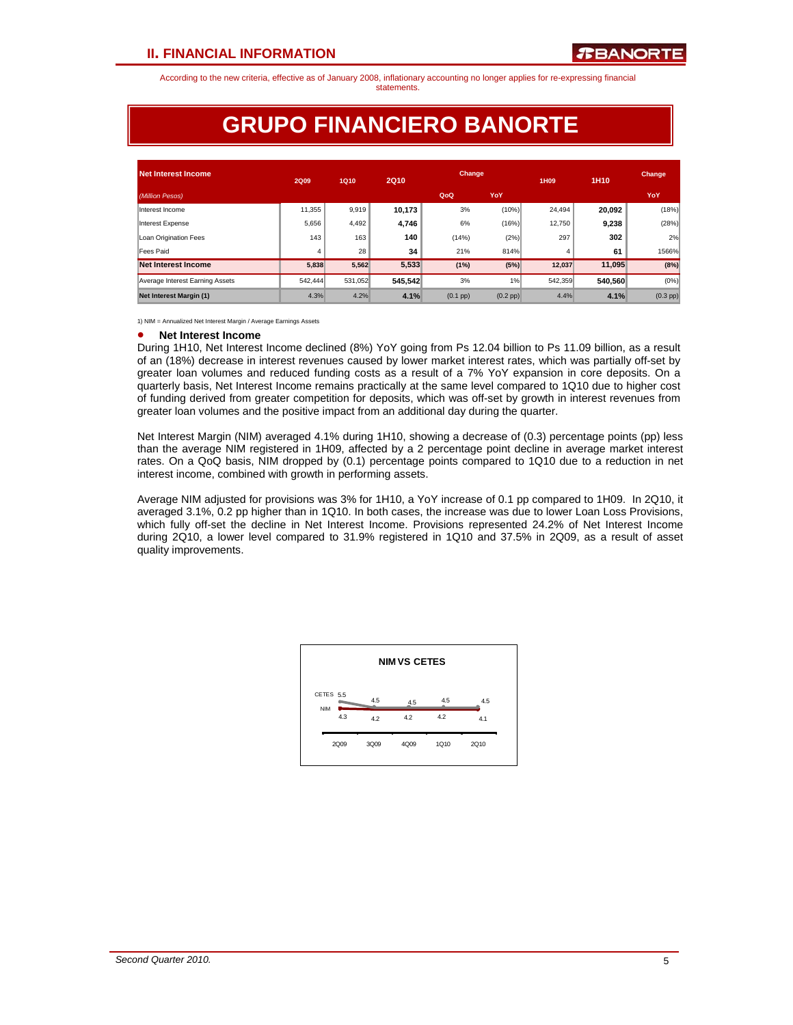According to the new criteria, effective as of January 2008, inflationary accounting no longer applies for re-expressing financial statements.

# **GRUPO FINANCIERO BANORTE**

| Net Interest Income             | <b>2Q09</b> | 1Q10    | <b>2Q10</b> | Change        |               |         |         | 1H <sub>10</sub><br>1H09 |  | <b>Change</b> |
|---------------------------------|-------------|---------|-------------|---------------|---------------|---------|---------|--------------------------|--|---------------|
| (Million Pesos)                 |             |         |             | QoQ           | YoY           |         |         | YoY                      |  |               |
| Interest Income                 | 11,355      | 9,919   | 10,173      | 3%            | (10%)         | 24,494  | 20,092  | (18%)                    |  |               |
| Interest Expense                | 5,656       | 4,492   | 4,746       | 6%            | (16%)         | 12,750  | 9,238   | (28%)                    |  |               |
| Loan Origination Fees           | 143         | 163     | 140         | (14% )        | (2%)          | 297     | 302     | 2%                       |  |               |
| Fees Paid                       | 4           | 28      | 34          | 21%           | 814%          | 4       | 61      | 1566%                    |  |               |
| <b>Net Interest Income</b>      | 5,838       | 5,562   | 5,533       | (1%)          | (5%)          | 12,037  | 11,095  | (8%)                     |  |               |
| Average Interest Earning Assets | 542.444     | 531.052 | 545.542     | 3%            | 1%            | 542.359 | 540.560 | $(0\%)$                  |  |               |
| Net Interest Margin (1)         | 4.3%        | 4.2%    | 4.1%        | $(0.1$ pp $)$ | $(0.2$ pp $)$ | 4.4%    | 4.1%    | $(0.3$ pp)               |  |               |

1) NIM = Annualized Net Interest Margin / Average Earnings Assets

#### • **Net Interest Income**

During 1H10, Net Interest Income declined (8%) YoY going from Ps 12.04 billion to Ps 11.09 billion, as a result of an (18%) decrease in interest revenues caused by lower market interest rates, which was partially off-set by greater loan volumes and reduced funding costs as a result of a 7% YoY expansion in core deposits. On a quarterly basis, Net Interest Income remains practically at the same level compared to 1Q10 due to higher cost of funding derived from greater competition for deposits, which was off-set by growth in interest revenues from greater loan volumes and the positive impact from an additional day during the quarter.

Net Interest Margin (NIM) averaged 4.1% during 1H10, showing a decrease of (0.3) percentage points (pp) less than the average NIM registered in 1H09, affected by a 2 percentage point decline in average market interest rates. On a QoQ basis, NIM dropped by (0.1) percentage points compared to 1Q10 due to a reduction in net interest income, combined with growth in performing assets.

Average NIM adjusted for provisions was 3% for 1H10, a YoY increase of 0.1 pp compared to 1H09. In 2Q10, it averaged 3.1%, 0.2 pp higher than in 1Q10. In both cases, the increase was due to lower Loan Loss Provisions, which fully off-set the decline in Net Interest Income. Provisions represented 24.2% of Net Interest Income during 2Q10, a lower level compared to 31.9% registered in 1Q10 and 37.5% in 2Q09, as a result of asset quality improvements.

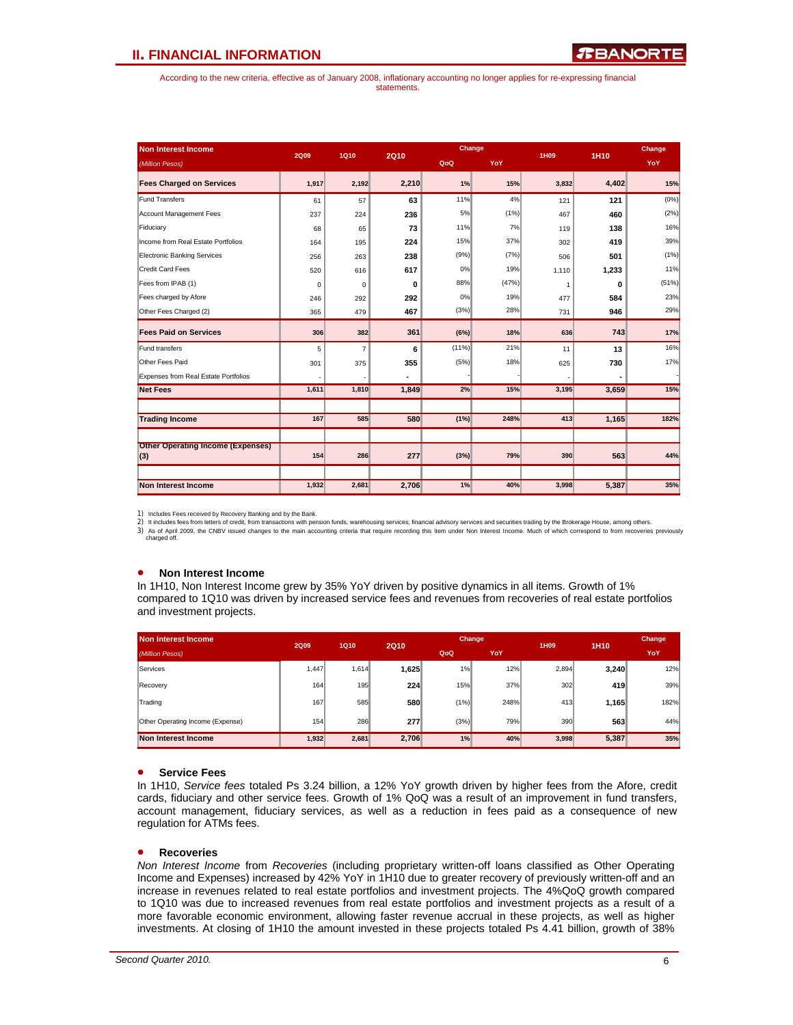#### According to the new criteria, effective as of January 2008, inflationary accounting no longer applies for re-expressing financial statements.

| <b>Non Interest Income</b>                      | <b>2Q09</b> | 1Q10           |             | Change   |       | 1H09  |       | Change  |
|-------------------------------------------------|-------------|----------------|-------------|----------|-------|-------|-------|---------|
| (Million Pesos)                                 |             |                | <b>2Q10</b> | QoQ      | YoY   |       | 1H10  | YoY     |
| <b>Fees Charged on Services</b>                 | 1,917       | 2,192          | 2,210       | 1%       | 15%   | 3,832 | 4,402 | 15%     |
| Fund Transfers                                  | 61          | 57             | 63          | 11%      | 4%    | 121   | 121   | $(0\%)$ |
| Account Management Fees                         | 237         | 224            | 236         | 5%       | (1%)  | 467   | 460   | (2%)    |
| Fiduciary                                       | 68          | 65             | 73          | 11%      | 7%    | 119   | 138   | 16%     |
| Income from Real Estate Portfolios              | 164         | 195            | 224         | 15%      | 37%   | 302   | 419   | 39%     |
| <b>Electronic Banking Services</b>              | 256         | 263            | 238         | (9%)     | (7%)  | 506   | 501   | (1%)    |
| Credit Card Fees                                | 520         | 616            | 617         | 0%       | 19%   | 1,110 | 1,233 | 11%     |
| Fees from IPAB (1)                              | $\mathbf 0$ | $\mathbf 0$    | $\mathbf 0$ | 88%      | (47%) | 1     | 0     | (51%)   |
| Fees charged by Afore                           | 246         | 292            | 292         | 0%       | 19%   | 477   | 584   | 23%     |
| Other Fees Charged (2)                          | 365         | 479            | 467         | (3%)     | 28%   | 731   | 946   | 29%     |
| <b>Fees Paid on Services</b>                    | 306         | 382            | 361         | (6%)     | 18%   | 636   | 743   | 17%     |
| Fund transfers                                  | 5           | $\overline{7}$ | 6           | $(11\%)$ | 21%   | 11    | 13    | 16%     |
| Other Fees Paid                                 | 301         | 375            | 355         | (5%)     | 18%   | 625   | 730   | 17%     |
| Expenses from Real Estate Portfolios            |             |                | ٠           |          |       |       | ٠     |         |
| <b>Net Fees</b>                                 | 1,611       | 1,810          | 1,849       | 2%       | 15%   | 3,195 | 3,659 | 15%     |
|                                                 |             |                |             |          |       |       |       |         |
| <b>Trading Income</b>                           | 167         | 585            | 580         | (1%)     | 248%  | 413   | 1,165 | 182%    |
|                                                 |             |                |             |          |       |       |       |         |
| <b>Other Operating Income (Expenses)</b><br>(3) | 154         | 286            | 277         | (3%)     | 79%   | 390   | 563   | 44%     |
|                                                 |             |                |             |          |       |       |       |         |
| Non Interest Income                             | 1,932       | 2,681          | 2.706       | 1%       | 40%   | 3,998 | 5.387 | 35%     |

1) Includes Fees received by Recovery Banking and by the Bank.

2) It includes fees from letters of credit, from transactions with pension funds, warehousing services, financial advisory services and securities trading by the Brokerage House, among others.

3) As of April 2009, the CNBV issued changes to the main accounting criteria that require recording this ítem under Non Interest Income. Much of which correspond to from recoveries previously charged off.

#### • **Non Interest Income**

In 1H10, Non Interest Income grew by 35% YoY driven by positive dynamics in all items. Growth of 1% compared to 1Q10 was driven by increased service fees and revenues from recoveries of real estate portfolios and investment projects.

| <b>Non Interest Income</b>       | <b>2Q09</b> | 1Q10  | <b>2Q10</b> | Change |      | 1H09  | 1H10  | Change |
|----------------------------------|-------------|-------|-------------|--------|------|-------|-------|--------|
| (Million Pesos)                  |             |       |             | QoQ    | YoY  |       |       | YoY    |
| Services                         | 1,447       | 1,614 | 1,625       | 1%     | 12%  | 2,894 | 3.240 | 12%    |
| Recovery                         | 164         | 195   | 224         | 15%    | 37%  | 302   | 419   | 39%    |
| Trading                          | 167         | 585   | 580         | (1%)   | 248% | 413   | 1,165 | 182%   |
| Other Operating Income (Expense) | 154         | 286   | 277         | (3%)   | 79%  | 390   | 563   | 44%    |
| Non Interest Income              | 1,932       | 2,681 | 2,706       | 1%     | 40%  | 3,998 | 5,387 | 35%    |

#### • **Service Fees**

In 1H10, *Service fees* totaled Ps 3.24 billion, a 12% YoY growth driven by higher fees from the Afore, credit cards, fiduciary and other service fees. Growth of 1% QoQ was a result of an improvement in fund transfers, account management, fiduciary services, as well as a reduction in fees paid as a consequence of new regulation for ATMs fees.

#### • **Recoveries**

*Non Interest Income* from *Recoveries* (including proprietary written-off loans classified as Other Operating Income and Expenses) increased by 42% YoY in 1H10 due to greater recovery of previously written-off and an increase in revenues related to real estate portfolios and investment projects. The 4%QoQ growth compared to 1Q10 was due to increased revenues from real estate portfolios and investment projects as a result of a more favorable economic environment, allowing faster revenue accrual in these projects, as well as higher investments. At closing of 1H10 the amount invested in these projects totaled Ps 4.41 billion, growth of 38%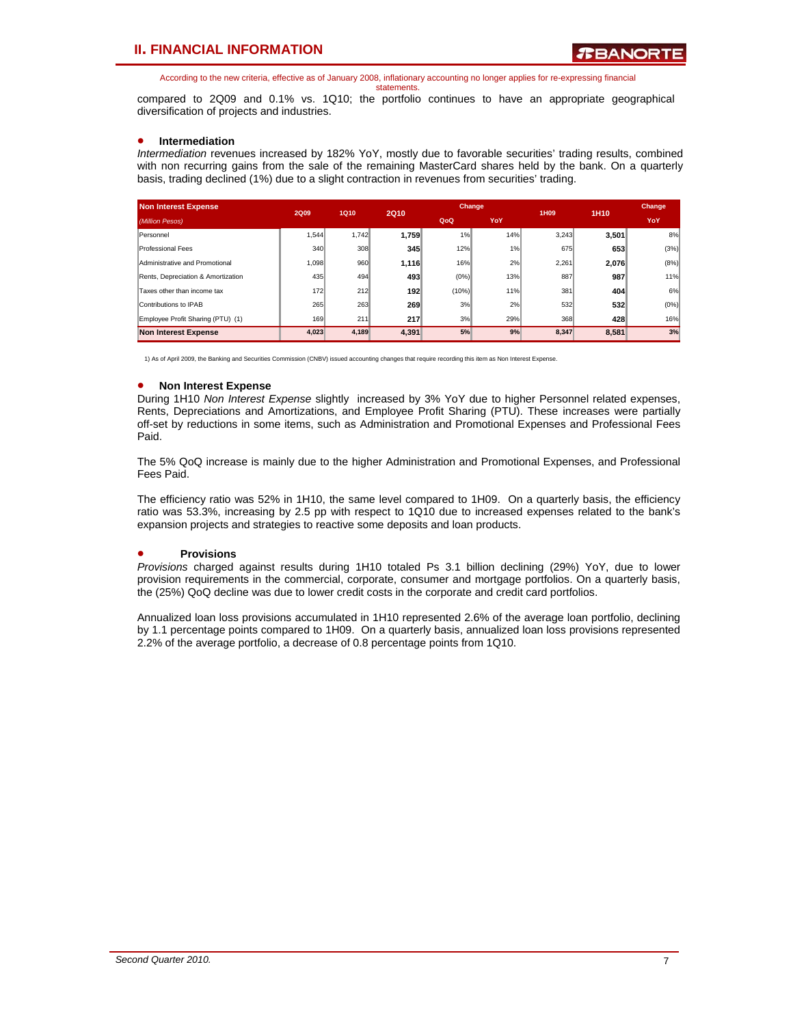According to the new criteria, effective as of January 2008, inflationary accounting no longer applies for re-expressing financial statements.

compared to 2Q09 and 0.1% vs. 1Q10; the portfolio continues to have an appropriate geographical diversification of projects and industries.

#### • **Intermediation**

*Intermediation* revenues increased by 182% YoY, mostly due to favorable securities' trading results, combined with non recurring gains from the sale of the remaining MasterCard shares held by the bank. On a quarterly basis, trading declined (1%) due to a slight contraction in revenues from securities' trading.

| <b>Non Interest Expense</b>        | <b>2Q09</b> | 1Q10  | <b>2Q10</b> | <b>Change</b> |     | 1H09  | 1H <sub>10</sub> | Change  |
|------------------------------------|-------------|-------|-------------|---------------|-----|-------|------------------|---------|
| (Million Pesos)                    |             |       |             | QoQ           | YoY |       |                  | YoY     |
| Personnel                          | .544        | 1,742 | 1.759       | 1%            | 14% | 3.243 | 3.501            | 8%      |
| Professional Fees                  | 340         | 308   | 345         | 12%           | 1%  | 675   | 653              | (3%)    |
| Administrative and Promotional     | 1.098       | 960   | 1,116       | 16%           | 2%  | 2,261 | 2,076            | (8%)    |
| Rents, Depreciation & Amortization | 435         | 494   | 493         | $(0\%)$       | 13% | 887   | 987              | 11%     |
| Taxes other than income tax        | 172         | 212   | 192         | (10%)         | 11% | 381   | 404              | 6%      |
| Contributions to IPAB              | 265         | 263   | 269         | 3%            | 2%  | 532   | 532              | $(0\%)$ |
| Employee Profit Sharing (PTU) (1)  | 169         | 211   | 217         | 3%            | 29% | 368   | 428              | 16%     |
| <b>Non Interest Expense</b>        | 4,023       | 4,189 | 4,391       | 5%            | 9%  | 8,347 | 8,581            | 3%      |

1) As of April 2009, the Banking and Securities Commission (CNBV) issued accounting changes that require recording this item as Non Interest Expense.

#### • **Non Interest Expense**

During 1H10 *Non Interest Expense* slightly increased by 3% YoY due to higher Personnel related expenses, Rents, Depreciations and Amortizations, and Employee Profit Sharing (PTU). These increases were partially off-set by reductions in some items, such as Administration and Promotional Expenses and Professional Fees Paid.

The 5% QoQ increase is mainly due to the higher Administration and Promotional Expenses, and Professional Fees Paid.

The efficiency ratio was 52% in 1H10, the same level compared to 1H09. On a quarterly basis, the efficiency ratio was 53.3%, increasing by 2.5 pp with respect to 1Q10 due to increased expenses related to the bank's expansion projects and strategies to reactive some deposits and loan products.

#### • **Provisions**

*Provisions* charged against results during 1H10 totaled Ps 3.1 billion declining (29%) YoY, due to lower provision requirements in the commercial, corporate, consumer and mortgage portfolios. On a quarterly basis, the (25%) QoQ decline was due to lower credit costs in the corporate and credit card portfolios.

Annualized loan loss provisions accumulated in 1H10 represented 2.6% of the average loan portfolio, declining by 1.1 percentage points compared to 1H09. On a quarterly basis, annualized loan loss provisions represented 2.2% of the average portfolio, a decrease of 0.8 percentage points from 1Q10.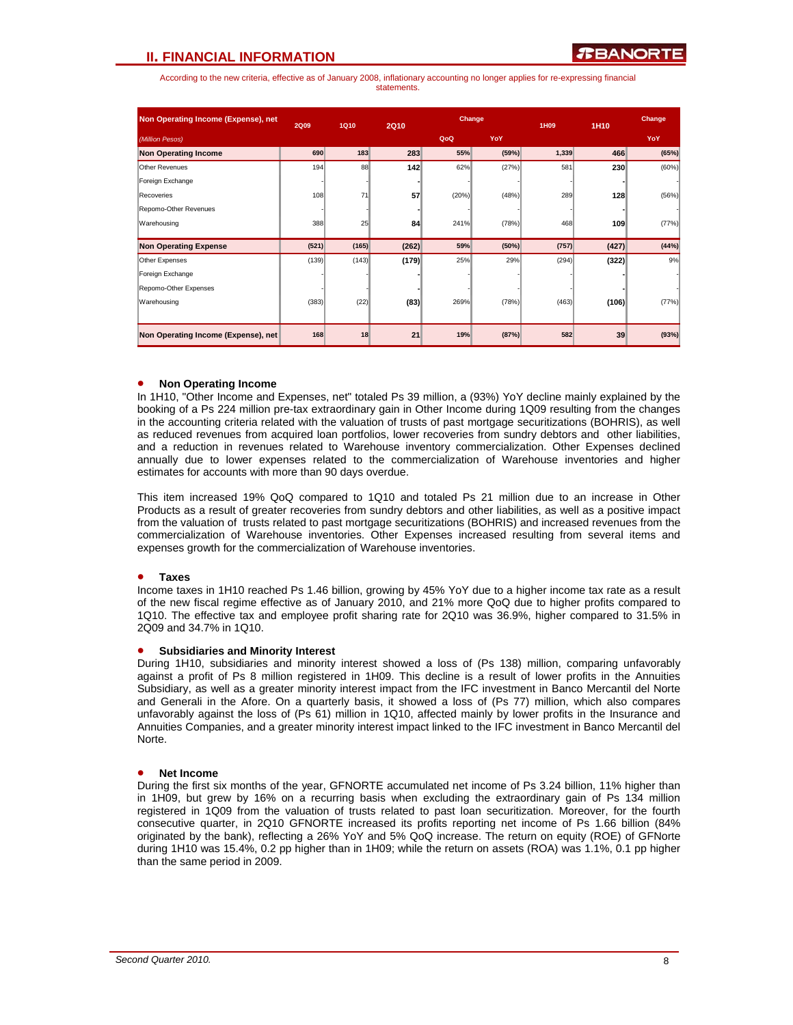According to the new criteria, effective as of January 2008, inflationary accounting no longer applies for re-expressing financial statements.

| Non Operating Income (Expense), net | <b>2Q09</b> | <b>1Q10</b> | <b>2Q10</b> | Change |       | 1H09  | 1H10  | Change     |
|-------------------------------------|-------------|-------------|-------------|--------|-------|-------|-------|------------|
| (Million Pesos)                     |             |             |             | QoQ    | YoY   |       |       | <b>YoY</b> |
| <b>Non Operating Income</b>         | 690         | 183         | 283         | 55%    | (59%) | 1,339 | 466   | (65%)      |
| <b>Other Revenues</b>               | 194         | 88          | 142         | 62%    | (27%) | 581   | 230   | (60%)      |
| Foreign Exchange                    |             |             |             |        |       |       |       |            |
| Recoveries                          | 108         | 71          | 57          | (20%)  | (48%) | 289   | 128   | (56%)      |
| Repomo-Other Revenues               |             |             |             |        |       |       |       |            |
| Warehousing                         | 388         | 25          | 84          | 241%   | (78%) | 468   | 109   | (77%)      |
| <b>Non Operating Expense</b>        | (521)       | (165)       | (262)       | 59%    | (50%) | (757) | (427) | (44%)      |
| <b>Other Expenses</b>               | (139)       | (143)       | (179)       | 25%    | 29%   | (294) | (322) | 9%         |
| Foreign Exchange                    |             |             |             |        |       |       |       |            |
| Repomo-Other Expenses               |             |             |             |        |       |       |       |            |
| Warehousing                         | (383)       | (22)        | (83)        | 269%   | (78%) | (463) | (106) | (77%)      |
|                                     |             |             |             |        |       |       |       |            |
| Non Operating Income (Expense), net | 168         | 18          | 21          | 19%    | (87%) | 582   | 39    | (93%)      |

#### • **Non Operating Income**

In 1H10, "Other Income and Expenses, net" totaled Ps 39 million, a (93%) YoY decline mainly explained by the booking of a Ps 224 million pre-tax extraordinary gain in Other Income during 1Q09 resulting from the changes in the accounting criteria related with the valuation of trusts of past mortgage securitizations (BOHRIS), as well as reduced revenues from acquired loan portfolios, lower recoveries from sundry debtors and other liabilities, and a reduction in revenues related to Warehouse inventory commercialization. Other Expenses declined annually due to lower expenses related to the commercialization of Warehouse inventories and higher estimates for accounts with more than 90 days overdue.

This item increased 19% QoQ compared to 1Q10 and totaled Ps 21 million due to an increase in Other Products as a result of greater recoveries from sundry debtors and other liabilities, as well as a positive impact from the valuation of trusts related to past mortgage securitizations (BOHRIS) and increased revenues from the commercialization of Warehouse inventories. Other Expenses increased resulting from several items and expenses growth for the commercialization of Warehouse inventories.

#### • **Taxes**

Income taxes in 1H10 reached Ps 1.46 billion, growing by 45% YoY due to a higher income tax rate as a result of the new fiscal regime effective as of January 2010, and 21% more QoQ due to higher profits compared to 1Q10. The effective tax and employee profit sharing rate for 2Q10 was 36.9%, higher compared to 31.5% in 2Q09 and 34.7% in 1Q10.

#### • **Subsidiaries and Minority Interest**

During 1H10, subsidiaries and minority interest showed a loss of (Ps 138) million, comparing unfavorably against a profit of Ps 8 million registered in 1H09. This decline is a result of lower profits in the Annuities Subsidiary, as well as a greater minority interest impact from the IFC investment in Banco Mercantil del Norte and Generali in the Afore. On a quarterly basis, it showed a loss of (Ps 77) million, which also compares unfavorably against the loss of (Ps 61) million in 1Q10, affected mainly by lower profits in the Insurance and Annuities Companies, and a greater minority interest impact linked to the IFC investment in Banco Mercantil del Norte.

#### • **Net Income**

During the first six months of the year, GFNORTE accumulated net income of Ps 3.24 billion, 11% higher than in 1H09, but grew by 16% on a recurring basis when excluding the extraordinary gain of Ps 134 million registered in 1Q09 from the valuation of trusts related to past loan securitization. Moreover, for the fourth consecutive quarter, in 2Q10 GFNORTE increased its profits reporting net income of Ps 1.66 billion (84% originated by the bank), reflecting a 26% YoY and 5% QoQ increase. The return on equity (ROE) of GFNorte during 1H10 was 15.4%, 0.2 pp higher than in 1H09; while the return on assets (ROA) was 1.1%, 0.1 pp higher than the same period in 2009.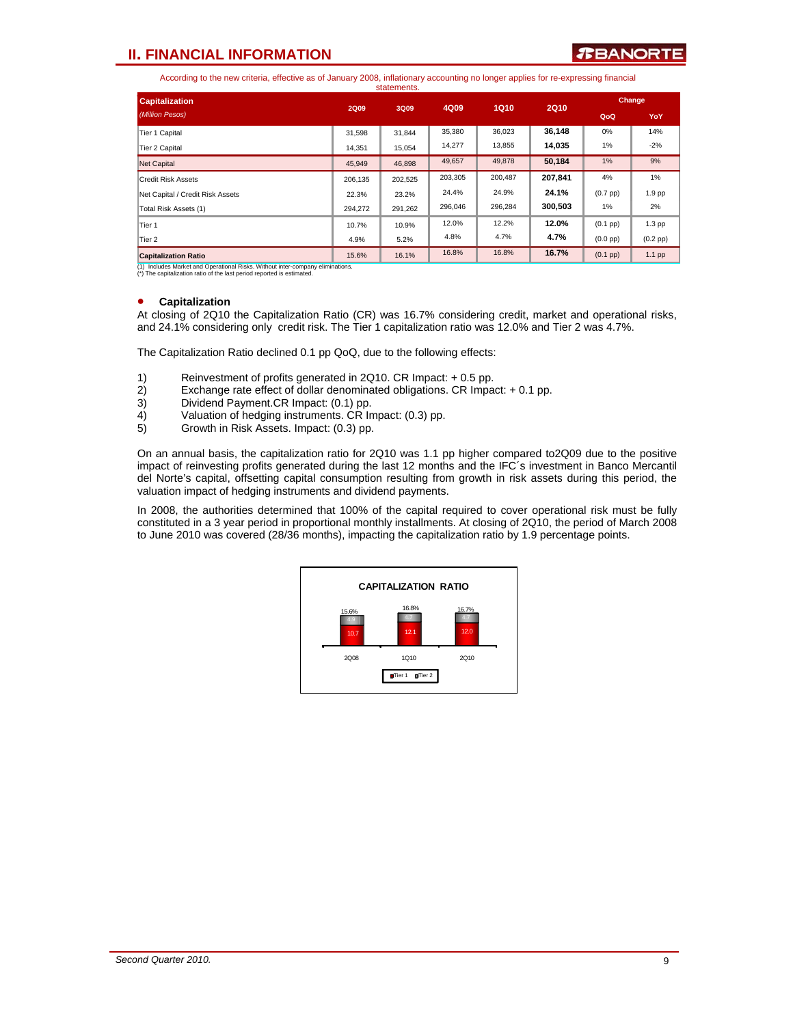According to the new criteria, effective as of January 2008, inflationary accounting no longer applies for re-expressing financial statements.

| <b>Capitalization</b>            | <b>2Q09</b> | 3Q09    | 4Q09    | <b>1Q10</b> | <b>2Q10</b> | Change        |                   |
|----------------------------------|-------------|---------|---------|-------------|-------------|---------------|-------------------|
| (Million Pesos)                  |             |         |         |             |             | QoQ           | YoY               |
| <b>Tier 1 Capital</b>            | 31,598      | 31.844  | 35,380  | 36,023      | 36.148      | 0%            | 14%               |
| <b>Tier 2 Capital</b>            | 14.351      | 15,054  | 14,277  | 13,855      | 14,035      | 1%            | $-2%$             |
| Net Capital                      | 45,949      | 46,898  | 49,657  | 49,878      | 50,184      | 1%            | 9%                |
| Credit Risk Assets               | 206,135     | 202,525 | 203,305 | 200,487     | 207,841     | 4%            | $1\%$             |
| Net Capital / Credit Risk Assets | 22.3%       | 23.2%   | 24.4%   | 24.9%       | 24.1%       | $(0.7$ pp $)$ | 1.9 <sub>pp</sub> |
| Total Risk Assets (1)            | 294.272     | 291,262 | 296,046 | 296,284     | 300,503     | $1\%$         | 2%                |
| Tier 1                           | 10.7%       | 10.9%   | 12.0%   | 12.2%       | 12.0%       | $(0.1$ pp)    | $1.3$ pp          |
| Tier 2                           | 4.9%        | 5.2%    | 4.8%    | 4.7%        | 4.7%        | $(0.0$ pp $)$ | $(0.2$ pp $)$     |
| <b>Capitalization Ratio</b>      | 15.6%       | 16.1%   | 16.8%   | 16.8%       | 16.7%       | $(0.1$ pp)    | $1.1$ pp          |

(1) Includes Market and Operational Risks. Without inter-company eliminations. (\*) The capitalization ratio of the last period reported is estimated.

#### • **Capitalization**

At closing of 2Q10 the Capitalization Ratio (CR) was 16.7% considering credit, market and operational risks, and 24.1% considering only credit risk. The Tier 1 capitalization ratio was 12.0% and Tier 2 was 4.7%.

The Capitalization Ratio declined 0.1 pp QoQ, due to the following effects:

- 1) Reinvestment of profits generated in 2Q10. CR Impact: + 0.5 pp.<br>2) Exchange rate effect of dollar denominated obligations. CR Impa
- Exchange rate effect of dollar denominated obligations. CR Impact: + 0.1 pp.
- 3) Dividend Payment.CR Impact: (0.1) pp.<br>4) Valuation of hedging instruments. CR In
- 4) Valuation of hedging instruments. CR Impact: (0.3) pp.
- 5) Growth in Risk Assets. Impact: (0.3) pp.

On an annual basis, the capitalization ratio for 2Q10 was 1.1 pp higher compared to2Q09 due to the positive impact of reinvesting profits generated during the last 12 months and the IFC´s investment in Banco Mercantil del Norte's capital, offsetting capital consumption resulting from growth in risk assets during this period, the valuation impact of hedging instruments and dividend payments.

In 2008, the authorities determined that 100% of the capital required to cover operational risk must be fully constituted in a 3 year period in proportional monthly installments. At closing of 2Q10, the period of March 2008 to June 2010 was covered (28/36 months), impacting the capitalization ratio by 1.9 percentage points.

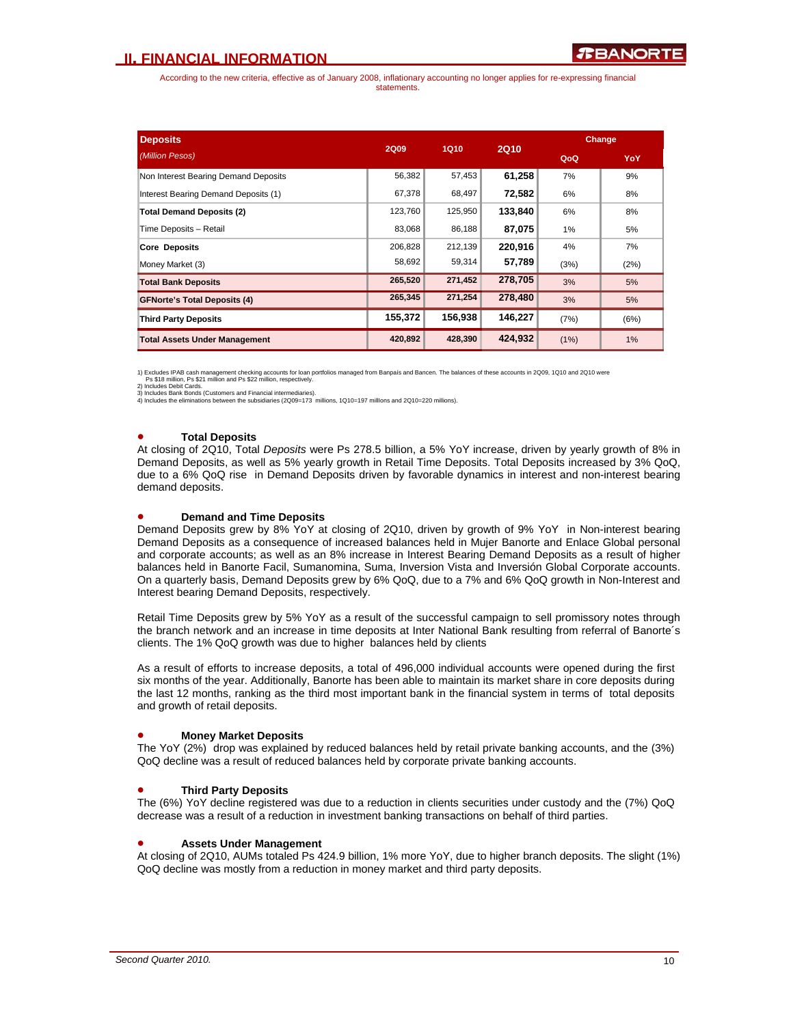According to the new criteria, effective as of January 2008, inflationary accounting no longer applies for re-expressing financial statements.

| <b>Deposits</b>                      |             |             |             |      | Change |
|--------------------------------------|-------------|-------------|-------------|------|--------|
| (Million Pesos)                      | <b>2Q09</b> | <b>1Q10</b> | <b>2Q10</b> | QoQ  | YoY    |
| Non Interest Bearing Demand Deposits | 56,382      | 57,453      | 61,258      | 7%   | 9%     |
| Interest Bearing Demand Deposits (1) | 67,378      | 68,497      | 72,582      | 6%   | 8%     |
| <b>Total Demand Deposits (2)</b>     | 123,760     | 125,950     | 133,840     | 6%   | 8%     |
| Time Deposits - Retail               | 83,068      | 86,188      | 87,075      | 1%   | 5%     |
| <b>Core Deposits</b>                 | 206,828     | 212,139     | 220,916     | 4%   | 7%     |
| Money Market (3)                     | 58,692      | 59,314      | 57,789      | (3%) | (2%)   |
| <b>Total Bank Deposits</b>           | 265,520     | 271,452     | 278.705     | 3%   | 5%     |
| <b>GFNorte's Total Deposits (4)</b>  | 265,345     | 271,254     | 278,480     | 3%   | 5%     |
| <b>Third Party Deposits</b>          | 155,372     | 156,938     | 146,227     | (7%) | (6%)   |
| <b>Total Assets Under Management</b> | 420,892     | 428.390     | 424,932     | (1%) | $1\%$  |

1) Excludes IPAB cash management checking accounts for loan portfolios managed from Banpaís and Bancen. The balances of these accounts in 2Q09, 1Q10 and 2Q10 were<br>Ps \$18 million, Ps \$21 million and Ps \$22 million, respecti

3) Includes Bank Bonds (Customers and Financial intermediaries). 4) Includes the eliminations between the subsidiaries (2Q09=173 millions, 1Q10=197 millIons and 2Q10=220 millions).

#### • **Total Deposits**

At closing of 2Q10, Total *Deposits* were Ps 278.5 billion, a 5% YoY increase, driven by yearly growth of 8% in Demand Deposits, as well as 5% yearly growth in Retail Time Deposits. Total Deposits increased by 3% QoQ, due to a 6% QoQ rise in Demand Deposits driven by favorable dynamics in interest and non-interest bearing demand deposits.

#### • **Demand and Time Deposits**

Demand Deposits grew by 8% YoY at closing of 2Q10, driven by growth of 9% YoY in Non-interest bearing Demand Deposits as a consequence of increased balances held in Mujer Banorte and Enlace Global personal and corporate accounts; as well as an 8% increase in Interest Bearing Demand Deposits as a result of higher balances held in Banorte Facil, Sumanomina, Suma, Inversion Vista and Inversión Global Corporate accounts. On a quarterly basis, Demand Deposits grew by 6% QoQ, due to a 7% and 6% QoQ growth in Non-Interest and Interest bearing Demand Deposits, respectively.

Retail Time Deposits grew by 5% YoY as a result of the successful campaign to sell promissory notes through the branch network and an increase in time deposits at Inter National Bank resulting from referral of Banorte´s clients. The 1% QoQ growth was due to higher balances held by clients

As a result of efforts to increase deposits, a total of 496,000 individual accounts were opened during the first six months of the year. Additionally, Banorte has been able to maintain its market share in core deposits during the last 12 months, ranking as the third most important bank in the financial system in terms of total deposits and growth of retail deposits.

#### • **Money Market Deposits**

The YoY (2%) drop was explained by reduced balances held by retail private banking accounts, and the (3%) QoQ decline was a result of reduced balances held by corporate private banking accounts.

#### • **Third Party Deposits**

The (6%) YoY decline registered was due to a reduction in clients securities under custody and the (7%) QoQ decrease was a result of a reduction in investment banking transactions on behalf of third parties.

#### • **Assets Under Management**

At closing of 2Q10, AUMs totaled Ps 424.9 billion, 1% more YoY, due to higher branch deposits. The slight (1%) QoQ decline was mostly from a reduction in money market and third party deposits.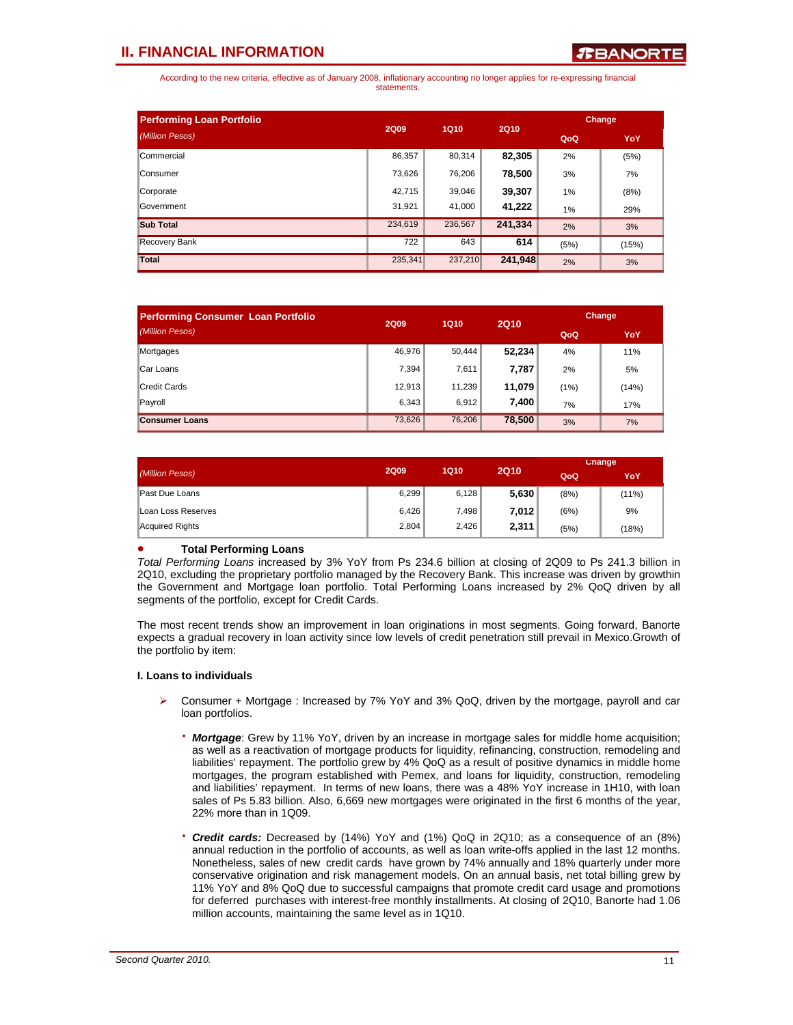According to the new criteria, effective as of January 2008, inflationary accounting no longer applies for re-expressing financial statements.

| <b>Performing Loan Portfolio</b> | <b>2Q09</b> | <b>1Q10</b> | <b>2Q10</b> | <b>Change</b> |       |  |
|----------------------------------|-------------|-------------|-------------|---------------|-------|--|
| (Million Pesos)                  |             |             |             | QoQ           | YoY   |  |
| <b>Commercial</b>                | 86,357      | 80,314      | 82,305      | 2%            | (5%)  |  |
| <b>Consumer</b>                  | 73,626      | 76,206      | 78,500      | 3%            | 7%    |  |
| Corporate                        | 42.715      | 39,046      | 39,307      | $1\%$         | (8%)  |  |
| <b>Sovernment</b>                | 31,921      | 41.000      | 41,222      | $1\%$         | 29%   |  |
| <b>Sub Total</b>                 | 234.619     | 236,567     | 241,334     | 2%            | 3%    |  |
| Recovery Bank                    | 722         | 643         | 614         | (5%)          | (15%) |  |
| Total                            | 235,341     | 237,210     | 241,948     | 2%            | 3%    |  |

| <b>Performing Consumer Loan Portfolio</b> | <b>2Q09</b> | <b>1Q10</b> | <b>2Q10</b> | Change |       |  |
|-------------------------------------------|-------------|-------------|-------------|--------|-------|--|
| (Million Pesos)                           |             |             |             | QoQ    | YoY   |  |
| Mortgages                                 | 46.976      | 50.444      | 52,234      | 4%     | 11%   |  |
| Car Loans                                 | 7.394       | 7,611       | 7,787       | 2%     | 5%    |  |
| Credit Cards                              | 12.913      | 11.239      | 11,079      | (1%)   | (14%) |  |
| Payroll                                   | 6.343       | 6.912       | 7,400       | 7%     | 17%   |  |
| <b>Consumer Loans</b>                     | 73,626      | 76,206      | 78,500      | 3%     | 7%    |  |

|                    |                            |       |             | Change |       |  |
|--------------------|----------------------------|-------|-------------|--------|-------|--|
| (Million Pesos)    | <b>1Q10</b><br><b>2Q09</b> |       | <b>2Q10</b> | QoQ    | YoY   |  |
| Past Due Loans     | 6,299                      | 6,128 | 5,630       | (8%)   | (11%) |  |
| Loan Loss Reserves | 6,426                      | 7,498 | 7,012       | (6%)   | 9%    |  |
| Acquired Rights    | 2.804                      | 2.426 | 2,311       | (5%)   | (18%) |  |

#### • **Total Performing Loans**

*Total Performing Loans* increased by 3% YoY from Ps 234.6 billion at closing of 2Q09 to Ps 241.3 billion in 2Q10, excluding the proprietary portfolio managed by the Recovery Bank. This increase was driven by growthin the Government and Mortgage loan portfolio. Total Performing Loans increased by 2% QoQ driven by all segments of the portfolio, except for Credit Cards.

The most recent trends show an improvement in loan originations in most segments. Going forward, Banorte expects a gradual recovery in loan activity since low levels of credit penetration still prevail in Mexico.Growth of the portfolio by item:

#### **I. Loans to individuals**

- ¾ Consumer + Mortgage : Increased by 7% YoY and 3% QoQ, driven by the mortgage, payroll and car loan portfolios.
	- **Mortgage**: Grew by 11% YoY, driven by an increase in mortgage sales for middle home acquisition; as well as a reactivation of mortgage products for liquidity, refinancing, construction, remodeling and liabilities' repayment. The portfolio grew by 4% QoQ as a result of positive dynamics in middle home mortgages, the program established with Pemex, and loans for liquidity, construction, remodeling and liabilities' repayment. In terms of new loans, there was a 48% YoY increase in 1H10, with loan sales of Ps 5.83 billion. Also, 6,669 new mortgages were originated in the first 6 months of the year, 22% more than in 1Q09.
	- ⋅ *Credit cards:* Decreased by (14%) YoY and (1%) QoQ in 2Q10; as a consequence of an (8%) annual reduction in the portfolio of accounts, as well as loan write-offs applied in the last 12 months. Nonetheless, sales of new credit cards have grown by 74% annually and 18% quarterly under more conservative origination and risk management models. On an annual basis, net total billing grew by 11% YoY and 8% QoQ due to successful campaigns that promote credit card usage and promotions for deferred purchases with interest-free monthly installments. At closing of 2Q10, Banorte had 1.06 million accounts, maintaining the same level as in 1Q10.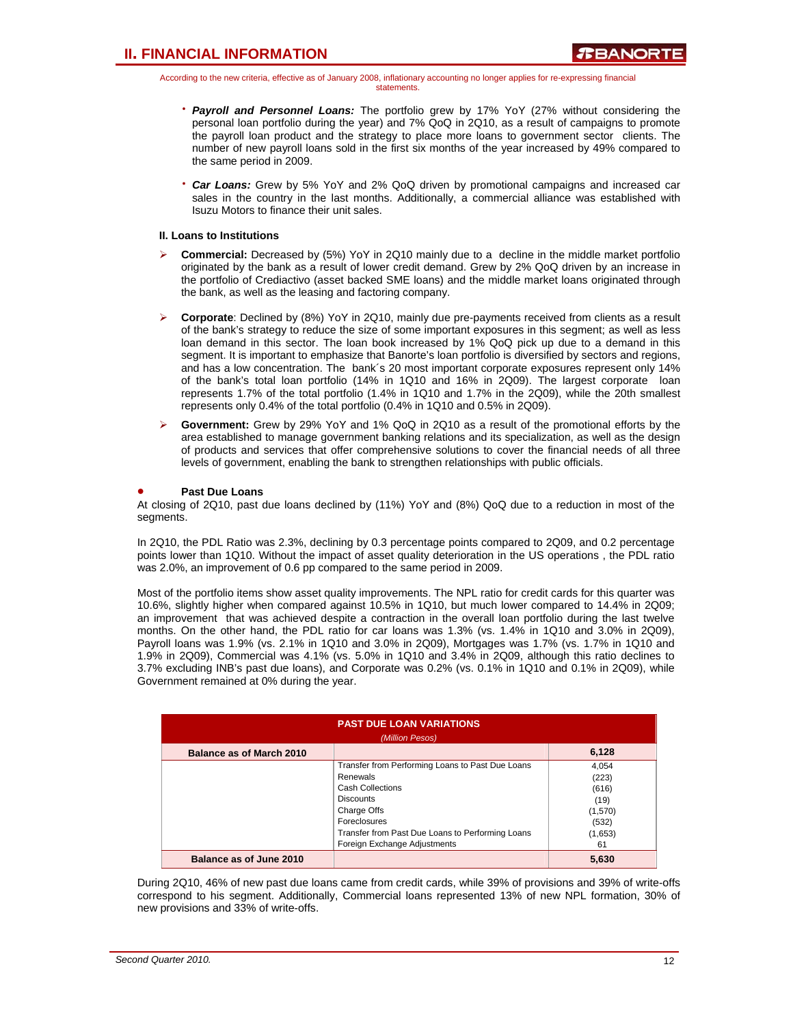According to the new criteria, effective as of January 2008, inflationary accounting no longer applies for re-expressing financial statements.

- **Payroll and Personnel Loans:** The portfolio grew by 17% YoY (27% without considering the personal loan portfolio during the year) and 7% QoQ in 2Q10, as a result of campaigns to promote the payroll loan product and the strategy to place more loans to government sector clients. The number of new payroll loans sold in the first six months of the year increased by 49% compared to the same period in 2009.
- **Car Loans:** Grew by 5% YoY and 2% QoQ driven by promotional campaigns and increased car sales in the country in the last months. Additionally, a commercial alliance was established with Isuzu Motors to finance their unit sales.

#### **II. Loans to Institutions**

- ¾ **Commercial:** Decreased by (5%) YoY in 2Q10 mainly due to a decline in the middle market portfolio originated by the bank as a result of lower credit demand. Grew by 2% QoQ driven by an increase in the portfolio of Crediactivo (asset backed SME loans) and the middle market loans originated through the bank, as well as the leasing and factoring company.
- ¾ **Corporate**: Declined by (8%) YoY in 2Q10, mainly due pre-payments received from clients as a result of the bank's strategy to reduce the size of some important exposures in this segment; as well as less loan demand in this sector. The loan book increased by 1% QoQ pick up due to a demand in this segment. It is important to emphasize that Banorte's loan portfolio is diversified by sectors and regions, and has a low concentration. The bank´s 20 most important corporate exposures represent only 14% of the bank's total loan portfolio (14% in 1Q10 and 16% in 2Q09). The largest corporate loan represents 1.7% of the total portfolio (1.4% in 1Q10 and 1.7% in the 2Q09), while the 20th smallest represents only 0.4% of the total portfolio (0.4% in 1Q10 and 0.5% in 2Q09).
- ¾ **Government:** Grew by 29% YoY and 1% QoQ in 2Q10 as a result of the promotional efforts by the area established to manage government banking relations and its specialization, as well as the design of products and services that offer comprehensive solutions to cover the financial needs of all three levels of government, enabling the bank to strengthen relationships with public officials.

#### • **Past Due Loans**

At closing of 2Q10, past due loans declined by (11%) YoY and (8%) QoQ due to a reduction in most of the segments.

In 2Q10, the PDL Ratio was 2.3%, declining by 0.3 percentage points compared to 2Q09, and 0.2 percentage points lower than 1Q10. Without the impact of asset quality deterioration in the US operations , the PDL ratio was 2.0%, an improvement of 0.6 pp compared to the same period in 2009.

Most of the portfolio items show asset quality improvements. The NPL ratio for credit cards for this quarter was 10.6%, slightly higher when compared against 10.5% in 1Q10, but much lower compared to 14.4% in 2Q09; an improvement that was achieved despite a contraction in the overall loan portfolio during the last twelve months. On the other hand, the PDL ratio for car loans was 1.3% (vs. 1.4% in 1Q10 and 3.0% in 2Q09), Payroll loans was 1.9% (vs. 2.1% in 1Q10 and 3.0% in 2Q09), Mortgages was 1.7% (vs. 1.7% in 1Q10 and 1.9% in 2Q09), Commercial was 4.1% (vs. 5.0% in 1Q10 and 3.4% in 2Q09, although this ratio declines to 3.7% excluding INB's past due loans), and Corporate was 0.2% (vs. 0.1% in 1Q10 and 0.1% in 2Q09), while Government remained at 0% during the year.

| <b>PAST DUE LOAN VARIATIONS</b><br>(Million Pesos) |                                                  |         |  |  |  |  |  |  |
|----------------------------------------------------|--------------------------------------------------|---------|--|--|--|--|--|--|
| <b>Balance as of March 2010</b>                    |                                                  | 6,128   |  |  |  |  |  |  |
|                                                    | Transfer from Performing Loans to Past Due Loans | 4.054   |  |  |  |  |  |  |
|                                                    | Renewals                                         | (223)   |  |  |  |  |  |  |
|                                                    | <b>Cash Collections</b>                          | (616)   |  |  |  |  |  |  |
|                                                    | <b>Discounts</b>                                 | (19)    |  |  |  |  |  |  |
|                                                    | Charge Offs                                      | (1,570) |  |  |  |  |  |  |
|                                                    | Foreclosures                                     | (532)   |  |  |  |  |  |  |
|                                                    | Transfer from Past Due Loans to Performing Loans | (1,653) |  |  |  |  |  |  |
|                                                    | Foreign Exchange Adjustments                     | 61      |  |  |  |  |  |  |
| Balance as of June 2010                            |                                                  | 5,630   |  |  |  |  |  |  |

During 2Q10, 46% of new past due loans came from credit cards, while 39% of provisions and 39% of write-offs correspond to his segment. Additionally, Commercial loans represented 13% of new NPL formation, 30% of new provisions and 33% of write-offs.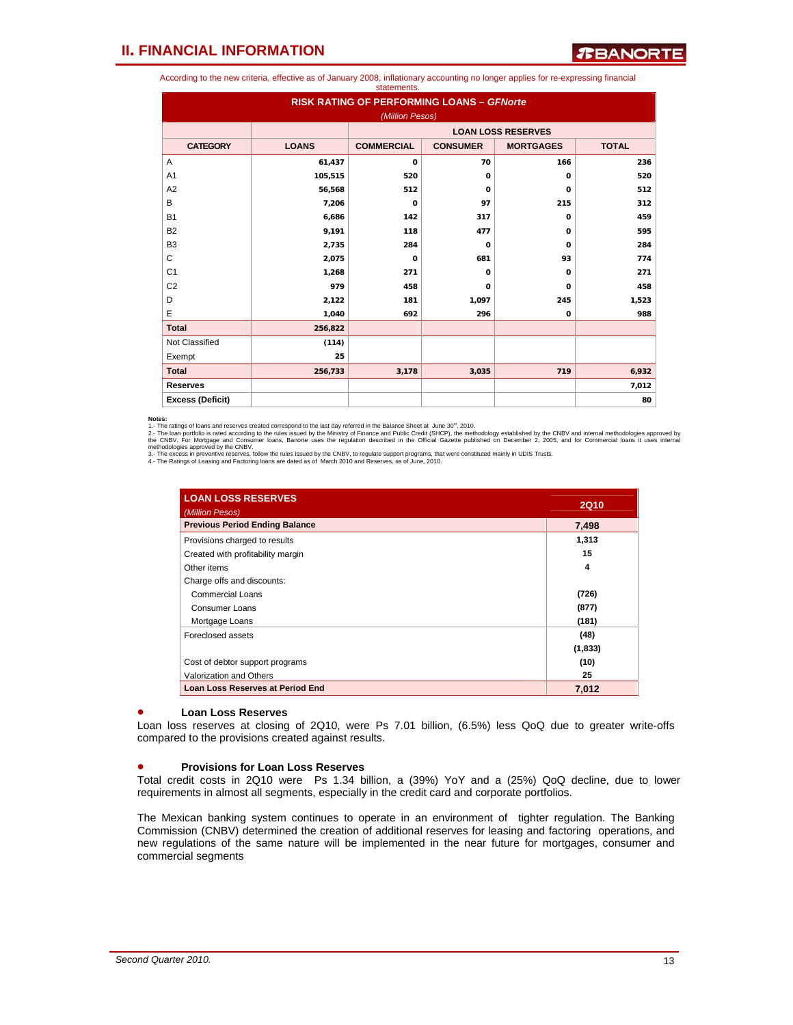According to the new criteria, effective as of January 2008, inflationary accounting no longer applies for re-expressing financial

| statements.             |              |                                                  |                 |                  |              |  |  |  |  |  |  |
|-------------------------|--------------|--------------------------------------------------|-----------------|------------------|--------------|--|--|--|--|--|--|
|                         |              | <b>RISK RATING OF PERFORMING LOANS - GFNorte</b> |                 |                  |              |  |  |  |  |  |  |
| (Million Pesos)         |              |                                                  |                 |                  |              |  |  |  |  |  |  |
|                         |              | <b>LOAN LOSS RESERVES</b>                        |                 |                  |              |  |  |  |  |  |  |
| <b>CATEGORY</b>         | <b>LOANS</b> | <b>COMMERCIAL</b>                                | <b>CONSUMER</b> | <b>MORTGAGES</b> | <b>TOTAL</b> |  |  |  |  |  |  |
| Α                       | 61,437       | $\mathbf 0$                                      | 70              | 166              | 236          |  |  |  |  |  |  |
| A <sub>1</sub>          | 105,515      | 520                                              | $\Omega$        | $\Omega$         | 520          |  |  |  |  |  |  |
| A <sub>2</sub>          | 56,568       | 512                                              | $\Omega$        | 0                | 512          |  |  |  |  |  |  |
| В                       | 7,206        | $\mathbf 0$                                      | 97              | 215              | 312          |  |  |  |  |  |  |
| <b>B1</b>               | 6,686        | 142                                              | 317             | 0                | 459          |  |  |  |  |  |  |
| B <sub>2</sub>          | 9,191        | 118                                              | 477             | O                | 595          |  |  |  |  |  |  |
| B <sub>3</sub>          | 2,735        | 284                                              | $\Omega$        | 0                | 284          |  |  |  |  |  |  |
| С                       | 2,075        | 0                                                | 681             | 93               | 774          |  |  |  |  |  |  |
| C <sub>1</sub>          | 1,268        | 271                                              | $\mathbf 0$     | 0                | 271          |  |  |  |  |  |  |
| C <sub>2</sub>          | 979          | 458                                              | 0               | 0                | 458          |  |  |  |  |  |  |
| D                       | 2,122        | 181                                              | 1,097           | 245              | 1,523        |  |  |  |  |  |  |
| E                       | 1,040        | 692                                              | 296             | 0                | 988          |  |  |  |  |  |  |
| <b>Total</b>            | 256,822      |                                                  |                 |                  |              |  |  |  |  |  |  |
| Not Classified          | (114)        |                                                  |                 |                  |              |  |  |  |  |  |  |
| Exempt                  | 25           |                                                  |                 |                  |              |  |  |  |  |  |  |
| <b>Total</b>            | 256,733      | 3,178                                            | 3,035           | 719              | 6,932        |  |  |  |  |  |  |
| <b>Reserves</b>         |              |                                                  |                 |                  | 7,012        |  |  |  |  |  |  |
| <b>Excess (Deficit)</b> |              |                                                  |                 |                  | 80           |  |  |  |  |  |  |

**Notes:**<br>1.- The ratings of loans and reserves created correspond to the last day referred in the Balance Sheet at June 30<sup>\*1</sup>, 2010.<br>2.- The ratings of loans and reserves created correspond to the last day referred in the

| <b>LOAN LOSS RESERVES</b>               | <b>2Q10</b> |
|-----------------------------------------|-------------|
| (Million Pesos)                         |             |
| <b>Previous Period Ending Balance</b>   | 7,498       |
| Provisions charged to results           | 1,313       |
| Created with profitability margin       | 15          |
| Other items                             | 4           |
| Charge offs and discounts:              |             |
| Commercial Loans                        | (726)       |
| Consumer Loans                          | (877)       |
| Mortgage Loans                          | (181)       |
| Foreclosed assets                       | (48)        |
|                                         | (1,833)     |
| Cost of debtor support programs         | (10)        |
| Valorization and Others                 | 25          |
| <b>Loan Loss Reserves at Period End</b> | 7,012       |

#### • **Loan Loss Reserves**

Loan loss reserves at closing of 2Q10, were Ps 7.01 billion, (6.5%) less QoQ due to greater write-offs compared to the provisions created against results.

#### • **Provisions for Loan Loss Reserves**

Total credit costs in 2Q10 were Ps 1.34 billion, a (39%) YoY and a (25%) QoQ decline, due to lower requirements in almost all segments, especially in the credit card and corporate portfolios.

The Mexican banking system continues to operate in an environment of tighter regulation. The Banking Commission (CNBV) determined the creation of additional reserves for leasing and factoring operations, and new regulations of the same nature will be implemented in the near future for mortgages, consumer and commercial segments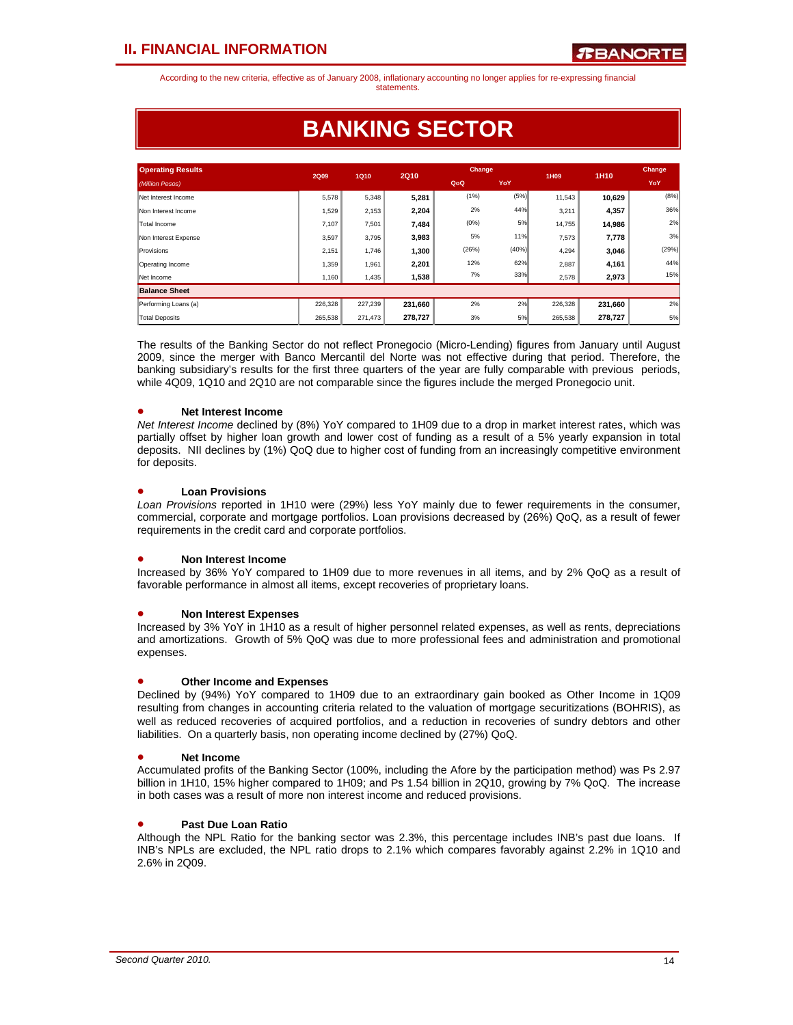According to the new criteria, effective as of January 2008, inflationary accounting no longer applies for re-expressing financial statements.

# **BANKING SECTOR**

| <b>Operating Results</b> |             |             |             | <b>Change</b> |       |         |         | Change |
|--------------------------|-------------|-------------|-------------|---------------|-------|---------|---------|--------|
| (Million Pesos)          | <b>2Q09</b> | <b>1Q10</b> | <b>2Q10</b> | QoQ           | YoY   | 1H09    | 1H10    | YoY    |
| Net Interest Income      | 5,578       | 5,348       | 5,281       | (1%)          | (5%)  | 11,543  | 10,629  | (8%)   |
| Non Interest Income      | 1,529       | 2,153       | 2,204       | 2%            | 44%   | 3,211   | 4,357   | 36%    |
| Total Income             | 7,107       | 7,501       | 7,484       | $(0\%)$       | 5%    | 14,755  | 14,986  | 2%     |
| Non Interest Expense     | 3,597       | 3,795       | 3,983       | 5%            | 11%   | 7,573   | 7,778   | 3%     |
| Provisions               | 2,151       | 1,746       | 1,300       | (26%)         | (40%) | 4,294   | 3,046   | (29%)  |
| Operating Income         | 1,359       | 1,961       | 2,201       | 12%           | 62%   | 2,887   | 4,161   | 44%    |
| Net Income               | 1,160       | 1,435       | 1,538       | 7%            | 33%   | 2,578   | 2,973   | 15%    |
| <b>Balance Sheet</b>     |             |             |             |               |       |         |         |        |
| Performing Loans (a)     | 226,328     | 227,239     | 231,660     | 2%            | 2%    | 226,328 | 231,660 | 2%     |
| <b>Total Deposits</b>    | 265,538     | 271,473     | 278,727     | 3%            | 5%    | 265,538 | 278,727 | 5%     |

The results of the Banking Sector do not reflect Pronegocio (Micro-Lending) figures from January until August 2009, since the merger with Banco Mercantil del Norte was not effective during that period. Therefore, the banking subsidiary's results for the first three quarters of the year are fully comparable with previous periods, while 4Q09, 1Q10 and 2Q10 are not comparable since the figures include the merged Pronegocio unit.

#### • **Net Interest Income**

*Net Interest Income* declined by (8%) YoY compared to 1H09 due to a drop in market interest rates, which was partially offset by higher loan growth and lower cost of funding as a result of a 5% yearly expansion in total deposits. NII declines by (1%) QoQ due to higher cost of funding from an increasingly competitive environment for deposits.

#### • **Loan Provisions**

*Loan Provisions* reported in 1H10 were (29%) less YoY mainly due to fewer requirements in the consumer, commercial, corporate and mortgage portfolios. Loan provisions decreased by (26%) QoQ, as a result of fewer requirements in the credit card and corporate portfolios.

#### • **Non Interest Income**

Increased by 36% YoY compared to 1H09 due to more revenues in all items, and by 2% QoQ as a result of favorable performance in almost all items, except recoveries of proprietary loans.

#### • **Non Interest Expenses**

Increased by 3% YoY in 1H10 as a result of higher personnel related expenses, as well as rents, depreciations and amortizations. Growth of 5% QoQ was due to more professional fees and administration and promotional expenses.

#### • **Other Income and Expenses**

Declined by (94%) YoY compared to 1H09 due to an extraordinary gain booked as Other Income in 1Q09 resulting from changes in accounting criteria related to the valuation of mortgage securitizations (BOHRIS), as well as reduced recoveries of acquired portfolios, and a reduction in recoveries of sundry debtors and other liabilities. On a quarterly basis, non operating income declined by (27%) QoQ.

#### • **Net Income**

Accumulated profits of the Banking Sector (100%, including the Afore by the participation method) was Ps 2.97 billion in 1H10, 15% higher compared to 1H09; and Ps 1.54 billion in 2Q10, growing by 7% QoQ. The increase in both cases was a result of more non interest income and reduced provisions.

#### • **Past Due Loan Ratio**

Although the NPL Ratio for the banking sector was 2.3%, this percentage includes INB's past due loans. If INB's NPLs are excluded, the NPL ratio drops to 2.1% which compares favorably against 2.2% in 1Q10 and 2.6% in 2Q09.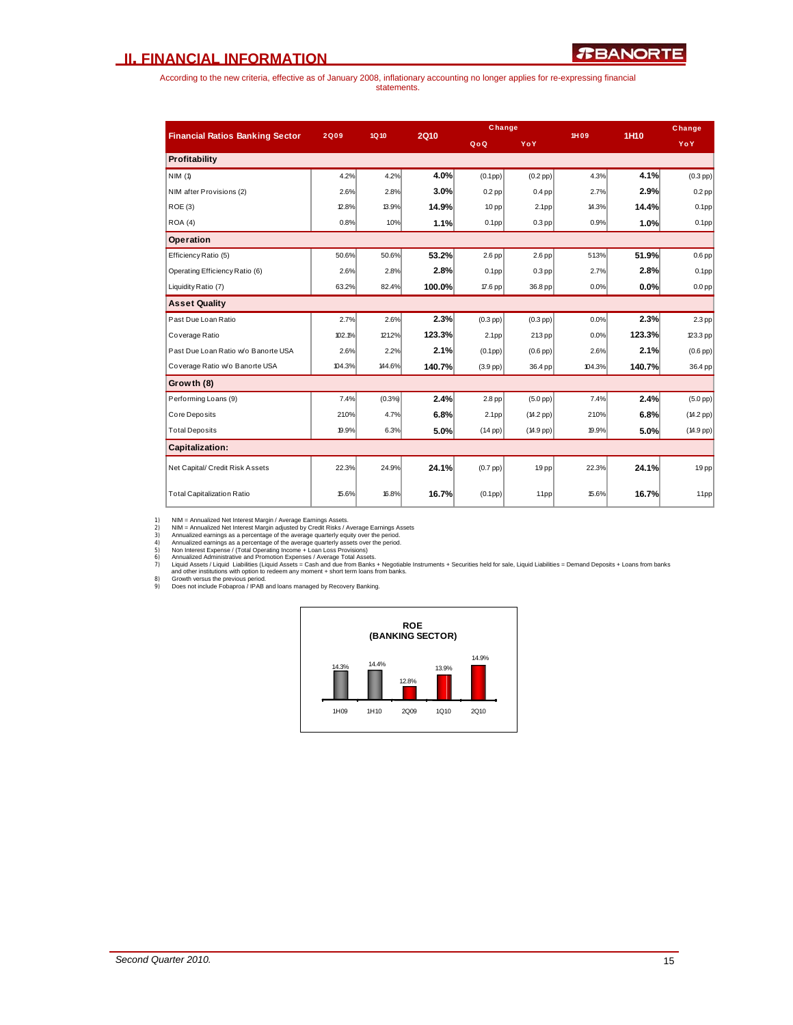According to the new criteria, effective as of January 2008, inflationary accounting no longer applies for re-expressing financial statements.

|                                        |             |        |        | Change               |                   |        | 1H10   | Change        |
|----------------------------------------|-------------|--------|--------|----------------------|-------------------|--------|--------|---------------|
| <b>Financial Ratios Banking Sector</b> | <b>2Q09</b> | 1Q 10  | 2Q10   | QoQ                  | <b>Yo Y</b>       | 1H09   |        | <b>Yo Y</b>   |
| Profitability                          |             |        |        |                      |                   |        |        |               |
| NM(1)                                  | 4.2%        | 4.2%   | 4.0%   | $(0.1 \text{pp})$    | $(0.2$ pp)        | 4.3%   | 4.1%   | $(0.3$ pp)    |
| NIM after Provisions (2)               | 2.6%        | 2.8%   | 3.0%   | $0.2$ pp             | $0.4$ pp          | 2.7%   | 2.9%   | $0.2$ pp      |
| ROE(3)                                 | 12.8%       | 13.9%  | 14.9%  | $1.0$ pp             | 2.1 <sub>pp</sub> | 14.3%  | 14.4%  | $0.1$ pp      |
| ROA(4)                                 | 0.8%        | 1.0%   | 1.1%   | $0.1$ pp             | $0.3$ pp          | 0.9%   | 1.0%   | $0.1$ pp      |
| <b>Operation</b>                       |             |        |        |                      |                   |        |        |               |
| Efficiency Ratio (5)                   | 50.6%       | 50.6%  | 53.2%  | $2.6$ pp             | $2.6$ pp          | 51.3%  | 51.9%  | $0.6$ pp      |
| Operating Efficiency Ratio (6)         | 2.6%        | 2.8%   | 2.8%   | $0.1$ pp             | $0.3$ pp          | 2.7%   | 2.8%   | $0.1$ pp      |
| Liquidity Ratio (7)                    | 63.2%       | 82.4%  | 100.0% | $17.6$ pp            | 36.8 pp           | 0.0%   | 0.0%   | $0.0$ pp      |
| <b>Asset Quality</b>                   |             |        |        |                      |                   |        |        |               |
| Past Due Loan Ratio                    | 2.7%        | 2.6%   | 2.3%   | $(0.3$ pp)           | $(0.3$ pp)        | 0.0%   | 2.3%   | $2.3$ pp      |
| Coverage Ratio                         | 102.1%      | 121.2% | 123.3% | 2.1 <sub>pp</sub>    | 21.3 pp           | 0.0%   | 123.3% | 123.3 pp      |
| Past Due Loan Ratio w/o Banorte USA    | 2.6%        | 2.2%   | 2.1%   | $(0.1$ pp $)\right $ | $(0.6$ pp)        | 2.6%   | 2.1%   | $(0.6$ pp)    |
| Coverage Ratio w/o Banorte USA         | 104.3%      | 144.6% | 140.7% | $(3.9$ pp)           | 36.4 pp           | 104.3% | 140.7% | 36.4 pp       |
| Growth (8)                             |             |        |        |                      |                   |        |        |               |
| Performing Loans (9)                   | 7.4%        | (0.3%) | 2.4%   | $2.8$ pp             | $(5.0$ pp $)$     | 7.4%   | 2.4%   | $(5.0$ pp $)$ |
| Core Deposits                          | 21.0%       | 4.7%   | 6.8%   | 2.1 <sub>pp</sub>    | $(14.2$ pp)       | 21.0%  | 6.8%   | $(14.2$ pp)   |
| <b>Total Deposits</b>                  | 19.9%       | 6.3%   | 5.0%   | $(1.4 \text{ pp})$   | $(14.9$ pp)       | 19.9%  | 5.0%   | $(14.9$ pp)   |
| <b>Capitalization:</b>                 |             |        |        |                      |                   |        |        |               |
| Net Capital/ Credit Risk Assets        | 22.3%       | 24.9%  | 24.1%  | $(0.7$ pp $)$        | $1.9$ pp          | 22.3%  | 24.1%  | $19$ pp       |
| <b>Total Capitalization Ratio</b>      | 15.6%       | 16.8%  | 16.7%  | $(0.1$ pp $)$        | $1.1$ pp          | 15.6%  | 16.7%  | $1.1$ pp      |

1) NIM = Annualized Net Interest Margin / Average Earnings Assets.<br>2) NIM = Annualized earnings as a percentage of the average quarterly equity over the period.<br>3) Annualized earnings as a percentage of the average quarter

8) Growth versus the previous period. 9) Does not include Fobaproa / IPAB and loans managed by Recovery Banking.

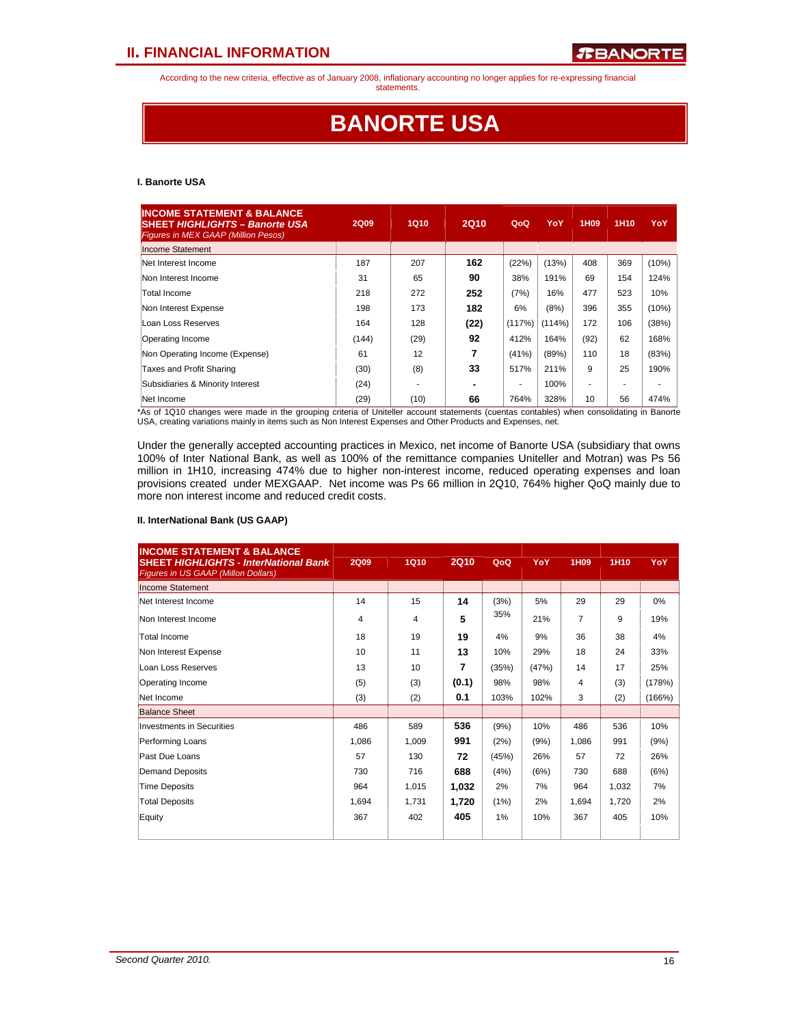According to the new criteria, effective as of January 2008, inflationary accounting no longer applies for re-expressing financial

#### statements.

# **BANORTE USA**

#### **I. Banorte USA**

| <b>2Q09</b> | <b>1Q10</b> | <b>2Q10</b> | QoQ    | YoY    | 1H <sub>09</sub> | 1H <sub>10</sub> | YoY                                                                                                                                       |
|-------------|-------------|-------------|--------|--------|------------------|------------------|-------------------------------------------------------------------------------------------------------------------------------------------|
|             |             |             |        |        |                  |                  |                                                                                                                                           |
| 187         | 207         | 162         | (22%)  | (13%)  | 408              | 369              | (10%)                                                                                                                                     |
| 31          | 65          | 90          | 38%    | 191%   | 69               | 154              | 124%                                                                                                                                      |
| 218         | 272         | 252         | (7%)   | 16%    | 477              | 523              | 10%                                                                                                                                       |
| 198         | 173         | 182         | 6%     | (8%)   | 396              | 355              | (10%)                                                                                                                                     |
| 164         | 128         | (22)        | (117%) | (114%) | 172              | 106              | (38%)                                                                                                                                     |
| (144)       | (29)        | 92          | 412%   | 164%   | (92)             | 62               | 168%                                                                                                                                      |
| 61          | 12          | 7           | (41%)  | (89%)  | 110              | 18               | (83%)                                                                                                                                     |
| (30)        | (8)         | 33          | 517%   | 211%   | 9                | 25               | 190%                                                                                                                                      |
| (24)        |             |             |        | 100%   |                  | ۰                |                                                                                                                                           |
| (29)        | (10)        | 66          | 764%   | 328%   | 10               | 56               | 474%                                                                                                                                      |
|             |             |             |        |        |                  |                  | As of 1010 changes were made in the grouping criteria of Uniteller account statements (cuentas contables) when consolidating in Banorto** |

\*As of 1Q10 changes were made in the grouping criteria of Uniteller account statements (cuentas contables) when consolidating in Banorte<br>USA, creating variations mainly in items such as Non Interest Expenses and Other Prod

Under the generally accepted accounting practices in Mexico, net income of Banorte USA (subsidiary that owns 100% of Inter National Bank, as well as 100% of the remittance companies Uniteller and Motran) was Ps 56 million in 1H10, increasing 474% due to higher non-interest income, reduced operating expenses and loan provisions created under MEXGAAP. Net income was Ps 66 million in 2Q10, 764% higher QoQ mainly due to more non interest income and reduced credit costs.

#### **II. InterNational Bank (US GAAP)**

| <b>INCOME STATEMENT &amp; BALANCE</b><br><b>SHEET HIGHLIGHTS - InterNational Bank</b><br>Figures in US GAAP (Millon Dollars) | <b>2Q09</b> | <b>1Q10</b> | <b>2Q10</b> | QoQ   | YoY   | 1H09  | 1H10  | YoY    |
|------------------------------------------------------------------------------------------------------------------------------|-------------|-------------|-------------|-------|-------|-------|-------|--------|
| <b>Income Statement</b>                                                                                                      |             |             |             |       |       |       |       |        |
| Net Interest Income                                                                                                          | 14          | 15          | 14          | (3%)  | 5%    | 29    | 29    | 0%     |
| Non Interest Income                                                                                                          | 4           | 4           | 5           | 35%   | 21%   | 7     | 9     | 19%    |
| <b>Total Income</b>                                                                                                          | 18          | 19          | 19          | 4%    | 9%    | 36    | 38    | 4%     |
| Non Interest Expense                                                                                                         | 10          | 11          | 13          | 10%   | 29%   | 18    | 24    | 33%    |
| Loan Loss Reserves                                                                                                           | 13          | 10          | 7           | (35%) | (47%) | 14    | 17    | 25%    |
| Operating Income                                                                                                             | (5)         | (3)         | (0.1)       | 98%   | 98%   | 4     | (3)   | (178%) |
| Net Income                                                                                                                   | (3)         | (2)         | 0.1         | 103%  | 102%  | 3     | (2)   | (166%) |
| <b>Balance Sheet</b>                                                                                                         |             |             |             |       |       |       |       |        |
| <b>Investments in Securities</b>                                                                                             | 486         | 589         | 536         | (9%)  | 10%   | 486   | 536   | 10%    |
| Performing Loans                                                                                                             | 1.086       | 1.009       | 991         | (2%)  | (9%)  | 1.086 | 991   | (9%)   |
| Past Due Loans                                                                                                               | 57          | 130         | 72          | (45%) | 26%   | 57    | 72    | 26%    |
| Demand Deposits                                                                                                              | 730         | 716         | 688         | (4%)  | (6%)  | 730   | 688   | (6%)   |
| <b>Time Deposits</b>                                                                                                         | 964         | 1,015       | 1,032       | 2%    | 7%    | 964   | 1,032 | 7%     |
| <b>Total Deposits</b>                                                                                                        | 1.694       | 1.731       | 1,720       | (1%)  | 2%    | 1,694 | 1,720 | 2%     |
| Equity                                                                                                                       | 367         | 402         | 405         | 1%    | 10%   | 367   | 405   | 10%    |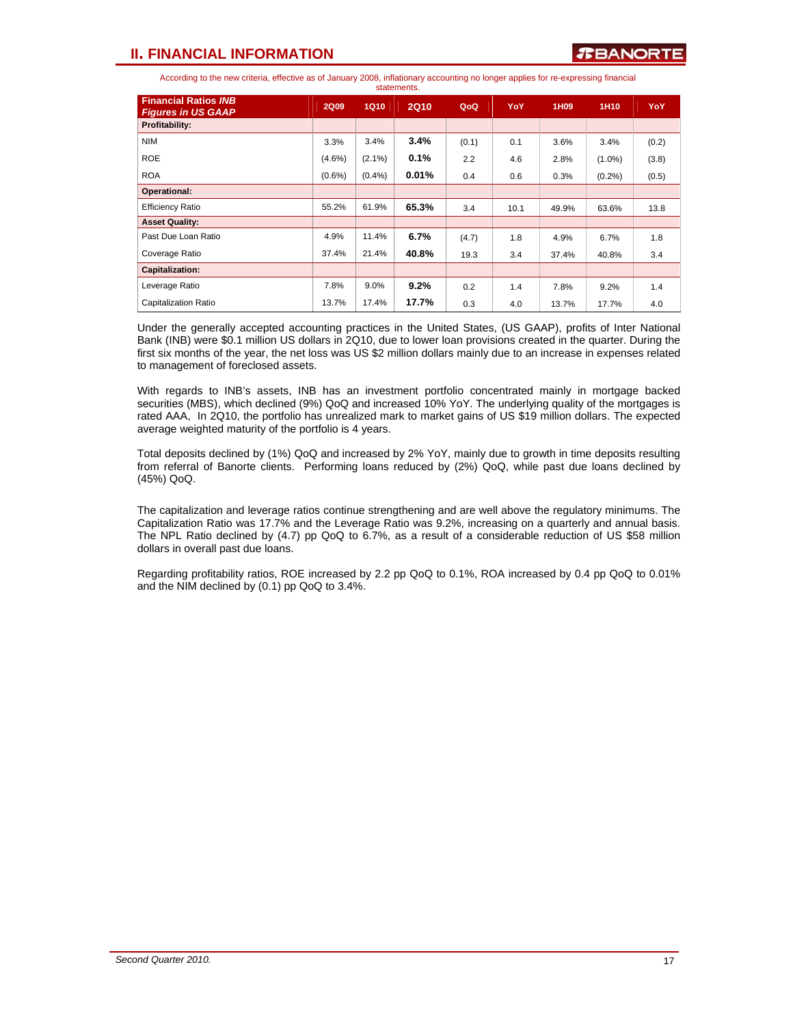According to the new criteria, effective as of January 2008, inflationary accounting no longer applies for re-expressing financial

|                                                          |             |             | statements. |       |      |       |                  |            |
|----------------------------------------------------------|-------------|-------------|-------------|-------|------|-------|------------------|------------|
| <b>Financial Ratios INB</b><br><b>Figures in US GAAP</b> | <b>2Q09</b> | <b>1Q10</b> | <b>2Q10</b> | QoQ   | YoY  | 1H09  | 1H <sub>10</sub> | <b>YoY</b> |
| Profitability:                                           |             |             |             |       |      |       |                  |            |
| <b>NIM</b>                                               | 3.3%        | 3.4%        | 3.4%        | (0.1) | 0.1  | 3.6%  | 3.4%             | (0.2)      |
| <b>ROE</b>                                               | $(4.6\%)$   | $(2.1\%)$   | 0.1%        | 2.2   | 4.6  | 2.8%  | $(1.0\%)$        | (3.8)      |
| <b>ROA</b>                                               | $(0.6\%)$   | (0.4% )     | 0.01%       | 0.4   | 0.6  | 0.3%  | $(0.2\%)$        | (0.5)      |
| Operational:                                             |             |             |             |       |      |       |                  |            |
| <b>Efficiency Ratio</b>                                  | 55.2%       | 61.9%       | 65.3%       | 3.4   | 10.1 | 49.9% | 63.6%            | 13.8       |
| <b>Asset Quality:</b>                                    |             |             |             |       |      |       |                  |            |
| Past Due Loan Ratio                                      | 4.9%        | 11.4%       | 6.7%        | (4.7) | 1.8  | 4.9%  | 6.7%             | 1.8        |
| Coverage Ratio                                           | 37.4%       | 21.4%       | 40.8%       | 19.3  | 3.4  | 37.4% | 40.8%            | 3.4        |
| <b>Capitalization:</b>                                   |             |             |             |       |      |       |                  |            |
| Leverage Ratio                                           | 7.8%        | 9.0%        | 9.2%        | 0.2   | 1.4  | 7.8%  | 9.2%             | 1.4        |
| <b>Capitalization Ratio</b>                              | 13.7%       | 17.4%       | 17.7%       | 0.3   | 4.0  | 13.7% | 17.7%            | 4.0        |

Under the generally accepted accounting practices in the United States, (US GAAP), profits of Inter National Bank (INB) were \$0.1 million US dollars in 2Q10, due to lower loan provisions created in the quarter. During the first six months of the year, the net loss was US \$2 million dollars mainly due to an increase in expenses related to management of foreclosed assets.

With regards to INB's assets, INB has an investment portfolio concentrated mainly in mortgage backed securities (MBS), which declined (9%) QoQ and increased 10% YoY. The underlying quality of the mortgages is rated AAA, In 2Q10, the portfolio has unrealized mark to market gains of US \$19 million dollars. The expected average weighted maturity of the portfolio is 4 years.

Total deposits declined by (1%) QoQ and increased by 2% YoY, mainly due to growth in time deposits resulting from referral of Banorte clients. Performing loans reduced by (2%) QoQ, while past due loans declined by (45%) QoQ.

The capitalization and leverage ratios continue strengthening and are well above the regulatory minimums. The Capitalization Ratio was 17.7% and the Leverage Ratio was 9.2%, increasing on a quarterly and annual basis. The NPL Ratio declined by (4.7) pp QoQ to 6.7%, as a result of a considerable reduction of US \$58 million dollars in overall past due loans.

Regarding profitability ratios, ROE increased by 2.2 pp QoQ to 0.1%, ROA increased by 0.4 pp QoQ to 0.01% and the NIM declined by (0.1) pp QoQ to 3.4%.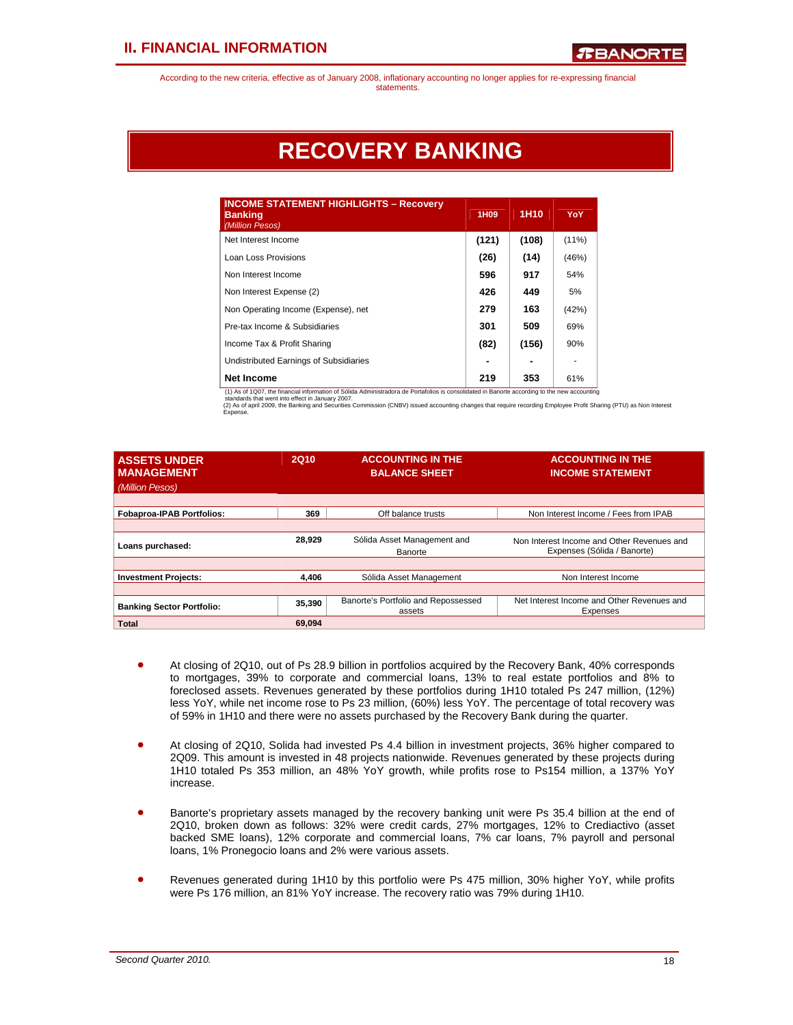According to the new criteria, effective as of January 2008, inflationary accounting no longer applies for re-expressing financial statements.

# **RECOVERY BANKING**

| <b>INCOME STATEMENT HIGHLIGHTS - Recovery</b><br><b>Banking</b><br>(Million Pesos) | 1H <sub>09</sub> | 1H <sub>10</sub> | YoY                      |
|------------------------------------------------------------------------------------|------------------|------------------|--------------------------|
| Net Interest Income                                                                | (121)            | (108)            | $(11\%)$                 |
| Loan Loss Provisions                                                               | (26)             | (14)             | (46%)                    |
| Non Interest Income                                                                | 596              | 917              | 54%                      |
| Non Interest Expense (2)                                                           | 426              | 449              | 5%                       |
| Non Operating Income (Expense), net                                                | 279              | 163              | (42%)                    |
| Pre-tax Income & Subsidiaries                                                      | 301              | 509              | 69%                      |
| Income Tax & Profit Sharing                                                        | (82)             | (156)            | 90%                      |
| Undistributed Earnings of Subsidiaries                                             |                  |                  | $\overline{\phantom{a}}$ |
| <b>Net Income</b>                                                                  | 219              | 353              | 61%                      |

(1) As of 1Q07, the financial information of Sölida Administradora de Portafolios is consolidated in Banorte according to the new accounting<br>standards that went into effect in January 2007.<br>Expense.<br>Expense.

| <b>ASSETS UNDER</b><br><b>MANAGEMENT</b><br>(Million Pesos) | 2Q10   | <b>ACCOUNTING IN THE</b><br><b>BALANCE SHEET</b> | <b>ACCOUNTING IN THE</b><br><b>INCOME STATEMENT</b>                       |
|-------------------------------------------------------------|--------|--------------------------------------------------|---------------------------------------------------------------------------|
| <b>Fobaproa-IPAB Portfolios:</b>                            | 369    | Off balance trusts                               | Non Interest Income / Fees from IPAB                                      |
|                                                             |        |                                                  |                                                                           |
| Loans purchased:                                            | 28.929 | Sólida Asset Management and<br>Banorte           | Non Interest Income and Other Revenues and<br>Expenses (Sólida / Banorte) |
|                                                             |        |                                                  |                                                                           |
| <b>Investment Projects:</b>                                 | 4.406  | Sólida Asset Management                          | Non Interest Income                                                       |
|                                                             |        |                                                  |                                                                           |
| <b>Banking Sector Portfolio:</b>                            | 35,390 | Banorte's Portfolio and Repossessed<br>assets    | Net Interest Income and Other Revenues and<br>Expenses                    |
| <b>Total</b>                                                | 69.094 |                                                  |                                                                           |

- At closing of 2Q10, out of Ps 28.9 billion in portfolios acquired by the Recovery Bank, 40% corresponds to mortgages, 39% to corporate and commercial loans, 13% to real estate portfolios and 8% to foreclosed assets. Revenues generated by these portfolios during 1H10 totaled Ps 247 million, (12%) less YoY, while net income rose to Ps 23 million, (60%) less YoY. The percentage of total recovery was of 59% in 1H10 and there were no assets purchased by the Recovery Bank during the quarter.
- At closing of 2Q10, Solida had invested Ps 4.4 billion in investment projects, 36% higher compared to 2Q09. This amount is invested in 48 projects nationwide. Revenues generated by these projects during 1H10 totaled Ps 353 million, an 48% YoY growth, while profits rose to Ps154 million, a 137% YoY increase.
- Banorte's proprietary assets managed by the recovery banking unit were Ps 35.4 billion at the end of 2Q10, broken down as follows: 32% were credit cards, 27% mortgages, 12% to Crediactivo (asset backed SME loans), 12% corporate and commercial loans, 7% car loans, 7% payroll and personal loans, 1% Pronegocio loans and 2% were various assets.
- Revenues generated during 1H10 by this portfolio were Ps 475 million, 30% higher YoY, while profits were Ps 176 million, an 81% YoY increase. The recovery ratio was 79% during 1H10.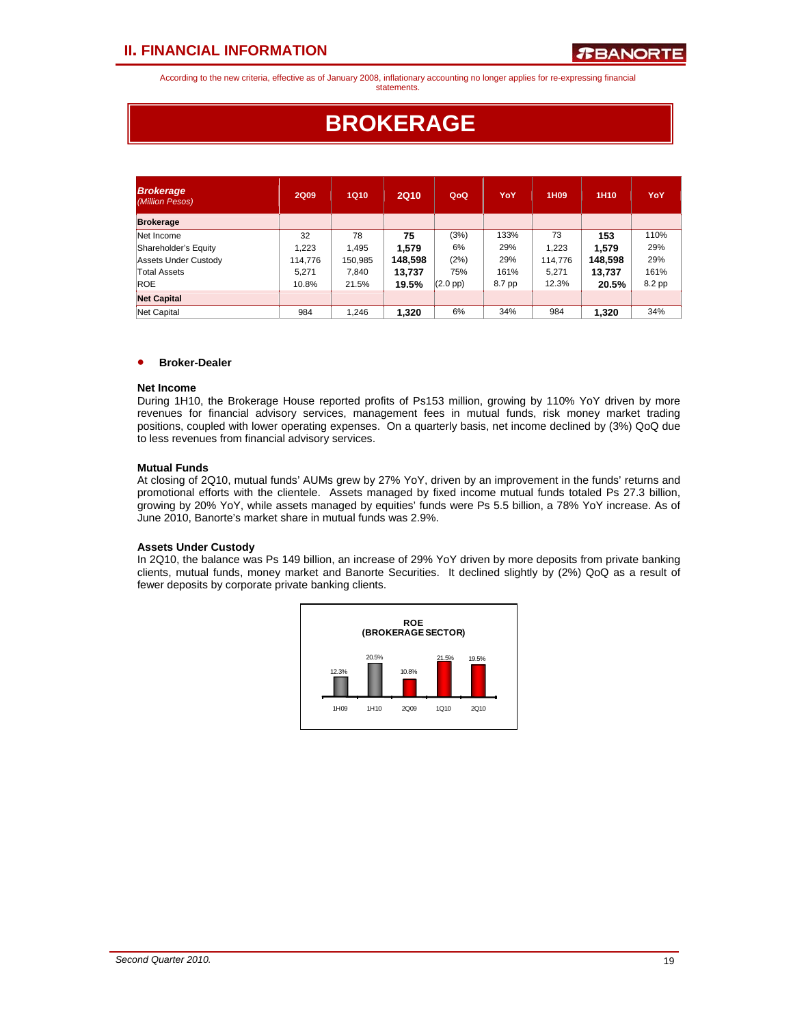According to the new criteria, effective as of January 2008, inflationary accounting no longer applies for re-expressing financial statements.

# **BROKERAGE**

| <b>Brokerage</b><br>(Million Pesos) | <b>2Q09</b> | <b>1Q10</b> | <b>2Q10</b> | QoQ               | YoY    | 1H <sub>09</sub> | 1H <sub>10</sub> | YoY    |
|-------------------------------------|-------------|-------------|-------------|-------------------|--------|------------------|------------------|--------|
| <b>Brokerage</b>                    |             |             |             |                   |        |                  |                  |        |
| Net Income                          | 32          | 78          | 75          | (3%)              | 133%   | 73               | 153              | 110%   |
| Shareholder's Equity                | 1.223       | 1.495       | 1.579       | 6%                | 29%    | 1.223            | 1.579            | 29%    |
| Assets Under Custody                | 114.776     | 150.985     | 148,598     | (2%)              | 29%    | 114.776          | 148.598          | 29%    |
| <b>Total Assets</b>                 | 5.271       | 7.840       | 13,737      | 75%               | 161%   | 5.271            | 13.737           | 161%   |
| <b>ROE</b>                          | 10.8%       | 21.5%       | 19.5%       | $(2.0~\text{pp})$ | 8.7 pp | 12.3%            | 20.5%            | 8.2 pp |
| <b>Net Capital</b>                  |             |             |             |                   |        |                  |                  |        |
| Net Capital                         | 984         | 1.246       | 1,320       | 6%                | 34%    | 984              | 1,320            | 34%    |

#### • **Broker-Dealer**

#### **Net Income**

During 1H10, the Brokerage House reported profits of Ps153 million, growing by 110% YoY driven by more revenues for financial advisory services, management fees in mutual funds, risk money market trading positions, coupled with lower operating expenses. On a quarterly basis, net income declined by (3%) QoQ due to less revenues from financial advisory services.

#### **Mutual Funds**

At closing of 2Q10, mutual funds' AUMs grew by 27% YoY, driven by an improvement in the funds' returns and promotional efforts with the clientele. Assets managed by fixed income mutual funds totaled Ps 27.3 billion, growing by 20% YoY, while assets managed by equities' funds were Ps 5.5 billion, a 78% YoY increase. As of June 2010, Banorte's market share in mutual funds was 2.9%.

#### **Assets Under Custody**

In 2Q10, the balance was Ps 149 billion, an increase of 29% YoY driven by more deposits from private banking clients, mutual funds, money market and Banorte Securities. It declined slightly by (2%) QoQ as a result of fewer deposits by corporate private banking clients.

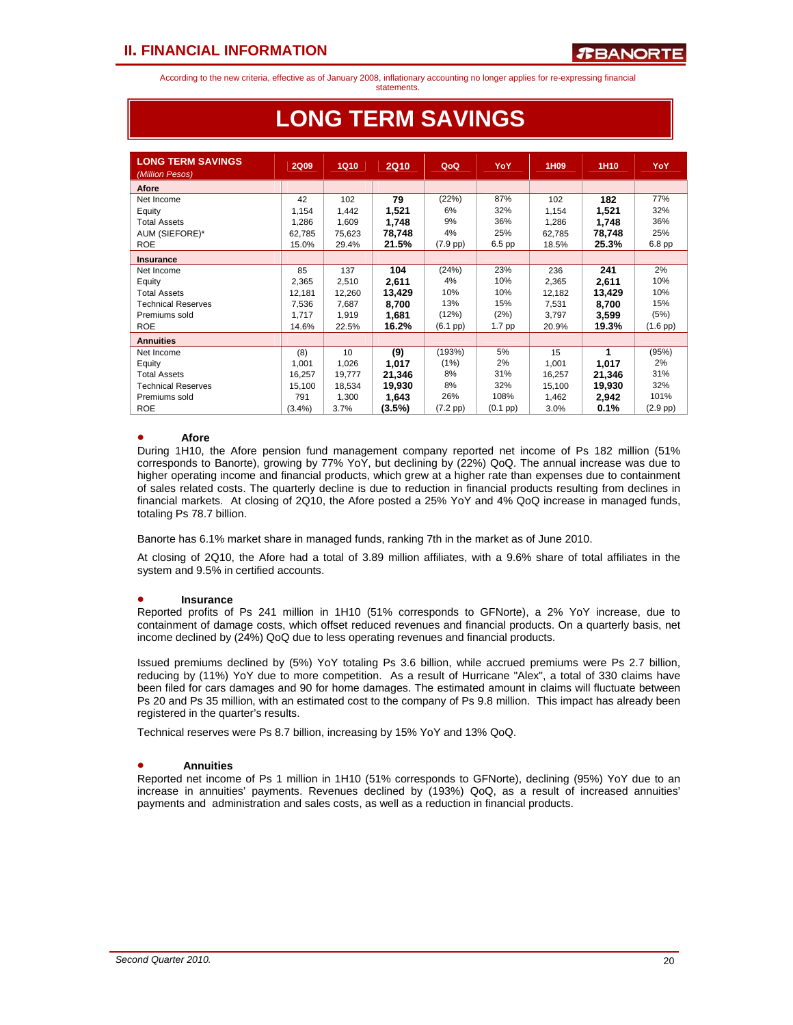According to the new criteria, effective as of January 2008, inflationary accounting no longer applies for re-expressing financial statements.

| <b>LONG TERM SAVINGS</b><br>(Million Pesos) | <b>2Q09</b> | <b>1Q10</b> | <b>2Q10</b> | QoQ           | YoY           | 1H09   | 1H10   | YoY               |  |
|---------------------------------------------|-------------|-------------|-------------|---------------|---------------|--------|--------|-------------------|--|
| Afore                                       |             |             |             |               |               |        |        |                   |  |
| Net Income                                  | 42          | 102         | 79          | (22%)         | 87%           | 102    | 182    | 77%               |  |
| Equity                                      | 1,154       | 1,442       | 1,521       | 6%            | 32%           | 1,154  | 1,521  | 32%               |  |
| <b>Total Assets</b>                         | 1,286       | 1,609       | 1,748       | 9%            | 36%           | 1,286  | 1,748  | 36%               |  |
| AUM (SIEFORE)*                              | 62,785      | 75,623      | 78,748      | 4%            | 25%           | 62,785 | 78,748 | 25%               |  |
| <b>ROE</b>                                  | 15.0%       | 29.4%       | 21.5%       | $(7.9$ pp $)$ | 6.5 pp        | 18.5%  | 25.3%  | 6.8 pp            |  |
| <b>Insurance</b>                            |             |             |             |               |               |        |        |                   |  |
| Net Income                                  | 85          | 137         | 104         | (24%)         | 23%           | 236    | 241    | 2%                |  |
| Equity                                      | 2,365       | 2,510       | 2,611       | 4%            | 10%           | 2,365  | 2,611  | 10%               |  |
| <b>Total Assets</b>                         | 12,181      | 12,260      | 13,429      | 10%           | 10%           | 12,182 | 13,429 | 10%               |  |
| <b>Technical Reserves</b>                   | 7,536       | 7,687       | 8,700       | 13%           | 15%           | 7,531  | 8,700  | 15%               |  |
| Premiums sold                               | 1,717       | 1,919       | 1,681       | (12%)         | (2%)          | 3.797  | 3,599  | (5%)              |  |
| <b>ROE</b>                                  | 14.6%       | 22.5%       | 16.2%       | $(6.1$ pp $)$ | 1.7 pp        | 20.9%  | 19.3%  | $(1.6$ pp $)$     |  |
| <b>Annuities</b>                            |             |             |             |               |               |        |        |                   |  |
| Net Income                                  | (8)         | 10          | (9)         | (193%)        | 5%            | 15     | 1      | (95%)             |  |
| Equity                                      | 1,001       | 1,026       | 1,017       | (1%)          | 2%            | 1,001  | 1,017  | 2%                |  |
| <b>Total Assets</b>                         | 16,257      | 19,777      | 21,346      | 8%            | 31%           | 16,257 | 21,346 | 31%               |  |
| <b>Technical Reserves</b>                   | 15,100      | 18,534      | 19,930      | 8%            | 32%           | 15,100 | 19,930 | 32%               |  |
| Premiums sold                               | 791         | 1,300       | 1,643       | 26%           | 108%          | 1,462  | 2,942  | 101%              |  |
| <b>ROE</b>                                  | (3.4%)      | 3.7%        | (3.5%)      | $(7.2$ pp $)$ | $(0.1$ pp $)$ | 3.0%   | 0.1%   | $(2.9~\text{pp})$ |  |

# **LONG TERM SAVINGS**

#### • **Afore**

During 1H10, the Afore pension fund management company reported net income of Ps 182 million (51% corresponds to Banorte), growing by 77% YoY, but declining by (22%) QoQ. The annual increase was due to higher operating income and financial products, which grew at a higher rate than expenses due to containment of sales related costs. The quarterly decline is due to reduction in financial products resulting from declines in financial markets. At closing of 2Q10, the Afore posted a 25% YoY and 4% QoQ increase in managed funds, totaling Ps 78.7 billion.

Banorte has 6.1% market share in managed funds, ranking 7th in the market as of June 2010.

At closing of 2Q10, the Afore had a total of 3.89 million affiliates, with a 9.6% share of total affiliates in the system and 9.5% in certified accounts.

#### • **Insurance**

Reported profits of Ps 241 million in 1H10 (51% corresponds to GFNorte), a 2% YoY increase, due to containment of damage costs, which offset reduced revenues and financial products. On a quarterly basis, net income declined by (24%) QoQ due to less operating revenues and financial products.

Issued premiums declined by (5%) YoY totaling Ps 3.6 billion, while accrued premiums were Ps 2.7 billion, reducing by (11%) YoY due to more competition. As a result of Hurricane "Alex", a total of 330 claims have been filed for cars damages and 90 for home damages. The estimated amount in claims will fluctuate between Ps 20 and Ps 35 million, with an estimated cost to the company of Ps 9.8 million. This impact has already been registered in the quarter's results.

Technical reserves were Ps 8.7 billion, increasing by 15% YoY and 13% QoQ.

#### • **Annuities**

Reported net income of Ps 1 million in 1H10 (51% corresponds to GFNorte), declining (95%) YoY due to an increase in annuities' payments. Revenues declined by (193%) QoQ, as a result of increased annuities' payments and administration and sales costs, as well as a reduction in financial products.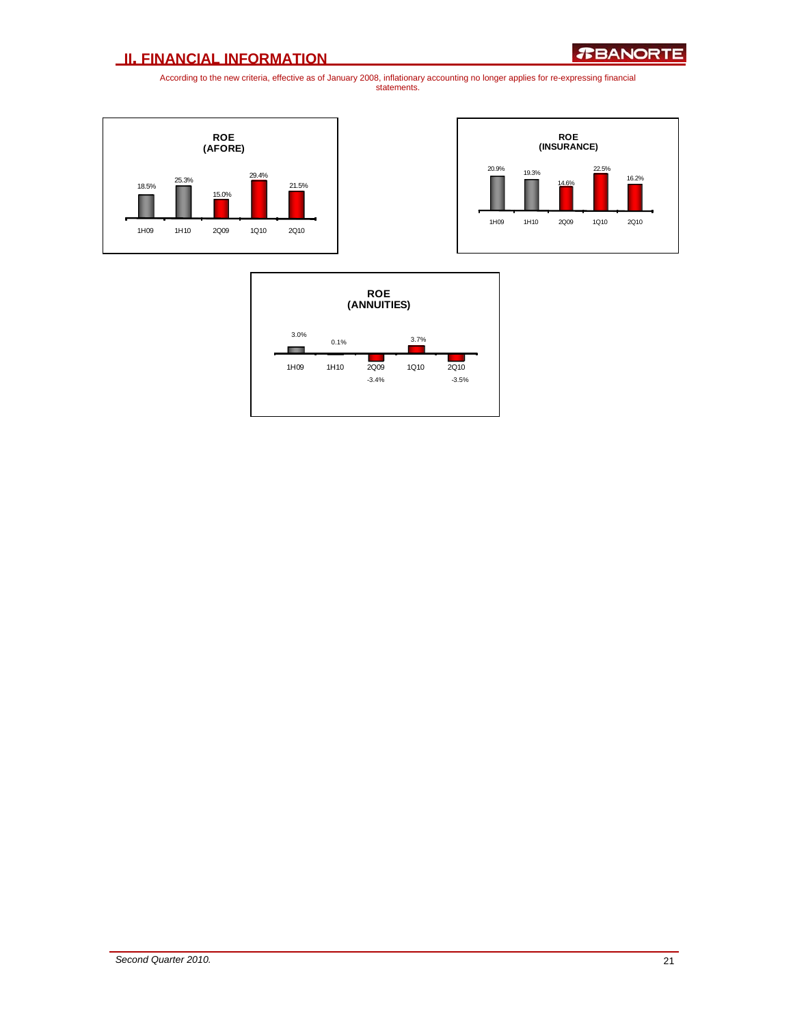



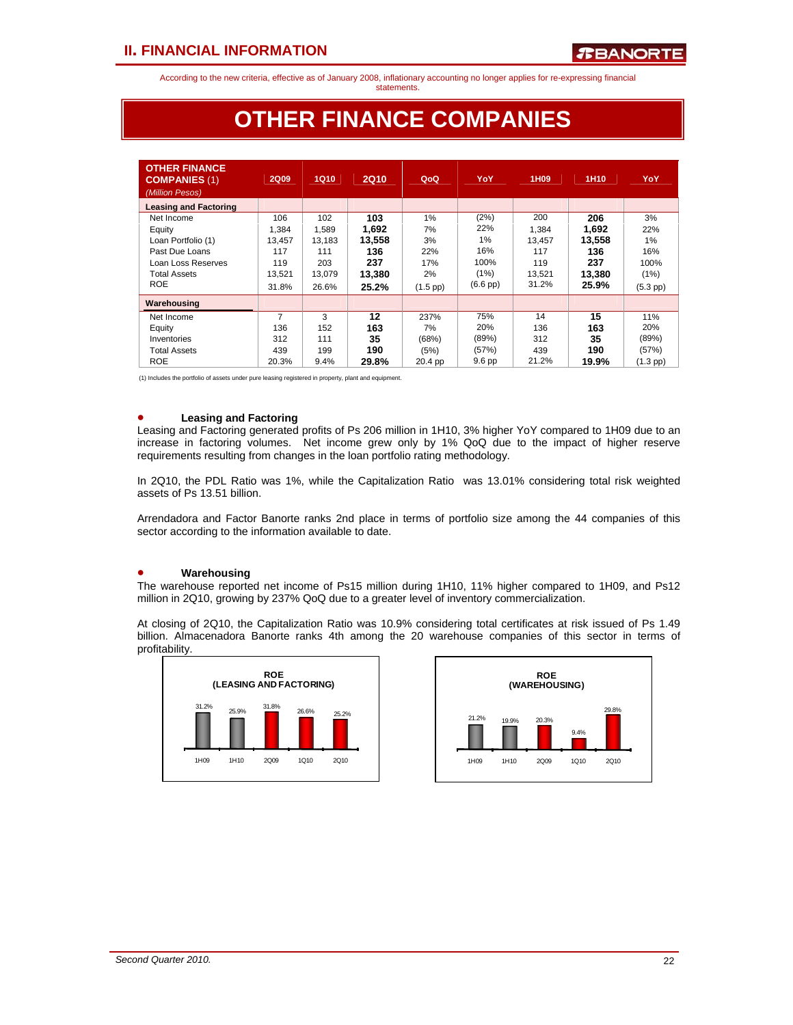According to the new criteria, effective as of January 2008, inflationary accounting no longer applies for re-expressing financial

statements.

# **OTHER FINANCE COMPANIES**

| <b>OTHER FINANCE</b><br><b>COMPANIES (1)</b><br>(Million Pesos) | 2Q09   | <b>1Q10</b> | <b>2Q10</b> | QoQ           | YoY                | 1H09   | 1H10   | YoY                |
|-----------------------------------------------------------------|--------|-------------|-------------|---------------|--------------------|--------|--------|--------------------|
| <b>Leasing and Factoring</b>                                    |        |             |             |               |                    |        |        |                    |
| Net Income                                                      | 106    | 102         | 103         | 1%            | (2%)               | 200    | 206    | 3%                 |
| Equity                                                          | 1,384  | 1,589       | 1,692       | 7%            | 22%                | 1,384  | 1,692  | 22%                |
| Loan Portfolio (1)                                              | 13,457 | 13,183      | 13,558      | 3%            | 1%                 | 13,457 | 13,558 | 1%                 |
| Past Due Loans                                                  | 117    | 111         | 136         | 22%           | 16%                | 117    | 136    | 16%                |
| Loan Loss Reserves                                              | 119    | 203         | 237         | 17%           | 100%               | 119    | 237    | 100%               |
| <b>Total Assets</b>                                             | 13,521 | 13,079      | 13,380      | 2%            | (1%)               | 13,521 | 13,380 | (1%)               |
| <b>ROE</b>                                                      | 31.8%  | 26.6%       | 25.2%       | $(1.5$ pp $)$ | $(6.6 \text{ pp})$ | 31.2%  | 25.9%  | $(5.3$ pp $)$      |
| Warehousing                                                     |        |             |             |               |                    |        |        |                    |
| Net Income                                                      | 7      | 3           | 12          | 237%          | 75%                | 14     | 15     | 11%                |
| Equity                                                          | 136    | 152         | 163         | 7%            | 20%                | 136    | 163    | 20%                |
| Inventories                                                     | 312    | 111         | 35          | (68%)         | (89%)              | 312    | 35     | (89%)              |
| <b>Total Assets</b>                                             | 439    | 199         | 190         | (5%)          | (57%)              | 439    | 190    | (57%)              |
| <b>ROE</b>                                                      | 20.3%  | 9.4%        | 29.8%       | 20.4 pp       | 9.6 <sub>pp</sub>  | 21.2%  | 19.9%  | $(1.3 \text{ pp})$ |

(1) Includes the portfolio of assets under pure leasing registered in property, plant and equipment.

#### • **Leasing and Factoring**

Leasing and Factoring generated profits of Ps 206 million in 1H10, 3% higher YoY compared to 1H09 due to an increase in factoring volumes. Net income grew only by 1% QoQ due to the impact of higher reserve requirements resulting from changes in the loan portfolio rating methodology.

In 2Q10, the PDL Ratio was 1%, while the Capitalization Ratio was 13.01% considering total risk weighted assets of Ps 13.51 billion.

Arrendadora and Factor Banorte ranks 2nd place in terms of portfolio size among the 44 companies of this sector according to the information available to date.

#### • **Warehousing**

The warehouse reported net income of Ps15 million during 1H10, 11% higher compared to 1H09, and Ps12 million in 2Q10, growing by 237% QoQ due to a greater level of inventory commercialization.

At closing of 2Q10, the Capitalization Ratio was 10.9% considering total certificates at risk issued of Ps 1.49 billion. Almacenadora Banorte ranks 4th among the 20 warehouse companies of this sector in terms of profitability.



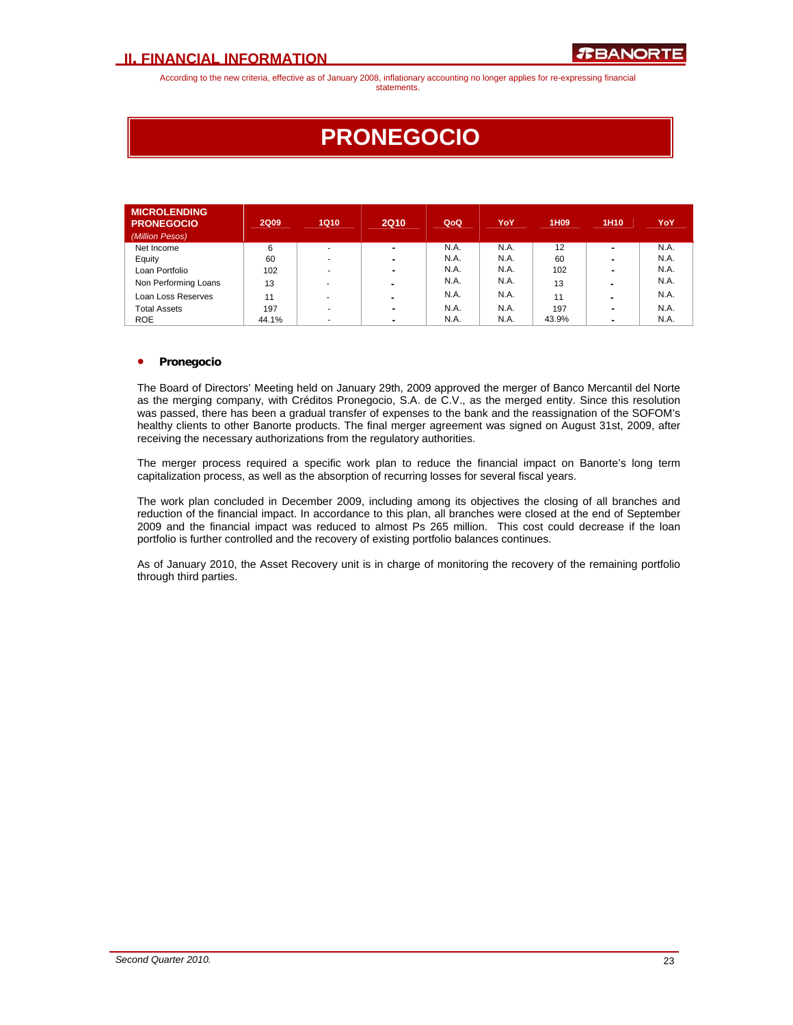According to the new criteria, effective as of January 2008, inflationary accounting no longer applies for re-expressing financial statements.

# **PRONEGOCIO**

| <b>MICROLENDING</b><br><b>PRONEGOCIO</b><br>(Million Pesos) | <b>2Q09</b> | <b>1Q10</b>              | <b>2Q10</b>    | QoQ  | YoY  | 1H09  | 1H <sub>10</sub>         | YoY  |
|-------------------------------------------------------------|-------------|--------------------------|----------------|------|------|-------|--------------------------|------|
| Net Income                                                  | 6           |                          | $\blacksquare$ | N.A. | N.A. | 12    | $\blacksquare$           | N.A. |
| Equity                                                      | 60          |                          | $\blacksquare$ | N.A. | N.A. | 60    | $\blacksquare$           | N.A. |
| Loan Portfolio                                              | 102         |                          | $\blacksquare$ | N.A. | N.A. | 102   | $\blacksquare$           | N.A. |
| Non Performing Loans                                        | 13          | $\overline{\phantom{a}}$ | -              | N.A. | N.A. | 13    | $\blacksquare$           | N.A. |
| Loan Loss Reserves                                          | 11          |                          | -              | N.A. | N.A. | 11    | $\overline{\phantom{0}}$ | N.A. |
| Total Assets                                                | 197         |                          | $\blacksquare$ | N.A. | N.A. | 197   | $\blacksquare$           | N.A. |
| <b>ROE</b>                                                  | 44.1%       |                          | $\blacksquare$ | N.A. | N.A. | 43.9% | $\blacksquare$           | N.A. |

#### • **Pronegocio**

The Board of Directors' Meeting held on January 29th, 2009 approved the merger of Banco Mercantil del Norte as the merging company, with Créditos Pronegocio, S.A. de C.V., as the merged entity. Since this resolution was passed, there has been a gradual transfer of expenses to the bank and the reassignation of the SOFOM's healthy clients to other Banorte products. The final merger agreement was signed on August 31st, 2009, after receiving the necessary authorizations from the regulatory authorities.

The merger process required a specific work plan to reduce the financial impact on Banorte's long term capitalization process, as well as the absorption of recurring losses for several fiscal years.

The work plan concluded in December 2009, including among its objectives the closing of all branches and reduction of the financial impact. In accordance to this plan, all branches were closed at the end of September 2009 and the financial impact was reduced to almost Ps 265 million. This cost could decrease if the loan portfolio is further controlled and the recovery of existing portfolio balances continues.

As of January 2010, the Asset Recovery unit is in charge of monitoring the recovery of the remaining portfolio through third parties.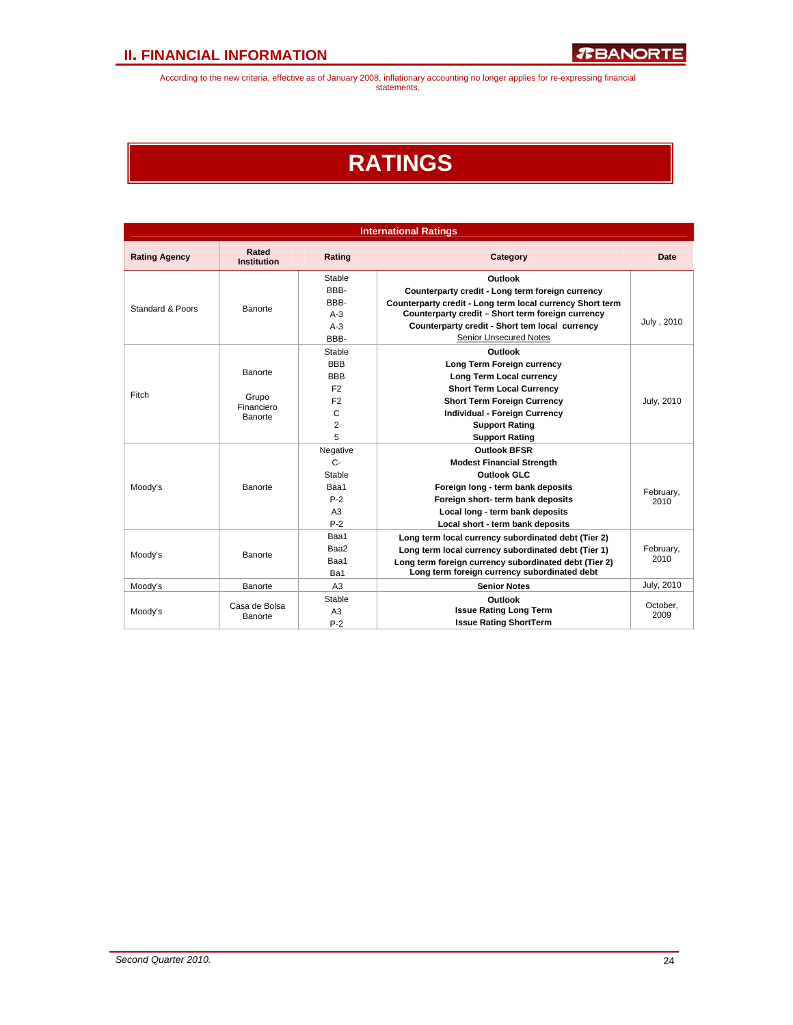According to the new criteria, effective as of January 2008, inflationary accounting no longer applies for re-expressing financial statements.

# **RATINGS**

| <b>International Ratings</b> |                                |                                    |                                                                                                                |            |  |  |  |  |
|------------------------------|--------------------------------|------------------------------------|----------------------------------------------------------------------------------------------------------------|------------|--|--|--|--|
| <b>Rating Agency</b>         | Rated<br><b>Institution</b>    | Rating                             | Category                                                                                                       | Date       |  |  |  |  |
|                              |                                | Stable                             | Outlook                                                                                                        |            |  |  |  |  |
|                              |                                | <b>BBB-</b>                        | Counterparty credit - Long term foreign currency                                                               |            |  |  |  |  |
| Standard & Poors             | Banorte                        | RRR-<br>$A-3$                      | Counterparty credit - Long term local currency Short term<br>Counterparty credit - Short term foreign currency |            |  |  |  |  |
|                              |                                | $A-3$                              | Counterparty credit - Short tem local currency                                                                 | July, 2010 |  |  |  |  |
|                              |                                | BBB-                               | <b>Senior Unsecured Notes</b>                                                                                  |            |  |  |  |  |
|                              |                                | Stable                             | Outlook                                                                                                        |            |  |  |  |  |
|                              |                                | <b>BBB</b>                         | Long Term Foreign currency                                                                                     |            |  |  |  |  |
|                              | Banorte                        | <b>BBB</b>                         | Long Term Local currency                                                                                       |            |  |  |  |  |
|                              |                                | F <sub>2</sub>                     | <b>Short Term Local Currency</b>                                                                               |            |  |  |  |  |
| Fitch                        | Grupo<br>Financiero<br>Banorte | F <sub>2</sub>                     | <b>Short Term Foreign Currency</b>                                                                             | July, 2010 |  |  |  |  |
|                              |                                | C<br>Individual - Foreign Currency |                                                                                                                |            |  |  |  |  |
|                              |                                | $\overline{2}$                     | <b>Support Rating</b>                                                                                          |            |  |  |  |  |
|                              |                                | 5                                  | <b>Support Rating</b>                                                                                          |            |  |  |  |  |
|                              |                                | Negative                           | Outlook BESR                                                                                                   |            |  |  |  |  |
|                              |                                | $C -$                              | <b>Modest Financial Strength</b>                                                                               |            |  |  |  |  |
|                              |                                | Stable                             | <b>Outlook GLC</b>                                                                                             |            |  |  |  |  |
| Moody's                      | Banorte                        | Baa1                               | Foreign long - term bank deposits                                                                              | February,  |  |  |  |  |
|                              |                                | $P-2$                              | Foreign short- term bank deposits                                                                              | 2010       |  |  |  |  |
|                              |                                | A <sub>3</sub>                     | Local long - term bank deposits                                                                                |            |  |  |  |  |
|                              |                                | $P-2$                              | Local short - term bank deposits                                                                               |            |  |  |  |  |
|                              |                                | Baa1                               | Long term local currency subordinated debt (Tier 2)                                                            |            |  |  |  |  |
| Moody's                      | Banorte                        | Baa2                               | Long term local currency subordinated debt (Tier 1)                                                            | February,  |  |  |  |  |
|                              |                                | Baa1                               | Long term foreign currency subordinated debt (Tier 2)                                                          | 2010       |  |  |  |  |
|                              |                                | Ba1                                | Long term foreign currency subordinated debt                                                                   |            |  |  |  |  |
| Moody's                      | Banorte                        | A <sub>3</sub>                     | <b>Senior Notes</b>                                                                                            | July, 2010 |  |  |  |  |
|                              |                                | Stable                             | Outlook                                                                                                        | October,   |  |  |  |  |
| Moody's                      | Casa de Bolsa<br>Banorte       | A <sub>3</sub>                     | <b>Issue Rating Long Term</b>                                                                                  | 2009       |  |  |  |  |
|                              |                                | $P-2$                              | <b>Issue Rating ShortTerm</b>                                                                                  |            |  |  |  |  |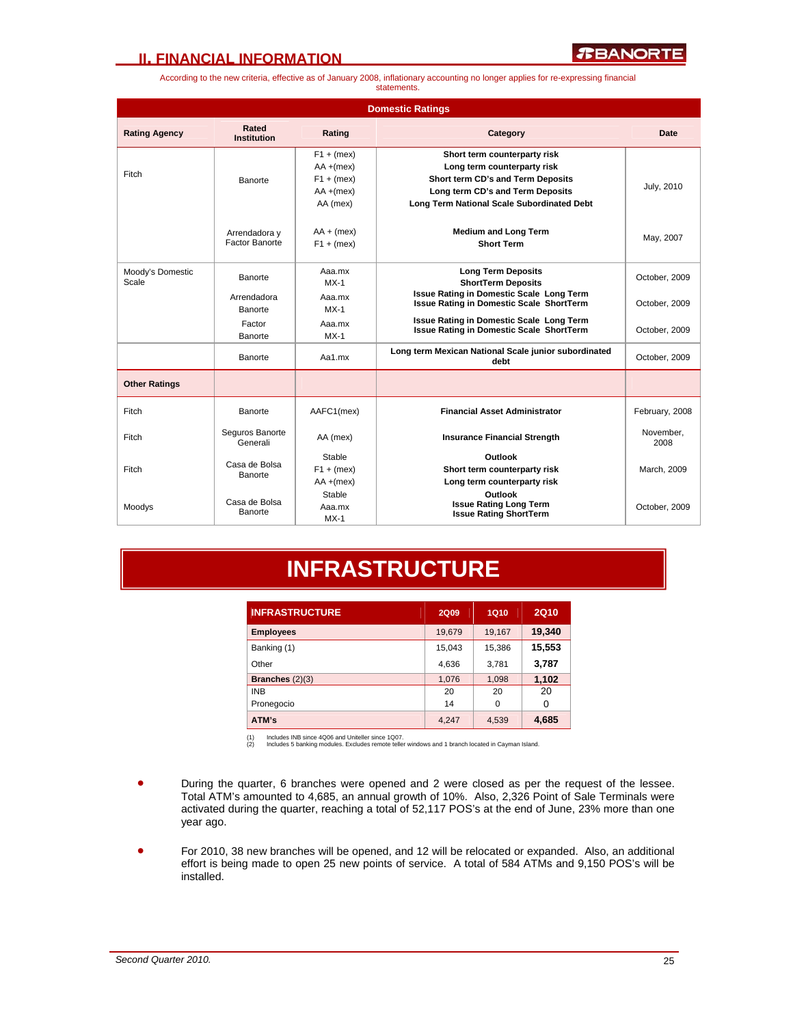*R***BANORTE** 

According to the new criteria, effective as of January 2008, inflationary accounting no longer applies for re-expressing financial statements.

|                           | <b>Domestic Ratings</b>         |                                                                          |                                                                                                                                                                                    |                                |  |  |  |  |  |
|---------------------------|---------------------------------|--------------------------------------------------------------------------|------------------------------------------------------------------------------------------------------------------------------------------------------------------------------------|--------------------------------|--|--|--|--|--|
| <b>Rating Agency</b>      | Rated<br><b>Institution</b>     | Rating                                                                   | Category                                                                                                                                                                           | Date                           |  |  |  |  |  |
| Fitch                     | Banorte                         | $F1 + (mex)$<br>$AA + (mex)$<br>$F1 + (mex)$<br>$AA + (mex)$<br>AA (mex) | Short term counterparty risk<br>Long term counterparty risk<br>Short term CD's and Term Deposits<br>Long term CD's and Term Deposits<br>Long Term National Scale Subordinated Debt | July, 2010                     |  |  |  |  |  |
|                           | Arrendadora y<br>Factor Banorte | $AA + (mex)$<br>$F1 + (mex)$                                             | <b>Medium and Long Term</b><br><b>Short Term</b>                                                                                                                                   | May, 2007                      |  |  |  |  |  |
| Moody's Domestic<br>Scale | Banorte<br>Arrendadora          | Aaa.mx<br>$MX-1$<br>Aaa.mx                                               | <b>Long Term Deposits</b><br><b>ShortTerm Deposits</b><br><b>Issue Rating in Domestic Scale Long Term</b>                                                                          | October, 2009                  |  |  |  |  |  |
|                           | Banorte<br>Factor<br>Banorte    | $MX-1$<br>Aaa.mx<br>$MX-1$                                               | <b>Issue Rating in Domestic Scale ShortTerm</b><br><b>Issue Rating in Domestic Scale Long Term</b><br><b>Issue Rating in Domestic Scale ShortTerm</b>                              | October, 2009<br>October, 2009 |  |  |  |  |  |
|                           | Banorte                         | Aa1.mx                                                                   | Long term Mexican National Scale junior subordinated<br>debt                                                                                                                       | October, 2009                  |  |  |  |  |  |
| <b>Other Ratings</b>      |                                 |                                                                          |                                                                                                                                                                                    |                                |  |  |  |  |  |
| Fitch                     | Banorte                         | AAFC1(mex)                                                               | <b>Financial Asset Administrator</b>                                                                                                                                               | February, 2008                 |  |  |  |  |  |
| Fitch                     | Seguros Banorte<br>Generali     | AA (mex)                                                                 | <b>Insurance Financial Strength</b>                                                                                                                                                | November.<br>2008              |  |  |  |  |  |
| Fitch                     | Casa de Bolsa<br>Banorte        | Stable<br>$F1 + (mex)$<br>$AA + (mex)$                                   | Outlook<br>Short term counterparty risk<br>Long term counterparty risk                                                                                                             | March, 2009                    |  |  |  |  |  |
| Moodys                    | Casa de Bolsa<br>Banorte        | Stable<br>Aaa.mx<br>$MX-1$                                               | Outlook<br><b>Issue Rating Long Term</b><br><b>Issue Rating ShortTerm</b>                                                                                                          | October, 2009                  |  |  |  |  |  |

# **INFRASTRUCTURE**

| <b>INFRASTRUCTURE</b> | <b>2Q09</b> | 1Q10     | <b>2Q10</b> |
|-----------------------|-------------|----------|-------------|
| <b>Employees</b>      | 19,679      | 19,167   | 19,340      |
| Banking (1)           | 15,043      | 15,386   | 15,553      |
| Other                 | 4,636       | 3,781    | 3,787       |
| Branches $(2)(3)$     | 1,076       | 1,098    | 1,102       |
| <b>INB</b>            | 20          | 20       | 20          |
| Pronegocio            | 14          | $\Omega$ | $\Omega$    |
| ATM's                 | 4.247       | 4,539    | 4,685       |

(1) Includes INB since 4Q06 and Uniteller since 1Q07. (2) Includes 5 banking modules. Excludes remote teller windows and 1 branch located in Cayman Island.

- During the quarter, 6 branches were opened and 2 were closed as per the request of the lessee. Total ATM's amounted to 4,685, an annual growth of 10%. Also, 2,326 Point of Sale Terminals were activated during the quarter, reaching a total of 52,117 POS's at the end of June, 23% more than one year ago.
- For 2010, 38 new branches will be opened, and 12 will be relocated or expanded. Also, an additional effort is being made to open 25 new points of service. A total of 584 ATMs and 9,150 POS's will be installed.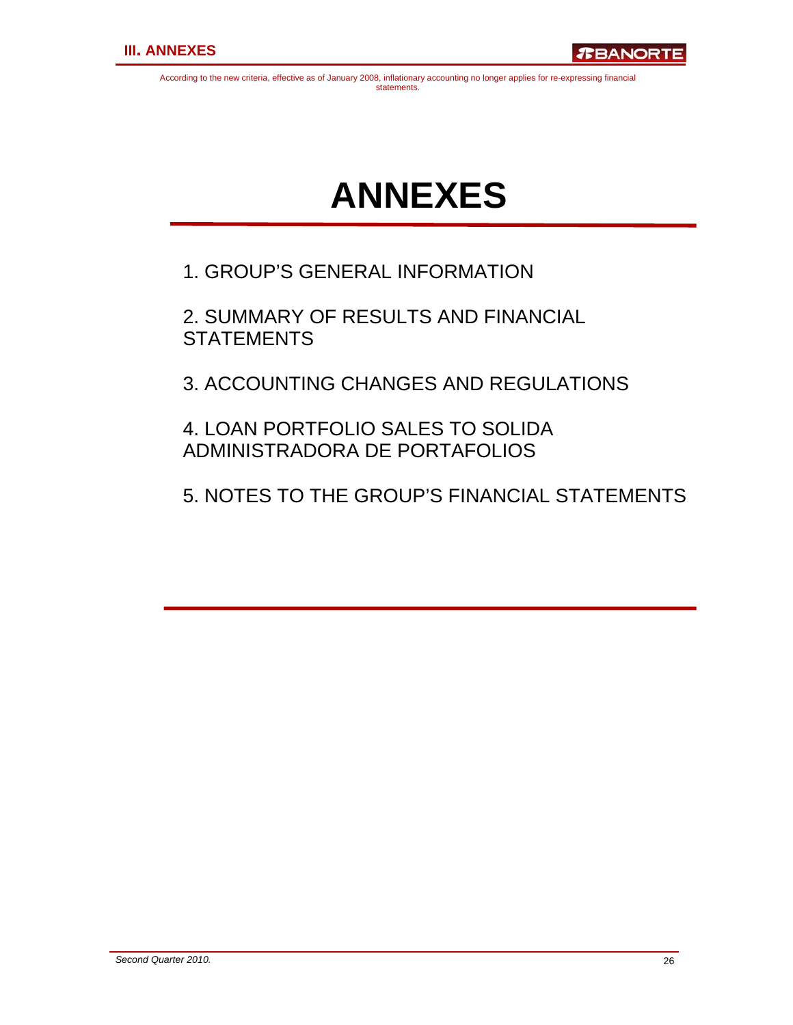According to the new criteria, effective as of January 2008, inflationary accounting no longer applies for re-expressing financial statements.

# **ANNEXES**

1. GROUP'S GENERAL INFORMATION

2. SUMMARY OF RESULTS AND FINANCIAL **STATEMENTS** 

3. ACCOUNTING CHANGES AND REGULATIONS

4. LOAN PORTFOLIO SALES TO SOLIDA ADMINISTRADORA DE PORTAFOLIOS

5. NOTES TO THE GROUP'S FINANCIAL STATEMENTS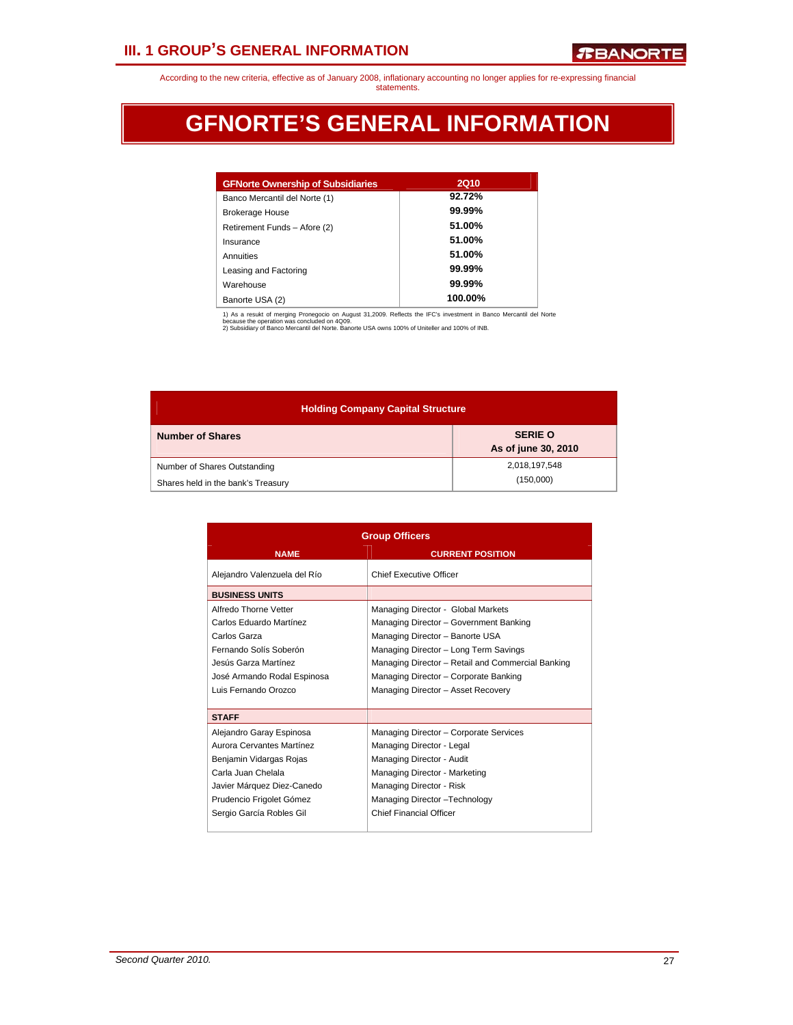## **III. 1 GROUP'S GENERAL INFORMATION**

According to the new criteria, effective as of January 2008, inflationary accounting no longer applies for re-expressing financial statements.

# **GFNORTE'S GENERAL INFORMATION**

| <b>GFNorte Ownership of Subsidiaries</b> | <b>2Q10</b> |
|------------------------------------------|-------------|
| Banco Mercantil del Norte (1)            | 92.72%      |
| <b>Brokerage House</b>                   | 99.99%      |
| Retirement Funds - Afore (2)             | 51.00%      |
| Insurance                                | 51.00%      |
| Annuities                                | 51.00%      |
| Leasing and Factoring                    | 99.99%      |
| Warehouse                                | 99.99%      |
| Banorte USA (2)                          | 100.00%     |

1) As a resukt of merging Pronegocio on August 31,2009. Reflects the IFC's investment in Banco Mercantil del Norte<br>because the operation was concluded on 4Q09.<br>2) Subsidiary of Banco Mercantil del Norte. Banorte USA owns 1

| <b>Holding Company Capital Structure</b> |                                       |  |  |  |  |  |  |  |
|------------------------------------------|---------------------------------------|--|--|--|--|--|--|--|
| <b>Number of Shares</b>                  | <b>SERIE O</b><br>As of june 30, 2010 |  |  |  |  |  |  |  |
| Number of Shares Outstanding             | 2,018,197,548                         |  |  |  |  |  |  |  |
| Shares held in the bank's Treasury       | (150,000)                             |  |  |  |  |  |  |  |

| <b>Group Officers</b>                                                                                                                                                                        |                                                                                                                                                                                                                                                                                              |  |  |  |  |  |  |  |
|----------------------------------------------------------------------------------------------------------------------------------------------------------------------------------------------|----------------------------------------------------------------------------------------------------------------------------------------------------------------------------------------------------------------------------------------------------------------------------------------------|--|--|--|--|--|--|--|
| <b>NAME</b>                                                                                                                                                                                  | <b>CURRENT POSITION</b>                                                                                                                                                                                                                                                                      |  |  |  |  |  |  |  |
| Alejandro Valenzuela del Río                                                                                                                                                                 | Chief Executive Officer                                                                                                                                                                                                                                                                      |  |  |  |  |  |  |  |
| <b>BUSINESS UNITS</b>                                                                                                                                                                        |                                                                                                                                                                                                                                                                                              |  |  |  |  |  |  |  |
| Alfredo Thorne Vetter<br>Carlos Eduardo Martínez<br>Carlos Garza<br>Fernando Solís Soberón<br>Jesús Garza Martínez<br>José Armando Rodal Espinosa<br>Luis Fernando Orozco                    | Managing Director - Global Markets<br>Managing Director - Government Banking<br>Managing Director - Banorte USA<br>Managing Director - Long Term Savings<br>Managing Director - Retail and Commercial Banking<br>Managing Director - Corporate Banking<br>Managing Director - Asset Recovery |  |  |  |  |  |  |  |
| <b>STAFF</b>                                                                                                                                                                                 |                                                                                                                                                                                                                                                                                              |  |  |  |  |  |  |  |
| Alejandro Garay Espinosa<br>Aurora Cervantes Martínez<br>Benjamin Vidargas Rojas<br>Carla Juan Chelala<br>Javier Márquez Diez-Canedo<br>Prudencio Frigolet Gómez<br>Sergio García Robles Gil | Managing Director - Corporate Services<br>Managing Director - Legal<br>Managing Director - Audit<br>Managing Director - Marketing<br>Managing Director - Risk<br>Managing Director - Technology<br>Chief Financial Officer                                                                   |  |  |  |  |  |  |  |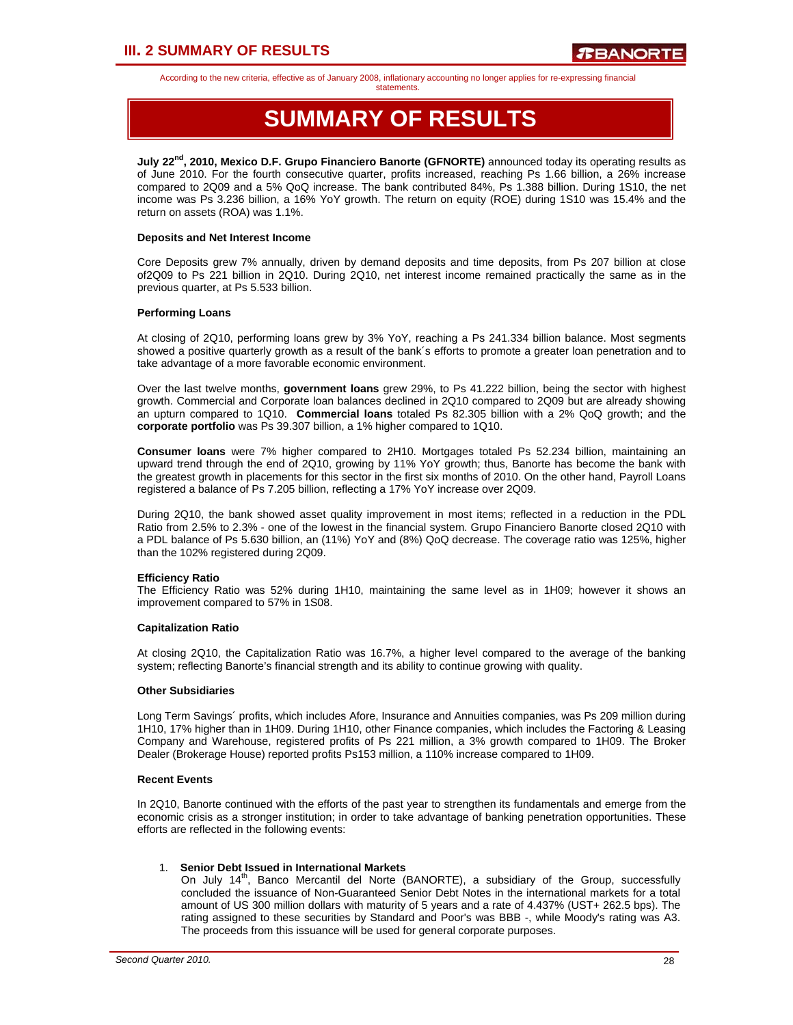## **III. 2 SUMMARY OF RESULTS**

According to the new criteria, effective as of January 2008, inflationary accounting no longer applies for re-expressing financial

statements.

# **SUMMARY OF RESULTS**

**July 22nd, 2010, Mexico D.F. Grupo Financiero Banorte (GFNORTE)** announced today its operating results as of June 2010. For the fourth consecutive quarter, profits increased, reaching Ps 1.66 billion, a 26% increase compared to 2Q09 and a 5% QoQ increase. The bank contributed 84%, Ps 1.388 billion. During 1S10, the net income was Ps 3.236 billion, a 16% YoY growth. The return on equity (ROE) during 1S10 was 15.4% and the return on assets (ROA) was 1.1%.

#### **Deposits and Net Interest Income**

Core Deposits grew 7% annually, driven by demand deposits and time deposits, from Ps 207 billion at close of2Q09 to Ps 221 billion in 2Q10. During 2Q10, net interest income remained practically the same as in the previous quarter, at Ps 5.533 billion.

#### **Performing Loans**

At closing of 2Q10, performing loans grew by 3% YoY, reaching a Ps 241.334 billion balance. Most segments showed a positive quarterly growth as a result of the bank´s efforts to promote a greater loan penetration and to take advantage of a more favorable economic environment.

Over the last twelve months, **government loans** grew 29%, to Ps 41.222 billion, being the sector with highest growth. Commercial and Corporate loan balances declined in 2Q10 compared to 2Q09 but are already showing an upturn compared to 1Q10. **Commercial loans** totaled Ps 82.305 billion with a 2% QoQ growth; and the **corporate portfolio** was Ps 39.307 billion, a 1% higher compared to 1Q10.

**Consumer loans** were 7% higher compared to 2H10. Mortgages totaled Ps 52.234 billion, maintaining an upward trend through the end of 2Q10, growing by 11% YoY growth; thus, Banorte has become the bank with the greatest growth in placements for this sector in the first six months of 2010. On the other hand, Payroll Loans registered a balance of Ps 7.205 billion, reflecting a 17% YoY increase over 2Q09.

During 2Q10, the bank showed asset quality improvement in most items; reflected in a reduction in the PDL Ratio from 2.5% to 2.3% - one of the lowest in the financial system. Grupo Financiero Banorte closed 2Q10 with a PDL balance of Ps 5.630 billion, an (11%) YoY and (8%) QoQ decrease. The coverage ratio was 125%, higher than the 102% registered during 2Q09.

#### **Efficiency Ratio**

The Efficiency Ratio was 52% during 1H10, maintaining the same level as in 1H09; however it shows an improvement compared to 57% in 1S08.

#### **Capitalization Ratio**

At closing 2Q10, the Capitalization Ratio was 16.7%, a higher level compared to the average of the banking system; reflecting Banorte's financial strength and its ability to continue growing with quality.

#### **Other Subsidiaries**

Long Term Savings´ profits, which includes Afore, Insurance and Annuities companies, was Ps 209 million during 1H10, 17% higher than in 1H09. During 1H10, other Finance companies, which includes the Factoring & Leasing Company and Warehouse, registered profits of Ps 221 million, a 3% growth compared to 1H09. The Broker Dealer (Brokerage House) reported profits Ps153 million, a 110% increase compared to 1H09.

#### **Recent Events**

In 2Q10, Banorte continued with the efforts of the past year to strengthen its fundamentals and emerge from the economic crisis as a stronger institution; in order to take advantage of banking penetration opportunities. These efforts are reflected in the following events:

#### 1. **Senior Debt Issued in International Markets**

On July 14<sup>th</sup>, Banco Mercantil del Norte (BANORTE), a subsidiary of the Group, successfully concluded the issuance of Non-Guaranteed Senior Debt Notes in the international markets for a total amount of US 300 million dollars with maturity of 5 years and a rate of 4.437% (UST+ 262.5 bps). The rating assigned to these securities by Standard and Poor's was BBB -, while Moody's rating was A3. The proceeds from this issuance will be used for general corporate purposes.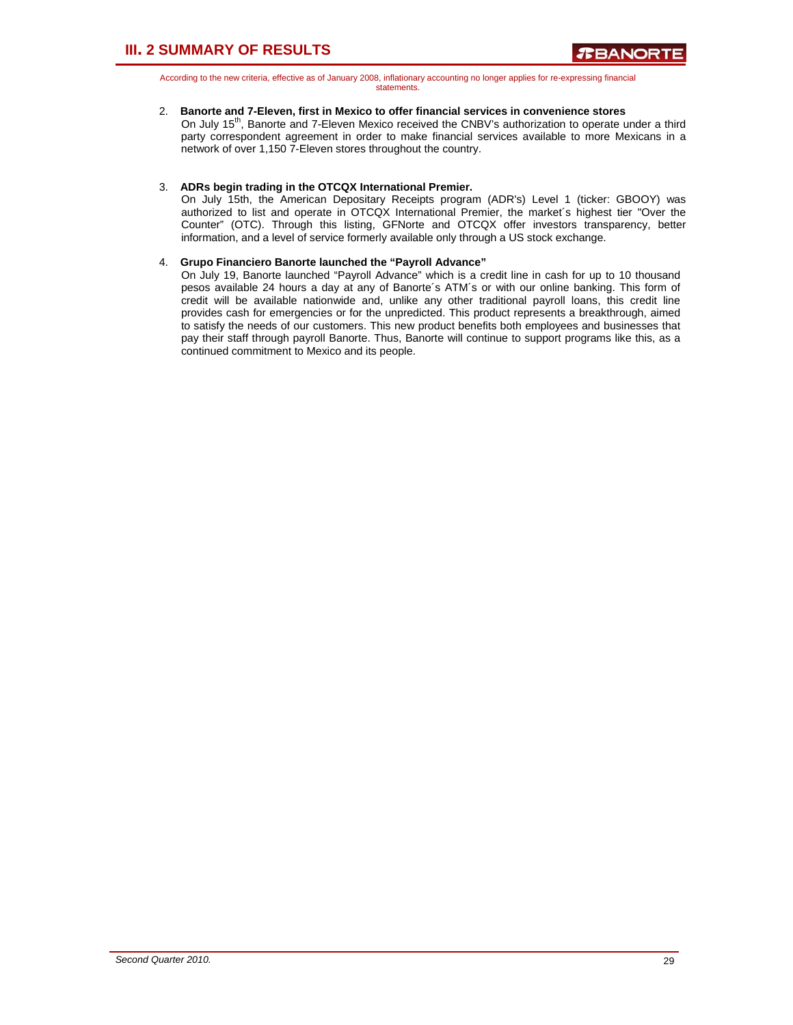## **III. 2 SUMMARY OF RESULTS**

According to the new criteria, effective as of January 2008, inflationary accounting no longer applies for re-expressing financial statements.

#### 2. **Banorte and 7-Eleven, first in Mexico to offer financial services in convenience stores**

On July 15<sup>th</sup>, Banorte and 7-Eleven Mexico received the CNBV's authorization to operate under a third party correspondent agreement in order to make financial services available to more Mexicans in a network of over 1,150 7-Eleven stores throughout the country.

#### 3. **ADRs begin trading in the OTCQX International Premier.**

On July 15th, the American Depositary Receipts program (ADR's) Level 1 (ticker: GBOOY) was authorized to list and operate in OTCQX International Premier, the market´s highest tier "Over the Counter" (OTC). Through this listing, GFNorte and OTCQX offer investors transparency, better information, and a level of service formerly available only through a US stock exchange.

#### 4. **Grupo Financiero Banorte launched the "Payroll Advance"**

On July 19, Banorte launched "Payroll Advance" which is a credit line in cash for up to 10 thousand pesos available 24 hours a day at any of Banorte´s ATM´s or with our online banking. This form of credit will be available nationwide and, unlike any other traditional payroll loans, this credit line provides cash for emergencies or for the unpredicted. This product represents a breakthrough, aimed to satisfy the needs of our customers. This new product benefits both employees and businesses that pay their staff through payroll Banorte. Thus, Banorte will continue to support programs like this, as a continued commitment to Mexico and its people.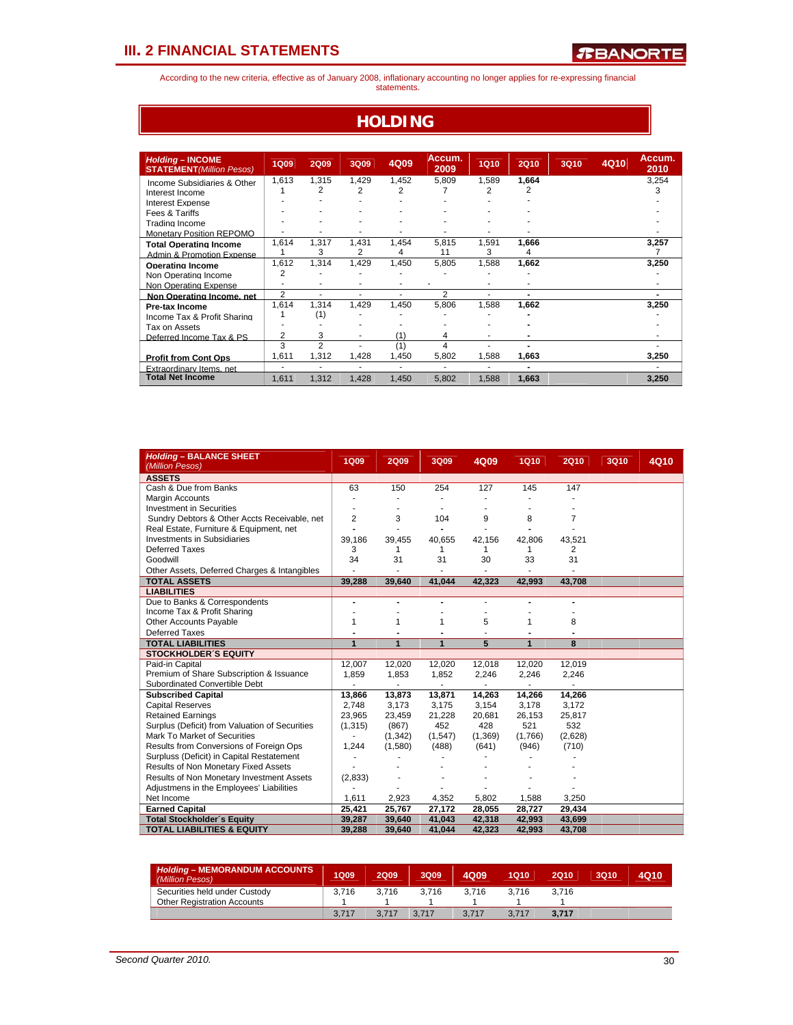According to the new criteria, effective as of January 2008, inflationary accounting no longer applies for re-expressing financial statements.

### **HOLDING**

| <b>Holding - INCOME</b><br><b>STATEMENT</b> (Million Pesos) | <b>1Q09</b>    | <b>2Q09</b>    | 3Q09  | 4Q09  | Accum.<br>2009           | <b>1Q10</b> | <b>2Q10</b> | 3Q10 | 4Q10 | Accum.<br>2010 |
|-------------------------------------------------------------|----------------|----------------|-------|-------|--------------------------|-------------|-------------|------|------|----------------|
| Income Subsidiaries & Other                                 | 1,613          | 1,315          | 1,429 | 1,452 | 5,809                    | 1,589       | 1,664       |      |      | 3,254          |
| Interest Income                                             |                | 2              | 2     | 2     |                          | 2           | 2           |      |      | 3              |
| Interest Expense                                            |                |                |       |       |                          |             |             |      |      |                |
| Fees & Tariffs                                              |                |                |       |       |                          |             |             |      |      |                |
| Trading Income                                              |                |                |       |       |                          |             |             |      |      |                |
| <b>Monetary Position REPOMO</b>                             |                | ۰              |       |       |                          |             |             |      |      |                |
| <b>Total Operating Income</b>                               | 1,614          | 1,317          | 1,431 | 1,454 | 5,815                    | 1,591       | 1,666       |      |      | 3,257          |
| Admin & Promotion Expense                                   |                | 3              | 2     | 4     | 11                       | 3           | 4           |      |      |                |
| <b>Operating Income</b>                                     | 1,612          | 1,314          | 1,429 | 1,450 | 5,805                    | 1,588       | 1,662       |      |      | 3,250          |
| Non Operating Income                                        | 2              |                |       |       |                          |             |             |      |      |                |
| Non Operating Expense                                       |                | ٠              | ٠     |       |                          | ٠           |             |      |      |                |
| Non Operating Income, net                                   | $\overline{2}$ | ٠              | ۰     | ٠     | $\overline{c}$           | ۰           |             |      |      | ۰              |
| Pre-tax Income                                              | 1,614          | 1,314          | 1,429 | 1,450 | 5,806                    | 1,588       | 1,662       |      |      | 3,250          |
| Income Tax & Profit Sharing                                 |                | (1)            |       |       |                          |             |             |      |      |                |
| Tax on Assets                                               |                |                |       |       |                          |             |             |      |      |                |
| Deferred Income Tax & PS                                    | 2              | 3              |       | (1)   | 4                        |             |             |      |      |                |
|                                                             | 3              | $\overline{2}$ |       | (1)   | 4                        |             |             |      |      |                |
| <b>Profit from Cont Ops</b>                                 | 1,611          | 1,312          | 1.428 | 1.450 | 5.802                    | 1.588       | 1,663       |      |      | 3,250          |
| Extraordinary Items net                                     | ٠              | ٠              | ۰     | ٠     | $\overline{\phantom{a}}$ | ٠           |             |      |      |                |
| <b>Total Net Income</b>                                     | 1.611          | 1,312          | 1,428 | 1.450 | 5,802                    | 1,588       | 1,663       |      |      | 3,250          |

| <b>Holding - BALANCE SHEET</b><br>(Million Pesos) | <b>1Q09</b>    | <b>2Q09</b>    | 3Q09    | 4Q09    | <b>1Q10</b>    | <b>2Q10</b> | 3Q10 | 4Q10 |
|---------------------------------------------------|----------------|----------------|---------|---------|----------------|-------------|------|------|
| <b>ASSETS</b>                                     |                |                |         |         |                |             |      |      |
| Cash & Due from Banks                             | 63             | 150            | 254     | 127     | 145            | 147         |      |      |
| Margin Accounts                                   | ٠              |                |         |         |                |             |      |      |
| <b>Investment in Securities</b>                   |                |                |         |         |                |             |      |      |
| Sundry Debtors & Other Accts Receivable, net      | $\overline{2}$ | 3              | 104     | 9       | 8              | 7           |      |      |
| Real Estate, Furniture & Equipment, net           |                |                |         |         |                |             |      |      |
| <b>Investments in Subsidiaries</b>                | 39,186         | 39,455         | 40,655  | 42,156  | 42,806         | 43,521      |      |      |
| <b>Deferred Taxes</b>                             | 3              | 1              | 1       | 1       | 1              | 2           |      |      |
| Goodwill                                          | 34             | 31             | 31      | 30      | 33             | 31          |      |      |
| Other Assets, Deferred Charges & Intangibles      | ä,             | ä,             | ٠       |         |                |             |      |      |
| <b>TOTAL ASSETS</b>                               | 39.288         | 39.640         | 41.044  | 42.323  | 42,993         | 43,708      |      |      |
| <b>LIABILITIES</b>                                |                |                |         |         |                |             |      |      |
| Due to Banks & Correspondents                     |                |                |         |         |                |             |      |      |
| Income Tax & Profit Sharing                       |                |                |         |         |                |             |      |      |
| Other Accounts Payable                            | 1              | 1              | 1       | 5       | 1              | 8           |      |      |
| <b>Deferred Taxes</b>                             |                | -              |         |         |                |             |      |      |
| <b>TOTAL LIABILITIES</b>                          | $\overline{1}$ | $\overline{1}$ | 1       | 5       | $\overline{1}$ | 8           |      |      |
| <b>STOCKHOLDER'S EQUITY</b>                       |                |                |         |         |                |             |      |      |
| Paid-in Capital                                   | 12,007         | 12,020         | 12,020  | 12,018  | 12,020         | 12,019      |      |      |
| Premium of Share Subscription & Issuance          | 1,859          | 1,853          | 1,852   | 2,246   | 2,246          | 2,246       |      |      |
| Subordinated Convertible Debt                     | ä,             | ä,             | ä,      | ä,      | ä,             | ä,          |      |      |
| <b>Subscribed Capital</b>                         | 13,866         | 13,873         | 13,871  | 14,263  | 14,266         | 14,266      |      |      |
| <b>Capital Reserves</b>                           | 2,748          | 3,173          | 3,175   | 3,154   | 3,178          | 3,172       |      |      |
| <b>Retained Earnings</b>                          | 23,965         | 23,459         | 21,228  | 20,681  | 26,153         | 25,817      |      |      |
| Surplus (Deficit) from Valuation of Securities    | (1, 315)       | (867)          | 452     | 428     | 521            | 532         |      |      |
| Mark To Market of Securities                      | ٠              | (1, 342)       | (1,547) | (1,369) | (1,766)        | (2,628)     |      |      |
| Results from Conversions of Foreign Ops           | 1,244          | (1,580)        | (488)   | (641)   | (946)          | (710)       |      |      |
| Surpluss (Deficit) in Capital Restatement         | ٠              |                |         |         |                |             |      |      |
| Results of Non Monetary Fixed Assets              |                |                |         |         |                |             |      |      |
| Results of Non Monetary Investment Assets         | (2,833)        |                |         |         |                |             |      |      |
| Adjustmens in the Employees' Liabilities          |                |                |         |         |                |             |      |      |
| Net Income                                        | 1,611          | 2,923          | 4,352   | 5,802   | 1,588          | 3,250       |      |      |
| <b>Earned Capital</b>                             | 25,421         | 25,767         | 27,172  | 28,055  | 28,727         | 29,434      |      |      |
| <b>Total Stockholder's Equity</b>                 | 39,287         | 39,640         | 41,043  | 42,318  | 42,993         | 43,699      |      |      |
| <b>TOTAL LIABILITIES &amp; EQUITY</b>             | 39,288         | 39,640         | 41,044  | 42,323  | 42,993         | 43,708      |      |      |

| <b>Holding - MEMORANDUM ACCOUNTS</b><br>(Million Pesos) | 1Q09  | <b>2Q09</b> | 3Q09  | 4009  | 1Q10  | 2Q10  | 3Q10 | 4Q10 |
|---------------------------------------------------------|-------|-------------|-------|-------|-------|-------|------|------|
| Securities held under Custody                           | 3.716 | 3.716       | 3.716 | 3.716 | 3.716 | 3.716 |      |      |
| <b>Other Registration Accounts</b>                      |       |             |       |       |       |       |      |      |
|                                                         | 3.717 | 3.717       | 3.717 | 3.717 | 3.717 | 3.717 |      |      |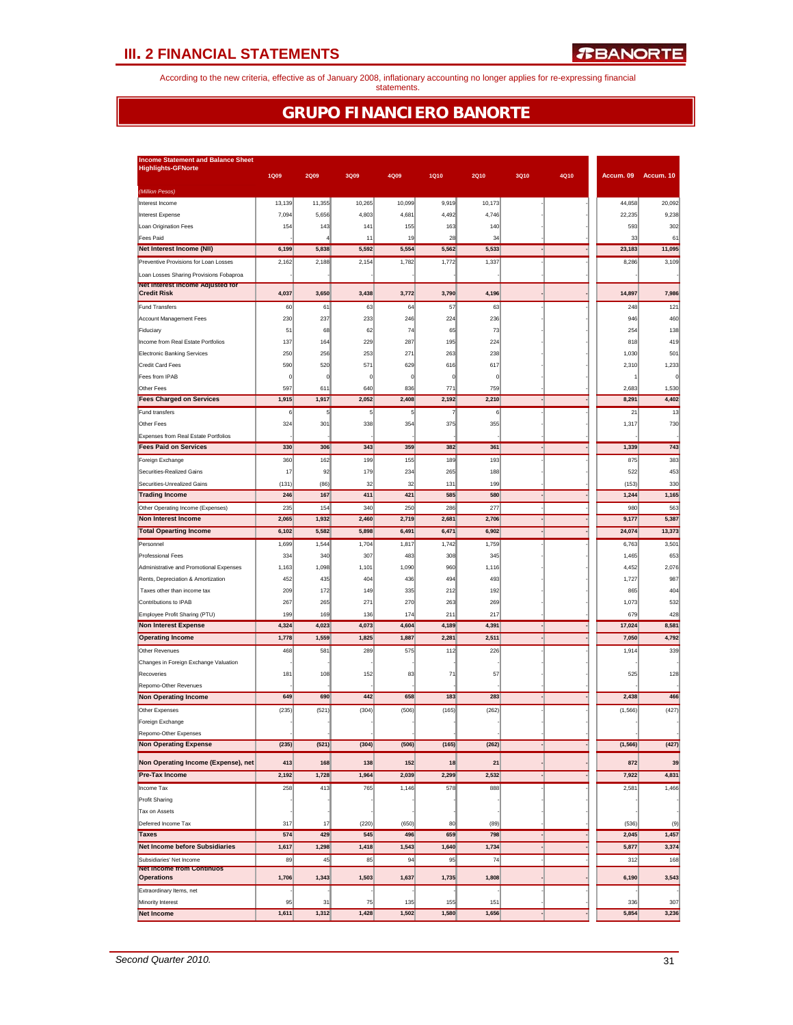According to the new criteria, effective as of January 2008, inflationary accounting no longer applies for re-expressing financial statements.

## **GRUPO FINANCIERO BANORTE**

| <b>Income Statement and Balance Sheet</b>                    |             |             |                |        |                |             |      |      |           |           |
|--------------------------------------------------------------|-------------|-------------|----------------|--------|----------------|-------------|------|------|-----------|-----------|
| <b>Highlights-GFNorte</b>                                    | <b>1Q09</b> | <b>2Q09</b> | 3Q09           | 4Q09   | <b>1Q10</b>    | <b>2Q10</b> | 3Q10 | 4Q10 | Accum. 09 | Accum. 10 |
|                                                              |             |             |                |        |                |             |      |      |           |           |
| (Million Pesos)                                              |             |             |                |        |                |             |      |      |           |           |
| Interest Income                                              | 13,139      | 11,355      | 10,265         | 10,099 | 9,919          | 10,173      |      |      | 44,858    | 20,092    |
| Interest Expense                                             | 7,094       | 5,656       | 4,803          | 4,681  | 4,492          | 4,746       |      |      | 22,235    | 9,238     |
| Loan Origination Fees                                        | 154         | 143         | 141            | 155    | 163            | 140         |      |      | 593       | 302       |
| Fees Paid                                                    |             |             | 1'             | 19     | 28             | 34          |      |      | 33        | 61        |
| <b>Net Interest Income (NII)</b>                             | 6,199       | 5,838       | 5,592          | 5,554  | 5,562          | 5,533       |      |      | 23,183    | 11,095    |
| Preventive Provisions for Loan Losses                        | 2,162       | 2,188       | 2,154          | 1,782  | 1,772          | 1,337       |      |      | 8,286     | 3,109     |
| Loan Losses Sharing Provisions Fobaproa                      |             |             |                |        |                |             |      |      |           |           |
| Net Interest Income Adjusted for<br><b>Credit Risk</b>       | 4,037       | 3,650       | 3,438          | 3,772  | 3,790          | 4,196       |      |      | 14,897    | 7,986     |
|                                                              |             |             |                |        |                |             |      |      |           |           |
| Fund Transfers                                               | 60          | 61          | 63             | 64     | 57             | 63          |      |      | 248       | 121       |
| Account Management Fees                                      | 230         | 237         | 233            | 246    | 224            | 236         |      |      | 946       | 460       |
| Fiduciary                                                    | 51          | 68          | 62             | 74     | 65             | 73          |      |      | 254       | 138       |
| Income from Real Estate Portfolios                           | 137         | 164         | 229            | 287    | 195            | 224         |      |      | 818       | 419       |
| Electronic Banking Services                                  | 250         | 256         | 253            | 271    | 263            | 238         |      |      | 1,030     | 501       |
| Credit Card Fees                                             | 590         | 520         | 571            | 629    | 616            | 617         |      |      | 2,310     | 1,233     |
| Fees from IPAB                                               | O           | 0           | C              | 0      | O              | 0           |      |      |           | O         |
| Other Fees                                                   | 597         | 611         | 640            | 836    | 771            | 759         |      |      | 2,683     | 1,530     |
| <b>Fees Charged on Services</b>                              | 1,915       | 1,917       | 2,052          | 2,408  | 2,192          | 2,210       |      |      | 8,291     | 4,402     |
| Fund transfers                                               | 6           | 5           | 5 <sup>1</sup> | 5      | 7              | 6           |      |      | 21        | 13        |
| <b>Other Fees</b>                                            | 324         | 301         | 338            | 354    | 375            | 355         |      |      | 1,317     | 730       |
| Expenses from Real Estate Portfolios                         |             |             |                |        |                |             |      |      |           |           |
| <b>Fees Paid on Services</b>                                 | 330         | 306         | 343            | 359    | 382            | 361         |      |      | 1,339     | 743       |
| Foreign Exchange                                             | 360         | 162         | 199            | 155    | 189            | 193         |      |      | 875       | 383       |
| Securities-Realized Gains                                    | 17          | 92          | 179            | 234    | 265            | 188         |      |      | 522       | 453       |
| Securities-Unrealized Gains                                  | (131)       | (86)        | 32             | 32     | 131            | 199         |      |      | (153)     | 330       |
| <b>Trading Income</b>                                        | 246         | 167         | 411            | 421    | 585            | 580         |      |      | 1,244     | 1,165     |
| Other Operating Income (Expenses)                            | 235         | 154         | 340            | 250    | 286            | 277         |      |      | 980       | 563       |
| Non Interest Income                                          | 2,065       | 1,932       | 2,460          | 2,719  | 2,681          | 2,706       |      |      | 9,177     | 5,387     |
| <b>Total Opearting Income</b>                                | 6,102       | 5,582       | 5,898          | 6,491  | 6,471          | 6,902       |      |      | 24,074    | 13,373    |
|                                                              |             |             |                |        |                |             |      |      |           | 3,501     |
| Personnel                                                    | 1,699       | 1,544       | 1,704          | 1,817  | 1,742          | 1,759       |      |      | 6,763     |           |
| Professional Fees                                            | 334         | 340         | 307            | 483    | 308            | 345         |      |      | 1,465     | 653       |
| Administrative and Promotional Expenses                      | 1,163       | 1,098       | 1,101          | 1,090  | 960            | 1,116       |      |      | 4,452     | 2,076     |
| Rents, Depreciation & Amortization                           | 452         | 435         | 404            | 436    | 494            | 493         |      |      | 1,727     | 987       |
| Taxes other than income tax                                  | 209         | 172         | 149            | 335    | 212            | 192         |      |      | 865       | 404       |
| Contributions to IPAB                                        | 267         | 265         | 271            | 270    | 263            | 269         |      |      | 1,073     | 532       |
| Employee Profit Sharing (PTU)                                | 199         | 169         | 136            | 174    | 211            | 217         |      |      | 679       | 428       |
| <b>Non Interest Expense</b>                                  | 4,324       | 4,023       | 4,073          | 4,604  | 4,189          | 4,391       |      |      | 17,024    | 8,581     |
| <b>Operating Income</b>                                      | 1,778       | 1,559       | 1,825          | 1,887  | 2,281          | 2,511       |      |      | 7,050     | 4,792     |
| Other Revenues                                               | 468         | 581         | 289            | 575    | 112            | 226         |      |      | 1,914     | 339       |
| Changes in Foreign Exchange Valuation                        |             |             |                |        |                |             |      |      |           |           |
| Recoveries                                                   | 181         | 108         | 152            | 83     | 7 <sup>1</sup> | 57          |      |      | 525       | 128       |
| Repomo-Other Revenues                                        |             |             |                |        |                |             |      |      |           |           |
| <b>Non Operating Income</b>                                  | 649         | 690         | 442            | 658    | 183            | 283         |      |      | 2,438     | 466       |
| Other Expenses                                               | (235)       | (521)       | (304)          | (506)  | (165)          | (262)       |      |      | (1, 566)  | (427)     |
| Foreign Exchange                                             |             |             |                |        |                |             |      |      |           |           |
| Repomo-Other Expenses                                        |             |             |                |        |                |             |      |      |           |           |
| <b>Non Operating Expense</b>                                 | (235)       | (521)       | (304)          | (506)  | (165)          | (262)       |      |      | (1, 566)  | (427)     |
|                                                              |             |             |                |        |                |             |      |      |           |           |
| Non Operating Income (Expense), net                          | 413         | 168         | 138            | 152    | 18             | 21          |      |      | 872       | 39        |
| <b>Pre-Tax Income</b>                                        | 2,192       | 1,728       | 1,964          | 2,039  | 2,299          | 2,532       |      |      | 7,922     | 4,831     |
| Income Tax                                                   | 258         | 413         | 765            | 1,146  | 578            | 888         |      |      | 2,581     | 1,466     |
| Profit Sharing                                               |             |             |                |        |                |             |      |      |           |           |
| Tax on Assets                                                |             |             |                |        |                |             |      |      |           |           |
| Deferred Income Tax                                          | 317         | 17          | (220)          | (650)  | 80             | (89)        |      |      | (536)     | (9)       |
| <b>Taxes</b>                                                 | 574         | 429         | 545            | 496    | 659            | 798         | ۹    |      | 2,045     | 1,457     |
| <b>Net Income before Subsidiaries</b>                        | 1,617       | 1,298       | 1,418          | 1,543  | 1,640          | 1,734       |      |      | 5,877     | 3,374     |
|                                                              |             |             |                |        |                |             |      |      |           |           |
| Subsidiaries' Net Income<br><b>Net Income from Continuos</b> | 89          | 45          | 85             | 94     | 95             | 74          |      |      | 312       | 168       |
| <b>Operations</b>                                            | 1,706       | 1,343       | 1,503          | 1,637  | 1,735          | 1,808       |      |      | 6,190     | 3,543     |
| Extraordinary Items, net                                     |             |             |                |        |                |             |      |      |           |           |
| Minority Interest                                            | 95          | 31          | 75             | 135    | 155            | 151         |      |      | 336       | 307       |
| <b>Net Income</b>                                            | 1,611       | 1,312       | 1,428          | 1,502  | 1,580          | 1,656       |      |      | 5,854     | 3,236     |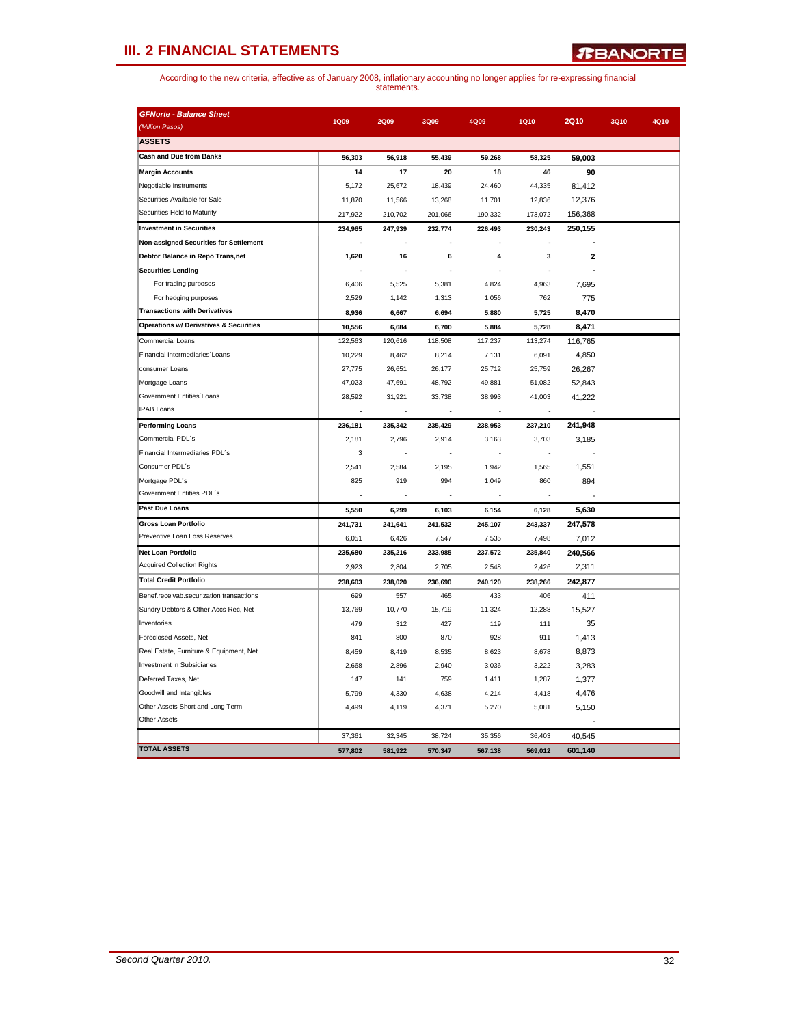| <b>GFNorte - Balance Sheet</b><br>(Million Pesos) | <b>1Q09</b> | <b>2Q09</b> | <b>3Q09</b> | 4Q09    | <b>1Q10</b> | <b>2Q10</b>  | <b>3Q10</b> | <b>4Q10</b> |
|---------------------------------------------------|-------------|-------------|-------------|---------|-------------|--------------|-------------|-------------|
| <b>ASSETS</b>                                     |             |             |             |         |             |              |             |             |
| <b>Cash and Due from Banks</b>                    | 56,303      | 56,918      | 55,439      | 59,268  | 58,325      | 59,003       |             |             |
|                                                   | 14          | 17          | 20          | 18      | 46          | 90           |             |             |
| <b>Margin Accounts</b><br>Negotiable Instruments  | 5,172       | 25,672      | 18,439      | 24,460  | 44,335      | 81,412       |             |             |
| Securities Available for Sale                     | 11,870      | 11,566      | 13,268      | 11,701  | 12,836      | 12,376       |             |             |
| Securities Held to Maturity                       | 217,922     | 210,702     | 201,066     | 190,332 | 173,072     | 156,368      |             |             |
| <b>Investment in Securities</b>                   | 234,965     | 247,939     | 232,774     | 226,493 | 230,243     | 250,155      |             |             |
| Non-assigned Securities for Settlement            |             |             |             |         |             |              |             |             |
| Debtor Balance in Repo Trans,net                  | 1,620       | 16          | 6           | 4       | 3           | $\mathbf{2}$ |             |             |
| <b>Securities Lending</b>                         |             |             |             |         |             |              |             |             |
| For trading purposes                              | 6,406       | 5,525       | 5,381       | 4,824   | 4,963       | 7,695        |             |             |
| For hedging purposes                              | 2,529       | 1,142       | 1,313       | 1,056   | 762         | 775          |             |             |
| <b>Transactions with Derivatives</b>              | 8,936       | 6,667       | 6,694       | 5,880   | 5,725       | 8,470        |             |             |
| <b>Operations w/ Derivatives &amp; Securities</b> | 10,556      | 6,684       | 6,700       | 5,884   | 5,728       | 8,471        |             |             |
| Commercial Loans                                  | 122,563     | 120,616     | 118,508     | 117,237 | 113,274     | 116,765      |             |             |
| Financial Intermediaries Loans                    | 10,229      | 8,462       | 8,214       | 7,131   | 6,091       | 4,850        |             |             |
| consumer Loans                                    | 27,775      | 26,651      | 26,177      | 25,712  | 25,759      | 26,267       |             |             |
| Mortgage Loans                                    | 47,023      | 47,691      | 48,792      | 49,881  | 51,082      | 52,843       |             |             |
| Government Entities Loans                         | 28,592      | 31,921      | 33,738      | 38,993  | 41,003      | 41,222       |             |             |
| <b>IPAB Loans</b>                                 |             |             |             |         |             |              |             |             |
| <b>Performing Loans</b>                           | 236,181     | 235,342     | 235,429     | 238,953 | 237,210     | 241,948      |             |             |
| Commercial PDL's                                  | 2,181       | 2,796       | 2,914       | 3,163   | 3,703       | 3,185        |             |             |
| Financial Intermediaries PDL's                    | 3           |             |             |         |             |              |             |             |
| Consumer PDL's                                    | 2,541       | 2,584       | 2,195       | 1,942   | 1,565       | 1,551        |             |             |
| Mortgage PDL's                                    | 825         | 919         | 994         | 1,049   | 860         | 894          |             |             |
| Government Entities PDL's                         |             |             |             |         |             |              |             |             |
| <b>Past Due Loans</b>                             | 5,550       | 6,299       | 6,103       | 6,154   | 6,128       | 5,630        |             |             |
| <b>Gross Loan Portfolio</b>                       | 241,731     | 241,641     | 241,532     | 245,107 | 243,337     | 247,578      |             |             |
| Preventive Loan Loss Reserves                     | 6,051       | 6,426       | 7,547       | 7,535   | 7,498       | 7,012        |             |             |
| Net Loan Portfolio                                | 235,680     | 235,216     | 233,985     | 237,572 | 235,840     | 240,566      |             |             |
| <b>Acquired Collection Rights</b>                 | 2,923       | 2,804       | 2,705       | 2,548   | 2,426       | 2,311        |             |             |
| <b>Total Credit Portfolio</b>                     | 238,603     | 238,020     | 236,690     | 240,120 | 238,266     | 242,877      |             |             |
| Benef.receivab.securization transactions          | 699         | 557         | 465         | 433     | 406         | 411          |             |             |
| Sundry Debtors & Other Accs Rec, Net              | 13,769      | 10,770      | 15,719      | 11,324  | 12,288      | 15,527       |             |             |
| Inventories                                       | 479         | 312         | 427         | 119     | 111         | 35           |             |             |
| Foreclosed Assets, Net                            | 841         | 800         | 870         | 928     | 911         | 1,413        |             |             |
| Real Estate, Furniture & Equipment, Net           | 8,459       | 8,419       | 8,535       | 8,623   | 8,678       | 8,873        |             |             |
| Investment in Subsidiaries                        | 2,668       | 2,896       | 2,940       | 3,036   | 3,222       | 3,283        |             |             |
| Deferred Taxes, Net                               | 147         | 141         | 759         | 1,411   | 1,287       | 1,377        |             |             |
| Goodwill and Intangibles                          | 5,799       | 4,330       | 4,638       | 4,214   | 4,418       | 4,476        |             |             |
| Other Assets Short and Long Term                  | 4,499       | 4,119       | 4,371       | 5,270   | 5,081       | 5,150        |             |             |
| <b>Other Assets</b>                               |             |             |             |         |             |              |             |             |
|                                                   | 37,361      | 32,345      | 38,724      | 35,356  | 36,403      | 40,545       |             |             |
| <b>TOTAL ASSETS</b>                               | 577,802     | 581,922     | 570,347     | 567,138 | 569,012     | 601,140      |             |             |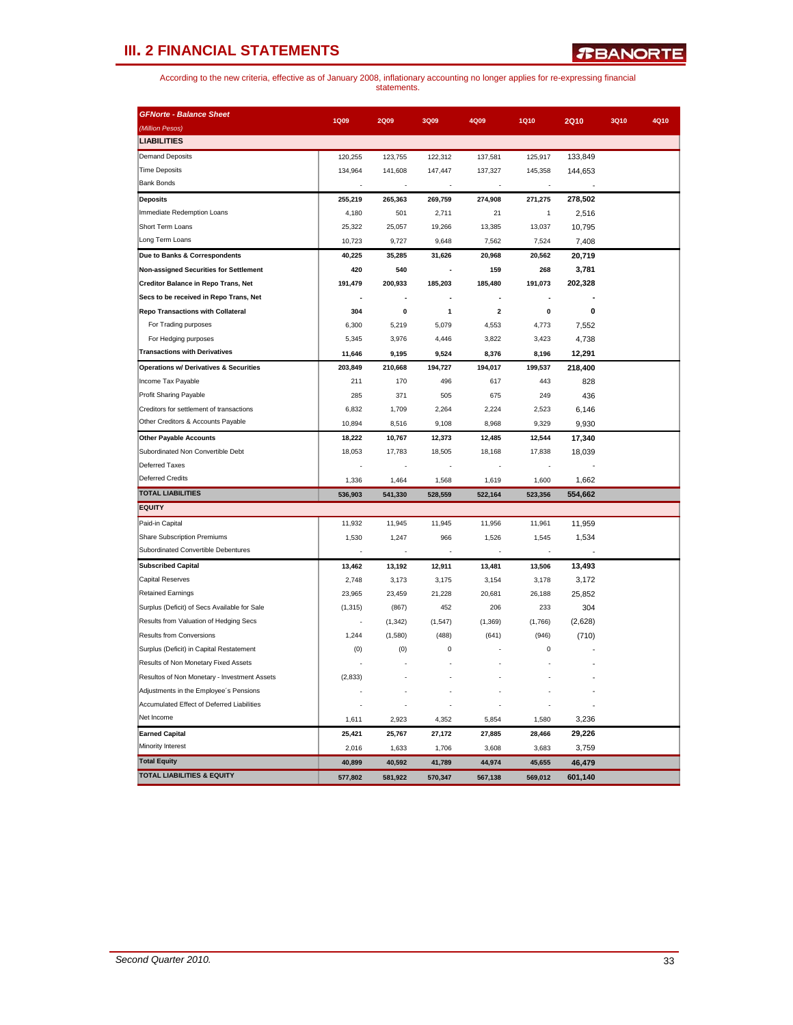| <b>GFNorte - Balance Sheet</b>               | <b>1Q09</b> | <b>2Q09</b> | 3Q09     | <b>4Q09</b> | <b>1Q10</b>  | <b>2Q10</b>  | <b>3Q10</b> | 4Q10 |
|----------------------------------------------|-------------|-------------|----------|-------------|--------------|--------------|-------------|------|
| (Million Pesos)                              |             |             |          |             |              |              |             |      |
| <b>LIABILITIES</b>                           |             |             |          |             |              |              |             |      |
| <b>Demand Deposits</b>                       | 120,255     | 123,755     | 122,312  | 137,581     | 125,917      | 133,849      |             |      |
| <b>Time Deposits</b>                         | 134,964     | 141,608     | 147,447  | 137,327     | 145,358      | 144,653      |             |      |
| <b>Bank Bonds</b>                            |             |             |          |             | ÷.           |              |             |      |
| <b>Deposits</b>                              | 255,219     | 265,363     | 269,759  | 274,908     | 271,275      | 278,502      |             |      |
| Immediate Redemption Loans                   | 4,180       | 501         | 2,711    | 21          | $\mathbf{1}$ | 2,516        |             |      |
| Short Term Loans                             | 25,322      | 25,057      | 19.266   | 13,385      | 13,037       | 10,795       |             |      |
| Long Term Loans                              | 10,723      | 9.727       | 9.648    | 7,562       | 7,524        | 7,408        |             |      |
| Due to Banks & Correspondents                | 40,225      | 35,285      | 31,626   | 20,968      | 20,562       | 20,719       |             |      |
| Non-assigned Securities for Settlement       | 420         | 540         |          | 159         | 268          | 3,781        |             |      |
| Creditor Balance in Repo Trans, Net          | 191,479     | 200,933     | 185,203  | 185,480     | 191,073      | 202,328      |             |      |
| Secs to be received in Repo Trans, Net       |             |             |          |             |              |              |             |      |
| Repo Transactions with Collateral            | 304         | $\pmb{0}$   | 1        | $\mathbf 2$ | $\mathbf 0$  | $\mathbf{0}$ |             |      |
| For Trading purposes                         | 6,300       | 5,219       | 5,079    | 4,553       | 4,773        | 7,552        |             |      |
| For Hedging purposes                         | 5,345       | 3,976       | 4,446    | 3,822       | 3,423        | 4,738        |             |      |
| <b>Transactions with Derivatives</b>         | 11,646      | 9,195       | 9,524    | 8,376       | 8,196        | 12,291       |             |      |
| Operations w/ Derivatives & Securities       | 203,849     | 210,668     | 194,727  | 194,017     | 199,537      | 218,400      |             |      |
| Income Tax Payable                           | 211         | 170         | 496      | 617         | 443          | 828          |             |      |
| Profit Sharing Payable                       | 285         | 371         | 505      | 675         | 249          | 436          |             |      |
| Creditors for settlement of transactions     | 6,832       | 1,709       | 2,264    | 2,224       | 2,523        | 6,146        |             |      |
| Other Creditors & Accounts Payable           | 10,894      | 8,516       | 9,108    | 8,968       | 9,329        | 9,930        |             |      |
| <b>Other Payable Accounts</b>                | 18,222      | 10,767      | 12,373   | 12,485      | 12,544       | 17,340       |             |      |
| Subordinated Non Convertible Debt            | 18,053      | 17,783      | 18,505   | 18,168      | 17,838       | 18,039       |             |      |
| Deferred Taxes                               |             |             |          |             |              |              |             |      |
| <b>Deferred Credits</b>                      |             |             |          |             |              |              |             |      |
| <b>TOTAL LIABILITIES</b>                     | 1,336       | 1,464       | 1,568    | 1,619       | 1,600        | 1,662        |             |      |
| <b>EQUITY</b>                                | 536,903     | 541,330     | 528,559  | 522,164     | 523,356      | 554,662      |             |      |
|                                              |             |             |          |             |              |              |             |      |
| Paid-in Capital                              | 11,932      | 11,945      | 11,945   | 11,956      | 11,961       | 11,959       |             |      |
| Share Subscription Premiums                  | 1,530       | 1,247       | 966      | 1,526       | 1,545        | 1,534        |             |      |
| Subordinated Convertible Debentures          |             | ÷.          |          |             |              |              |             |      |
| <b>Subscribed Capital</b>                    | 13,462      | 13,192      | 12,911   | 13,481      | 13,506       | 13,493       |             |      |
| <b>Capital Reserves</b>                      | 2,748       | 3,173       | 3,175    | 3,154       | 3,178        | 3,172        |             |      |
| <b>Retained Earnings</b>                     | 23,965      | 23,459      | 21,228   | 20,681      | 26,188       | 25,852       |             |      |
| Surplus (Deficit) of Secs Available for Sale | (1, 315)    | (867)       | 452      | 206         | 233          | 304          |             |      |
| Results from Valuation of Hedging Secs       |             | (1, 342)    | (1, 547) | (1, 369)    | (1,766)      | (2,628)      |             |      |
| Results from Conversions                     | 1,244       | (1,580)     | (488)    | (641)       | (946)        | (710)        |             |      |
| Surplus (Deficit) in Capital Restatement     | (0)         | (0)         | 0        |             | 0            |              |             |      |
| Results of Non Monetary Fixed Assets         |             |             |          |             |              |              |             |      |
| Resultos of Non Monetary - Investment Assets | (2, 833)    |             |          |             |              |              |             |      |
| Adjustments in the Employee's Pensions       |             |             |          |             |              |              |             |      |
| Accumulated Effect of Deferred Liabilities   |             |             |          |             |              |              |             |      |
| Net Income                                   | 1,611       | 2,923       | 4,352    | 5,854       | 1,580        | 3,236        |             |      |
| <b>Earned Capital</b>                        | 25,421      | 25,767      | 27,172   | 27,885      | 28,466       | 29,226       |             |      |
| Minority Interest                            | 2,016       | 1,633       | 1,706    | 3,608       | 3,683        | 3,759        |             |      |
| <b>Total Equity</b>                          | 40,899      | 40,592      | 41,789   | 44,974      | 45,655       | 46,479       |             |      |
| <b>TOTAL LIABILITIES &amp; EQUITY</b>        | 577,802     | 581,922     | 570,347  | 567,138     | 569,012      | 601,140      |             |      |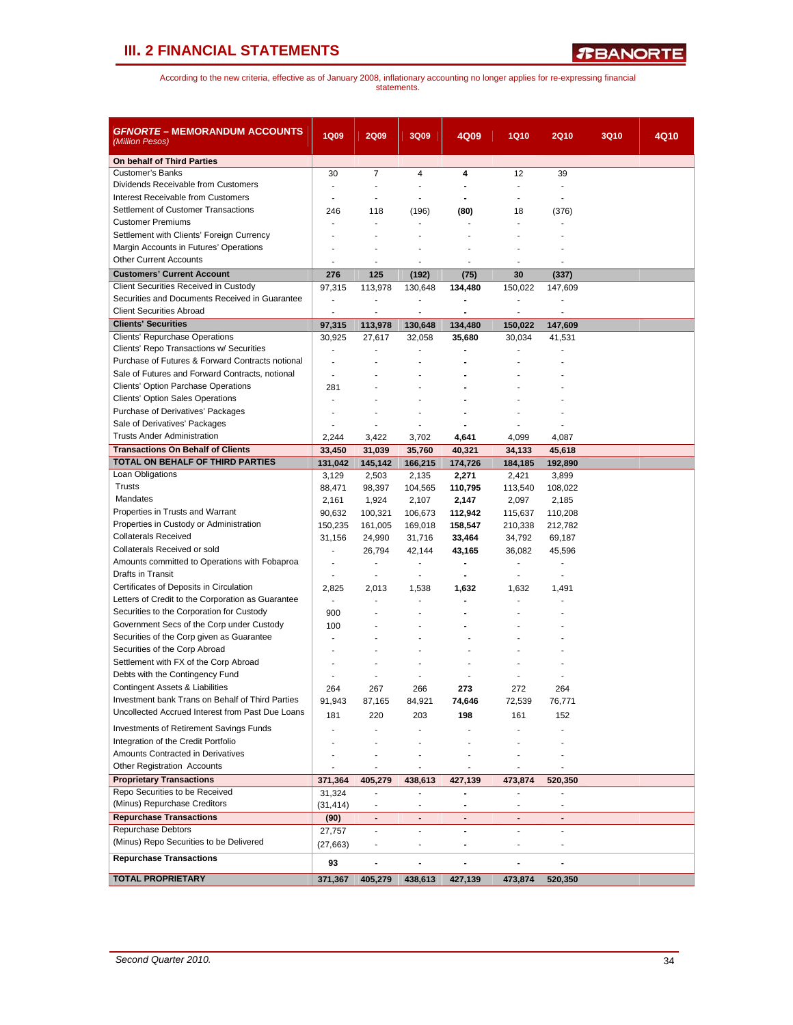| <i>GFNORTE</i> – MEMORANDUM ACCOUNTS<br>(Million Pesos)                      | 1Q09                     | <b>2Q09</b>                             | 3Q09                      | 4Q09                      | <b>1Q10</b>              | <b>2Q10</b>                         | <b>3Q10</b> | 4Q10 |
|------------------------------------------------------------------------------|--------------------------|-----------------------------------------|---------------------------|---------------------------|--------------------------|-------------------------------------|-------------|------|
| On behalf of Third Parties                                                   |                          |                                         |                           |                           |                          |                                     |             |      |
| <b>Customer's Banks</b>                                                      | 30                       | $\overline{7}$                          | 4                         | 4                         | 12                       | 39                                  |             |      |
| Dividends Receivable from Customers                                          |                          |                                         |                           |                           | $\overline{a}$           |                                     |             |      |
| Interest Receivable from Customers                                           |                          |                                         |                           |                           |                          |                                     |             |      |
| Settlement of Customer Transactions                                          | 246                      | 118                                     | (196)                     | (80)                      | 18                       | (376)                               |             |      |
| <b>Customer Premiums</b>                                                     |                          |                                         |                           |                           |                          |                                     |             |      |
| Settlement with Clients' Foreign Currency                                    |                          |                                         |                           |                           |                          |                                     |             |      |
| Margin Accounts in Futures' Operations                                       |                          |                                         |                           |                           |                          |                                     |             |      |
| <b>Other Current Accounts</b>                                                |                          | ÷                                       |                           | ÷                         |                          |                                     |             |      |
| <b>Customers' Current Account</b>                                            | 276                      | 125                                     | (192)                     | (75)                      | 30                       | (337)                               |             |      |
| Client Securities Received in Custody                                        | 97,315                   | 113,978                                 | 130,648                   | 134,480                   | 150,022                  | 147,609                             |             |      |
| Securities and Documents Received in Guarantee                               | ÷.                       | $\blacksquare$                          | $\blacksquare$            | $\blacksquare$            | $\overline{a}$           |                                     |             |      |
| <b>Client Securities Abroad</b>                                              | $\frac{1}{2}$            | $\overline{\phantom{a}}$                | $\overline{a}$            | $\blacksquare$            | $\overline{\phantom{a}}$ |                                     |             |      |
| <b>Clients' Securities</b>                                                   | 97,315                   | 113,978                                 | 130,648                   | 134,480                   | 150,022                  | 147,609                             |             |      |
| Clients' Repurchase Operations                                               | 30,925                   | 27,617                                  | 32,058                    | 35,680                    | 30,034                   | 41,531                              |             |      |
| Clients' Repo Transactions w/ Securities                                     |                          |                                         |                           |                           |                          |                                     |             |      |
| Purchase of Futures & Forward Contracts notional                             | $\overline{a}$           |                                         |                           |                           |                          |                                     |             |      |
| Sale of Futures and Forward Contracts, notional                              | $\overline{a}$           |                                         |                           |                           |                          |                                     |             |      |
| Clients' Option Parchase Operations                                          | 281                      |                                         |                           |                           |                          |                                     |             |      |
| <b>Clients' Option Sales Operations</b>                                      |                          |                                         |                           |                           |                          |                                     |             |      |
| Purchase of Derivatives' Packages                                            |                          |                                         |                           |                           |                          |                                     |             |      |
| Sale of Derivatives' Packages                                                |                          |                                         |                           |                           |                          |                                     |             |      |
| <b>Trusts Ander Administration</b>                                           | 2,244                    | 3,422                                   | 3,702                     | 4,641                     | 4,099                    | 4,087                               |             |      |
| <b>Transactions On Behalf of Clients</b><br>TOTAL ON BEHALF OF THIRD PARTIES | 33,450                   | 31,039                                  | 35,760                    | 40,321                    | 34,133                   | 45,618                              |             |      |
|                                                                              | 131,042                  | 145,142                                 | 166,215                   | 174,726                   | 184,185                  | 192,890                             |             |      |
| Loan Obligations<br>Trusts                                                   | 3,129                    | 2.503                                   | 2,135                     | 2,271                     | 2,421                    | 3.899                               |             |      |
| Mandates                                                                     | 88,471<br>2,161          | 98,397<br>1,924                         | 104,565<br>2,107          | 110,795<br>2,147          | 113,540<br>2,097         | 108,022<br>2,185                    |             |      |
| Properties in Trusts and Warrant                                             | 90,632                   | 100,321                                 | 106,673                   | 112,942                   | 115,637                  | 110,208                             |             |      |
| Properties in Custody or Administration                                      | 150,235                  | 161,005                                 | 169,018                   | 158,547                   | 210,338                  | 212,782                             |             |      |
| <b>Collaterals Received</b>                                                  | 31,156                   | 24,990                                  | 31,716                    | 33,464                    | 34,792                   | 69,187                              |             |      |
| Collaterals Received or sold                                                 | ÷.                       | 26,794                                  | 42,144                    | 43,165                    | 36,082                   | 45,596                              |             |      |
| Amounts committed to Operations with Fobaproa                                | $\frac{1}{2}$            | $\blacksquare$                          | $\overline{\phantom{a}}$  | $\overline{\phantom{a}}$  | ÷.                       | ÷,                                  |             |      |
| Drafts in Transit                                                            | $\blacksquare$           | ٠                                       | $\blacksquare$            | $\blacksquare$            | ä,                       | $\blacksquare$                      |             |      |
| Certificates of Deposits in Circulation                                      | 2,825                    | 2,013                                   | 1,538                     | 1,632                     | 1,632                    | 1,491                               |             |      |
| Letters of Credit to the Corporation as Guarantee                            | $\overline{\phantom{a}}$ |                                         |                           | $\blacksquare$            |                          |                                     |             |      |
| Securities to the Corporation for Custody                                    | 900                      |                                         |                           |                           |                          |                                     |             |      |
| Government Secs of the Corp under Custody                                    | 100                      |                                         |                           |                           |                          |                                     |             |      |
| Securities of the Corp given as Guarantee                                    |                          |                                         |                           |                           |                          |                                     |             |      |
| Securities of the Corp Abroad                                                |                          |                                         |                           |                           |                          |                                     |             |      |
| Settlement with FX of the Corp Abroad                                        |                          |                                         |                           |                           |                          |                                     |             |      |
| Debts with the Contingency Fund                                              |                          |                                         |                           |                           |                          |                                     |             |      |
| <b>Contingent Assets &amp; Liabilities</b>                                   | 264                      | 267                                     | 266                       | 273                       | 272                      | 264                                 |             |      |
| Investment bank Trans on Behalf of Third Parties                             | 91,943                   | 87,165                                  | 84,921                    | 74,646                    | 72,539                   | 76,771                              |             |      |
| Uncollected Accrued Interest from Past Due Loans                             | 181                      | 220                                     | 203                       | 198                       | 161                      | 152                                 |             |      |
| <b>Investments of Retirement Savings Funds</b>                               |                          |                                         |                           |                           |                          |                                     |             |      |
| Integration of the Credit Portfolio                                          |                          |                                         |                           |                           |                          |                                     |             |      |
| Amounts Contracted in Derivatives                                            |                          |                                         |                           |                           |                          |                                     |             |      |
| <b>Other Registration Accounts</b>                                           | ٠                        | ٠                                       | $\blacksquare$            | $\blacksquare$            | ٠                        | ۰                                   |             |      |
| <b>Proprietary Transactions</b>                                              | 371,364                  | 405,279                                 | 438,613                   | 427,139                   | 473,874                  | 520,350                             |             |      |
| Repo Securities to be Received                                               | 31,324                   |                                         |                           |                           |                          |                                     |             |      |
| (Minus) Repurchase Creditors                                                 | (31, 414)                |                                         |                           |                           |                          |                                     |             |      |
| <b>Repurchase Transactions</b>                                               | (90)                     | ٠                                       | $\blacksquare$            | $\blacksquare$            | $\blacksquare$           | $\blacksquare$                      |             |      |
| Repurchase Debtors                                                           | 27,757                   | $\overline{\phantom{a}}$                | ä,                        | $\overline{\phantom{a}}$  | $\frac{1}{2}$            | ٠                                   |             |      |
| (Minus) Repo Securities to be Delivered                                      | (27, 663)                | $\overline{\phantom{a}}$                |                           | $\overline{\phantom{a}}$  | $\overline{a}$           |                                     |             |      |
| <b>Repurchase Transactions</b>                                               |                          |                                         |                           |                           |                          |                                     |             |      |
| <b>TOTAL PROPRIETARY</b>                                                     | 93<br>371,367            | $\qquad \qquad \blacksquare$<br>405,279 | $\blacksquare$<br>438,613 | $\blacksquare$<br>427,139 | 473,874                  | $\overline{\phantom{0}}$<br>520,350 |             |      |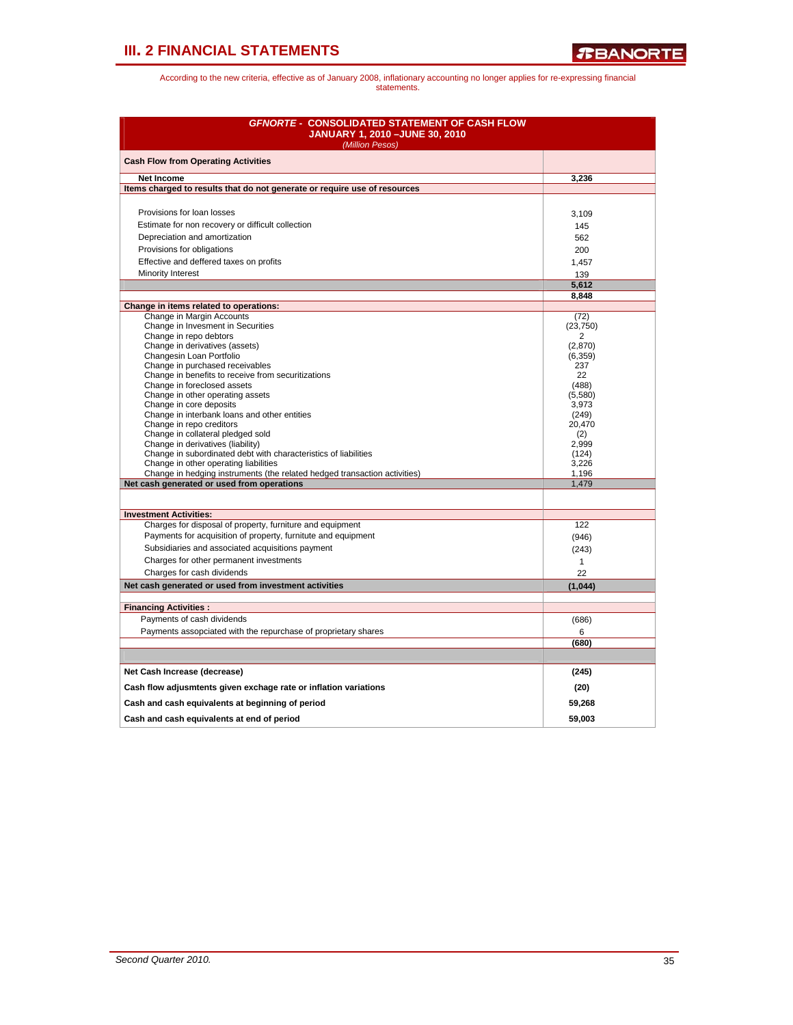| <b>GFNORTE - CONSOLIDATED STATEMENT OF CASH FLOW</b><br>JANUARY 1, 2010 - JUNE 30, 2010<br>(Million Pesos)         |                  |  |  |  |  |
|--------------------------------------------------------------------------------------------------------------------|------------------|--|--|--|--|
| <b>Cash Flow from Operating Activities</b>                                                                         |                  |  |  |  |  |
| Net Income                                                                                                         | 3,236            |  |  |  |  |
| Items charged to results that do not generate or require use of resources                                          |                  |  |  |  |  |
|                                                                                                                    |                  |  |  |  |  |
| Provisions for loan losses                                                                                         | 3,109            |  |  |  |  |
| Estimate for non recovery or difficult collection                                                                  | 145              |  |  |  |  |
| Depreciation and amortization                                                                                      | 562              |  |  |  |  |
| Provisions for obligations                                                                                         | 200              |  |  |  |  |
| Effective and deffered taxes on profits                                                                            | 1,457            |  |  |  |  |
| Minority Interest                                                                                                  | 139              |  |  |  |  |
|                                                                                                                    | 5,612            |  |  |  |  |
|                                                                                                                    | 8,848            |  |  |  |  |
| Change in items related to operations:                                                                             |                  |  |  |  |  |
| Change in Margin Accounts                                                                                          | (72)             |  |  |  |  |
| Change in Invesment in Securities                                                                                  | (23, 750)        |  |  |  |  |
| Change in repo debtors<br>Change in derivatives (assets)                                                           | 2<br>(2,870)     |  |  |  |  |
| Changesin Loan Portfolio                                                                                           | (6, 359)         |  |  |  |  |
| Change in purchased receivables                                                                                    | 237              |  |  |  |  |
| Change in benefits to receive from securitizations                                                                 | 22               |  |  |  |  |
| Change in foreclosed assets                                                                                        | (488)            |  |  |  |  |
| Change in other operating assets<br>Change in core deposits                                                        | (5,580)<br>3,973 |  |  |  |  |
| Change in interbank loans and other entities                                                                       | (249)            |  |  |  |  |
| Change in repo creditors                                                                                           | 20,470           |  |  |  |  |
| Change in collateral pledged sold                                                                                  | (2)              |  |  |  |  |
| Change in derivatives (liability)                                                                                  | 2,999            |  |  |  |  |
| Change in subordinated debt with characteristics of liabilities                                                    | (124)            |  |  |  |  |
| Change in other operating liabilities<br>Change in hedging instruments (the related hedged transaction activities) | 3.226<br>1,196   |  |  |  |  |
| Net cash generated or used from operations                                                                         | 1,479            |  |  |  |  |
|                                                                                                                    |                  |  |  |  |  |
| <b>Investment Activities:</b>                                                                                      |                  |  |  |  |  |
| Charges for disposal of property, furniture and equipment                                                          | 122              |  |  |  |  |
| Payments for acquisition of property, furnitute and equipment                                                      | (946)            |  |  |  |  |
| Subsidiaries and associated acquisitions payment                                                                   | (243)            |  |  |  |  |
| Charges for other permanent investments                                                                            | $\mathbf{1}$     |  |  |  |  |
| Charges for cash dividends                                                                                         | 22               |  |  |  |  |
| Net cash generated or used from investment activities                                                              | (1,044)          |  |  |  |  |
|                                                                                                                    |                  |  |  |  |  |
| <b>Financing Activities:</b>                                                                                       |                  |  |  |  |  |
| Payments of cash dividends                                                                                         | (686)            |  |  |  |  |
| Payments assopciated with the repurchase of proprietary shares                                                     | 6                |  |  |  |  |
|                                                                                                                    | (680)            |  |  |  |  |
|                                                                                                                    |                  |  |  |  |  |
| Net Cash Increase (decrease)                                                                                       | (245)            |  |  |  |  |
| Cash flow adjusmtents given exchage rate or inflation variations                                                   | (20)             |  |  |  |  |
| Cash and cash equivalents at beginning of period                                                                   | 59,268           |  |  |  |  |
|                                                                                                                    |                  |  |  |  |  |
| Cash and cash equivalents at end of period                                                                         | 59.003           |  |  |  |  |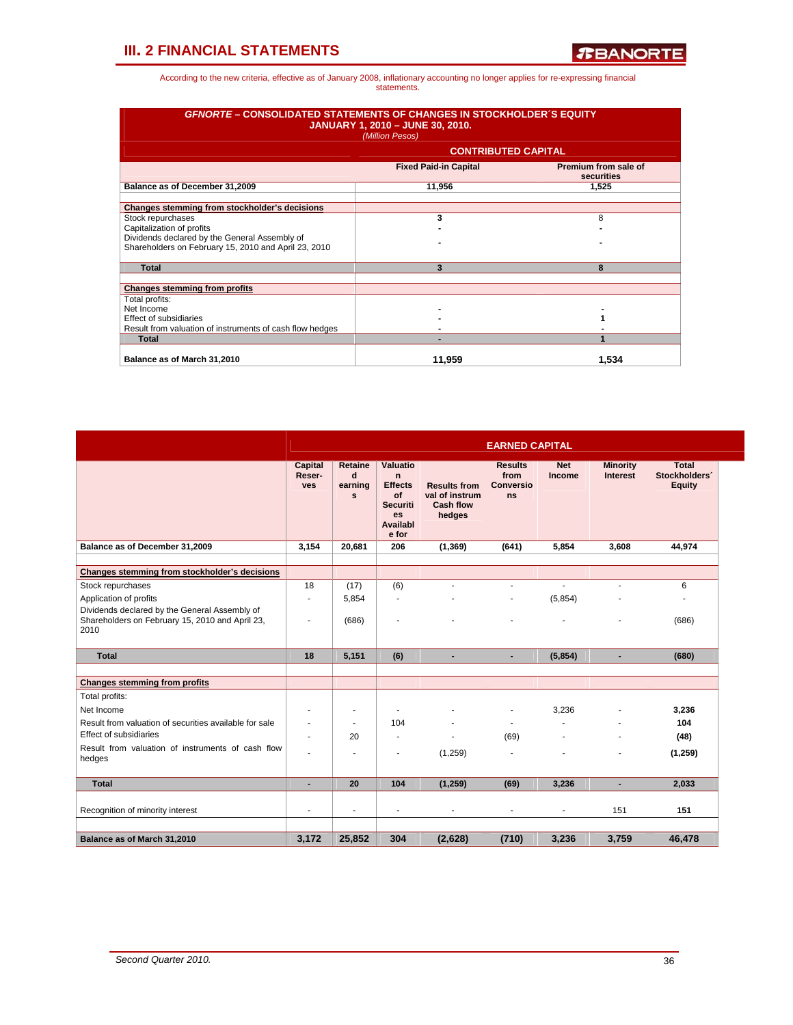| <b>GFNORTE - CONSOLIDATED STATEMENTS OF CHANGES IN STOCKHOLDER'S EQUITY</b><br><b>JANUARY 1, 2010 - JUNE 30, 2010.</b><br>(Million Pesos) |                              |                                    |  |  |  |  |  |  |
|-------------------------------------------------------------------------------------------------------------------------------------------|------------------------------|------------------------------------|--|--|--|--|--|--|
|                                                                                                                                           | <b>CONTRIBUTED CAPITAL</b>   |                                    |  |  |  |  |  |  |
|                                                                                                                                           | <b>Fixed Paid-in Capital</b> | Premium from sale of<br>securities |  |  |  |  |  |  |
| Balance as of December 31,2009                                                                                                            | 11,956                       | 1,525                              |  |  |  |  |  |  |
| Changes stemming from stockholder's decisions                                                                                             |                              |                                    |  |  |  |  |  |  |
| Stock repurchases                                                                                                                         | 3                            | 8                                  |  |  |  |  |  |  |
| Capitalization of profits                                                                                                                 |                              |                                    |  |  |  |  |  |  |
| Dividends declared by the General Assembly of<br>Shareholders on February 15, 2010 and April 23, 2010                                     |                              |                                    |  |  |  |  |  |  |
| <b>Total</b>                                                                                                                              | 3                            | 8                                  |  |  |  |  |  |  |
| <b>Changes stemming from profits</b>                                                                                                      |                              |                                    |  |  |  |  |  |  |
| Total profits:                                                                                                                            |                              |                                    |  |  |  |  |  |  |
| Net Income                                                                                                                                |                              |                                    |  |  |  |  |  |  |
| <b>Effect of subsidiaries</b>                                                                                                             |                              |                                    |  |  |  |  |  |  |
| Result from valuation of instruments of cash flow hedges                                                                                  |                              |                                    |  |  |  |  |  |  |
| <b>Total</b>                                                                                                                              |                              |                                    |  |  |  |  |  |  |
| Balance as of March 31,2010                                                                                                               | 11.959                       | 1.534                              |  |  |  |  |  |  |

|                                                                                                          | <b>EARNED CAPITAL</b>                  |                                         |                                                                                                              |                                                                     |                                           |                      |                                    |                                         |  |  |  |
|----------------------------------------------------------------------------------------------------------|----------------------------------------|-----------------------------------------|--------------------------------------------------------------------------------------------------------------|---------------------------------------------------------------------|-------------------------------------------|----------------------|------------------------------------|-----------------------------------------|--|--|--|
|                                                                                                          | <b>Capital</b><br>Reser-<br><b>ves</b> | Retaine<br>d<br>earning<br>$\mathbf{s}$ | <b>Valuatio</b><br>$\mathsf{n}$<br><b>Effects</b><br>of<br><b>Securiti</b><br><b>es</b><br>Availabl<br>e for | <b>Results from</b><br>val of instrum<br><b>Cash flow</b><br>hedges | <b>Results</b><br>from<br>Conversio<br>ns | <b>Net</b><br>Income | <b>Minority</b><br><b>Interest</b> | <b>Total</b><br>Stockholders'<br>Equity |  |  |  |
| Balance as of December 31,2009                                                                           | 3,154                                  | 20,681                                  | 206                                                                                                          | (1, 369)                                                            | (641)                                     | 5,854                | 3,608                              | 44,974                                  |  |  |  |
| Changes stemming from stockholder's decisions                                                            |                                        |                                         |                                                                                                              |                                                                     |                                           |                      |                                    |                                         |  |  |  |
| Stock repurchases                                                                                        | 18                                     | (17)                                    | (6)                                                                                                          | $\overline{\phantom{a}}$                                            | $\blacksquare$                            | $\blacksquare$       | ÷.                                 | 6                                       |  |  |  |
| Application of profits                                                                                   | ٠                                      | 5,854                                   | $\overline{a}$                                                                                               |                                                                     | $\overline{\phantom{a}}$                  | (5, 854)             |                                    |                                         |  |  |  |
| Dividends declared by the General Assembly of<br>Shareholders on February 15, 2010 and April 23,<br>2010 | ۰                                      | (686)                                   |                                                                                                              |                                                                     |                                           |                      |                                    | (686)                                   |  |  |  |
| <b>Total</b>                                                                                             | 18                                     | 5,151                                   | (6)                                                                                                          | $\overline{\phantom{a}}$                                            | $\blacksquare$                            | (5,854)              | $\overline{\phantom{a}}$           | (680)                                   |  |  |  |
|                                                                                                          |                                        |                                         |                                                                                                              |                                                                     |                                           |                      |                                    |                                         |  |  |  |
| <b>Changes stemming from profits</b>                                                                     |                                        |                                         |                                                                                                              |                                                                     |                                           |                      |                                    |                                         |  |  |  |
| Total profits:                                                                                           |                                        |                                         |                                                                                                              |                                                                     |                                           |                      |                                    |                                         |  |  |  |
| Net Income                                                                                               | ۰                                      | ٠                                       |                                                                                                              |                                                                     | ۰                                         | 3,236                |                                    | 3,236                                   |  |  |  |
| Result from valuation of securities available for sale                                                   | ٠                                      | $\sim$                                  | 104                                                                                                          |                                                                     | $\blacksquare$                            |                      | $\overline{a}$                     | 104                                     |  |  |  |
| <b>Effect of subsidiaries</b>                                                                            | ۰                                      | 20                                      | $\overline{\phantom{m}}$                                                                                     |                                                                     | (69)                                      |                      |                                    | (48)                                    |  |  |  |
| Result from valuation of instruments of cash flow<br>hedges                                              | ۰                                      | ٠                                       | ٠                                                                                                            | (1,259)                                                             | ÷.                                        |                      |                                    | (1,259)                                 |  |  |  |
| <b>Total</b>                                                                                             | ٠                                      | 20                                      | 104                                                                                                          | (1, 259)                                                            | (69)                                      | 3,236                | $\overline{\phantom{a}}$           | 2,033                                   |  |  |  |
| Recognition of minority interest                                                                         | ۰                                      | ٠                                       | ٠                                                                                                            |                                                                     | Ĭ.                                        |                      | 151                                | 151                                     |  |  |  |
| Balance as of March 31,2010                                                                              | 3,172                                  | 25,852                                  | 304                                                                                                          | (2,628)                                                             | (710)                                     | 3,236                | 3,759                              | 46,478                                  |  |  |  |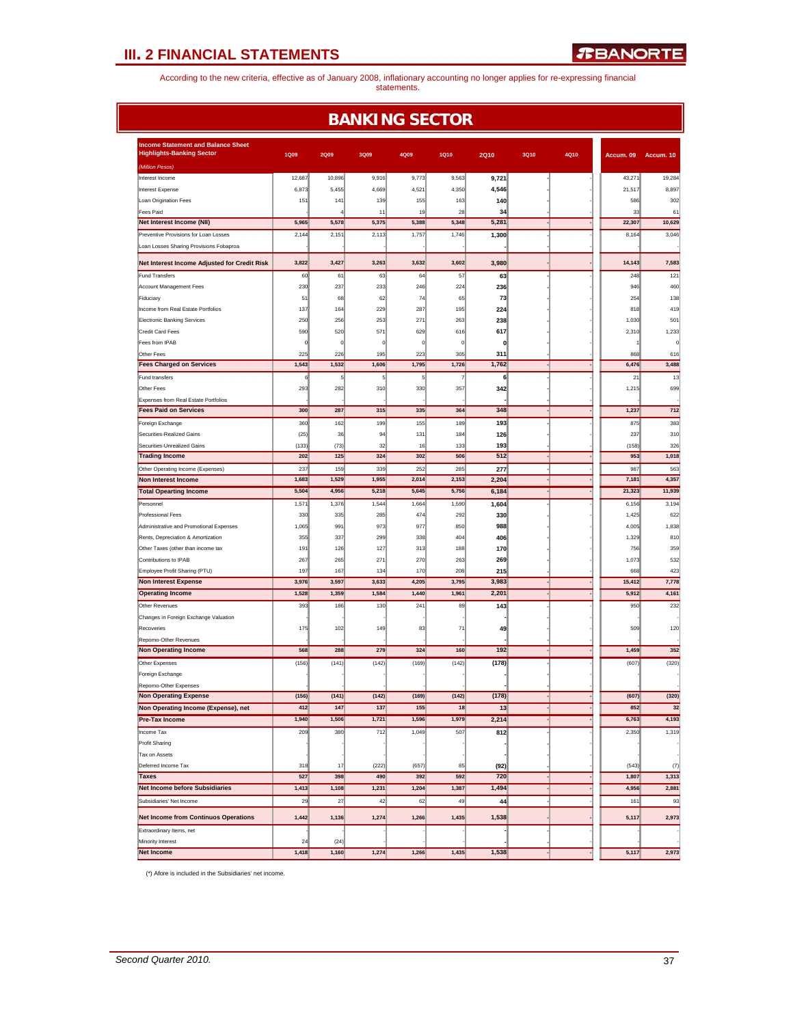According to the new criteria, effective as of January 2008, inflationary accounting no longer applies for re-expressing financial statements.

| <b>Income Statement and Balance Sheet</b><br><b>Highlights-Banking Sector</b><br><b>1Q09</b><br><b>2Q09</b><br><b>3Q09</b><br><b>4Q09</b><br><b>1Q10</b><br><b>2Q10</b><br><b>3Q10</b><br>4Q10<br>Accum. 09<br>Accum. 10<br>(Million Pesos)<br>9,916<br>12,687<br>10,896<br>9,773<br>9,563<br>9,721<br>43,271<br>19,284<br>Interest Income<br>6,873<br>5,455<br>4,669<br>4,521<br>4,350<br>4,546<br>21,517<br>8,897<br>Interest Expense<br>141<br>139<br>302<br>Loan Origination Fees<br>151<br>155<br>163<br>140<br>586<br><b>Fees Paid</b><br>28<br>11<br>19<br>34<br>33<br>61<br>5,578<br>5,375<br>5,388<br>5,348<br>22,307<br>10,629<br>Net Interest Income (NII)<br>5,965<br>5,281<br>Preventive Provisions for Loan Losses<br>2,144<br>2,151<br>2,113<br>1,757<br>1,746<br>1,300<br>8,164<br>3,046<br>Loan Losses Sharing Provisions Fobaproa<br>3,822<br>3,427<br>3,263<br>3,632<br>3,602<br>3,980<br>14,143<br>7,583<br>Net Interest Income Adjusted for Credit Risk<br>60<br>61<br>63<br>64<br>248<br>121<br><b>Fund Transfers</b><br>57<br>63<br>237<br>233<br>Account Management Fees<br>230<br>246<br>224<br>236<br>946<br>460<br>51<br>68<br>62<br>74<br>65<br>254<br>138<br>Fiduciary<br>73<br>Income from Real Estate Portfolios<br>137<br>164<br>229<br>287<br>195<br>818<br>419<br>224<br><b>Electronic Banking Services</b><br>250<br>256<br>253<br>271<br>263<br>238<br>1,030<br>501<br>Credit Card Fees<br>520<br>1,233<br>590<br>57'<br>629<br>616<br>617<br>2,310<br>Fees from IPAB<br>$\overline{0}$<br>0<br>O<br>$\Omega$<br>c<br>0<br>225<br>226<br>223<br>305<br>868<br>616<br>Other Fees<br>195<br>311<br>1,762<br><b>Fees Charged on Services</b><br>1,543<br>1,532<br>1,606<br>1,795<br>6,476<br>3,488<br>1,726<br>13<br>6 <sup>1</sup><br>5 <sup>1</sup><br>5 <sub>1</sub><br>$\overline{5}$<br>6<br>21<br>Fund transfers<br>7<br>293<br>282<br>310<br>330<br>357<br>1,215<br>699<br>Other Fees<br>342<br>Expenses from Real Estate Portfolios<br>348<br><b>Fees Paid on Services</b><br>300<br>287<br>315<br>335<br>364<br>1,237<br>712<br>162<br>199<br>155<br>189<br>383<br>Foreign Exchange<br>360<br>193<br>875<br>(25)<br>36<br>131<br>94<br>184<br>126<br>237<br>310<br>Securities-Realized Gains<br>Securities-Unrealized Gains<br>(133)<br>(73)<br>32<br>133<br>(158)<br>326<br>16<br>193<br>512<br><b>Trading Income</b><br>202<br>125<br>324<br>302<br>506<br>953<br>1,018<br>339<br>252<br>563<br>237<br>159<br>285<br>987<br>Other Operating Income (Expenses)<br>277<br>1,529<br>1,955<br>2,153<br>4,357<br>Non Interest Income<br>1,683<br>2,014<br>2,204<br>7,181<br>11,939<br>5,504<br>4,956<br>5,218<br>5,645<br>5,756<br>6,184<br>21,323<br><b>Total Opearting Income</b><br>1,544<br>3,194<br>1,571<br>1,376<br>1,664<br>1,590<br>1,604<br>Personnel<br>6,156<br>330<br>335<br>285<br>474<br>292<br>1,425<br>622<br>Professional Fees<br>330<br>991<br>973<br>977<br>850<br>1,838<br>Administrative and Promotional Expenses<br>1,065<br>988<br>4,005<br>406<br>Rents, Depreciation & Amortization<br>355<br>337<br>299<br>338<br>404<br>1,329<br>810<br>359<br>Other Taxes (other than income tax<br>191<br>126<br>127<br>313<br>188<br>170<br>756<br>Contributions to IPAB<br>271<br>270<br>1,073<br>532<br>267<br>265<br>263<br>269<br>Employee Profit Sharing (PTU)<br>167<br>208<br>668<br>423<br>197<br>134<br>170<br>215<br><b>Non Interest Expense</b><br>3,983<br>7,778<br>3,976<br>3,597<br>3,633<br>4,205<br>3,795<br>15,412<br>1,584<br>2,201<br>4,161<br><b>Operating Income</b><br>1,528<br>1,359<br>1,440<br>1,961<br>5,912<br>Other Revenues<br>393<br>186<br>130<br>241<br>89<br>950<br>232<br>143<br>Changes in Foreign Exchange Valuation<br>175<br>102<br>149<br>83<br>71<br>509<br>120<br>Recoveries<br>49<br>Repomo-Other Revenues<br>324<br>192<br>352<br><b>Non Operating Income</b><br>568<br>288<br>279<br>160<br>1,459<br>(142)<br>(142)<br>(320)<br>Other Expenses<br>(156)<br>(141)<br>(169)<br>(178)<br>(607)<br>Foreign Exchange<br>Repomo-Other Expenses<br>(156)<br>(141)<br>(142)<br>(169)<br>(142)<br>(178)<br>(607)<br>(320)<br><b>Non Operating Expense</b><br>Non Operating Income (Expense), net<br>412<br>147<br>137<br>155<br>18<br>13<br>32<br>852<br><b>Pre-Tax Income</b><br>1,940<br>1,979<br>2,214<br>4,193<br>1,506<br>1,721<br>1,596<br>6,763<br>380<br>1,319<br>Income Tax<br>209<br>712<br>1,049<br>507<br>812<br>2,350<br>Profit Sharing<br>Tax on Assets<br>Deferred Income Tax<br>(657)<br>318<br>17<br>(222)<br>85<br>(92)<br>(543)<br>(7)<br>1,313<br><b>Taxes</b><br>527<br>398<br>490<br>392<br>592<br>720<br>1,807<br>1,413<br>1,231<br>1,387<br>2,881<br>1,108<br>1,204<br>1,494<br>4,956<br><b>Net Income before Subsidiaries</b><br>Subsidiaries' Net Income<br>29<br>27<br>42<br>62<br>49<br>93<br>44<br>161<br><b>Net Income from Continuos Operations</b><br>1,136<br>1,274<br>1,266<br>1,538<br>5,117<br>2,973<br>1,442<br>1,435<br>Extraordinary Items, net<br>Minority Interest<br>24<br>(24)<br>1,418<br>1,160<br>1,274<br>1,266<br>1,435<br>1,538<br>5,117<br>2,973<br><b>Net Income</b> | <b>BANKING SECTOR</b> |  |  |  |  |  |  |  |  |  |  |  |  |
|-----------------------------------------------------------------------------------------------------------------------------------------------------------------------------------------------------------------------------------------------------------------------------------------------------------------------------------------------------------------------------------------------------------------------------------------------------------------------------------------------------------------------------------------------------------------------------------------------------------------------------------------------------------------------------------------------------------------------------------------------------------------------------------------------------------------------------------------------------------------------------------------------------------------------------------------------------------------------------------------------------------------------------------------------------------------------------------------------------------------------------------------------------------------------------------------------------------------------------------------------------------------------------------------------------------------------------------------------------------------------------------------------------------------------------------------------------------------------------------------------------------------------------------------------------------------------------------------------------------------------------------------------------------------------------------------------------------------------------------------------------------------------------------------------------------------------------------------------------------------------------------------------------------------------------------------------------------------------------------------------------------------------------------------------------------------------------------------------------------------------------------------------------------------------------------------------------------------------------------------------------------------------------------------------------------------------------------------------------------------------------------------------------------------------------------------------------------------------------------------------------------------------------------------------------------------------------------------------------------------------------------------------------------------------------------------------------------------------------------------------------------------------------------------------------------------------------------------------------------------------------------------------------------------------------------------------------------------------------------------------------------------------------------------------------------------------------------------------------------------------------------------------------------------------------------------------------------------------------------------------------------------------------------------------------------------------------------------------------------------------------------------------------------------------------------------------------------------------------------------------------------------------------------------------------------------------------------------------------------------------------------------------------------------------------------------------------------------------------------------------------------------------------------------------------------------------------------------------------------------------------------------------------------------------------------------------------------------------------------------------------------------------------------------------------------------------------------------------------------------------------------------------------------------------------------------------------------------------------------------------------------------------------------------------------------------------------------------------------------------------------------------------------------------------------------------------------------------------------------------------------------------------------------------------------------------------------------------------------------------------------------------------------------------------------------------------------------------------------------------------------------------------------------------------------------------------------------------------------------------------------------------------------------------------------------------------------------------------------------------------------------------------------------------------------------------------------------------------------------------|-----------------------|--|--|--|--|--|--|--|--|--|--|--|--|
|                                                                                                                                                                                                                                                                                                                                                                                                                                                                                                                                                                                                                                                                                                                                                                                                                                                                                                                                                                                                                                                                                                                                                                                                                                                                                                                                                                                                                                                                                                                                                                                                                                                                                                                                                                                                                                                                                                                                                                                                                                                                                                                                                                                                                                                                                                                                                                                                                                                                                                                                                                                                                                                                                                                                                                                                                                                                                                                                                                                                                                                                                                                                                                                                                                                                                                                                                                                                                                                                                                                                                                                                                                                                                                                                                                                                                                                                                                                                                                                                                                                                                                                                                                                                                                                                                                                                                                                                                                                                                                                                                                                                                                                                                                                                                                                                                                                                                                                                                                                                                                                                                                                 |                       |  |  |  |  |  |  |  |  |  |  |  |  |
|                                                                                                                                                                                                                                                                                                                                                                                                                                                                                                                                                                                                                                                                                                                                                                                                                                                                                                                                                                                                                                                                                                                                                                                                                                                                                                                                                                                                                                                                                                                                                                                                                                                                                                                                                                                                                                                                                                                                                                                                                                                                                                                                                                                                                                                                                                                                                                                                                                                                                                                                                                                                                                                                                                                                                                                                                                                                                                                                                                                                                                                                                                                                                                                                                                                                                                                                                                                                                                                                                                                                                                                                                                                                                                                                                                                                                                                                                                                                                                                                                                                                                                                                                                                                                                                                                                                                                                                                                                                                                                                                                                                                                                                                                                                                                                                                                                                                                                                                                                                                                                                                                                                 |                       |  |  |  |  |  |  |  |  |  |  |  |  |
|                                                                                                                                                                                                                                                                                                                                                                                                                                                                                                                                                                                                                                                                                                                                                                                                                                                                                                                                                                                                                                                                                                                                                                                                                                                                                                                                                                                                                                                                                                                                                                                                                                                                                                                                                                                                                                                                                                                                                                                                                                                                                                                                                                                                                                                                                                                                                                                                                                                                                                                                                                                                                                                                                                                                                                                                                                                                                                                                                                                                                                                                                                                                                                                                                                                                                                                                                                                                                                                                                                                                                                                                                                                                                                                                                                                                                                                                                                                                                                                                                                                                                                                                                                                                                                                                                                                                                                                                                                                                                                                                                                                                                                                                                                                                                                                                                                                                                                                                                                                                                                                                                                                 |                       |  |  |  |  |  |  |  |  |  |  |  |  |
|                                                                                                                                                                                                                                                                                                                                                                                                                                                                                                                                                                                                                                                                                                                                                                                                                                                                                                                                                                                                                                                                                                                                                                                                                                                                                                                                                                                                                                                                                                                                                                                                                                                                                                                                                                                                                                                                                                                                                                                                                                                                                                                                                                                                                                                                                                                                                                                                                                                                                                                                                                                                                                                                                                                                                                                                                                                                                                                                                                                                                                                                                                                                                                                                                                                                                                                                                                                                                                                                                                                                                                                                                                                                                                                                                                                                                                                                                                                                                                                                                                                                                                                                                                                                                                                                                                                                                                                                                                                                                                                                                                                                                                                                                                                                                                                                                                                                                                                                                                                                                                                                                                                 |                       |  |  |  |  |  |  |  |  |  |  |  |  |
|                                                                                                                                                                                                                                                                                                                                                                                                                                                                                                                                                                                                                                                                                                                                                                                                                                                                                                                                                                                                                                                                                                                                                                                                                                                                                                                                                                                                                                                                                                                                                                                                                                                                                                                                                                                                                                                                                                                                                                                                                                                                                                                                                                                                                                                                                                                                                                                                                                                                                                                                                                                                                                                                                                                                                                                                                                                                                                                                                                                                                                                                                                                                                                                                                                                                                                                                                                                                                                                                                                                                                                                                                                                                                                                                                                                                                                                                                                                                                                                                                                                                                                                                                                                                                                                                                                                                                                                                                                                                                                                                                                                                                                                                                                                                                                                                                                                                                                                                                                                                                                                                                                                 |                       |  |  |  |  |  |  |  |  |  |  |  |  |
|                                                                                                                                                                                                                                                                                                                                                                                                                                                                                                                                                                                                                                                                                                                                                                                                                                                                                                                                                                                                                                                                                                                                                                                                                                                                                                                                                                                                                                                                                                                                                                                                                                                                                                                                                                                                                                                                                                                                                                                                                                                                                                                                                                                                                                                                                                                                                                                                                                                                                                                                                                                                                                                                                                                                                                                                                                                                                                                                                                                                                                                                                                                                                                                                                                                                                                                                                                                                                                                                                                                                                                                                                                                                                                                                                                                                                                                                                                                                                                                                                                                                                                                                                                                                                                                                                                                                                                                                                                                                                                                                                                                                                                                                                                                                                                                                                                                                                                                                                                                                                                                                                                                 |                       |  |  |  |  |  |  |  |  |  |  |  |  |
|                                                                                                                                                                                                                                                                                                                                                                                                                                                                                                                                                                                                                                                                                                                                                                                                                                                                                                                                                                                                                                                                                                                                                                                                                                                                                                                                                                                                                                                                                                                                                                                                                                                                                                                                                                                                                                                                                                                                                                                                                                                                                                                                                                                                                                                                                                                                                                                                                                                                                                                                                                                                                                                                                                                                                                                                                                                                                                                                                                                                                                                                                                                                                                                                                                                                                                                                                                                                                                                                                                                                                                                                                                                                                                                                                                                                                                                                                                                                                                                                                                                                                                                                                                                                                                                                                                                                                                                                                                                                                                                                                                                                                                                                                                                                                                                                                                                                                                                                                                                                                                                                                                                 |                       |  |  |  |  |  |  |  |  |  |  |  |  |
|                                                                                                                                                                                                                                                                                                                                                                                                                                                                                                                                                                                                                                                                                                                                                                                                                                                                                                                                                                                                                                                                                                                                                                                                                                                                                                                                                                                                                                                                                                                                                                                                                                                                                                                                                                                                                                                                                                                                                                                                                                                                                                                                                                                                                                                                                                                                                                                                                                                                                                                                                                                                                                                                                                                                                                                                                                                                                                                                                                                                                                                                                                                                                                                                                                                                                                                                                                                                                                                                                                                                                                                                                                                                                                                                                                                                                                                                                                                                                                                                                                                                                                                                                                                                                                                                                                                                                                                                                                                                                                                                                                                                                                                                                                                                                                                                                                                                                                                                                                                                                                                                                                                 |                       |  |  |  |  |  |  |  |  |  |  |  |  |
|                                                                                                                                                                                                                                                                                                                                                                                                                                                                                                                                                                                                                                                                                                                                                                                                                                                                                                                                                                                                                                                                                                                                                                                                                                                                                                                                                                                                                                                                                                                                                                                                                                                                                                                                                                                                                                                                                                                                                                                                                                                                                                                                                                                                                                                                                                                                                                                                                                                                                                                                                                                                                                                                                                                                                                                                                                                                                                                                                                                                                                                                                                                                                                                                                                                                                                                                                                                                                                                                                                                                                                                                                                                                                                                                                                                                                                                                                                                                                                                                                                                                                                                                                                                                                                                                                                                                                                                                                                                                                                                                                                                                                                                                                                                                                                                                                                                                                                                                                                                                                                                                                                                 |                       |  |  |  |  |  |  |  |  |  |  |  |  |
|                                                                                                                                                                                                                                                                                                                                                                                                                                                                                                                                                                                                                                                                                                                                                                                                                                                                                                                                                                                                                                                                                                                                                                                                                                                                                                                                                                                                                                                                                                                                                                                                                                                                                                                                                                                                                                                                                                                                                                                                                                                                                                                                                                                                                                                                                                                                                                                                                                                                                                                                                                                                                                                                                                                                                                                                                                                                                                                                                                                                                                                                                                                                                                                                                                                                                                                                                                                                                                                                                                                                                                                                                                                                                                                                                                                                                                                                                                                                                                                                                                                                                                                                                                                                                                                                                                                                                                                                                                                                                                                                                                                                                                                                                                                                                                                                                                                                                                                                                                                                                                                                                                                 |                       |  |  |  |  |  |  |  |  |  |  |  |  |
|                                                                                                                                                                                                                                                                                                                                                                                                                                                                                                                                                                                                                                                                                                                                                                                                                                                                                                                                                                                                                                                                                                                                                                                                                                                                                                                                                                                                                                                                                                                                                                                                                                                                                                                                                                                                                                                                                                                                                                                                                                                                                                                                                                                                                                                                                                                                                                                                                                                                                                                                                                                                                                                                                                                                                                                                                                                                                                                                                                                                                                                                                                                                                                                                                                                                                                                                                                                                                                                                                                                                                                                                                                                                                                                                                                                                                                                                                                                                                                                                                                                                                                                                                                                                                                                                                                                                                                                                                                                                                                                                                                                                                                                                                                                                                                                                                                                                                                                                                                                                                                                                                                                 |                       |  |  |  |  |  |  |  |  |  |  |  |  |
|                                                                                                                                                                                                                                                                                                                                                                                                                                                                                                                                                                                                                                                                                                                                                                                                                                                                                                                                                                                                                                                                                                                                                                                                                                                                                                                                                                                                                                                                                                                                                                                                                                                                                                                                                                                                                                                                                                                                                                                                                                                                                                                                                                                                                                                                                                                                                                                                                                                                                                                                                                                                                                                                                                                                                                                                                                                                                                                                                                                                                                                                                                                                                                                                                                                                                                                                                                                                                                                                                                                                                                                                                                                                                                                                                                                                                                                                                                                                                                                                                                                                                                                                                                                                                                                                                                                                                                                                                                                                                                                                                                                                                                                                                                                                                                                                                                                                                                                                                                                                                                                                                                                 |                       |  |  |  |  |  |  |  |  |  |  |  |  |
|                                                                                                                                                                                                                                                                                                                                                                                                                                                                                                                                                                                                                                                                                                                                                                                                                                                                                                                                                                                                                                                                                                                                                                                                                                                                                                                                                                                                                                                                                                                                                                                                                                                                                                                                                                                                                                                                                                                                                                                                                                                                                                                                                                                                                                                                                                                                                                                                                                                                                                                                                                                                                                                                                                                                                                                                                                                                                                                                                                                                                                                                                                                                                                                                                                                                                                                                                                                                                                                                                                                                                                                                                                                                                                                                                                                                                                                                                                                                                                                                                                                                                                                                                                                                                                                                                                                                                                                                                                                                                                                                                                                                                                                                                                                                                                                                                                                                                                                                                                                                                                                                                                                 |                       |  |  |  |  |  |  |  |  |  |  |  |  |
|                                                                                                                                                                                                                                                                                                                                                                                                                                                                                                                                                                                                                                                                                                                                                                                                                                                                                                                                                                                                                                                                                                                                                                                                                                                                                                                                                                                                                                                                                                                                                                                                                                                                                                                                                                                                                                                                                                                                                                                                                                                                                                                                                                                                                                                                                                                                                                                                                                                                                                                                                                                                                                                                                                                                                                                                                                                                                                                                                                                                                                                                                                                                                                                                                                                                                                                                                                                                                                                                                                                                                                                                                                                                                                                                                                                                                                                                                                                                                                                                                                                                                                                                                                                                                                                                                                                                                                                                                                                                                                                                                                                                                                                                                                                                                                                                                                                                                                                                                                                                                                                                                                                 |                       |  |  |  |  |  |  |  |  |  |  |  |  |
|                                                                                                                                                                                                                                                                                                                                                                                                                                                                                                                                                                                                                                                                                                                                                                                                                                                                                                                                                                                                                                                                                                                                                                                                                                                                                                                                                                                                                                                                                                                                                                                                                                                                                                                                                                                                                                                                                                                                                                                                                                                                                                                                                                                                                                                                                                                                                                                                                                                                                                                                                                                                                                                                                                                                                                                                                                                                                                                                                                                                                                                                                                                                                                                                                                                                                                                                                                                                                                                                                                                                                                                                                                                                                                                                                                                                                                                                                                                                                                                                                                                                                                                                                                                                                                                                                                                                                                                                                                                                                                                                                                                                                                                                                                                                                                                                                                                                                                                                                                                                                                                                                                                 |                       |  |  |  |  |  |  |  |  |  |  |  |  |
|                                                                                                                                                                                                                                                                                                                                                                                                                                                                                                                                                                                                                                                                                                                                                                                                                                                                                                                                                                                                                                                                                                                                                                                                                                                                                                                                                                                                                                                                                                                                                                                                                                                                                                                                                                                                                                                                                                                                                                                                                                                                                                                                                                                                                                                                                                                                                                                                                                                                                                                                                                                                                                                                                                                                                                                                                                                                                                                                                                                                                                                                                                                                                                                                                                                                                                                                                                                                                                                                                                                                                                                                                                                                                                                                                                                                                                                                                                                                                                                                                                                                                                                                                                                                                                                                                                                                                                                                                                                                                                                                                                                                                                                                                                                                                                                                                                                                                                                                                                                                                                                                                                                 |                       |  |  |  |  |  |  |  |  |  |  |  |  |
|                                                                                                                                                                                                                                                                                                                                                                                                                                                                                                                                                                                                                                                                                                                                                                                                                                                                                                                                                                                                                                                                                                                                                                                                                                                                                                                                                                                                                                                                                                                                                                                                                                                                                                                                                                                                                                                                                                                                                                                                                                                                                                                                                                                                                                                                                                                                                                                                                                                                                                                                                                                                                                                                                                                                                                                                                                                                                                                                                                                                                                                                                                                                                                                                                                                                                                                                                                                                                                                                                                                                                                                                                                                                                                                                                                                                                                                                                                                                                                                                                                                                                                                                                                                                                                                                                                                                                                                                                                                                                                                                                                                                                                                                                                                                                                                                                                                                                                                                                                                                                                                                                                                 |                       |  |  |  |  |  |  |  |  |  |  |  |  |
|                                                                                                                                                                                                                                                                                                                                                                                                                                                                                                                                                                                                                                                                                                                                                                                                                                                                                                                                                                                                                                                                                                                                                                                                                                                                                                                                                                                                                                                                                                                                                                                                                                                                                                                                                                                                                                                                                                                                                                                                                                                                                                                                                                                                                                                                                                                                                                                                                                                                                                                                                                                                                                                                                                                                                                                                                                                                                                                                                                                                                                                                                                                                                                                                                                                                                                                                                                                                                                                                                                                                                                                                                                                                                                                                                                                                                                                                                                                                                                                                                                                                                                                                                                                                                                                                                                                                                                                                                                                                                                                                                                                                                                                                                                                                                                                                                                                                                                                                                                                                                                                                                                                 |                       |  |  |  |  |  |  |  |  |  |  |  |  |
|                                                                                                                                                                                                                                                                                                                                                                                                                                                                                                                                                                                                                                                                                                                                                                                                                                                                                                                                                                                                                                                                                                                                                                                                                                                                                                                                                                                                                                                                                                                                                                                                                                                                                                                                                                                                                                                                                                                                                                                                                                                                                                                                                                                                                                                                                                                                                                                                                                                                                                                                                                                                                                                                                                                                                                                                                                                                                                                                                                                                                                                                                                                                                                                                                                                                                                                                                                                                                                                                                                                                                                                                                                                                                                                                                                                                                                                                                                                                                                                                                                                                                                                                                                                                                                                                                                                                                                                                                                                                                                                                                                                                                                                                                                                                                                                                                                                                                                                                                                                                                                                                                                                 |                       |  |  |  |  |  |  |  |  |  |  |  |  |
|                                                                                                                                                                                                                                                                                                                                                                                                                                                                                                                                                                                                                                                                                                                                                                                                                                                                                                                                                                                                                                                                                                                                                                                                                                                                                                                                                                                                                                                                                                                                                                                                                                                                                                                                                                                                                                                                                                                                                                                                                                                                                                                                                                                                                                                                                                                                                                                                                                                                                                                                                                                                                                                                                                                                                                                                                                                                                                                                                                                                                                                                                                                                                                                                                                                                                                                                                                                                                                                                                                                                                                                                                                                                                                                                                                                                                                                                                                                                                                                                                                                                                                                                                                                                                                                                                                                                                                                                                                                                                                                                                                                                                                                                                                                                                                                                                                                                                                                                                                                                                                                                                                                 |                       |  |  |  |  |  |  |  |  |  |  |  |  |
|                                                                                                                                                                                                                                                                                                                                                                                                                                                                                                                                                                                                                                                                                                                                                                                                                                                                                                                                                                                                                                                                                                                                                                                                                                                                                                                                                                                                                                                                                                                                                                                                                                                                                                                                                                                                                                                                                                                                                                                                                                                                                                                                                                                                                                                                                                                                                                                                                                                                                                                                                                                                                                                                                                                                                                                                                                                                                                                                                                                                                                                                                                                                                                                                                                                                                                                                                                                                                                                                                                                                                                                                                                                                                                                                                                                                                                                                                                                                                                                                                                                                                                                                                                                                                                                                                                                                                                                                                                                                                                                                                                                                                                                                                                                                                                                                                                                                                                                                                                                                                                                                                                                 |                       |  |  |  |  |  |  |  |  |  |  |  |  |
|                                                                                                                                                                                                                                                                                                                                                                                                                                                                                                                                                                                                                                                                                                                                                                                                                                                                                                                                                                                                                                                                                                                                                                                                                                                                                                                                                                                                                                                                                                                                                                                                                                                                                                                                                                                                                                                                                                                                                                                                                                                                                                                                                                                                                                                                                                                                                                                                                                                                                                                                                                                                                                                                                                                                                                                                                                                                                                                                                                                                                                                                                                                                                                                                                                                                                                                                                                                                                                                                                                                                                                                                                                                                                                                                                                                                                                                                                                                                                                                                                                                                                                                                                                                                                                                                                                                                                                                                                                                                                                                                                                                                                                                                                                                                                                                                                                                                                                                                                                                                                                                                                                                 |                       |  |  |  |  |  |  |  |  |  |  |  |  |
|                                                                                                                                                                                                                                                                                                                                                                                                                                                                                                                                                                                                                                                                                                                                                                                                                                                                                                                                                                                                                                                                                                                                                                                                                                                                                                                                                                                                                                                                                                                                                                                                                                                                                                                                                                                                                                                                                                                                                                                                                                                                                                                                                                                                                                                                                                                                                                                                                                                                                                                                                                                                                                                                                                                                                                                                                                                                                                                                                                                                                                                                                                                                                                                                                                                                                                                                                                                                                                                                                                                                                                                                                                                                                                                                                                                                                                                                                                                                                                                                                                                                                                                                                                                                                                                                                                                                                                                                                                                                                                                                                                                                                                                                                                                                                                                                                                                                                                                                                                                                                                                                                                                 |                       |  |  |  |  |  |  |  |  |  |  |  |  |
|                                                                                                                                                                                                                                                                                                                                                                                                                                                                                                                                                                                                                                                                                                                                                                                                                                                                                                                                                                                                                                                                                                                                                                                                                                                                                                                                                                                                                                                                                                                                                                                                                                                                                                                                                                                                                                                                                                                                                                                                                                                                                                                                                                                                                                                                                                                                                                                                                                                                                                                                                                                                                                                                                                                                                                                                                                                                                                                                                                                                                                                                                                                                                                                                                                                                                                                                                                                                                                                                                                                                                                                                                                                                                                                                                                                                                                                                                                                                                                                                                                                                                                                                                                                                                                                                                                                                                                                                                                                                                                                                                                                                                                                                                                                                                                                                                                                                                                                                                                                                                                                                                                                 |                       |  |  |  |  |  |  |  |  |  |  |  |  |
|                                                                                                                                                                                                                                                                                                                                                                                                                                                                                                                                                                                                                                                                                                                                                                                                                                                                                                                                                                                                                                                                                                                                                                                                                                                                                                                                                                                                                                                                                                                                                                                                                                                                                                                                                                                                                                                                                                                                                                                                                                                                                                                                                                                                                                                                                                                                                                                                                                                                                                                                                                                                                                                                                                                                                                                                                                                                                                                                                                                                                                                                                                                                                                                                                                                                                                                                                                                                                                                                                                                                                                                                                                                                                                                                                                                                                                                                                                                                                                                                                                                                                                                                                                                                                                                                                                                                                                                                                                                                                                                                                                                                                                                                                                                                                                                                                                                                                                                                                                                                                                                                                                                 |                       |  |  |  |  |  |  |  |  |  |  |  |  |
|                                                                                                                                                                                                                                                                                                                                                                                                                                                                                                                                                                                                                                                                                                                                                                                                                                                                                                                                                                                                                                                                                                                                                                                                                                                                                                                                                                                                                                                                                                                                                                                                                                                                                                                                                                                                                                                                                                                                                                                                                                                                                                                                                                                                                                                                                                                                                                                                                                                                                                                                                                                                                                                                                                                                                                                                                                                                                                                                                                                                                                                                                                                                                                                                                                                                                                                                                                                                                                                                                                                                                                                                                                                                                                                                                                                                                                                                                                                                                                                                                                                                                                                                                                                                                                                                                                                                                                                                                                                                                                                                                                                                                                                                                                                                                                                                                                                                                                                                                                                                                                                                                                                 |                       |  |  |  |  |  |  |  |  |  |  |  |  |
|                                                                                                                                                                                                                                                                                                                                                                                                                                                                                                                                                                                                                                                                                                                                                                                                                                                                                                                                                                                                                                                                                                                                                                                                                                                                                                                                                                                                                                                                                                                                                                                                                                                                                                                                                                                                                                                                                                                                                                                                                                                                                                                                                                                                                                                                                                                                                                                                                                                                                                                                                                                                                                                                                                                                                                                                                                                                                                                                                                                                                                                                                                                                                                                                                                                                                                                                                                                                                                                                                                                                                                                                                                                                                                                                                                                                                                                                                                                                                                                                                                                                                                                                                                                                                                                                                                                                                                                                                                                                                                                                                                                                                                                                                                                                                                                                                                                                                                                                                                                                                                                                                                                 |                       |  |  |  |  |  |  |  |  |  |  |  |  |
|                                                                                                                                                                                                                                                                                                                                                                                                                                                                                                                                                                                                                                                                                                                                                                                                                                                                                                                                                                                                                                                                                                                                                                                                                                                                                                                                                                                                                                                                                                                                                                                                                                                                                                                                                                                                                                                                                                                                                                                                                                                                                                                                                                                                                                                                                                                                                                                                                                                                                                                                                                                                                                                                                                                                                                                                                                                                                                                                                                                                                                                                                                                                                                                                                                                                                                                                                                                                                                                                                                                                                                                                                                                                                                                                                                                                                                                                                                                                                                                                                                                                                                                                                                                                                                                                                                                                                                                                                                                                                                                                                                                                                                                                                                                                                                                                                                                                                                                                                                                                                                                                                                                 |                       |  |  |  |  |  |  |  |  |  |  |  |  |
|                                                                                                                                                                                                                                                                                                                                                                                                                                                                                                                                                                                                                                                                                                                                                                                                                                                                                                                                                                                                                                                                                                                                                                                                                                                                                                                                                                                                                                                                                                                                                                                                                                                                                                                                                                                                                                                                                                                                                                                                                                                                                                                                                                                                                                                                                                                                                                                                                                                                                                                                                                                                                                                                                                                                                                                                                                                                                                                                                                                                                                                                                                                                                                                                                                                                                                                                                                                                                                                                                                                                                                                                                                                                                                                                                                                                                                                                                                                                                                                                                                                                                                                                                                                                                                                                                                                                                                                                                                                                                                                                                                                                                                                                                                                                                                                                                                                                                                                                                                                                                                                                                                                 |                       |  |  |  |  |  |  |  |  |  |  |  |  |
|                                                                                                                                                                                                                                                                                                                                                                                                                                                                                                                                                                                                                                                                                                                                                                                                                                                                                                                                                                                                                                                                                                                                                                                                                                                                                                                                                                                                                                                                                                                                                                                                                                                                                                                                                                                                                                                                                                                                                                                                                                                                                                                                                                                                                                                                                                                                                                                                                                                                                                                                                                                                                                                                                                                                                                                                                                                                                                                                                                                                                                                                                                                                                                                                                                                                                                                                                                                                                                                                                                                                                                                                                                                                                                                                                                                                                                                                                                                                                                                                                                                                                                                                                                                                                                                                                                                                                                                                                                                                                                                                                                                                                                                                                                                                                                                                                                                                                                                                                                                                                                                                                                                 |                       |  |  |  |  |  |  |  |  |  |  |  |  |
|                                                                                                                                                                                                                                                                                                                                                                                                                                                                                                                                                                                                                                                                                                                                                                                                                                                                                                                                                                                                                                                                                                                                                                                                                                                                                                                                                                                                                                                                                                                                                                                                                                                                                                                                                                                                                                                                                                                                                                                                                                                                                                                                                                                                                                                                                                                                                                                                                                                                                                                                                                                                                                                                                                                                                                                                                                                                                                                                                                                                                                                                                                                                                                                                                                                                                                                                                                                                                                                                                                                                                                                                                                                                                                                                                                                                                                                                                                                                                                                                                                                                                                                                                                                                                                                                                                                                                                                                                                                                                                                                                                                                                                                                                                                                                                                                                                                                                                                                                                                                                                                                                                                 |                       |  |  |  |  |  |  |  |  |  |  |  |  |
|                                                                                                                                                                                                                                                                                                                                                                                                                                                                                                                                                                                                                                                                                                                                                                                                                                                                                                                                                                                                                                                                                                                                                                                                                                                                                                                                                                                                                                                                                                                                                                                                                                                                                                                                                                                                                                                                                                                                                                                                                                                                                                                                                                                                                                                                                                                                                                                                                                                                                                                                                                                                                                                                                                                                                                                                                                                                                                                                                                                                                                                                                                                                                                                                                                                                                                                                                                                                                                                                                                                                                                                                                                                                                                                                                                                                                                                                                                                                                                                                                                                                                                                                                                                                                                                                                                                                                                                                                                                                                                                                                                                                                                                                                                                                                                                                                                                                                                                                                                                                                                                                                                                 |                       |  |  |  |  |  |  |  |  |  |  |  |  |
|                                                                                                                                                                                                                                                                                                                                                                                                                                                                                                                                                                                                                                                                                                                                                                                                                                                                                                                                                                                                                                                                                                                                                                                                                                                                                                                                                                                                                                                                                                                                                                                                                                                                                                                                                                                                                                                                                                                                                                                                                                                                                                                                                                                                                                                                                                                                                                                                                                                                                                                                                                                                                                                                                                                                                                                                                                                                                                                                                                                                                                                                                                                                                                                                                                                                                                                                                                                                                                                                                                                                                                                                                                                                                                                                                                                                                                                                                                                                                                                                                                                                                                                                                                                                                                                                                                                                                                                                                                                                                                                                                                                                                                                                                                                                                                                                                                                                                                                                                                                                                                                                                                                 |                       |  |  |  |  |  |  |  |  |  |  |  |  |
|                                                                                                                                                                                                                                                                                                                                                                                                                                                                                                                                                                                                                                                                                                                                                                                                                                                                                                                                                                                                                                                                                                                                                                                                                                                                                                                                                                                                                                                                                                                                                                                                                                                                                                                                                                                                                                                                                                                                                                                                                                                                                                                                                                                                                                                                                                                                                                                                                                                                                                                                                                                                                                                                                                                                                                                                                                                                                                                                                                                                                                                                                                                                                                                                                                                                                                                                                                                                                                                                                                                                                                                                                                                                                                                                                                                                                                                                                                                                                                                                                                                                                                                                                                                                                                                                                                                                                                                                                                                                                                                                                                                                                                                                                                                                                                                                                                                                                                                                                                                                                                                                                                                 |                       |  |  |  |  |  |  |  |  |  |  |  |  |
|                                                                                                                                                                                                                                                                                                                                                                                                                                                                                                                                                                                                                                                                                                                                                                                                                                                                                                                                                                                                                                                                                                                                                                                                                                                                                                                                                                                                                                                                                                                                                                                                                                                                                                                                                                                                                                                                                                                                                                                                                                                                                                                                                                                                                                                                                                                                                                                                                                                                                                                                                                                                                                                                                                                                                                                                                                                                                                                                                                                                                                                                                                                                                                                                                                                                                                                                                                                                                                                                                                                                                                                                                                                                                                                                                                                                                                                                                                                                                                                                                                                                                                                                                                                                                                                                                                                                                                                                                                                                                                                                                                                                                                                                                                                                                                                                                                                                                                                                                                                                                                                                                                                 |                       |  |  |  |  |  |  |  |  |  |  |  |  |
|                                                                                                                                                                                                                                                                                                                                                                                                                                                                                                                                                                                                                                                                                                                                                                                                                                                                                                                                                                                                                                                                                                                                                                                                                                                                                                                                                                                                                                                                                                                                                                                                                                                                                                                                                                                                                                                                                                                                                                                                                                                                                                                                                                                                                                                                                                                                                                                                                                                                                                                                                                                                                                                                                                                                                                                                                                                                                                                                                                                                                                                                                                                                                                                                                                                                                                                                                                                                                                                                                                                                                                                                                                                                                                                                                                                                                                                                                                                                                                                                                                                                                                                                                                                                                                                                                                                                                                                                                                                                                                                                                                                                                                                                                                                                                                                                                                                                                                                                                                                                                                                                                                                 |                       |  |  |  |  |  |  |  |  |  |  |  |  |
|                                                                                                                                                                                                                                                                                                                                                                                                                                                                                                                                                                                                                                                                                                                                                                                                                                                                                                                                                                                                                                                                                                                                                                                                                                                                                                                                                                                                                                                                                                                                                                                                                                                                                                                                                                                                                                                                                                                                                                                                                                                                                                                                                                                                                                                                                                                                                                                                                                                                                                                                                                                                                                                                                                                                                                                                                                                                                                                                                                                                                                                                                                                                                                                                                                                                                                                                                                                                                                                                                                                                                                                                                                                                                                                                                                                                                                                                                                                                                                                                                                                                                                                                                                                                                                                                                                                                                                                                                                                                                                                                                                                                                                                                                                                                                                                                                                                                                                                                                                                                                                                                                                                 |                       |  |  |  |  |  |  |  |  |  |  |  |  |
|                                                                                                                                                                                                                                                                                                                                                                                                                                                                                                                                                                                                                                                                                                                                                                                                                                                                                                                                                                                                                                                                                                                                                                                                                                                                                                                                                                                                                                                                                                                                                                                                                                                                                                                                                                                                                                                                                                                                                                                                                                                                                                                                                                                                                                                                                                                                                                                                                                                                                                                                                                                                                                                                                                                                                                                                                                                                                                                                                                                                                                                                                                                                                                                                                                                                                                                                                                                                                                                                                                                                                                                                                                                                                                                                                                                                                                                                                                                                                                                                                                                                                                                                                                                                                                                                                                                                                                                                                                                                                                                                                                                                                                                                                                                                                                                                                                                                                                                                                                                                                                                                                                                 |                       |  |  |  |  |  |  |  |  |  |  |  |  |
|                                                                                                                                                                                                                                                                                                                                                                                                                                                                                                                                                                                                                                                                                                                                                                                                                                                                                                                                                                                                                                                                                                                                                                                                                                                                                                                                                                                                                                                                                                                                                                                                                                                                                                                                                                                                                                                                                                                                                                                                                                                                                                                                                                                                                                                                                                                                                                                                                                                                                                                                                                                                                                                                                                                                                                                                                                                                                                                                                                                                                                                                                                                                                                                                                                                                                                                                                                                                                                                                                                                                                                                                                                                                                                                                                                                                                                                                                                                                                                                                                                                                                                                                                                                                                                                                                                                                                                                                                                                                                                                                                                                                                                                                                                                                                                                                                                                                                                                                                                                                                                                                                                                 |                       |  |  |  |  |  |  |  |  |  |  |  |  |
|                                                                                                                                                                                                                                                                                                                                                                                                                                                                                                                                                                                                                                                                                                                                                                                                                                                                                                                                                                                                                                                                                                                                                                                                                                                                                                                                                                                                                                                                                                                                                                                                                                                                                                                                                                                                                                                                                                                                                                                                                                                                                                                                                                                                                                                                                                                                                                                                                                                                                                                                                                                                                                                                                                                                                                                                                                                                                                                                                                                                                                                                                                                                                                                                                                                                                                                                                                                                                                                                                                                                                                                                                                                                                                                                                                                                                                                                                                                                                                                                                                                                                                                                                                                                                                                                                                                                                                                                                                                                                                                                                                                                                                                                                                                                                                                                                                                                                                                                                                                                                                                                                                                 |                       |  |  |  |  |  |  |  |  |  |  |  |  |
|                                                                                                                                                                                                                                                                                                                                                                                                                                                                                                                                                                                                                                                                                                                                                                                                                                                                                                                                                                                                                                                                                                                                                                                                                                                                                                                                                                                                                                                                                                                                                                                                                                                                                                                                                                                                                                                                                                                                                                                                                                                                                                                                                                                                                                                                                                                                                                                                                                                                                                                                                                                                                                                                                                                                                                                                                                                                                                                                                                                                                                                                                                                                                                                                                                                                                                                                                                                                                                                                                                                                                                                                                                                                                                                                                                                                                                                                                                                                                                                                                                                                                                                                                                                                                                                                                                                                                                                                                                                                                                                                                                                                                                                                                                                                                                                                                                                                                                                                                                                                                                                                                                                 |                       |  |  |  |  |  |  |  |  |  |  |  |  |
|                                                                                                                                                                                                                                                                                                                                                                                                                                                                                                                                                                                                                                                                                                                                                                                                                                                                                                                                                                                                                                                                                                                                                                                                                                                                                                                                                                                                                                                                                                                                                                                                                                                                                                                                                                                                                                                                                                                                                                                                                                                                                                                                                                                                                                                                                                                                                                                                                                                                                                                                                                                                                                                                                                                                                                                                                                                                                                                                                                                                                                                                                                                                                                                                                                                                                                                                                                                                                                                                                                                                                                                                                                                                                                                                                                                                                                                                                                                                                                                                                                                                                                                                                                                                                                                                                                                                                                                                                                                                                                                                                                                                                                                                                                                                                                                                                                                                                                                                                                                                                                                                                                                 |                       |  |  |  |  |  |  |  |  |  |  |  |  |
|                                                                                                                                                                                                                                                                                                                                                                                                                                                                                                                                                                                                                                                                                                                                                                                                                                                                                                                                                                                                                                                                                                                                                                                                                                                                                                                                                                                                                                                                                                                                                                                                                                                                                                                                                                                                                                                                                                                                                                                                                                                                                                                                                                                                                                                                                                                                                                                                                                                                                                                                                                                                                                                                                                                                                                                                                                                                                                                                                                                                                                                                                                                                                                                                                                                                                                                                                                                                                                                                                                                                                                                                                                                                                                                                                                                                                                                                                                                                                                                                                                                                                                                                                                                                                                                                                                                                                                                                                                                                                                                                                                                                                                                                                                                                                                                                                                                                                                                                                                                                                                                                                                                 |                       |  |  |  |  |  |  |  |  |  |  |  |  |
|                                                                                                                                                                                                                                                                                                                                                                                                                                                                                                                                                                                                                                                                                                                                                                                                                                                                                                                                                                                                                                                                                                                                                                                                                                                                                                                                                                                                                                                                                                                                                                                                                                                                                                                                                                                                                                                                                                                                                                                                                                                                                                                                                                                                                                                                                                                                                                                                                                                                                                                                                                                                                                                                                                                                                                                                                                                                                                                                                                                                                                                                                                                                                                                                                                                                                                                                                                                                                                                                                                                                                                                                                                                                                                                                                                                                                                                                                                                                                                                                                                                                                                                                                                                                                                                                                                                                                                                                                                                                                                                                                                                                                                                                                                                                                                                                                                                                                                                                                                                                                                                                                                                 |                       |  |  |  |  |  |  |  |  |  |  |  |  |
|                                                                                                                                                                                                                                                                                                                                                                                                                                                                                                                                                                                                                                                                                                                                                                                                                                                                                                                                                                                                                                                                                                                                                                                                                                                                                                                                                                                                                                                                                                                                                                                                                                                                                                                                                                                                                                                                                                                                                                                                                                                                                                                                                                                                                                                                                                                                                                                                                                                                                                                                                                                                                                                                                                                                                                                                                                                                                                                                                                                                                                                                                                                                                                                                                                                                                                                                                                                                                                                                                                                                                                                                                                                                                                                                                                                                                                                                                                                                                                                                                                                                                                                                                                                                                                                                                                                                                                                                                                                                                                                                                                                                                                                                                                                                                                                                                                                                                                                                                                                                                                                                                                                 |                       |  |  |  |  |  |  |  |  |  |  |  |  |
|                                                                                                                                                                                                                                                                                                                                                                                                                                                                                                                                                                                                                                                                                                                                                                                                                                                                                                                                                                                                                                                                                                                                                                                                                                                                                                                                                                                                                                                                                                                                                                                                                                                                                                                                                                                                                                                                                                                                                                                                                                                                                                                                                                                                                                                                                                                                                                                                                                                                                                                                                                                                                                                                                                                                                                                                                                                                                                                                                                                                                                                                                                                                                                                                                                                                                                                                                                                                                                                                                                                                                                                                                                                                                                                                                                                                                                                                                                                                                                                                                                                                                                                                                                                                                                                                                                                                                                                                                                                                                                                                                                                                                                                                                                                                                                                                                                                                                                                                                                                                                                                                                                                 |                       |  |  |  |  |  |  |  |  |  |  |  |  |
|                                                                                                                                                                                                                                                                                                                                                                                                                                                                                                                                                                                                                                                                                                                                                                                                                                                                                                                                                                                                                                                                                                                                                                                                                                                                                                                                                                                                                                                                                                                                                                                                                                                                                                                                                                                                                                                                                                                                                                                                                                                                                                                                                                                                                                                                                                                                                                                                                                                                                                                                                                                                                                                                                                                                                                                                                                                                                                                                                                                                                                                                                                                                                                                                                                                                                                                                                                                                                                                                                                                                                                                                                                                                                                                                                                                                                                                                                                                                                                                                                                                                                                                                                                                                                                                                                                                                                                                                                                                                                                                                                                                                                                                                                                                                                                                                                                                                                                                                                                                                                                                                                                                 |                       |  |  |  |  |  |  |  |  |  |  |  |  |
|                                                                                                                                                                                                                                                                                                                                                                                                                                                                                                                                                                                                                                                                                                                                                                                                                                                                                                                                                                                                                                                                                                                                                                                                                                                                                                                                                                                                                                                                                                                                                                                                                                                                                                                                                                                                                                                                                                                                                                                                                                                                                                                                                                                                                                                                                                                                                                                                                                                                                                                                                                                                                                                                                                                                                                                                                                                                                                                                                                                                                                                                                                                                                                                                                                                                                                                                                                                                                                                                                                                                                                                                                                                                                                                                                                                                                                                                                                                                                                                                                                                                                                                                                                                                                                                                                                                                                                                                                                                                                                                                                                                                                                                                                                                                                                                                                                                                                                                                                                                                                                                                                                                 |                       |  |  |  |  |  |  |  |  |  |  |  |  |
|                                                                                                                                                                                                                                                                                                                                                                                                                                                                                                                                                                                                                                                                                                                                                                                                                                                                                                                                                                                                                                                                                                                                                                                                                                                                                                                                                                                                                                                                                                                                                                                                                                                                                                                                                                                                                                                                                                                                                                                                                                                                                                                                                                                                                                                                                                                                                                                                                                                                                                                                                                                                                                                                                                                                                                                                                                                                                                                                                                                                                                                                                                                                                                                                                                                                                                                                                                                                                                                                                                                                                                                                                                                                                                                                                                                                                                                                                                                                                                                                                                                                                                                                                                                                                                                                                                                                                                                                                                                                                                                                                                                                                                                                                                                                                                                                                                                                                                                                                                                                                                                                                                                 |                       |  |  |  |  |  |  |  |  |  |  |  |  |
|                                                                                                                                                                                                                                                                                                                                                                                                                                                                                                                                                                                                                                                                                                                                                                                                                                                                                                                                                                                                                                                                                                                                                                                                                                                                                                                                                                                                                                                                                                                                                                                                                                                                                                                                                                                                                                                                                                                                                                                                                                                                                                                                                                                                                                                                                                                                                                                                                                                                                                                                                                                                                                                                                                                                                                                                                                                                                                                                                                                                                                                                                                                                                                                                                                                                                                                                                                                                                                                                                                                                                                                                                                                                                                                                                                                                                                                                                                                                                                                                                                                                                                                                                                                                                                                                                                                                                                                                                                                                                                                                                                                                                                                                                                                                                                                                                                                                                                                                                                                                                                                                                                                 |                       |  |  |  |  |  |  |  |  |  |  |  |  |
|                                                                                                                                                                                                                                                                                                                                                                                                                                                                                                                                                                                                                                                                                                                                                                                                                                                                                                                                                                                                                                                                                                                                                                                                                                                                                                                                                                                                                                                                                                                                                                                                                                                                                                                                                                                                                                                                                                                                                                                                                                                                                                                                                                                                                                                                                                                                                                                                                                                                                                                                                                                                                                                                                                                                                                                                                                                                                                                                                                                                                                                                                                                                                                                                                                                                                                                                                                                                                                                                                                                                                                                                                                                                                                                                                                                                                                                                                                                                                                                                                                                                                                                                                                                                                                                                                                                                                                                                                                                                                                                                                                                                                                                                                                                                                                                                                                                                                                                                                                                                                                                                                                                 |                       |  |  |  |  |  |  |  |  |  |  |  |  |
|                                                                                                                                                                                                                                                                                                                                                                                                                                                                                                                                                                                                                                                                                                                                                                                                                                                                                                                                                                                                                                                                                                                                                                                                                                                                                                                                                                                                                                                                                                                                                                                                                                                                                                                                                                                                                                                                                                                                                                                                                                                                                                                                                                                                                                                                                                                                                                                                                                                                                                                                                                                                                                                                                                                                                                                                                                                                                                                                                                                                                                                                                                                                                                                                                                                                                                                                                                                                                                                                                                                                                                                                                                                                                                                                                                                                                                                                                                                                                                                                                                                                                                                                                                                                                                                                                                                                                                                                                                                                                                                                                                                                                                                                                                                                                                                                                                                                                                                                                                                                                                                                                                                 |                       |  |  |  |  |  |  |  |  |  |  |  |  |
|                                                                                                                                                                                                                                                                                                                                                                                                                                                                                                                                                                                                                                                                                                                                                                                                                                                                                                                                                                                                                                                                                                                                                                                                                                                                                                                                                                                                                                                                                                                                                                                                                                                                                                                                                                                                                                                                                                                                                                                                                                                                                                                                                                                                                                                                                                                                                                                                                                                                                                                                                                                                                                                                                                                                                                                                                                                                                                                                                                                                                                                                                                                                                                                                                                                                                                                                                                                                                                                                                                                                                                                                                                                                                                                                                                                                                                                                                                                                                                                                                                                                                                                                                                                                                                                                                                                                                                                                                                                                                                                                                                                                                                                                                                                                                                                                                                                                                                                                                                                                                                                                                                                 |                       |  |  |  |  |  |  |  |  |  |  |  |  |
|                                                                                                                                                                                                                                                                                                                                                                                                                                                                                                                                                                                                                                                                                                                                                                                                                                                                                                                                                                                                                                                                                                                                                                                                                                                                                                                                                                                                                                                                                                                                                                                                                                                                                                                                                                                                                                                                                                                                                                                                                                                                                                                                                                                                                                                                                                                                                                                                                                                                                                                                                                                                                                                                                                                                                                                                                                                                                                                                                                                                                                                                                                                                                                                                                                                                                                                                                                                                                                                                                                                                                                                                                                                                                                                                                                                                                                                                                                                                                                                                                                                                                                                                                                                                                                                                                                                                                                                                                                                                                                                                                                                                                                                                                                                                                                                                                                                                                                                                                                                                                                                                                                                 |                       |  |  |  |  |  |  |  |  |  |  |  |  |
|                                                                                                                                                                                                                                                                                                                                                                                                                                                                                                                                                                                                                                                                                                                                                                                                                                                                                                                                                                                                                                                                                                                                                                                                                                                                                                                                                                                                                                                                                                                                                                                                                                                                                                                                                                                                                                                                                                                                                                                                                                                                                                                                                                                                                                                                                                                                                                                                                                                                                                                                                                                                                                                                                                                                                                                                                                                                                                                                                                                                                                                                                                                                                                                                                                                                                                                                                                                                                                                                                                                                                                                                                                                                                                                                                                                                                                                                                                                                                                                                                                                                                                                                                                                                                                                                                                                                                                                                                                                                                                                                                                                                                                                                                                                                                                                                                                                                                                                                                                                                                                                                                                                 |                       |  |  |  |  |  |  |  |  |  |  |  |  |
|                                                                                                                                                                                                                                                                                                                                                                                                                                                                                                                                                                                                                                                                                                                                                                                                                                                                                                                                                                                                                                                                                                                                                                                                                                                                                                                                                                                                                                                                                                                                                                                                                                                                                                                                                                                                                                                                                                                                                                                                                                                                                                                                                                                                                                                                                                                                                                                                                                                                                                                                                                                                                                                                                                                                                                                                                                                                                                                                                                                                                                                                                                                                                                                                                                                                                                                                                                                                                                                                                                                                                                                                                                                                                                                                                                                                                                                                                                                                                                                                                                                                                                                                                                                                                                                                                                                                                                                                                                                                                                                                                                                                                                                                                                                                                                                                                                                                                                                                                                                                                                                                                                                 |                       |  |  |  |  |  |  |  |  |  |  |  |  |
|                                                                                                                                                                                                                                                                                                                                                                                                                                                                                                                                                                                                                                                                                                                                                                                                                                                                                                                                                                                                                                                                                                                                                                                                                                                                                                                                                                                                                                                                                                                                                                                                                                                                                                                                                                                                                                                                                                                                                                                                                                                                                                                                                                                                                                                                                                                                                                                                                                                                                                                                                                                                                                                                                                                                                                                                                                                                                                                                                                                                                                                                                                                                                                                                                                                                                                                                                                                                                                                                                                                                                                                                                                                                                                                                                                                                                                                                                                                                                                                                                                                                                                                                                                                                                                                                                                                                                                                                                                                                                                                                                                                                                                                                                                                                                                                                                                                                                                                                                                                                                                                                                                                 |                       |  |  |  |  |  |  |  |  |  |  |  |  |

(\*) Afore is included in the Subsidiaries' net income.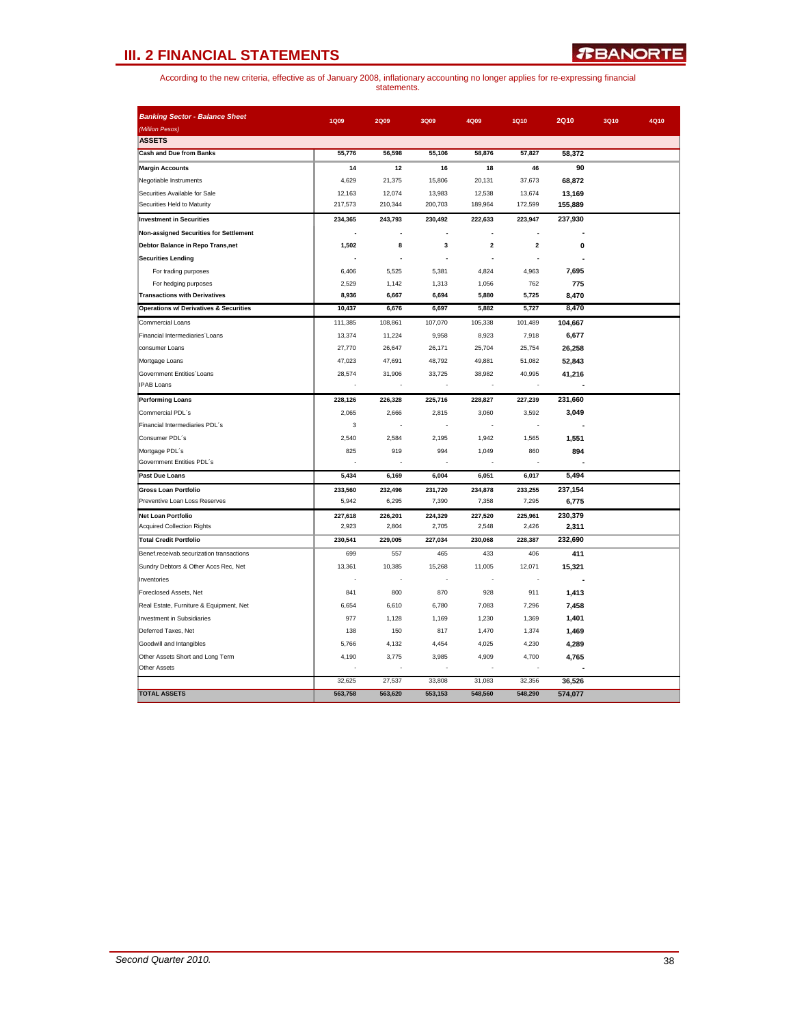| <b>Banking Sector - Balance Sheet</b>             | <b>1Q09</b> | <b>2Q09</b> | 3Q09                     | 4Q09           | <b>1Q10</b>              | <b>2Q10</b> | <b>3Q10</b> | 4Q10 |
|---------------------------------------------------|-------------|-------------|--------------------------|----------------|--------------------------|-------------|-------------|------|
| (Million Pesos)                                   |             |             |                          |                |                          |             |             |      |
| <b>ASSETS</b>                                     |             |             |                          |                |                          |             |             |      |
| <b>Cash and Due from Banks</b>                    | 55,776      | 56,598      | 55,106                   | 58,876         | 57,827                   | 58,372      |             |      |
| <b>Margin Accounts</b>                            | 14          | 12          | 16                       | 18             | 46                       | 90          |             |      |
| Negotiable Instruments                            | 4,629       | 21,375      | 15,806                   | 20,131         | 37,673                   | 68,872      |             |      |
| Securities Available for Sale                     | 12,163      | 12,074      | 13,983                   | 12,538         | 13,674                   | 13,169      |             |      |
| Securities Held to Maturity                       | 217,573     | 210,344     | 200,703                  | 189,964        | 172,599                  | 155,889     |             |      |
| <b>Investment in Securities</b>                   | 234,365     | 243,793     | 230,492                  | 222,633        | 223,947                  | 237,930     |             |      |
| Non-assigned Securities for Settlement            |             |             |                          |                |                          |             |             |      |
| Debtor Balance in Repo Trans, net                 | 1,502       | 8           | 3                        | $\overline{2}$ | $\overline{\mathbf{2}}$  | 0           |             |      |
| <b>Securities Lending</b>                         |             |             |                          |                | ÷,                       |             |             |      |
| For trading purposes                              | 6,406       | 5,525       | 5,381                    | 4,824          | 4,963                    | 7,695       |             |      |
| For hedging purposes                              | 2,529       | 1,142       | 1,313                    | 1,056          | 762                      | 775         |             |      |
| <b>Transactions with Derivatives</b>              | 8,936       | 6,667       | 6,694                    | 5,880          | 5,725                    | 8,470       |             |      |
| <b>Operations w/ Derivatives &amp; Securities</b> | 10,437      | 6,676       | 6,697                    | 5,882          | 5,727                    | 8,470       |             |      |
| <b>Commercial Loans</b>                           | 111,385     | 108,861     | 107,070                  | 105,338        | 101,489                  | 104,667     |             |      |
| Financial Intermediaries Loans                    | 13,374      | 11,224      | 9,958                    | 8,923          | 7,918                    | 6,677       |             |      |
| consumer Loans                                    | 27,770      | 26,647      | 26,171                   | 25,704         | 25,754                   | 26,258      |             |      |
| Mortgage Loans                                    | 47,023      | 47,691      | 48,792                   | 49,881         | 51,082                   | 52,843      |             |      |
| Government Entities'Loans                         | 28,574      | 31,906      | 33,725                   | 38,982         | 40,995                   | 41,216      |             |      |
| <b>IPAB Loans</b>                                 |             |             | J.                       | ä,             | $\overline{\phantom{a}}$ |             |             |      |
| <b>Performing Loans</b>                           | 228,126     | 226,328     | 225,716                  | 228,827        | 227,239                  | 231,660     |             |      |
| Commercial PDL's                                  | 2,065       | 2,666       | 2,815                    | 3,060          | 3,592                    | 3,049       |             |      |
| Financial Intermediaries PDL's                    | 3           | ÷           | $\overline{\phantom{a}}$ |                | ÷,                       |             |             |      |
| Consumer PDL's                                    | 2,540       | 2,584       | 2,195                    | 1,942          | 1,565                    | 1,551       |             |      |
| Mortgage PDL's                                    | 825         | 919         | 994                      | 1,049          | 860                      | 894         |             |      |
| Government Entities PDL's                         |             |             |                          |                |                          |             |             |      |
| Past Due Loans                                    | 5,434       | 6,169       | 6,004                    | 6,051          | 6,017                    | 5,494       |             |      |
| <b>Gross Loan Portfolio</b>                       | 233,560     | 232,496     | 231,720                  | 234,878        | 233,255                  | 237,154     |             |      |
| Preventive Loan Loss Reserves                     | 5,942       | 6,295       | 7,390                    | 7,358          | 7,295                    | 6,775       |             |      |
| Net Loan Portfolio                                | 227,618     | 226,201     | 224,329                  | 227,520        | 225,961                  | 230,379     |             |      |
| Acquired Collection Rights                        | 2,923       | 2,804       | 2,705                    | 2,548          | 2,426                    | 2,311       |             |      |
| <b>Total Credit Portfolio</b>                     | 230,541     | 229,005     | 227,034                  | 230,068        | 228,387                  | 232,690     |             |      |
| Benef.receivab.securization transactions          | 699         | 557         | 465                      | 433            | 406                      | 411         |             |      |
| Sundry Debtors & Other Accs Rec, Net              | 13,361      | 10,385      | 15,268                   | 11,005         | 12,071                   | 15,321      |             |      |
| Inventories                                       |             |             |                          |                |                          |             |             |      |
| Foreclosed Assets, Net                            | 841         | 800         | 870                      | 928            | 911                      | 1,413       |             |      |
| Real Estate, Furniture & Equipment, Net           | 6,654       | 6,610       | 6,780                    | 7,083          | 7,296                    | 7,458       |             |      |
| <b>Investment in Subsidiaries</b>                 | 977         | 1,128       | 1,169                    | 1,230          | 1,369                    | 1,401       |             |      |
| Deferred Taxes, Net                               | 138         | 150         | 817                      | 1,470          | 1,374                    | 1,469       |             |      |
| Goodwill and Intangibles                          | 5,766       | 4,132       | 4,454                    | 4,025          | 4,230                    | 4,289       |             |      |
| Other Assets Short and Long Term                  | 4,190       | 3,775       | 3,985                    | 4,909          | 4,700                    | 4,765       |             |      |
| <b>Other Assets</b>                               |             |             |                          |                |                          |             |             |      |
|                                                   | 32,625      | 27,537      | 33,808                   | 31,083         | 32,356                   | 36,526      |             |      |
| <b>TOTAL ASSETS</b>                               | 563,758     | 563,620     | 553,153                  | 548,560        | 548,290                  | 574,077     |             |      |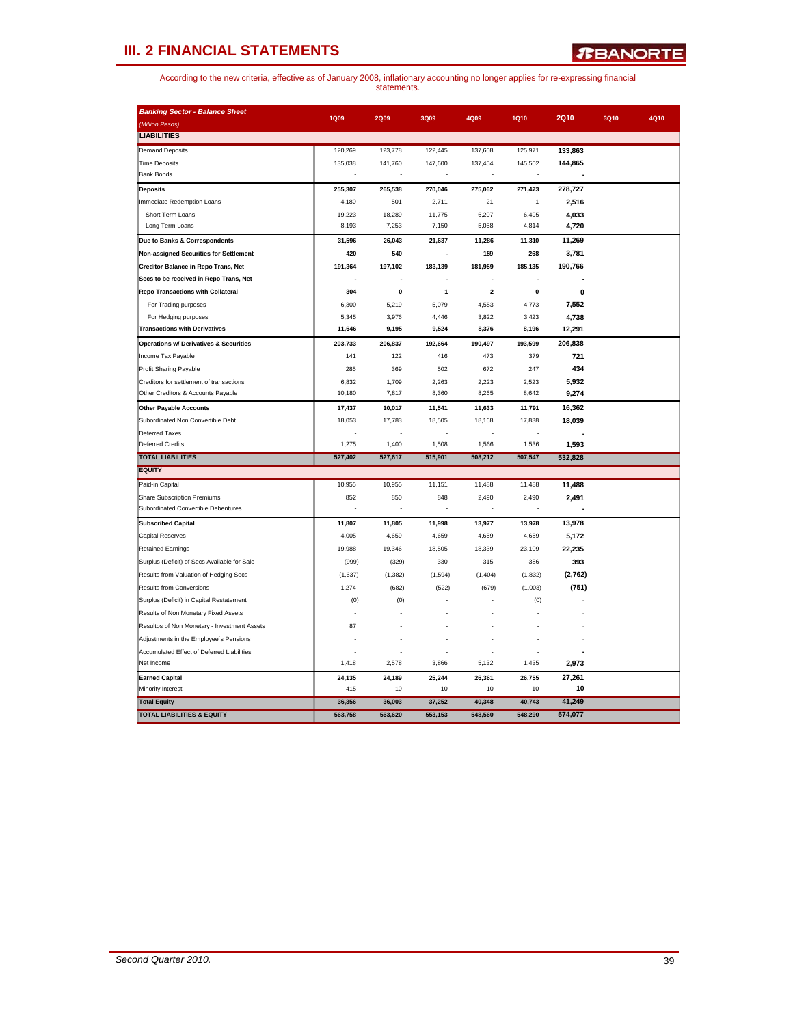| <b>Banking Sector - Balance Sheet</b>                                          |                 |                |                |                         |              |                |             |      |
|--------------------------------------------------------------------------------|-----------------|----------------|----------------|-------------------------|--------------|----------------|-------------|------|
| (Million Pesos)                                                                | <b>1Q09</b>     | <b>2Q09</b>    | <b>3Q09</b>    | 4Q09                    | <b>1Q10</b>  | <b>2Q10</b>    | <b>3Q10</b> | 4Q10 |
| <b>LIABILITIES</b>                                                             |                 |                |                |                         |              |                |             |      |
| Demand Deposits                                                                | 120,269         | 123,778        | 122,445        | 137,608                 | 125,971      | 133,863        |             |      |
| Time Deposits                                                                  | 135,038         | 141,760        | 147,600        | 137,454                 | 145,502      | 144,865        |             |      |
| <b>Bank Bonds</b>                                                              |                 |                |                |                         |              |                |             |      |
| <b>Deposits</b>                                                                | 255,307         | 265,538        | 270,046        | 275,062                 | 271,473      | 278,727        |             |      |
| Immediate Redemption Loans                                                     | 4,180           | 501            | 2,711          | 21                      | $\mathbf{1}$ | 2,516          |             |      |
| Short Term Loans                                                               | 19,223          | 18,289         | 11,775         | 6,207                   | 6,495        | 4,033          |             |      |
| Long Term Loans                                                                | 8,193           | 7,253          | 7,150          | 5,058                   | 4,814        | 4,720          |             |      |
| Due to Banks & Correspondents                                                  | 31,596          | 26,043         | 21,637         | 11,286                  | 11,310       | 11,269         |             |      |
| Non-assigned Securities for Settlement                                         | 420             | 540            |                | 159                     | 268          | 3,781          |             |      |
| Creditor Balance in Repo Trans, Net                                            | 191,364         | 197,102        | 183,139        | 181,959                 | 185,135      | 190,766        |             |      |
| Secs to be received in Repo Trans, Net                                         |                 |                |                |                         |              |                |             |      |
| <b>Repo Transactions with Collateral</b>                                       | 304             | $\pmb{0}$      | 1              | $\overline{\mathbf{2}}$ | $\pmb{0}$    | $\pmb{0}$      |             |      |
| For Trading purposes                                                           | 6,300           | 5,219          | 5,079          | 4,553                   | 4,773        |                |             |      |
| For Hedging purposes                                                           | 5,345           | 3,976          | 4,446          | 3,822                   | 3,423        | 7,552<br>4,738 |             |      |
| <b>Transactions with Derivatives</b>                                           | 11,646          | 9,195          | 9,524          | 8,376                   | 8,196        | 12,291         |             |      |
|                                                                                |                 |                |                |                         |              |                |             |      |
| <b>Operations w/ Derivatives &amp; Securities</b>                              | 203,733         | 206,837        | 192,664        | 190,497                 | 193,599      | 206,838        |             |      |
| Income Tax Payable                                                             | 141             | 122            | 416            | 473                     | 379          | 721            |             |      |
| Profit Sharing Payable                                                         | 285             | 369            | 502            | 672                     | 247          | 434            |             |      |
| Creditors for settlement of transactions<br>Other Creditors & Accounts Payable | 6,832<br>10,180 | 1,709<br>7,817 | 2,263<br>8,360 | 2,223                   | 2,523        | 5,932          |             |      |
|                                                                                |                 |                |                | 8,265                   | 8,642        | 9,274          |             |      |
| <b>Other Payable Accounts</b>                                                  | 17,437          | 10,017         | 11,541         | 11,633                  | 11,791       | 16,362         |             |      |
| Subordinated Non Convertible Debt                                              | 18,053          | 17,783         | 18,505         | 18,168                  | 17,838       | 18,039         |             |      |
| Deferred Taxes                                                                 |                 |                |                |                         |              |                |             |      |
| Deferred Credits                                                               | 1,275           | 1,400          | 1,508          | 1,566                   | 1,536        | 1,593          |             |      |
| <b>TOTAL LIABILITIES</b>                                                       | 527,402         | 527,617        | 515,901        | 508,212                 | 507,547      | 532,828        |             |      |
| <b>EQUITY</b>                                                                  |                 |                |                |                         |              |                |             |      |
| Paid-in Capital                                                                | 10,955          | 10,955         | 11,151         | 11,488                  | 11,488       | 11,488         |             |      |
| Share Subscription Premiums                                                    | 852             | 850            | 848            | 2,490                   | 2,490        | 2,491          |             |      |
| Subordinated Convertible Debentures                                            |                 |                |                |                         |              |                |             |      |
| <b>Subscribed Capital</b>                                                      | 11,807          | 11,805         | 11,998         | 13,977                  | 13,978       | 13,978         |             |      |
| Capital Reserves                                                               | 4,005           | 4,659          | 4,659          | 4,659                   | 4,659        | 5,172          |             |      |
| <b>Retained Earnings</b>                                                       | 19,988          | 19,346         | 18,505         | 18,339                  | 23,109       | 22,235         |             |      |
| Surplus (Deficit) of Secs Available for Sale                                   | (999)           | (329)          | 330            | 315                     | 386          | 393            |             |      |
| Results from Valuation of Hedging Secs                                         | (1,637)         | (1, 382)       | (1, 594)       | (1,404)                 | (1,832)      | (2,762)        |             |      |
| Results from Conversions                                                       | 1,274           | (682)          | (522)          | (679)                   | (1,003)      | (751)          |             |      |
| Surplus (Deficit) in Capital Restatement                                       | (0)             | (0)            |                |                         | (0)          |                |             |      |
| Results of Non Monetary Fixed Assets                                           |                 |                |                |                         |              |                |             |      |
| Resultos of Non Monetary - Investment Assets                                   | 87              |                |                |                         |              |                |             |      |
| Adjustments in the Employee's Pensions                                         |                 |                |                |                         |              |                |             |      |
| Accumulated Effect of Deferred Liabilities                                     |                 |                |                |                         |              |                |             |      |
| Net Income                                                                     | 1,418           | 2,578          | 3,866          | 5,132                   | 1,435        | 2,973          |             |      |
| <b>Earned Capital</b>                                                          | 24,135          | 24,189         | 25,244         | 26,361                  | 26,755       | 27,261         |             |      |
| Minority Interest                                                              | 415             | 10             | 10             | 10                      | 10           | 10             |             |      |
| <b>Total Equity</b>                                                            | 36,356          | 36,003         | 37,252         | 40,348                  | 40,743       | 41,249         |             |      |
| <b>TOTAL LIABILITIES &amp; EQUITY</b>                                          | 563,758         | 563,620        | 553,153        | 548,560                 | 548,290      | 574,077        |             |      |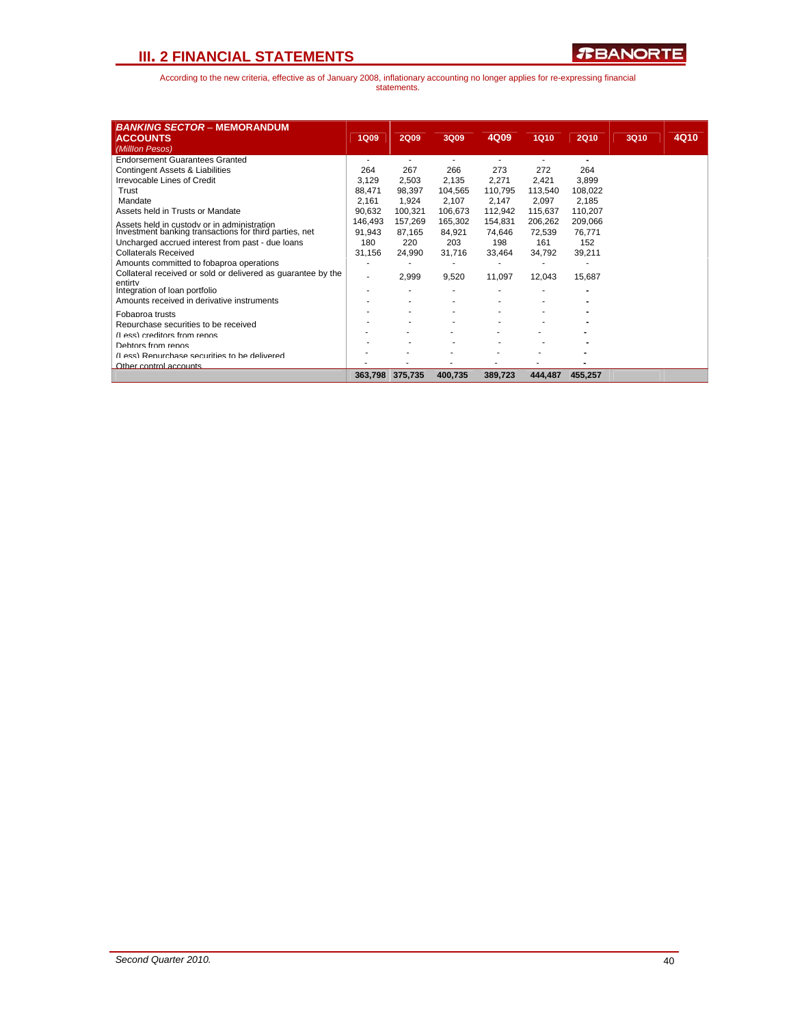| <b>BANKING SECTOR - MEMORANDUM</b><br><b>ACCOUNTS</b><br>(Milllon Pesos) | <b>1Q09</b> | <b>2Q09</b> | 3Q09                     | 4Q09    | <b>1Q10</b> | <b>2Q10</b> | 3Q10 | 4Q10 |
|--------------------------------------------------------------------------|-------------|-------------|--------------------------|---------|-------------|-------------|------|------|
| <b>Endorsement Guarantees Granted</b>                                    | ٠           | ٠           | $\overline{\phantom{a}}$ |         | ٠           |             |      |      |
| Contingent Assets & Liabilities                                          | 264         | 267         | 266                      | 273     | 272         | 264         |      |      |
| <b>Irrevocable Lines of Credit</b>                                       | 3,129       | 2,503       | 2,135                    | 2,271   | 2,421       | 3,899       |      |      |
| Trust                                                                    | 88,471      | 98,397      | 104,565                  | 110,795 | 113,540     | 108,022     |      |      |
| Mandate                                                                  | 2,161       | 1,924       | 2,107                    | 2,147   | 2,097       | 2,185       |      |      |
| Assets held in Trusts or Mandate                                         | 90.632      | 100,321     | 106,673                  | 112,942 | 115,637     | 110,207     |      |      |
| Assets held in custody or in administration                              | 146.493     | 157,269     | 165,302                  | 154,831 | 206,262     | 209,066     |      |      |
| Investment banking transactions for third parties, net                   | 91,943      | 87,165      | 84,921                   | 74,646  | 72,539      | 76,771      |      |      |
| Uncharged accrued interest from past - due loans                         | 180         | 220         | 203                      | 198     | 161         | 152         |      |      |
| <b>Collaterals Received</b>                                              | 31,156      | 24,990      | 31,716                   | 33,464  | 34,792      | 39,211      |      |      |
| Amounts committed to fobaproa operations                                 |             |             |                          |         |             |             |      |      |
| Collateral received or sold or delivered as guarantee by the<br>entirty  | ٠           | 2,999       | 9,520                    | 11,097  | 12,043      | 15,687      |      |      |
| Integration of loan portfolio                                            |             |             |                          |         |             |             |      |      |
| Amounts received in derivative instruments                               |             |             |                          |         |             |             |      |      |
| Fobaproa trusts                                                          |             |             |                          |         |             |             |      |      |
| Repurchase securities to be received                                     |             |             |                          |         |             |             |      |      |
| (Less) creditors from repos                                              |             |             |                          |         |             |             |      |      |
| Debtors from repos                                                       |             |             |                          |         |             |             |      |      |
| (Less) Repurchase securities to be delivered                             |             |             |                          |         |             |             |      |      |
| Other control accounts                                                   |             |             |                          |         |             |             |      |      |
|                                                                          | 363,798     | 375,735     | 400,735                  | 389,723 | 444,487     | 455,257     |      |      |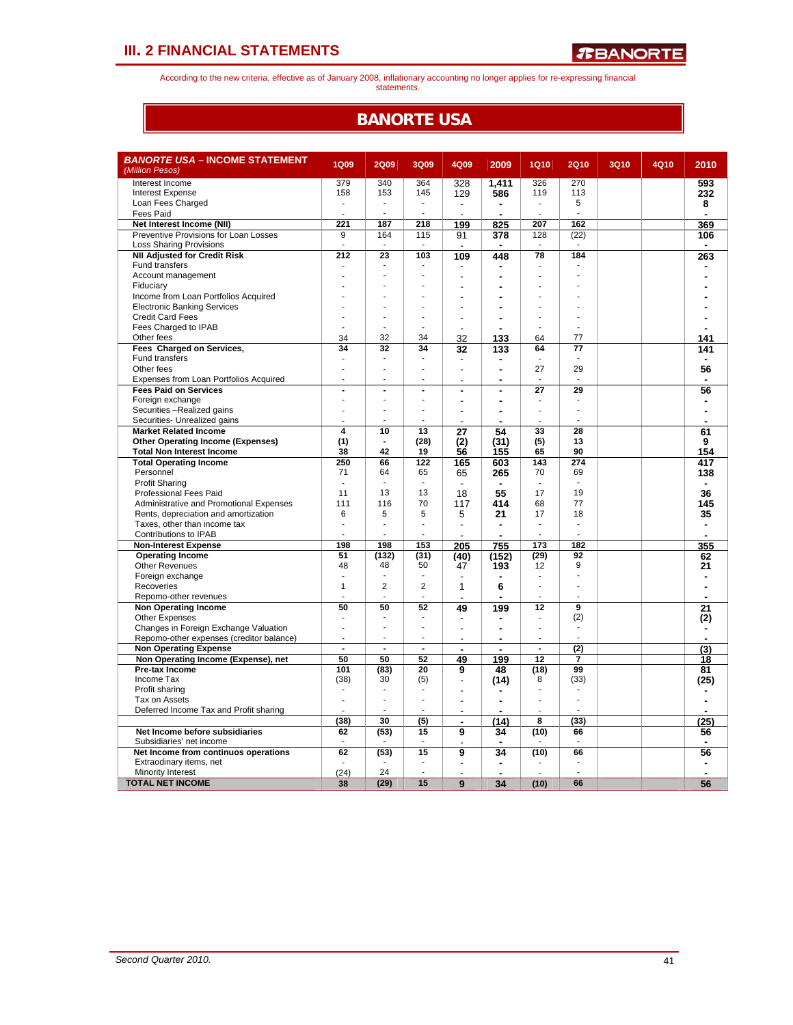According to the new criteria, effective as of January 2008, inflationary accounting no longer applies for re-expressing financial statements.

### **BANORTE USA**

| <b>BANORTE USA - INCOME STATEMENT</b><br>(Million Pesos) | <b>1Q09</b>    | <b>2Q09</b>    | <b>3Q09</b>              | 4Q09                     | 2009             | <b>1Q10</b>    | <b>2Q10</b>    | 3Q10 | 4Q10 | 2010           |
|----------------------------------------------------------|----------------|----------------|--------------------------|--------------------------|------------------|----------------|----------------|------|------|----------------|
| Interest Income                                          | 379            | 340            | 364                      | 328                      | 1.411            | 326            | 270            |      |      | 593            |
| <b>Interest Expense</b>                                  | 158            | 153            | 145                      | 129                      | 586              | 119            | 113            |      |      | 232            |
| Loan Fees Charged                                        | $\overline{a}$ | $\overline{a}$ | $\overline{\phantom{a}}$ |                          |                  |                | 5              |      |      | 8              |
| <b>Fees Paid</b>                                         |                |                |                          |                          |                  |                |                |      |      |                |
| Net Interest Income (NII)                                | 221            | 187            | 218                      | 199                      | 825              | 207            | 162            |      |      | 369            |
| Preventive Provisions for Loan Losses                    | 9              | 164            | 115                      | 91                       | 378              | 128            | (22)           |      |      | 106            |
| <b>Loss Sharing Provisions</b>                           |                |                | ÷.                       |                          |                  |                |                |      |      |                |
| <b>NII Adjusted for Credit Risk</b>                      | 212            | 23             | 103                      | 109                      | 448              | 78             | 184            |      |      | 263            |
| Fund transfers                                           |                |                |                          |                          |                  |                |                |      |      |                |
| Account management                                       |                |                |                          |                          |                  |                |                |      |      |                |
| Fiduciary                                                |                |                |                          |                          |                  |                |                |      |      |                |
| Income from Loan Portfolios Acquired                     |                |                |                          |                          |                  |                |                |      |      |                |
| <b>Electronic Banking Services</b>                       |                | ÷.             | ÷.                       |                          |                  |                |                |      |      |                |
| <b>Credit Card Fees</b>                                  |                |                |                          |                          | ٠                |                |                |      |      |                |
| Fees Charged to IPAB                                     |                |                |                          |                          |                  |                |                |      |      |                |
| Other fees                                               | 34             | 32             | 34                       | 32                       | 133              | 64             | 77             |      |      | 141            |
| Fees Charged on Services,                                | 34             | 32             | 34                       | 32                       | 133              | 64             | 77             |      |      | 141            |
| <b>Fund transfers</b>                                    |                |                |                          |                          |                  |                |                |      |      |                |
| Other fees                                               |                | ÷.             | J.                       |                          | ÷                | 27             | 29             |      |      | 56             |
| Expenses from Loan Portfolios Acquired                   |                |                | ÷                        |                          |                  |                | ÷              |      |      |                |
| <b>Fees Paid on Services</b>                             | $\overline{a}$ | ÷,             | ÷,                       | ä,                       | $\blacksquare$   | 27             | 29             |      |      | 56             |
| Foreign exchange                                         |                |                |                          |                          |                  |                |                |      |      |                |
| Securities -Realized gains                               |                |                |                          |                          |                  |                |                |      |      |                |
| Securities- Unrealized gains                             |                |                |                          |                          |                  |                |                |      |      |                |
| <b>Market Related Income</b>                             | 4              | 10             | 13                       | 27                       | 54               | 33             | 28             |      |      | 61             |
| <b>Other Operating Income (Expenses)</b>                 | (1)            |                | (28)                     | (2)                      | (31)             | (5)            | 13             |      |      | 9              |
| <b>Total Non Interest Income</b>                         | 38             | 42             | 19                       | 56                       | 155              | 65             | 90             |      |      | 154            |
| <b>Total Operating Income</b>                            | 250            | 66             | 122                      | 165                      | 603              | 143            | 274            |      |      | 417            |
| Personnel                                                | 71             | 64             | 65                       | 65                       | 265              | 70             | 69             |      |      | 138            |
| <b>Profit Sharing</b>                                    |                |                | ÷,                       |                          |                  |                | ÷,             |      |      |                |
| <b>Professional Fees Paid</b>                            | 11             | 13             | 13                       | 18                       | 55               | 17             | 19             |      |      | 36             |
| Administrative and Promotional Expenses                  | 111            | 116            | 70                       | 117                      | 414              | 68             | 77             |      |      | 145            |
| Rents, depreciation and amortization                     | 6              | 5              | 5                        | 5                        | 21               | 17             | 18<br>÷,       |      |      | 35             |
| Taxes, other than income tax                             | $\overline{a}$ |                | ÷,                       | $\overline{\phantom{a}}$ | ٠                | ÷              | ÷,             |      |      | $\blacksquare$ |
| Contributions to IPAB                                    |                |                |                          |                          |                  |                |                |      |      |                |
| <b>Non-Interest Expense</b><br><b>Operating Income</b>   | 198<br>51      | 198            | 153                      | 205                      | $\overline{755}$ | 173<br>(29)    | 182<br>92      |      |      | 355            |
| <b>Other Revenues</b>                                    | 48             | (132)<br>48    | (31)<br>50               | (40)<br>47               | (152)<br>193     | 12             | 9              |      |      | 62<br>21       |
| Foreign exchange                                         | $\blacksquare$ |                |                          |                          |                  |                |                |      |      |                |
| Recoveries                                               | $\mathbf{1}$   | 2              | $\overline{2}$           | 1                        | 6                | ÷.             |                |      |      |                |
| Repomo-other revenues                                    |                |                |                          |                          |                  |                |                |      |      |                |
| <b>Non Operating Income</b>                              | 50             | 50             | 52                       | 49                       | 199              | 12             | 9              |      |      | 21             |
| <b>Other Expenses</b>                                    |                |                |                          |                          |                  |                | (2)            |      |      | (2)            |
| Changes in Foreign Exchange Valuation                    | ÷.             | $\overline{a}$ | ÷,                       |                          | ÷                | ÷.             | ٠              |      |      |                |
| Repomo-other expenses (creditor balance)                 |                |                |                          |                          |                  |                |                |      |      |                |
| <b>Non Operating Expense</b>                             | $\blacksquare$ | $\blacksquare$ | $\blacksquare$           | $\blacksquare$           | $\blacksquare$   | $\blacksquare$ | (2)            |      |      | (3)            |
| Non Operating Income (Expense), net                      | 50             | 50             | 52                       | 49                       | 199              | 12             | 7              |      |      | 18             |
| Pre-tax Income                                           | 101            | (83)           | 20                       | 9                        | 48               | (18)           | 99             |      |      | 81             |
| Income Tax                                               | (38)           | 30             | (5)                      |                          | (14)             | 8              | (33)           |      |      | (25)           |
| Profit sharing                                           |                |                |                          |                          |                  |                | $\blacksquare$ |      |      |                |
| Tax on Assets                                            |                |                |                          |                          | ٠                |                |                |      |      |                |
| Deferred Income Tax and Profit sharing                   |                |                |                          | $\overline{\phantom{a}}$ |                  |                |                |      |      |                |
|                                                          | (38)           | 30             | (5)                      |                          | (14)             | 8              | (33)           |      |      | (25            |
| Net Income before subsidiaries                           | 62             | (53)           | 15                       | 9                        | 34               | (10)           | 66             |      |      | 56             |
| Subsidiaries' net income                                 |                |                |                          |                          |                  |                | ÷              |      |      |                |
| Net Income from continuos operations                     | 62             | (53)           | 15                       | 9                        | 34               | (10)           | 66             |      |      | 56             |
| Extraodinary items, net                                  |                |                |                          |                          |                  |                |                |      |      |                |
| Minority Interest                                        | (24)           | 24             |                          |                          | $\blacksquare$   |                |                |      |      | $\blacksquare$ |
| <b>TOTAL NET INCOME</b>                                  | 38             | (29)           | 15                       | 9                        | 34               | (10)           | 66             |      |      | 56             |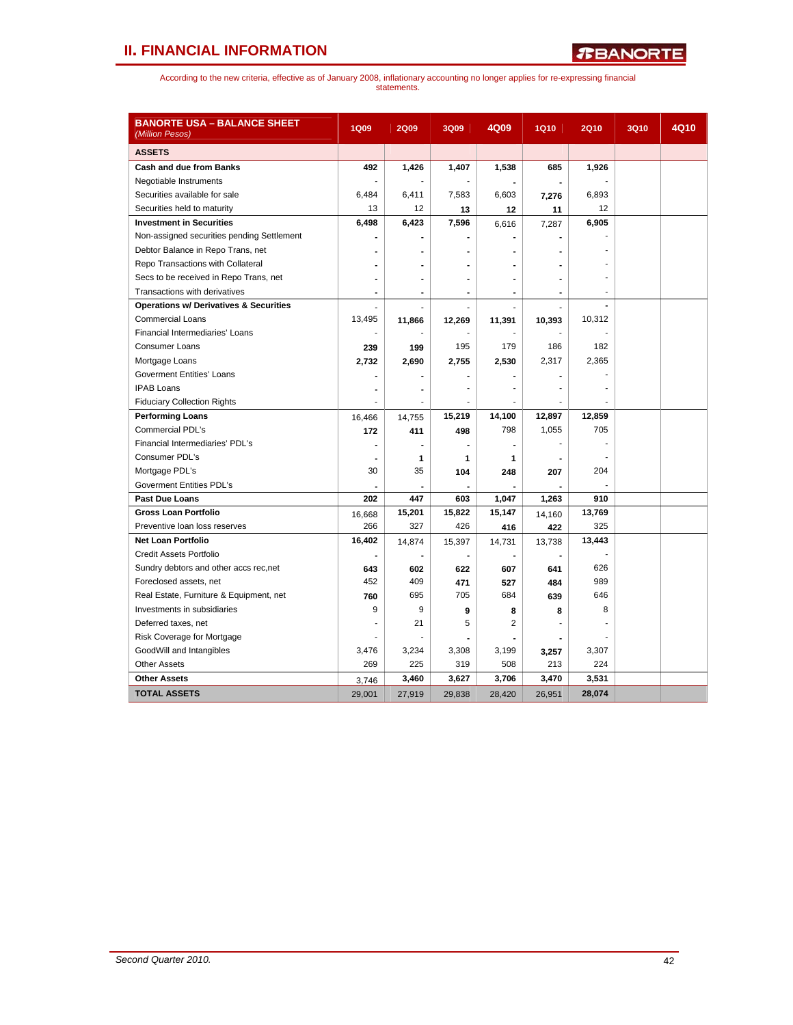## **II. FINANCIAL INFORMATION**

| <b>BANORTE USA – BALANCE SHEET</b><br>(Million Pesos) | <b>1Q09</b> | <b>2Q09</b>              | 3Q09           | 4Q09           | <b>1Q10</b> | <b>2Q10</b> | <b>3Q10</b> | 4Q10 |
|-------------------------------------------------------|-------------|--------------------------|----------------|----------------|-------------|-------------|-------------|------|
| <b>ASSETS</b>                                         |             |                          |                |                |             |             |             |      |
| <b>Cash and due from Banks</b>                        | 492         | 1,426                    | 1,407          | 1,538          | 685         | 1,926       |             |      |
| Negotiable Instruments                                |             |                          |                |                |             |             |             |      |
| Securities available for sale                         | 6,484       | 6,411                    | 7,583          | 6,603          | 7,276       | 6,893       |             |      |
| Securities held to maturity                           | 13          | 12                       | 13             | 12             | 11          | 12          |             |      |
| <b>Investment in Securities</b>                       | 6,498       | 6,423                    | 7,596          | 6,616          | 7,287       | 6,905       |             |      |
| Non-assigned securities pending Settlement            |             |                          |                |                |             |             |             |      |
| Debtor Balance in Repo Trans, net                     |             |                          |                |                |             |             |             |      |
| Repo Transactions with Collateral                     |             |                          |                |                |             |             |             |      |
| Secs to be received in Repo Trans, net                |             |                          |                |                |             |             |             |      |
| Transactions with derivatives                         | ۰           |                          |                | ۰              |             |             |             |      |
| <b>Operations w/ Derivatives &amp; Securities</b>     |             |                          |                |                |             |             |             |      |
| <b>Commercial Loans</b>                               | 13,495      | 11,866                   | 12,269         | 11,391         | 10,393      | 10,312      |             |      |
| Financial Intermediaries' Loans                       |             |                          |                |                |             |             |             |      |
| Consumer Loans                                        | 239         | 199                      | 195            | 179            | 186         | 182         |             |      |
| Mortgage Loans                                        | 2,732       | 2,690                    | 2,755          | 2,530          | 2,317       | 2,365       |             |      |
| <b>Goverment Entities' Loans</b>                      |             |                          |                |                |             |             |             |      |
| <b>IPAB Loans</b>                                     |             | $\blacksquare$           | ٠              | ۰              |             |             |             |      |
| <b>Fiduciary Collection Rights</b>                    |             |                          |                |                |             |             |             |      |
| <b>Performing Loans</b>                               | 16,466      | 14,755                   | 15,219         | 14,100         | 12,897      | 12,859      |             |      |
| <b>Commercial PDL's</b>                               | 172         | 411                      | 498            | 798            | 1,055       | 705         |             |      |
| Financial Intermediaries' PDL's                       |             | $\blacksquare$           | $\blacksquare$ | $\blacksquare$ |             |             |             |      |
| Consumer PDL's                                        |             | 1                        | 1              | 1              |             |             |             |      |
| Mortgage PDL's                                        | 30          | 35                       | 104            | 248            | 207         | 204         |             |      |
| <b>Goverment Entities PDL's</b>                       |             |                          |                |                |             |             |             |      |
| <b>Past Due Loans</b>                                 | 202         | 447                      | 603            | 1,047          | 1,263       | 910         |             |      |
| <b>Gross Loan Portfolio</b>                           | 16,668      | 15,201                   | 15,822         | 15,147         | 14,160      | 13,769      |             |      |
| Preventive loan loss reserves                         | 266         | 327                      | 426            | 416            | 422         | 325         |             |      |
| <b>Net Loan Portfolio</b>                             | 16,402      | 14,874                   | 15,397         | 14,731         | 13,738      | 13,443      |             |      |
| <b>Credit Assets Portfolio</b>                        |             | $\overline{\phantom{a}}$ |                | $\blacksquare$ |             |             |             |      |
| Sundry debtors and other accs rec, net                | 643         | 602                      | 622            | 607            | 641         | 626         |             |      |
| Foreclosed assets, net                                | 452         | 409                      | 471            | 527            | 484         | 989         |             |      |
| Real Estate, Furniture & Equipment, net               | 760         | 695                      | 705            | 684            | 639         | 646         |             |      |
| Investments in subsidiaries                           | 9           | 9                        | 9              | 8              | 8           | 8           |             |      |
| Deferred taxes, net                                   |             | 21                       | 5              | 2              |             |             |             |      |
| Risk Coverage for Mortgage                            |             |                          |                |                |             |             |             |      |
| GoodWill and Intangibles                              | 3,476       | 3,234                    | 3,308          | 3,199          | 3,257       | 3,307       |             |      |
| <b>Other Assets</b>                                   | 269         | 225                      | 319            | 508            | 213         | 224         |             |      |
| <b>Other Assets</b>                                   | 3,746       | 3,460                    | 3,627          | 3,706          | 3,470       | 3,531       |             |      |
| <b>TOTAL ASSETS</b>                                   | 29.001      | 27,919                   | 29.838         | 28,420         | 26,951      | 28,074      |             |      |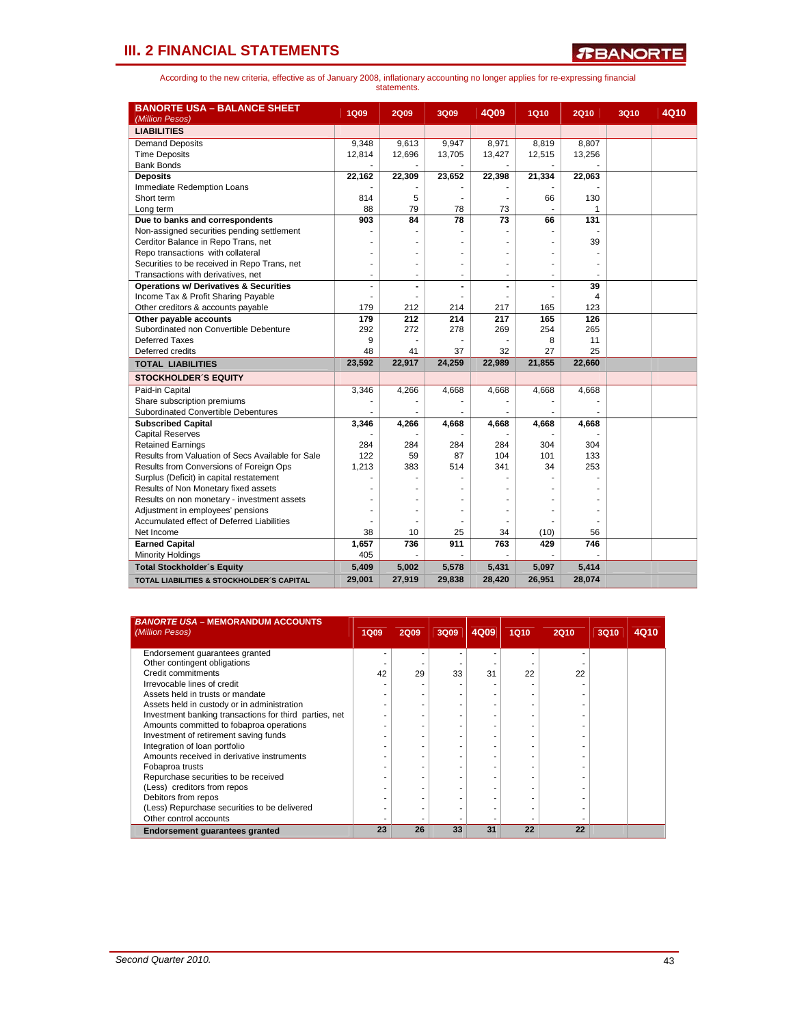*T***BANORTE** 

| <b>BANORTE USA - BALANCE SHEET</b>                   | <b>1Q09</b>    | <b>2Q09</b>    | 3Q09           | 4Q09           | 1Q10   | <b>2Q10</b> | <b>3Q10</b> | 4Q10 |
|------------------------------------------------------|----------------|----------------|----------------|----------------|--------|-------------|-------------|------|
| (Million Pesos)                                      |                |                |                |                |        |             |             |      |
| <b>LIABILITIES</b>                                   |                |                |                |                |        |             |             |      |
| <b>Demand Deposits</b>                               | 9,348          | 9,613          | 9,947          | 8,971          | 8,819  | 8,807       |             |      |
| <b>Time Deposits</b>                                 | 12,814         | 12,696         | 13,705         | 13,427         | 12,515 | 13,256      |             |      |
| <b>Bank Bonds</b>                                    |                |                |                |                |        |             |             |      |
| <b>Deposits</b>                                      | 22,162         | 22,309         | 23,652         | 22,398         | 21,334 | 22,063      |             |      |
| Immediate Redemption Loans                           |                |                |                |                |        |             |             |      |
| Short term                                           | 814            | 5              |                |                | 66     | 130         |             |      |
| Long term                                            | 88             | 79             | 78             | 73             |        | 1           |             |      |
| Due to banks and correspondents                      | 903            | 84             | 78             | 73             | 66     | 131         |             |      |
| Non-assigned securities pending settlement           |                |                |                |                |        |             |             |      |
| Cerditor Balance in Repo Trans, net                  |                |                |                |                |        | 39          |             |      |
| Repo transactions with collateral                    |                |                |                |                | ٠      |             |             |      |
| Securities to be received in Repo Trans, net         |                | ٠              | ٠              | ٠              | ٠      |             |             |      |
| Transactions with derivatives, net                   | $\blacksquare$ | $\blacksquare$ | $\blacksquare$ | ٠              | ٠      |             |             |      |
| <b>Operations w/ Derivatives &amp; Securities</b>    |                |                |                | $\blacksquare$ | ä,     | 39          |             |      |
| Income Tax & Profit Sharing Payable                  |                |                |                |                |        | 4           |             |      |
| Other creditors & accounts payable                   | 179            | 212            | 214            | 217            | 165    | 123         |             |      |
| Other payable accounts                               | 179            | 212            | 214            | 217            | 165    | 126         |             |      |
| Subordinated non Convertible Debenture               | 292            | 272            | 278            | 269            | 254    | 265         |             |      |
| <b>Deferred Taxes</b>                                | 9              |                |                |                | 8      | 11          |             |      |
| Deferred credits                                     | 48             | 41             | 37             | 32             | 27     | 25          |             |      |
| <b>TOTAL LIABILITIES</b>                             | 23,592         | 22,917         | 24,259         | 22,989         | 21,855 | 22,660      |             |      |
| <b>STOCKHOLDER'S EQUITY</b>                          |                |                |                |                |        |             |             |      |
| Paid-in Capital                                      | 3,346          | 4,266          | 4,668          | 4,668          | 4,668  | 4,668       |             |      |
| Share subscription premiums                          |                |                |                |                |        |             |             |      |
| Subordinated Convertible Debentures                  |                |                |                |                |        |             |             |      |
| <b>Subscribed Capital</b>                            | 3,346          | 4,266          | 4,668          | 4,668          | 4,668  | 4,668       |             |      |
| <b>Capital Reserves</b>                              |                |                |                |                |        |             |             |      |
| <b>Retained Earnings</b>                             | 284            | 284            | 284            | 284            | 304    | 304         |             |      |
| Results from Valuation of Secs Available for Sale    | 122            | 59             | 87             | 104            | 101    | 133         |             |      |
| Results from Conversions of Foreign Ops              | 1,213          | 383            | 514            | 341            | 34     | 253         |             |      |
| Surplus (Deficit) in capital restatement             | ÷              | ٠              |                |                |        |             |             |      |
| Results of Non Monetary fixed assets                 |                |                |                |                |        |             |             |      |
| Results on non monetary - investment assets          |                | ÷              |                |                |        |             |             |      |
| Adjustment in employees' pensions                    | ÷              | ÷              | $\overline{a}$ | ÷              | ÷      | ٠           |             |      |
| Accumulated effect of Deferred Liabilities           |                |                |                |                |        |             |             |      |
| Net Income                                           | 38             | 10             | 25             | 34             | (10)   | 56          |             |      |
| <b>Earned Capital</b>                                | 1,657          | 736            | 911            | 763            | 429    | 746         |             |      |
| <b>Minority Holdings</b>                             | 405            |                |                |                |        |             |             |      |
| <b>Total Stockholder's Equity</b>                    | 5,409          | 5,002          | 5,578          | 5,431          | 5,097  | 5,414       |             |      |
| <b>TOTAL LIABILITIES &amp; STOCKHOLDER'S CAPITAL</b> | 29,001         | 27,919         | 29,838         | 28,420         | 26,951 | 28,074      |             |      |

| <b>BANORTE USA - MEMORANDUM ACCOUNTS</b><br>(Million Pesos) | <b>1Q09</b> | <b>2Q09</b> | 3Q09 | 4Q09 | 1Q10 | <b>2Q10</b> | 3Q10 | 4Q10 |
|-------------------------------------------------------------|-------------|-------------|------|------|------|-------------|------|------|
| Endorsement quarantees granted                              |             |             |      |      |      |             |      |      |
| Other contingent obligations                                |             |             |      |      |      |             |      |      |
| Credit commitments                                          | 42          | 29          | 33   | 31   | 22   | 22          |      |      |
| Irrevocable lines of credit                                 |             |             |      |      |      |             |      |      |
| Assets held in trusts or mandate                            |             |             |      |      |      |             |      |      |
| Assets held in custody or in administration                 |             |             |      |      |      |             |      |      |
| Investment banking transactions for third parties, net      |             |             |      |      |      |             |      |      |
| Amounts committed to fobaproa operations                    |             |             |      |      |      |             |      |      |
| Investment of retirement saving funds                       |             |             |      |      |      |             |      |      |
| Integration of loan portfolio                               |             |             |      |      |      |             |      |      |
| Amounts received in derivative instruments                  |             |             |      |      |      |             |      |      |
| Fobaproa trusts                                             |             |             |      |      |      |             |      |      |
| Repurchase securities to be received                        |             |             |      |      |      |             |      |      |
| (Less) creditors from repos                                 |             |             |      |      |      |             |      |      |
| Debitors from repos                                         |             |             |      |      |      |             |      |      |
| (Less) Repurchase securities to be delivered                |             |             |      |      |      |             |      |      |
| Other control accounts                                      |             |             |      |      |      |             |      |      |
| Endorsement guarantees granted                              | 23          | 26          | 33   | 31   | 22   | 22          |      |      |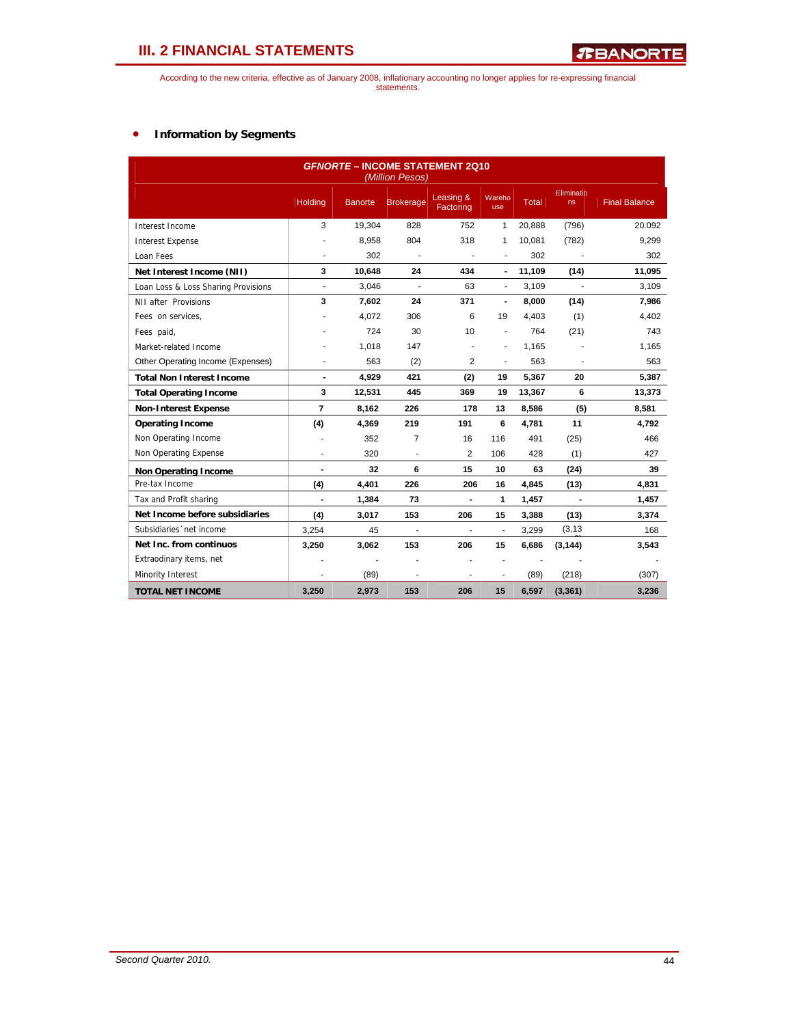According to the new criteria, effective as of January 2008, inflationary accounting no longer applies for re-expressing financial statements.

### • **Information by Segments**

| <b>GFNORTE - INCOME STATEMENT 2Q10</b><br>(Million Pesos) |                          |                |                          |                        |                          |              |                  |                      |  |  |  |  |
|-----------------------------------------------------------|--------------------------|----------------|--------------------------|------------------------|--------------------------|--------------|------------------|----------------------|--|--|--|--|
|                                                           | Holding                  | <b>Banorte</b> | <b>Brokerage</b>         | Leasing &<br>Factoring | Wareho<br>use            | <b>Total</b> | Eliminatio<br>ns | <b>Final Balance</b> |  |  |  |  |
| Interest Income                                           | 3                        | 19,304         | 828                      | 752                    | 1                        | 20,888       | (796)            | 20.092               |  |  |  |  |
| <b>Interest Expense</b>                                   |                          | 8,958          | 804                      | 318                    | 1                        | 10,081       | (782)            | 9.299                |  |  |  |  |
| Loan Fees                                                 |                          | 302            |                          |                        | $\blacksquare$           | 302          |                  | 302                  |  |  |  |  |
| Net Interest Income (NII)                                 | 3                        | 10,648         | 24                       | 434                    | $\blacksquare$           | 11,109       | (14)             | 11,095               |  |  |  |  |
| Loan Loss & Loss Sharing Provisions                       | ÷,                       | 3,046          | $\overline{a}$           | 63                     | $\blacksquare$           | 3,109        |                  | 3,109                |  |  |  |  |
| NII after Provisions                                      | 3                        | 7,602          | 24                       | 371                    | $\blacksquare$           | 8,000        | (14)             | 7,986                |  |  |  |  |
| Fees on services.                                         |                          | 4,072          | 306                      | 6                      | 19                       | 4,403        | (1)              | 4,402                |  |  |  |  |
| Fees paid,                                                |                          | 724            | 30                       | 10                     | $\overline{\phantom{a}}$ | 764          | (21)             | 743                  |  |  |  |  |
| Market-related Income                                     |                          | 1,018          | 147                      |                        | $\frac{1}{2}$            | 1,165        |                  | 1,165                |  |  |  |  |
| Other Operating Income (Expenses)                         |                          | 563            | (2)                      | 2                      | $\overline{\phantom{a}}$ | 563          |                  | 563                  |  |  |  |  |
| <b>Total Non Interest Income</b>                          | $\overline{\phantom{a}}$ | 4,929          | 421                      | (2)                    | 19                       | 5,367        | 20               | 5,387                |  |  |  |  |
| <b>Total Operating Income</b>                             | 3                        | 12,531         | 445                      | 369                    | 19                       | 13,367       | 6                | 13,373               |  |  |  |  |
| <b>Non-Interest Expense</b>                               | $\overline{7}$           | 8,162          | 226                      | 178                    | 13                       | 8,586        | (5)              | 8,581                |  |  |  |  |
| <b>Operating Income</b>                                   | (4)                      | 4,369          | 219                      | 191                    | 6                        | 4,781        | 11               | 4,792                |  |  |  |  |
| Non Operating Income                                      | ÷                        | 352            | $\overline{7}$           | 16                     | 116                      | 491          | (25)             | 466                  |  |  |  |  |
| Non Operating Expense                                     | ä,                       | 320            | $\overline{\phantom{a}}$ | 2                      | 106                      | 428          | (1)              | 427                  |  |  |  |  |
| <b>Non Operating Income</b>                               | Ĭ.                       | 32             | 6                        | 15                     | 10                       | 63           | (24)             | 39                   |  |  |  |  |
| Pre-tax Income                                            | (4)                      | 4,401          | 226                      | 206                    | 16                       | 4,845        | (13)             | 4,831                |  |  |  |  |
| Tax and Profit sharing                                    | $\blacksquare$           | 1,384          | 73                       | $\blacksquare$         | 1                        | 1,457        | $\blacksquare$   | 1,457                |  |  |  |  |
| Net Income before subsidiaries                            | (4)                      | 3,017          | 153                      | 206                    | 15                       | 3,388        | (13)             | 3,374                |  |  |  |  |
| Subsidiaries 'net income                                  | 3,254                    | 45             |                          | ÷,                     | ä,                       | 3,299        | (3, 13)          | 168                  |  |  |  |  |
| Net Inc. from continuos                                   | 3,250                    | 3,062          | 153                      | 206                    | 15                       | 6,686        | (3, 144)         | 3,543                |  |  |  |  |
| Extraodinary items, net                                   |                          |                |                          |                        | ٠                        |              |                  |                      |  |  |  |  |
| Minority Interest                                         | $\blacksquare$           | (89)           | ٠                        | ٠                      | $\blacksquare$           | (89)         | (218)            | (307)                |  |  |  |  |
| <b>TOTAL NET INCOME</b>                                   | 3,250                    | 2,973          | 153                      | 206                    | 15                       | 6,597        | (3, 361)         | 3,236                |  |  |  |  |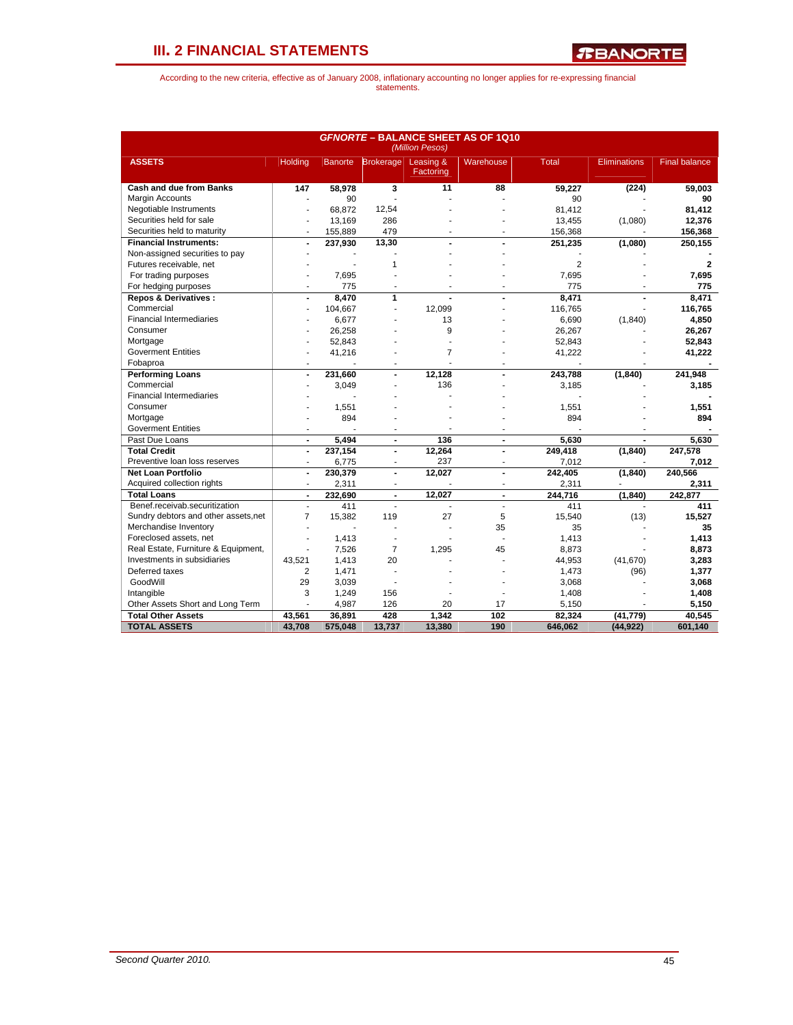*R***BANORTE** 

| <b>GFNORTE - BALANCE SHEET AS OF 1Q10</b><br>(Million Pesos) |                          |         |                             |           |                          |                |                     |                      |  |  |  |  |
|--------------------------------------------------------------|--------------------------|---------|-----------------------------|-----------|--------------------------|----------------|---------------------|----------------------|--|--|--|--|
| <b>ASSETS</b>                                                | Holding                  |         | Banorte Brokerage Leasing & | Factoring | Warehouse                | <b>Total</b>   | <b>Eliminations</b> | <b>Final balance</b> |  |  |  |  |
| <b>Cash and due from Banks</b>                               | 147                      | 58.978  | 3                           | 11        | 88                       | 59,227         | (224)               | 59.003               |  |  |  |  |
| Margin Accounts                                              |                          | 90      |                             |           |                          | 90             |                     | 90                   |  |  |  |  |
| Negotiable Instruments                                       |                          | 68.872  | 12,54                       |           |                          | 81.412         |                     | 81.412               |  |  |  |  |
| Securities held for sale                                     | ÷                        | 13,169  | 286                         |           |                          | 13,455         | (1,080)             | 12,376               |  |  |  |  |
| Securities held to maturity                                  | ÷                        | 155,889 | 479                         |           |                          | 156,368        |                     | 156,368              |  |  |  |  |
| <b>Financial Instruments:</b>                                | $\blacksquare$           | 237,930 | 13,30                       |           |                          | 251,235        | (1,080)             | 250,155              |  |  |  |  |
| Non-assigned securities to pay                               |                          |         |                             |           |                          |                |                     |                      |  |  |  |  |
| Futures receivable, net                                      |                          | ä,      | $\mathbf{1}$                |           |                          | $\overline{2}$ |                     | $\mathbf{2}$         |  |  |  |  |
| For trading purposes                                         |                          | 7,695   |                             |           |                          | 7,695          |                     | 7,695                |  |  |  |  |
| For hedging purposes                                         | $\overline{a}$           | 775     | $\overline{a}$              |           |                          | 775            |                     | 775                  |  |  |  |  |
| <b>Repos &amp; Derivatives:</b>                              | $\blacksquare$           | 8.470   | 1                           |           |                          | 8,471          |                     | 8.471                |  |  |  |  |
| Commercial                                                   | $\overline{\phantom{a}}$ | 104,667 | ÷.                          | 12,099    |                          | 116,765        |                     | 116,765              |  |  |  |  |
| <b>Financial Intermediaries</b>                              |                          | 6,677   |                             | 13        |                          | 6,690          | (1, 840)            | 4,850                |  |  |  |  |
| Consumer                                                     |                          | 26.258  |                             | 9         |                          | 26.267         |                     | 26,267               |  |  |  |  |
| Mortgage                                                     |                          | 52,843  |                             |           |                          | 52,843         |                     | 52,843               |  |  |  |  |
| <b>Goverment Entities</b>                                    |                          | 41,216  |                             | 7         |                          | 41,222         |                     | 41,222               |  |  |  |  |
| Fobaproa                                                     |                          |         |                             |           |                          |                |                     |                      |  |  |  |  |
| <b>Performing Loans</b>                                      | $\blacksquare$           | 231,660 | $\blacksquare$              | 12,128    |                          | 243,788        | (1, 840)            | 241,948              |  |  |  |  |
| Commercial                                                   | ٠                        | 3,049   |                             | 136       |                          | 3,185          |                     | 3,185                |  |  |  |  |
| <b>Financial Intermediaries</b>                              |                          |         |                             |           |                          |                |                     |                      |  |  |  |  |
| Consumer                                                     |                          | 1.551   |                             |           |                          | 1.551          |                     | 1,551                |  |  |  |  |
| Mortgage                                                     | ä,                       | 894     |                             |           |                          | 894            |                     | 894                  |  |  |  |  |
| <b>Goverment Entities</b>                                    | ٠                        |         |                             |           |                          |                |                     |                      |  |  |  |  |
| Past Due Loans                                               | $\blacksquare$           | 5.494   | $\blacksquare$              | 136       | $\overline{\phantom{a}}$ | 5.630          |                     | 5.630                |  |  |  |  |
| <b>Total Credit</b>                                          | $\blacksquare$           | 237,154 | $\blacksquare$              | 12,264    | $\overline{a}$           | 249,418        | (1, 840)            | 247,578              |  |  |  |  |
| Preventive loan loss reserves                                | ٠                        | 6,775   |                             | 237       |                          | 7,012          |                     | 7,012                |  |  |  |  |
| <b>Net Loan Portfolio</b>                                    | $\blacksquare$           | 230,379 | $\blacksquare$              | 12,027    | $\overline{a}$           | 242,405        | (1, 840)            | 240,566              |  |  |  |  |
| Acquired collection rights                                   | ä,                       | 2,311   |                             |           |                          | 2,311          |                     | 2,311                |  |  |  |  |
| <b>Total Loans</b>                                           | $\blacksquare$           | 232.690 | $\blacksquare$              | 12,027    |                          | 244,716        | (1, 840)            | 242,877              |  |  |  |  |
| Benef.receivab.securitization                                | $\sim$                   | 411     | ÷                           | ä,        | ÷                        | 411            |                     | 411                  |  |  |  |  |
| Sundry debtors and other assets, net                         | $\overline{7}$           | 15,382  | 119                         | 27        | 5                        | 15,540         | (13)                | 15,527               |  |  |  |  |
| Merchandise Inventory                                        |                          |         |                             |           | 35                       | 35             |                     | 35                   |  |  |  |  |
| Foreclosed assets, net                                       | ÷.                       | 1,413   |                             |           |                          | 1,413          |                     | 1,413                |  |  |  |  |
| Real Estate, Furniture & Equipment,                          | ÷.                       | 7,526   | $\overline{7}$              | 1,295     | 45                       | 8,873          |                     | 8,873                |  |  |  |  |
| Investments in subsidiaries                                  | 43,521                   | 1,413   | 20                          |           |                          | 44,953         | (41, 670)           | 3,283                |  |  |  |  |
| Deferred taxes                                               | $\overline{2}$           | 1,471   |                             |           |                          | 1,473          | (96)                | 1,377                |  |  |  |  |
| GoodWill                                                     | 29                       | 3,039   |                             |           |                          | 3,068          |                     | 3,068                |  |  |  |  |
| Intangible                                                   | 3                        | 1,249   | 156                         |           |                          | 1,408          |                     | 1,408                |  |  |  |  |
| Other Assets Short and Long Term                             |                          | 4,987   | 126                         | 20        | 17                       | 5,150          |                     | 5,150                |  |  |  |  |
| <b>Total Other Assets</b>                                    | 43,561                   | 36,891  | 428                         | 1.342     | 102                      | 82,324         | (41,779)            | 40.545               |  |  |  |  |
| <b>TOTAL ASSETS</b>                                          | 43,708                   | 575,048 | 13,737                      | 13,380    | 190                      | 646,062        | (44, 922)           | 601,140              |  |  |  |  |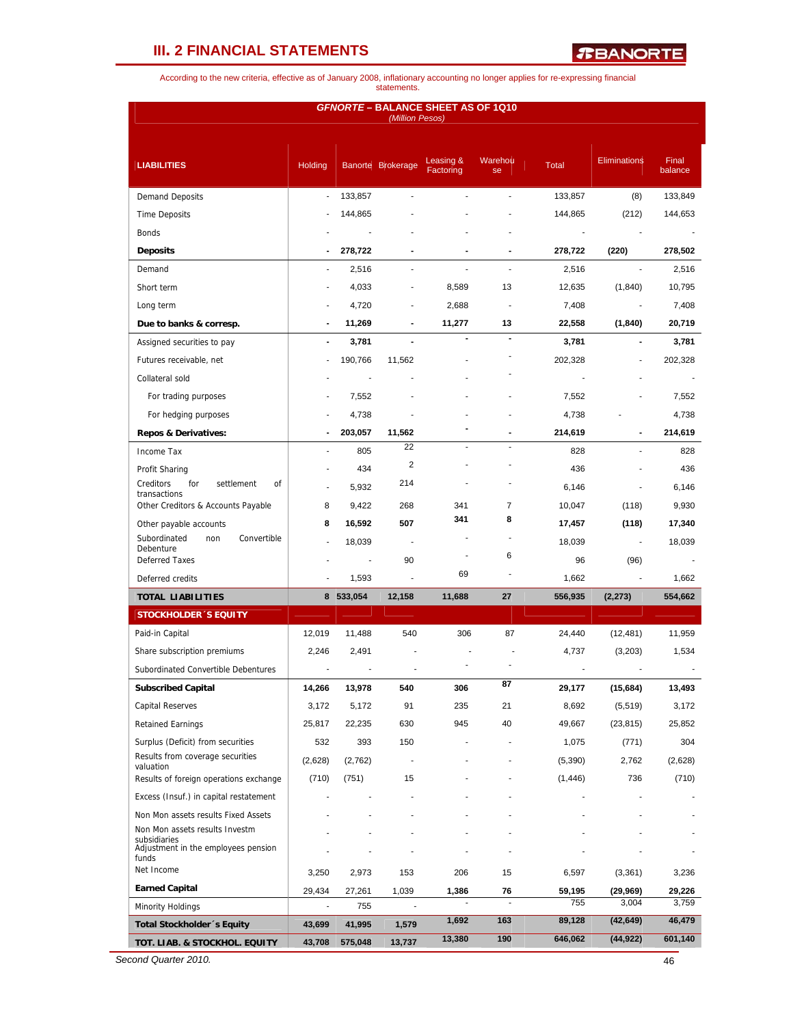*T***BANORTE** 

According to the new criteria, effective as of January 2008, inflationary accounting no longer applies for re-expressing financial statements.

|                                                                       |                |                          | (Million Pesos)   | <b>GFNORTE - BALANCE SHEET AS OF 1Q10</b> |                          |              |                     |         |
|-----------------------------------------------------------------------|----------------|--------------------------|-------------------|-------------------------------------------|--------------------------|--------------|---------------------|---------|
| <b>LIABILITIES</b>                                                    | Holding        |                          | Banorte Brokerage | Leasing &                                 | Warehou                  | <b>Total</b> | <b>Eliminations</b> | Final   |
|                                                                       |                |                          |                   | Factoring                                 | se                       |              |                     | balance |
| <b>Demand Deposits</b>                                                | ÷.             | 133,857                  |                   |                                           |                          | 133,857      | (8)                 | 133,849 |
| <b>Time Deposits</b>                                                  |                | 144,865                  |                   |                                           |                          | 144,865      | (212)               | 144,653 |
| <b>Bonds</b>                                                          |                |                          |                   |                                           |                          |              |                     |         |
| <b>Deposits</b>                                                       |                | 278,722                  |                   |                                           |                          | 278,722      | (220)               | 278,502 |
| Demand                                                                | ä,             | 2,516                    | $\overline{a}$    |                                           |                          | 2,516        |                     | 2,516   |
| Short term                                                            |                | 4,033                    |                   | 8,589                                     | 13                       | 12,635       | (1, 840)            | 10,795  |
| Long term                                                             |                | 4,720                    |                   | 2,688                                     | $\overline{\phantom{a}}$ | 7,408        |                     | 7,408   |
| Due to banks & corresp.                                               |                | 11,269                   |                   | 11,277                                    | 13                       | 22,558       | (1, 840)            | 20,719  |
| Assigned securities to pay                                            | $\blacksquare$ | 3,781                    | $\blacksquare$    |                                           |                          | 3,781        | $\blacksquare$      | 3,781   |
| Futures receivable, net                                               |                | 190,766                  | 11,562            |                                           |                          | 202,328      |                     | 202,328 |
| Collateral sold                                                       |                |                          |                   |                                           |                          |              |                     |         |
| For trading purposes                                                  |                | 7,552                    |                   |                                           |                          | 7,552        |                     | 7,552   |
| For hedging purposes                                                  |                | 4,738                    |                   |                                           |                          | 4,738        |                     | 4,738   |
| <b>Repos &amp; Derivatives:</b>                                       |                | 203,057                  | 11,562            |                                           |                          | 214,619      |                     | 214,619 |
| Income Tax                                                            |                | 805                      | 22                |                                           |                          | 828          |                     | 828     |
| Profit Sharing                                                        |                | 434                      | $\overline{2}$    |                                           |                          | 436          |                     | 436     |
| Creditors<br>for<br>settlement<br>οf<br>transactions                  | ÷              | 5,932                    | 214               |                                           |                          | 6,146        |                     | 6,146   |
| Other Creditors & Accounts Payable                                    | 8              | 9,422                    | 268               | 341                                       | $\overline{7}$           | 10,047       | (118)               | 9,930   |
| Other payable accounts                                                | 8              | 16,592                   | 507               | 341                                       | 8                        | 17,457       | (118)               | 17,340  |
| Subordinated<br>Convertible<br>non                                    |                | 18,039                   | ÷,                |                                           |                          | 18,039       | $\blacksquare$      | 18,039  |
| Debenture<br><b>Deferred Taxes</b>                                    |                | $\overline{\phantom{a}}$ | 90                |                                           | 6                        | 96           | (96)                |         |
| Deferred credits                                                      |                | 1,593                    | L.                | 69                                        |                          | 1,662        |                     | 1,662   |
| <b>TOTAL LIABILITIES</b>                                              |                | 8 533,054                | 12,158            | 11,688                                    | 27                       | 556,935      | (2, 273)            | 554,662 |
| <b>STOCKHOLDER 'S EQUITY</b>                                          |                |                          |                   |                                           |                          |              |                     |         |
| Paid-in Capital                                                       | 12,019         | 11,488                   | 540               | 306                                       | 87                       | 24,440       | (12, 481)           | 11,959  |
| Share subscription premiums                                           | 2,246          | 2,491                    |                   |                                           |                          | 4,737        | (3,203)             | 1,534   |
| Subordinated Convertible Debentures                                   |                |                          |                   |                                           |                          |              |                     |         |
| <b>Subscribed Capital</b>                                             | 14,266         | 13,978                   | 540               | 306                                       | 87                       | 29,177       | (15,684)            | 13,493  |
| <b>Capital Reserves</b>                                               | 3,172          | 5,172                    | 91                | 235                                       | 21                       | 8,692        | (5, 519)            | 3,172   |
| <b>Retained Earnings</b>                                              | 25,817         | 22,235                   | 630               | 945                                       | 40                       | 49,667       | (23, 815)           | 25,852  |
|                                                                       | 532            | 393                      | 150               |                                           |                          | 1,075        |                     | 304     |
| Surplus (Deficit) from securities<br>Results from coverage securities | (2,628)        |                          |                   |                                           |                          |              | (771)               |         |
| valuation                                                             |                | (2,762)                  |                   |                                           |                          | (5, 390)     | 2,762               | (2,628) |
| Results of foreign operations exchange                                | (710)          | (751)                    | 15                |                                           |                          | (1, 446)     | 736                 | (710)   |
| Excess (Insuf.) in capital restatement                                |                |                          |                   |                                           |                          |              |                     |         |
| Non Mon assets results Fixed Assets<br>Non Mon assets results Investm |                |                          |                   |                                           |                          |              |                     |         |
| subsidiaries<br>Adjustment in the employees pension<br>funds          |                |                          |                   |                                           |                          |              |                     |         |
| Net Income                                                            | 3,250          | 2,973                    | 153               | 206                                       | 15                       | 6,597        | (3, 361)            | 3,236   |
| <b>Earned Capital</b>                                                 | 29,434         | 27,261                   | 1,039             | 1,386                                     | 76                       | 59,195       | (29, 969)           | 29,226  |
| Minority Holdings                                                     | ä,             | 755                      | ä,                |                                           |                          | 755          | 3,004               | 3,759   |
| Total Stockholder 's Equity                                           | 43,699         | 41,995                   | 1,579             | 1,692                                     | 163                      | 89,128       | (42, 649)           | 46,479  |
| TOT. LIAB. & STOCKHOL. EQUITY                                         | 43,708         | 575,048                  | 13,737            | 13,380                                    | 190                      | 646,062      | (44, 922)           | 601,140 |

*Second Quarter 2010.* 46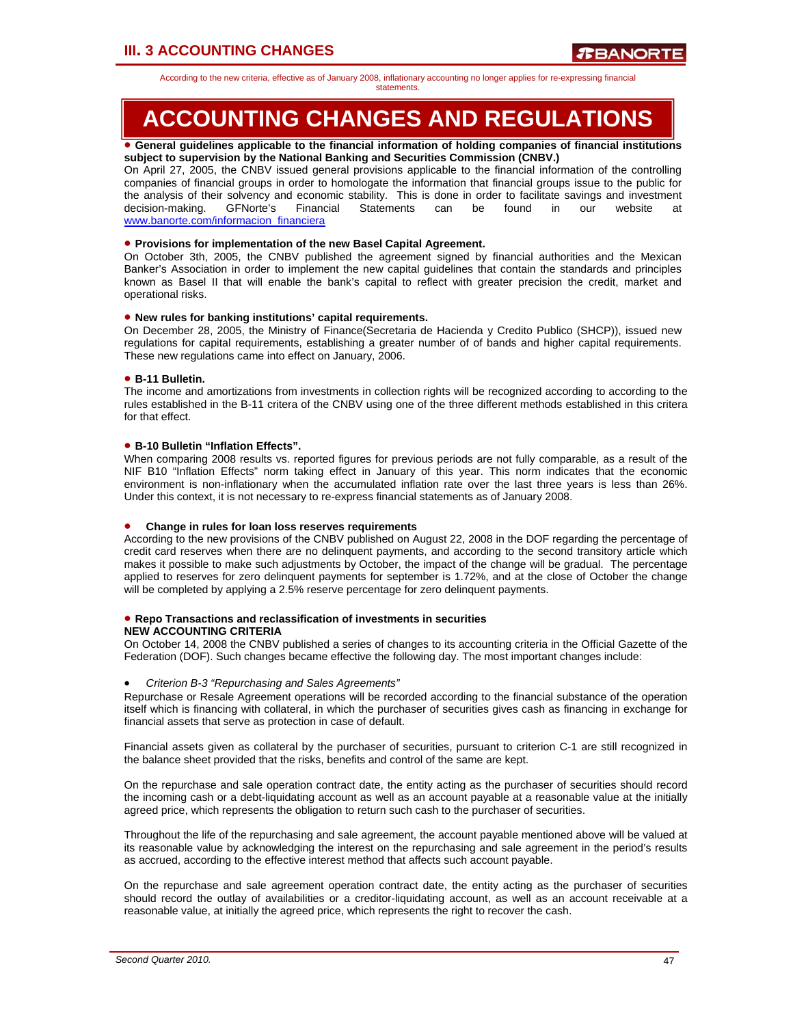According to the new criteria, effective as of January 2008, inflationary accounting no longer applies for re-expressing financial statements.

# **ACCOUNTING CHANGES AND REGULATIONS**

#### • **General guidelines applicable to the financial information of holding companies of financial institutions subject to supervision by the National Banking and Securities Commission (CNBV.)**

On April 27, 2005, the CNBV issued general provisions applicable to the financial information of the controlling companies of financial groups in order to homologate the information that financial groups issue to the public for the analysis of their solvency and economic stability. This is done in order to facilitate savings and investment decision-making. GFNorte's Financial Statements can be found in our website at www.banorte.com/informacion\_financiera

#### • **Provisions for implementation of the new Basel Capital Agreement.**

On October 3th, 2005, the CNBV published the agreement signed by financial authorities and the Mexican Banker's Association in order to implement the new capital guidelines that contain the standards and principles known as Basel II that will enable the bank's capital to reflect with greater precision the credit, market and operational risks.

#### • **New rules for banking institutions' capital requirements.**

On December 28, 2005, the Ministry of Finance(Secretaria de Hacienda y Credito Publico (SHCP)), issued new regulations for capital requirements, establishing a greater number of of bands and higher capital requirements. These new regulations came into effect on January, 2006.

#### • **B-11 Bulletin.**

The income and amortizations from investments in collection rights will be recognized according to according to the rules established in the B-11 critera of the CNBV using one of the three different methods established in this critera for that effect.

### • **B-10 Bulletin "Inflation Effects".**

When comparing 2008 results vs. reported figures for previous periods are not fully comparable, as a result of the NIF B10 "Inflation Effects" norm taking effect in January of this year. This norm indicates that the economic environment is non-inflationary when the accumulated inflation rate over the last three years is less than 26%. Under this context, it is not necessary to re-express financial statements as of January 2008.

#### • **Change in rules for loan loss reserves requirements**

According to the new provisions of the CNBV published on August 22, 2008 in the DOF regarding the percentage of credit card reserves when there are no delinquent payments, and according to the second transitory article which makes it possible to make such adjustments by October, the impact of the change will be gradual. The percentage applied to reserves for zero delinquent payments for september is 1.72%, and at the close of October the change will be completed by applying a 2.5% reserve percentage for zero delinquent payments.

#### • **Repo Transactions and reclassification of investments in securities NEW ACCOUNTING CRITERIA**

On October 14, 2008 the CNBV published a series of changes to its accounting criteria in the Official Gazette of the Federation (DOF). Such changes became effective the following day. The most important changes include:

#### • *Criterion B-3 "Repurchasing and Sales Agreements"*

Repurchase or Resale Agreement operations will be recorded according to the financial substance of the operation itself which is financing with collateral, in which the purchaser of securities gives cash as financing in exchange for financial assets that serve as protection in case of default.

Financial assets given as collateral by the purchaser of securities, pursuant to criterion C-1 are still recognized in the balance sheet provided that the risks, benefits and control of the same are kept.

On the repurchase and sale operation contract date, the entity acting as the purchaser of securities should record the incoming cash or a debt-liquidating account as well as an account payable at a reasonable value at the initially agreed price, which represents the obligation to return such cash to the purchaser of securities.

Throughout the life of the repurchasing and sale agreement, the account payable mentioned above will be valued at its reasonable value by acknowledging the interest on the repurchasing and sale agreement in the period's results as accrued, according to the effective interest method that affects such account payable.

On the repurchase and sale agreement operation contract date, the entity acting as the purchaser of securities should record the outlay of availabilities or a creditor-liquidating account, as well as an account receivable at a reasonable value, at initially the agreed price, which represents the right to recover the cash.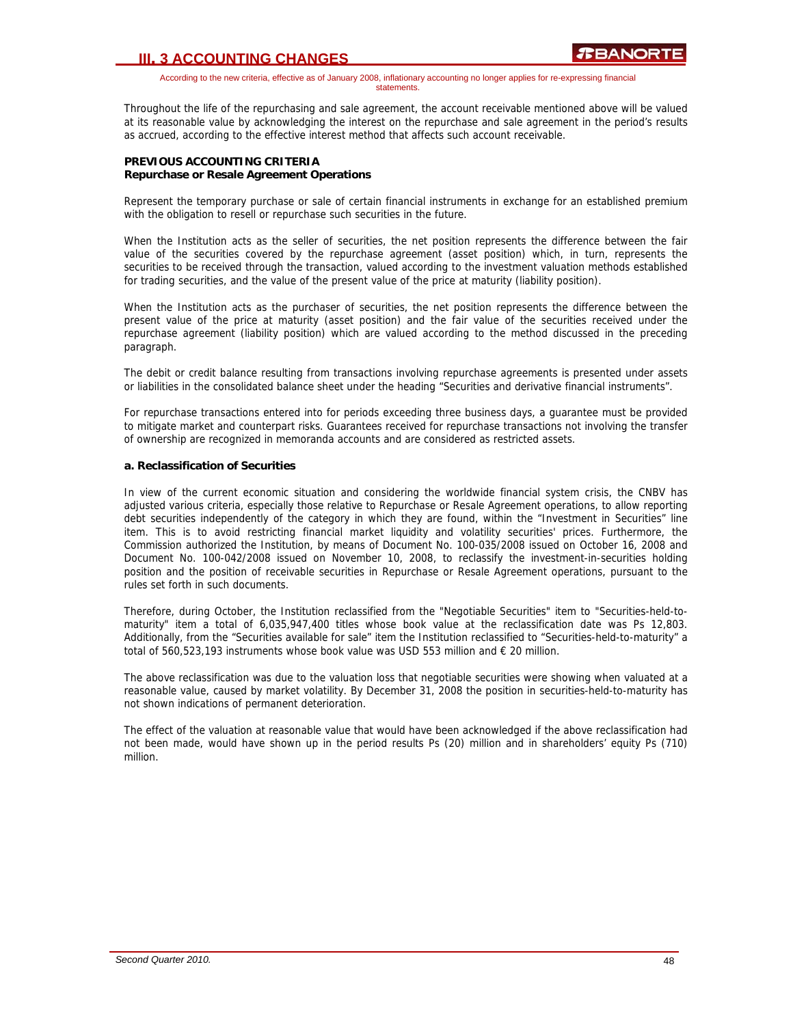According to the new criteria, effective as of January 2008, inflationary accounting no longer applies for re-expressing financial statements.

Throughout the life of the repurchasing and sale agreement, the account receivable mentioned above will be valued at its reasonable value by acknowledging the interest on the repurchase and sale agreement in the period's results as accrued, according to the effective interest method that affects such account receivable.

### **PREVIOUS ACCOUNTING CRITERIA Repurchase or Resale Agreement Operations**

Represent the temporary purchase or sale of certain financial instruments in exchange for an established premium with the obligation to resell or repurchase such securities in the future.

When the Institution acts as the seller of securities, the net position represents the difference between the fair value of the securities covered by the repurchase agreement (asset position) which, in turn, represents the securities to be received through the transaction, valued according to the investment valuation methods established for trading securities, and the value of the present value of the price at maturity (liability position).

When the Institution acts as the purchaser of securities, the net position represents the difference between the present value of the price at maturity (asset position) and the fair value of the securities received under the repurchase agreement (liability position) which are valued according to the method discussed in the preceding paragraph.

The debit or credit balance resulting from transactions involving repurchase agreements is presented under assets or liabilities in the consolidated balance sheet under the heading "Securities and derivative financial instruments".

For repurchase transactions entered into for periods exceeding three business days, a guarantee must be provided to mitigate market and counterpart risks. Guarantees received for repurchase transactions not involving the transfer of ownership are recognized in memoranda accounts and are considered as restricted assets.

### **a. Reclassification of Securities**

In view of the current economic situation and considering the worldwide financial system crisis, the CNBV has adjusted various criteria, especially those relative to Repurchase or Resale Agreement operations, to allow reporting debt securities independently of the category in which they are found, within the "Investment in Securities" line item. This is to avoid restricting financial market liquidity and volatility securities' prices. Furthermore, the Commission authorized the Institution, by means of Document No. 100-035/2008 issued on October 16, 2008 and Document No. 100-042/2008 issued on November 10, 2008, to reclassify the investment-in-securities holding position and the position of receivable securities in Repurchase or Resale Agreement operations, pursuant to the rules set forth in such documents.

Therefore, during October, the Institution reclassified from the "Negotiable Securities" item to "Securities-held-tomaturity" item a total of 6,035,947,400 titles whose book value at the reclassification date was Ps 12,803. Additionally, from the "Securities available for sale" item the Institution reclassified to "Securities-held-to-maturity" a total of 560,523,193 instruments whose book value was USD 553 million and € 20 million.

The above reclassification was due to the valuation loss that negotiable securities were showing when valuated at a reasonable value, caused by market volatility. By December 31, 2008 the position in securities-held-to-maturity has not shown indications of permanent deterioration.

The effect of the valuation at reasonable value that would have been acknowledged if the above reclassification had not been made, would have shown up in the period results Ps (20) million and in shareholders' equity Ps (710) million.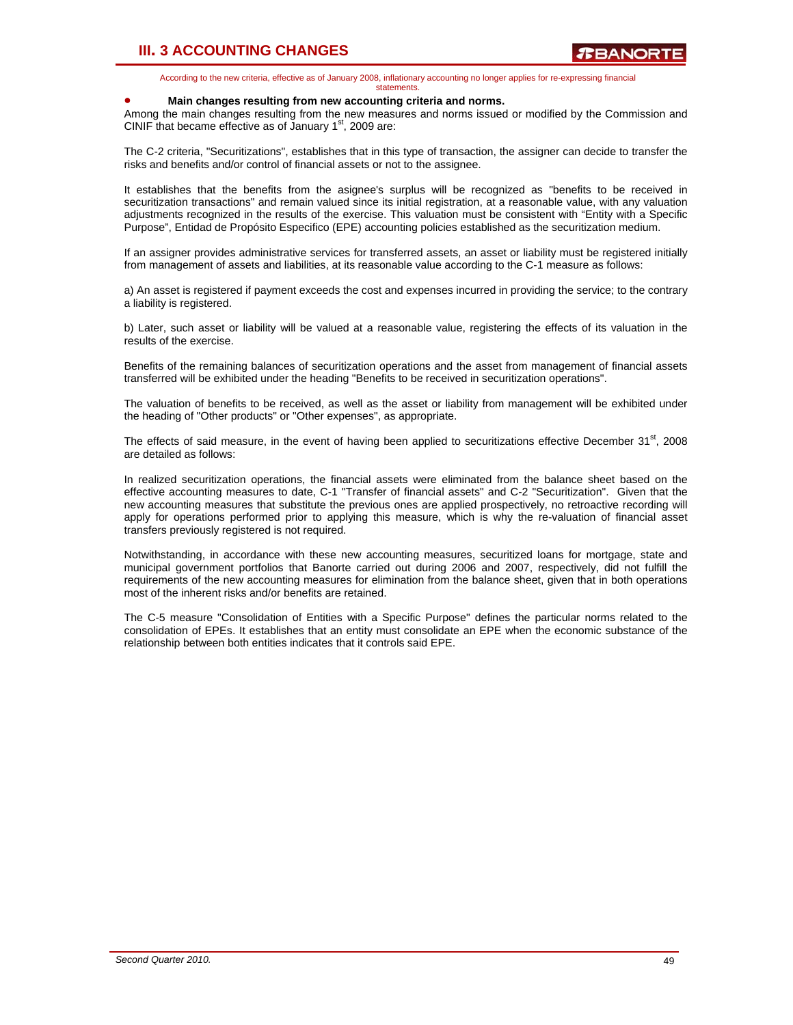According to the new criteria, effective as of January 2008, inflationary accounting no longer applies for re-expressing financial statements.

#### • **Main changes resulting from new accounting criteria and norms.**

Among the main changes resulting from the new measures and norms issued or modified by the Commission and CINIF that became effective as of January  $1<sup>st</sup>$ , 2009 are:

The C-2 criteria, "Securitizations", establishes that in this type of transaction, the assigner can decide to transfer the risks and benefits and/or control of financial assets or not to the assignee.

It establishes that the benefits from the asignee's surplus will be recognized as "benefits to be received in securitization transactions" and remain valued since its initial registration, at a reasonable value, with any valuation adjustments recognized in the results of the exercise. This valuation must be consistent with "Entity with a Specific Purpose", Entidad de Propósito Especifico (EPE) accounting policies established as the securitization medium.

If an assigner provides administrative services for transferred assets, an asset or liability must be registered initially from management of assets and liabilities, at its reasonable value according to the C-1 measure as follows:

a) An asset is registered if payment exceeds the cost and expenses incurred in providing the service; to the contrary a liability is registered.

b) Later, such asset or liability will be valued at a reasonable value, registering the effects of its valuation in the results of the exercise.

Benefits of the remaining balances of securitization operations and the asset from management of financial assets transferred will be exhibited under the heading "Benefits to be received in securitization operations".

The valuation of benefits to be received, as well as the asset or liability from management will be exhibited under the heading of "Other products" or "Other expenses", as appropriate.

The effects of said measure, in the event of having been applied to securitizations effective December  $31<sup>st</sup>$ , 2008 are detailed as follows:

In realized securitization operations, the financial assets were eliminated from the balance sheet based on the effective accounting measures to date, C-1 "Transfer of financial assets" and C-2 "Securitization". Given that the new accounting measures that substitute the previous ones are applied prospectively, no retroactive recording will apply for operations performed prior to applying this measure, which is why the re-valuation of financial asset transfers previously registered is not required.

Notwithstanding, in accordance with these new accounting measures, securitized loans for mortgage, state and municipal government portfolios that Banorte carried out during 2006 and 2007, respectively, did not fulfill the requirements of the new accounting measures for elimination from the balance sheet, given that in both operations most of the inherent risks and/or benefits are retained.

The C-5 measure "Consolidation of Entities with a Specific Purpose" defines the particular norms related to the consolidation of EPEs. It establishes that an entity must consolidate an EPE when the economic substance of the relationship between both entities indicates that it controls said EPE.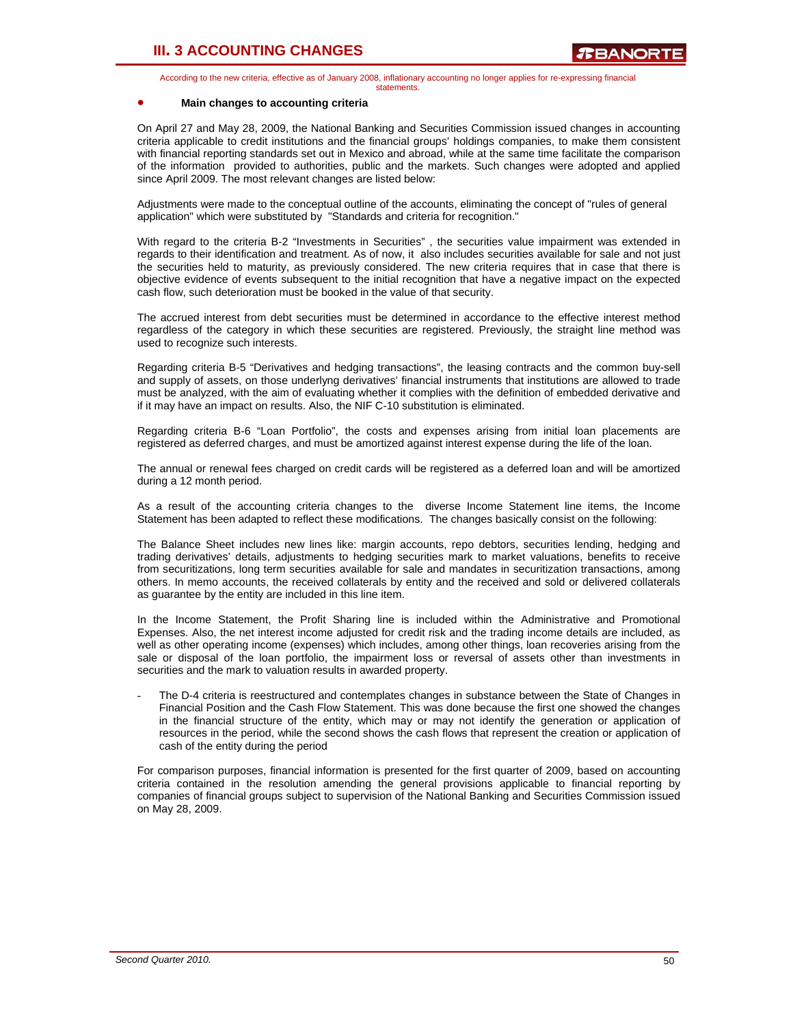According to the new criteria, effective as of January 2008, inflationary accounting no longer applies for re-expressing financial statements.

#### • **Main changes to accounting criteria**

On April 27 and May 28, 2009, the National Banking and Securities Commission issued changes in accounting criteria applicable to credit institutions and the financial groups' holdings companies, to make them consistent with financial reporting standards set out in Mexico and abroad, while at the same time facilitate the comparison of the information provided to authorities, public and the markets. Such changes were adopted and applied since April 2009. The most relevant changes are listed below:

Adjustments were made to the conceptual outline of the accounts, eliminating the concept of "rules of general application" which were substituted by "Standards and criteria for recognition."

With regard to the criteria B-2 "Investments in Securities" , the securities value impairment was extended in regards to their identification and treatment. As of now, it also includes securities available for sale and not just the securities held to maturity, as previously considered. The new criteria requires that in case that there is objective evidence of events subsequent to the initial recognition that have a negative impact on the expected cash flow, such deterioration must be booked in the value of that security.

The accrued interest from debt securities must be determined in accordance to the effective interest method regardless of the category in which these securities are registered. Previously, the straight line method was used to recognize such interests.

Regarding criteria B-5 "Derivatives and hedging transactions", the leasing contracts and the common buy-sell and supply of assets, on those underlyng derivatives' financial instruments that institutions are allowed to trade must be analyzed, with the aim of evaluating whether it complies with the definition of embedded derivative and if it may have an impact on results. Also, the NIF C-10 substitution is eliminated.

Regarding criteria B-6 "Loan Portfolio", the costs and expenses arising from initial loan placements are registered as deferred charges, and must be amortized against interest expense during the life of the loan.

The annual or renewal fees charged on credit cards will be registered as a deferred loan and will be amortized during a 12 month period.

As a result of the accounting criteria changes to the diverse Income Statement line items, the Income Statement has been adapted to reflect these modifications. The changes basically consist on the following:

The Balance Sheet includes new lines like: margin accounts, repo debtors, securities lending, hedging and trading derivatives' details, adjustments to hedging securities mark to market valuations, benefits to receive from securitizations, long term securities available for sale and mandates in securitization transactions, among others. In memo accounts, the received collaterals by entity and the received and sold or delivered collaterals as guarantee by the entity are included in this line item.

In the Income Statement, the Profit Sharing line is included within the Administrative and Promotional Expenses. Also, the net interest income adjusted for credit risk and the trading income details are included, as well as other operating income (expenses) which includes, among other things, loan recoveries arising from the sale or disposal of the loan portfolio, the impairment loss or reversal of assets other than investments in securities and the mark to valuation results in awarded property.

The D-4 criteria is reestructured and contemplates changes in substance between the State of Changes in Financial Position and the Cash Flow Statement. This was done because the first one showed the changes in the financial structure of the entity, which may or may not identify the generation or application of resources in the period, while the second shows the cash flows that represent the creation or application of cash of the entity during the period

For comparison purposes, financial information is presented for the first quarter of 2009, based on accounting criteria contained in the resolution amending the general provisions applicable to financial reporting by companies of financial groups subject to supervision of the National Banking and Securities Commission issued on May 28, 2009.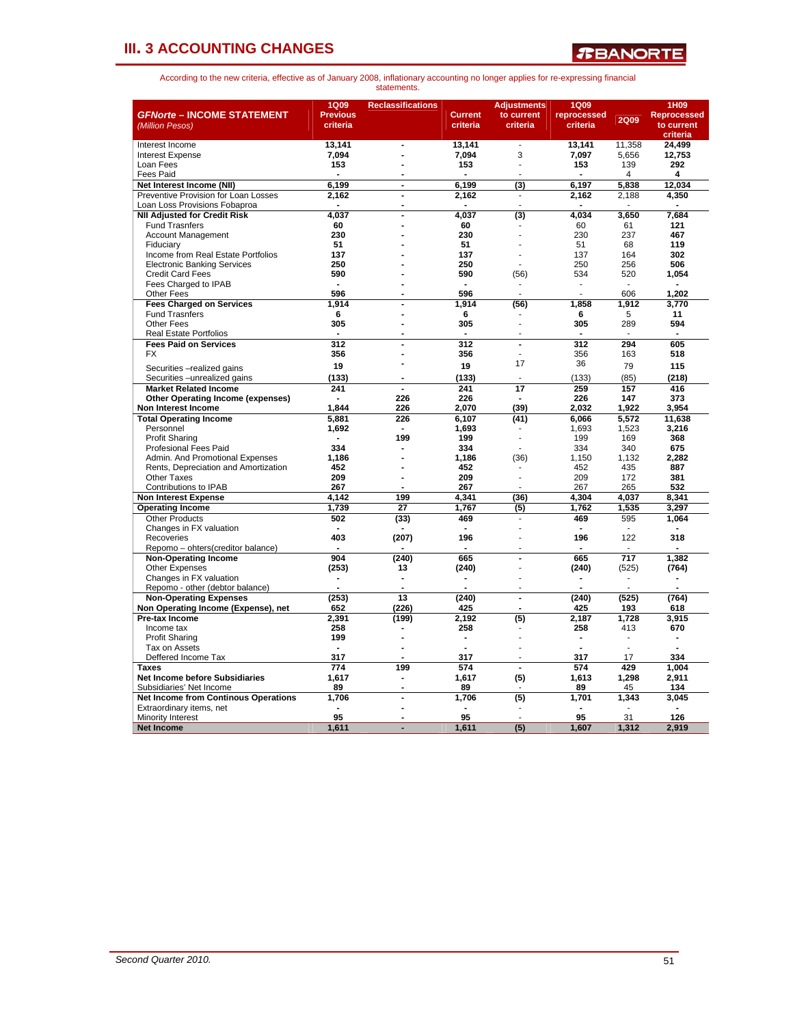

| <b>GFNorte - INCOME STATEMENT</b><br>(Million Pesos)                 | 1Q09<br><b>Previous</b><br>criteria | <b>Reclassifications</b>         | <b>Current</b><br>criteria | <b>Adjustments</b><br>to current<br>criteria | <b>1Q09</b><br>reprocessed<br>criteria | <b>2Q09</b> | 1H09<br>Reprocessed<br>to current |
|----------------------------------------------------------------------|-------------------------------------|----------------------------------|----------------------------|----------------------------------------------|----------------------------------------|-------------|-----------------------------------|
|                                                                      |                                     |                                  |                            |                                              |                                        |             | criteria                          |
| Interest Income                                                      | 13,141                              | ÷,                               | 13,141                     | $\overline{\phantom{a}}$                     | 13,141                                 | 11,358      | 24,499                            |
| Interest Expense                                                     | 7.094                               | Ĭ.                               | 7.094                      | 3                                            | 7.097                                  | 5.656       | 12.753                            |
| Loan Fees                                                            | 153                                 |                                  | 153                        | ÷.                                           | 153                                    | 139         | 292                               |
| <b>Fees Paid</b>                                                     |                                     |                                  |                            |                                              |                                        | 4           | 4                                 |
| Net Interest Income (NII)                                            | 6.199                               | $\blacksquare$                   | 6,199                      | (3)                                          | 6,197                                  | 5.838       | 12.034                            |
| Preventive Provision for Loan Losses                                 | 2,162                               | $\blacksquare$<br>$\blacksquare$ | 2,162                      | ÷,<br>$\overline{a}$                         | 2,162                                  | 2,188       | 4,350                             |
| Loan Loss Provisions Fobaproa<br><b>NII Adjusted for Credit Risk</b> | $\blacksquare$<br>4,037             | $\overline{a}$                   | $\overline{a}$<br>4,037    | (3)                                          | 4,034                                  | 3,650       | 7,684                             |
| <b>Fund Trasnfers</b>                                                | 60                                  |                                  | 60                         |                                              | 60                                     | 61          | 121                               |
| <b>Account Management</b>                                            | 230                                 |                                  | 230                        |                                              | 230                                    | 237         | 467                               |
| Fiduciarv                                                            | 51                                  |                                  | 51                         |                                              | 51                                     | 68          | 119                               |
| Income from Real Estate Portfolios                                   | 137                                 |                                  | 137                        |                                              | 137                                    | 164         | 302                               |
| <b>Electronic Banking Services</b>                                   | 250                                 |                                  | 250                        |                                              | 250                                    | 256         | 506                               |
| <b>Credit Card Fees</b>                                              | 590                                 |                                  | 590                        | (56)                                         | 534                                    | 520         | 1,054                             |
| Fees Charged to IPAB                                                 | $\blacksquare$                      |                                  | $\blacksquare$             | $\overline{a}$                               | $\overline{\phantom{a}}$               | $\sim$      | $\sim$                            |
| <b>Other Fees</b>                                                    | 596                                 |                                  | 596                        |                                              |                                        | 606         | 1.202                             |
| <b>Fees Charged on Services</b>                                      | 1,914                               |                                  | 1,914                      | (56)                                         | 1,858                                  | 1,912       | 3,770                             |
| <b>Fund Trasnfers</b>                                                | 6                                   |                                  | 6                          |                                              | 6                                      | 5           | 11                                |
| <b>Other Fees</b>                                                    | 305                                 | L.                               | 305                        | L.                                           | 305                                    | 289         | 594                               |
| <b>Real Estate Portfolios</b>                                        |                                     | L.                               | ÷.                         | ÷.                                           | $\overline{a}$                         | J.          | $\overline{a}$                    |
| <b>Fees Paid on Services</b>                                         | 312                                 | $\overline{a}$                   | 312                        | $\overline{a}$                               | 312                                    | 294         | 605                               |
| <b>FX</b>                                                            | 356                                 | Ĭ.                               | 356                        | $\overline{a}$                               | 356                                    | 163         | 518                               |
| Securities - realized gains                                          | 19                                  |                                  | 19                         | 17                                           | 36                                     | 79          | 115                               |
| Securities - unrealized gains                                        | (133)                               |                                  | (133)                      |                                              | (133)                                  | (85)        | (218)                             |
| <b>Market Related Income</b>                                         | 241                                 | $\overline{a}$                   | 241                        | 17                                           | 259                                    | 157         | 416                               |
| <b>Other Operating Income (expenses)</b>                             |                                     | 226                              | 226                        |                                              | 226                                    | 147         | 373                               |
| Non Interest Income                                                  | 1.844                               | 226                              | 2.070                      | (39)                                         | 2.032                                  | 1.922       | 3.954                             |
| <b>Total Operating Income</b>                                        | 5.881                               | 226                              | 6,107                      | (41)                                         | 6,066                                  | 5,572       | 11,638                            |
| Personnel                                                            | 1,692                               | $\blacksquare$                   | 1.693                      |                                              | 1,693                                  | 1,523       | 3,216                             |
| <b>Profit Sharing</b>                                                | $\blacksquare$                      | 199                              | 199                        |                                              | 199                                    | 169         | 368                               |
| <b>Profesional Fees Paid</b>                                         | 334                                 |                                  | 334                        |                                              | 334                                    | 340         | 675                               |
| Admin, And Promotional Expenses                                      | 1.186                               |                                  | 1.186                      | (36)                                         | 1.150                                  | 1.132       | 2.282                             |
| Rents, Depreciation and Amortization                                 | 452                                 |                                  | 452                        |                                              | 452                                    | 435         | 887                               |
| <b>Other Taxes</b>                                                   | 209                                 | Ĭ.                               | 209                        |                                              | 209                                    | 172         | 381                               |
| Contributions to IPAB                                                | 267                                 | $\overline{a}$                   | 267                        | ÷.                                           | 267                                    | 265         | 532                               |
| <b>Non Interest Expense</b>                                          | 4,142                               | 199                              | 4,341                      | (36)                                         | 4,304                                  | 4,037       | 8,341                             |
| <b>Operating Income</b>                                              | 1,739                               | 27                               | 1,767                      | (5)                                          | 1,762                                  | 1,535       | 3,297                             |
| <b>Other Products</b>                                                | 502                                 | (33)                             | 469                        |                                              | 469                                    | 595         | 1,064                             |
| Changes in FX valuation                                              |                                     |                                  |                            |                                              |                                        |             |                                   |
| Recoveries                                                           | 403                                 | (207)                            | 196                        |                                              | 196                                    | 122         | 318                               |
| Repomo - ohters(creditor balance)                                    |                                     |                                  |                            |                                              |                                        |             |                                   |
| <b>Non-Operating Income</b>                                          | 904                                 | (240)                            | 665                        | $\overline{a}$                               | 665                                    | 717         | 1,382                             |
| <b>Other Expenses</b>                                                | (253)                               | 13                               | (240)                      |                                              | (240)                                  | (525)       | (764)                             |
| Changes in FX valuation                                              |                                     |                                  |                            |                                              |                                        |             |                                   |
| Repomo - other (debtor balance)                                      |                                     | $\overline{a}$                   |                            |                                              |                                        |             |                                   |
| <b>Non-Operating Expenses</b>                                        | (253)                               | 13                               | (240)                      | $\blacksquare$                               | (240)                                  | (525)       | (764)                             |
| Non Operating Income (Expense), net                                  | 652                                 | (226)                            | 425                        |                                              | 425                                    | 193         | 618                               |
| Pre-tax Income                                                       | 2,391                               | (199)                            | 2,192                      | (5)                                          | 2,187                                  | 1,728       | 3,915                             |
| Income tax                                                           | 258                                 |                                  | 258                        |                                              | 258                                    | 413         | 670                               |
| <b>Profit Sharing</b><br>Tax on Assets                               | 199                                 | $\overline{a}$                   | $\blacksquare$             |                                              | ÷                                      | ٠           | $\blacksquare$                    |
| Deffered Income Tax                                                  | 317                                 | L.                               | 317                        | $\overline{a}$                               | 317                                    | 17          | 334                               |
| <b>Taxes</b>                                                         | 774                                 | 199                              | 574                        | $\overline{a}$                               | 574                                    | 429         | 1.004                             |
| Net Income before Subsidiaries                                       | 1,617                               | $\qquad \qquad \blacksquare$     | 1,617                      | (5)                                          | 1,613                                  | 1,298       | 2,911                             |
| Subsidiaries' Net Income                                             | 89                                  | $\blacksquare$                   | 89                         |                                              | 89                                     | 45          | 134                               |
| <b>Net Income from Continous Operations</b>                          | 1,706                               | L.                               | 1,706                      | (5)                                          | 1,701                                  | 1,343       | 3,045                             |
| Extraordinary items, net                                             |                                     | $\overline{a}$                   |                            |                                              |                                        |             |                                   |
| <b>Minority Interest</b>                                             | 95                                  | Ĭ.                               | 95                         |                                              | 95                                     | 31          | 126                               |
| <b>Net Income</b>                                                    | 1,611                               | L.                               | 1,611                      | (5)                                          | 1.607                                  | 1,312       | 2.919                             |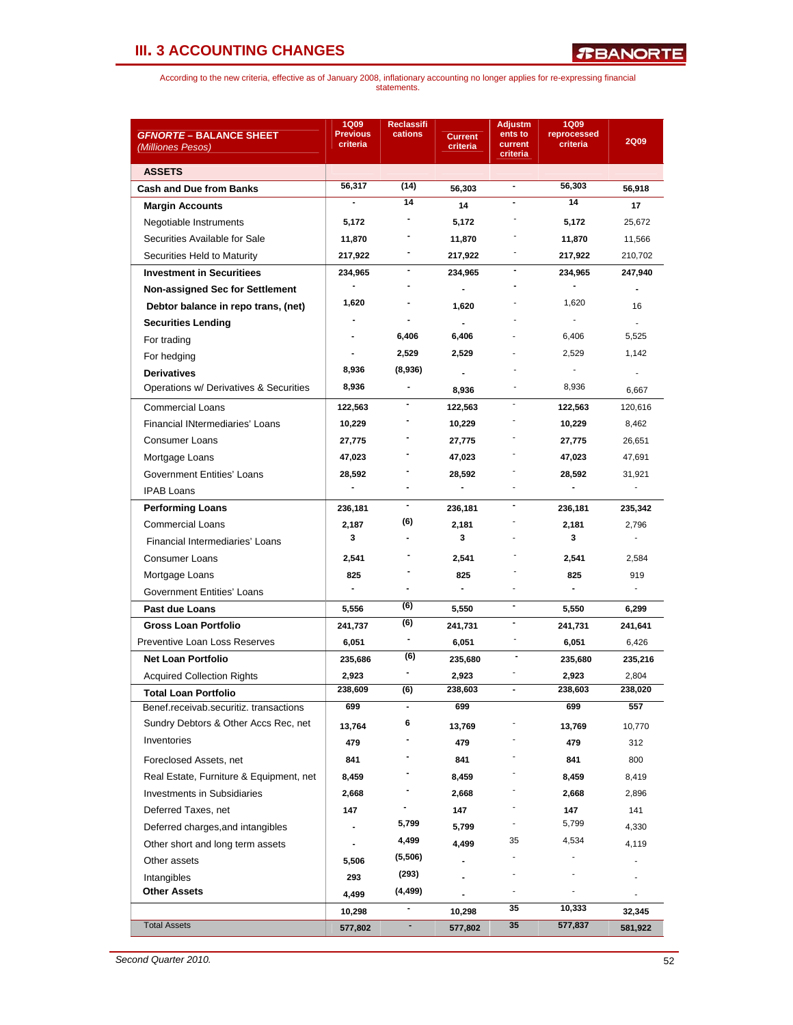| <i><b>GFNORTE – BALANCE SHEET</b></i>   | <b>1Q09</b><br><b>Previous</b> | <b>Reclassifi</b><br>cations | <b>Current</b>           | <b>Adjustm</b><br>ents to | <b>1Q09</b><br>reprocessed | <b>2Q09</b>              |
|-----------------------------------------|--------------------------------|------------------------------|--------------------------|---------------------------|----------------------------|--------------------------|
| (Milliones Pesos)                       | criteria                       |                              | criteria                 | current<br>criteria       | criteria                   |                          |
| <b>ASSETS</b>                           |                                |                              |                          |                           |                            |                          |
| <b>Cash and Due from Banks</b>          | 56,317                         | (14)                         | 56,303                   | $\blacksquare$            | 56,303                     | 56,918                   |
| <b>Margin Accounts</b>                  | -                              | 14                           | 14                       |                           | 14                         | 17                       |
| Negotiable Instruments                  | 5,172                          |                              | 5,172                    |                           | 5,172                      | 25,672                   |
| Securities Available for Sale           | 11,870                         |                              | 11,870                   |                           | 11,870                     | 11,566                   |
| Securities Held to Maturity             | 217,922                        |                              | 217,922                  |                           | 217,922                    | 210,702                  |
| <b>Investment in Securitiees</b>        | 234,965                        | ۰                            | 234,965                  |                           | 234,965                    | 247,940                  |
| Non-assigned Sec for Settlement         |                                |                              | $\blacksquare$           |                           |                            |                          |
| Debtor balance in repo trans, (net)     | 1,620                          |                              | 1,620                    |                           | 1,620                      | 16                       |
| <b>Securities Lending</b>               |                                | $\overline{\phantom{a}}$     | $\blacksquare$           |                           |                            | ÷.                       |
| For trading                             |                                | 6,406                        | 6,406                    |                           | 6,406                      | 5,525                    |
| For hedging                             |                                | 2,529                        | 2,529                    |                           | 2,529                      | 1,142                    |
| <b>Derivatives</b>                      | 8,936                          | (8,936)                      |                          |                           |                            |                          |
| Operations w/ Derivatives & Securities  | 8,936                          | $\qquad \qquad \blacksquare$ | 8,936                    |                           | 8,936                      | 6,667                    |
| <b>Commercial Loans</b>                 | 122,563                        |                              | 122,563                  | $\sim$                    | 122,563                    | 120,616                  |
| <b>Financial INtermediaries' Loans</b>  | 10,229                         |                              | 10,229                   |                           | 10,229                     | 8,462                    |
| Consumer Loans                          | 27,775                         |                              | 27,775                   |                           | 27,775                     | 26,651                   |
| Mortgage Loans                          | 47,023                         |                              | 47,023                   |                           | 47,023                     | 47,691                   |
| Government Entities' Loans              | 28,592                         |                              | 28,592                   |                           | 28,592                     | 31,921                   |
| <b>IPAB Loans</b>                       |                                |                              | $\blacksquare$           |                           |                            | $\overline{\phantom{a}}$ |
| <b>Performing Loans</b>                 | 236,181                        | $\blacksquare$               | 236,181                  | $\blacksquare$            | 236,181                    | 235,342                  |
| <b>Commercial Loans</b>                 | 2,187                          | (6)                          | 2,181                    |                           | 2,181                      | 2,796                    |
| Financial Intermediaries' Loans         | 3                              |                              | 3                        |                           | 3                          | ä,                       |
| Consumer Loans                          | 2,541                          |                              | 2,541                    |                           | 2,541                      | 2,584                    |
| Mortgage Loans                          | 825                            |                              | 825                      |                           | 825                        | 919                      |
| Government Entities' Loans              |                                |                              | $\overline{\phantom{0}}$ |                           |                            | $\mathbf{r}$             |
| Past due Loans                          | 5,556                          | (6)                          | 5,550                    | $\blacksquare$            | 5,550                      | 6,299                    |
| Gross Loan Portfolio                    | 241,737                        | (6)                          | 241,731                  | $\blacksquare$            | 241,731                    | 241,641                  |
| Preventive Loan Loss Reserves           | 6,051                          | $\blacksquare$               | 6,051                    |                           | 6,051                      | 6,426                    |
| <b>Net Loan Portfolio</b>               | 235,686                        | (6)                          | 235,680                  |                           | 235,680                    | 235,216                  |
| <b>Acquired Collection Rights</b>       | 2,923                          |                              | 2,923                    |                           | 2,923                      | 2,804                    |
| Total Loan Portfolio                    | 238,609                        | (6)                          | 238,603                  | $\blacksquare$            | 238,603                    | 238,020                  |
| Benef.receivab.securitiz. transactions  | 699                            | $\blacksquare$               | 699                      |                           | 699                        | 557                      |
| Sundry Debtors & Other Accs Rec, net    | 13,764                         | 6                            | 13,769                   |                           | 13,769                     | 10,770                   |
| Inventories                             | 479                            |                              | 479                      |                           | 479                        | 312                      |
| Foreclosed Assets, net                  | 841                            |                              | 841                      |                           | 841                        | 800                      |
| Real Estate, Furniture & Equipment, net | 8,459                          |                              | 8,459                    |                           | 8,459                      | 8,419                    |
| <b>Investments in Subsidiaries</b>      | 2,668                          |                              | 2,668                    |                           | 2,668                      | 2,896                    |
| Deferred Taxes, net                     | 147                            |                              | 147                      |                           | 147                        | 141                      |
| Deferred charges, and intangibles       |                                | 5,799                        | 5,799                    |                           | 5,799                      | 4,330                    |
| Other short and long term assets        |                                | 4,499                        | 4,499                    | 35                        | 4,534                      | 4,119                    |
| Other assets                            | 5,506                          | (5,506)                      | $\blacksquare$           |                           |                            | $\frac{1}{2}$            |
| Intangibles                             | 293                            | (293)                        |                          |                           |                            |                          |
| <b>Other Assets</b>                     | 4,499                          | (4, 499)                     |                          |                           |                            |                          |
|                                         | 10,298                         | $\qquad \qquad \blacksquare$ | 10,298                   | 35                        | 10,333                     | 32,345                   |
| <b>Total Assets</b>                     | 577,802                        | ۰                            | 577,802                  | 35                        | 577,837                    | 581,922                  |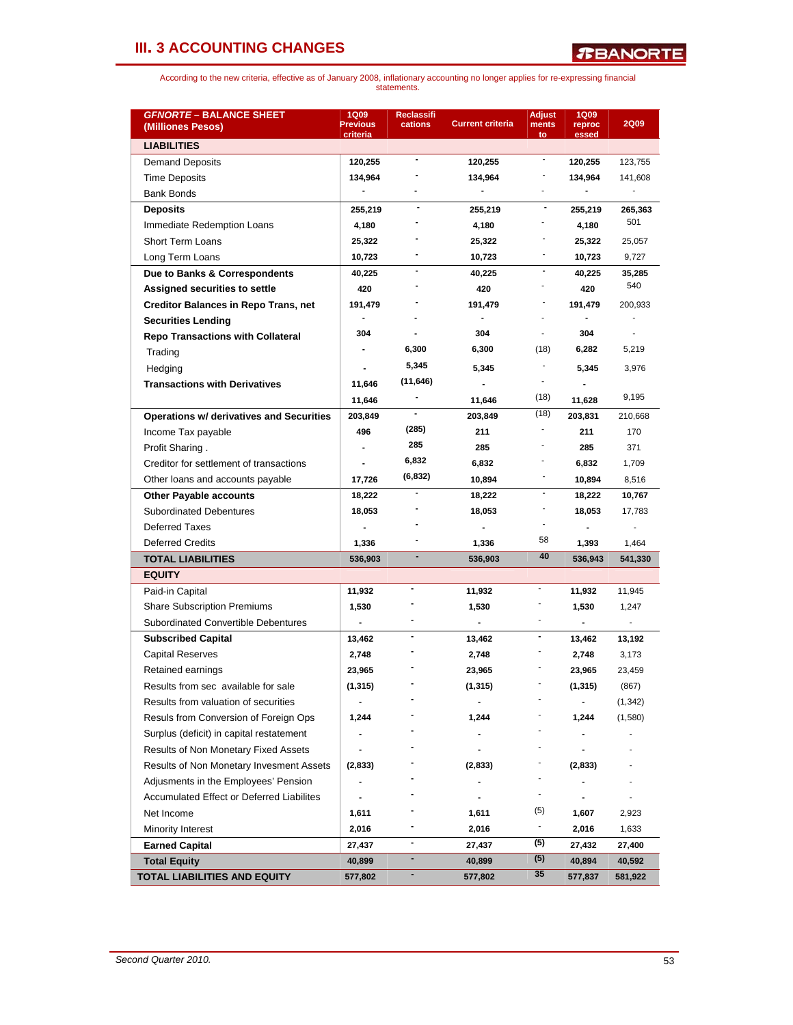| <b>GFNORTE - BALANCE SHEET</b><br>(Milliones Pesos) | <b>1Q09</b><br><b>Previous</b><br>criteria | <b>Reclassifi</b><br>cations | <b>Current criteria</b>  | <b>Adjust</b><br>ments<br>to | <b>1Q09</b><br>reproc<br>essed | <b>2Q09</b> |
|-----------------------------------------------------|--------------------------------------------|------------------------------|--------------------------|------------------------------|--------------------------------|-------------|
| <b>LIABILITIES</b>                                  |                                            |                              |                          |                              |                                |             |
| Demand Deposits                                     | 120,255                                    | $\blacksquare$               | 120,255                  | $\overline{\phantom{a}}$     | 120,255                        | 123,755     |
| <b>Time Deposits</b>                                | 134,964                                    |                              | 134,964                  |                              | 134,964                        | 141,608     |
| <b>Bank Bonds</b>                                   |                                            |                              | $\blacksquare$           |                              |                                |             |
| <b>Deposits</b>                                     | 255,219                                    |                              | 255,219                  | $\blacksquare$               | 255,219                        | 265,363     |
| Immediate Redemption Loans                          | 4,180                                      |                              | 4,180                    |                              | 4,180                          | 501         |
| <b>Short Term Loans</b>                             | 25,322                                     |                              | 25,322                   |                              | 25,322                         | 25,057      |
| Long Term Loans                                     | 10,723                                     |                              | 10,723                   |                              | 10,723                         | 9,727       |
| Due to Banks & Correspondents                       | 40,225                                     | $\blacksquare$               | 40,225                   | $\overline{\phantom{a}}$     | 40,225                         | 35,285      |
| Assigned securities to settle                       | 420                                        |                              | 420                      |                              | 420                            | 540         |
| <b>Creditor Balances in Repo Trans, net</b>         | 191,479                                    |                              | 191,479                  |                              | 191,479                        | 200,933     |
| <b>Securities Lending</b>                           |                                            |                              |                          |                              |                                |             |
| <b>Repo Transactions with Collateral</b>            | 304                                        |                              | 304                      |                              | 304                            |             |
| Trading                                             |                                            | 6,300                        | 6,300                    | (18)                         | 6,282                          | 5,219       |
| Hedging                                             |                                            | 5,345                        | 5,345                    |                              | 5,345                          | 3,976       |
| <b>Transactions with Derivatives</b>                | 11,646                                     | (11, 646)                    | $\blacksquare$           |                              |                                |             |
|                                                     | 11,646                                     |                              | 11,646                   | (18)                         | 11,628                         | 9,195       |
| <b>Operations w/ derivatives and Securities</b>     | 203,849                                    |                              | 203,849                  | (18)                         | 203,831                        | 210,668     |
| Income Tax payable                                  | 496                                        | (285)                        | 211                      |                              | 211                            | 170         |
| Profit Sharing.                                     |                                            | 285                          | 285                      |                              | 285                            | 371         |
| Creditor for settlement of transactions             |                                            | 6,832                        | 6,832                    |                              | 6,832                          | 1,709       |
| Other loans and accounts payable                    | 17,726                                     | (6, 832)                     | 10,894                   | ٠                            | 10,894                         | 8,516       |
| <b>Other Payable accounts</b>                       | 18,222                                     |                              | 18,222                   | $\blacksquare$               | 18,222                         | 10,767      |
| <b>Subordinated Debentures</b>                      | 18,053                                     |                              | 18,053                   |                              | 18,053                         | 17,783      |
| <b>Deferred Taxes</b>                               |                                            |                              |                          |                              |                                |             |
| <b>Deferred Credits</b>                             | 1,336                                      |                              | 1,336                    | 58                           | 1,393                          | 1,464       |
| <b>TOTAL LIABILITIES</b>                            | 536,903                                    |                              | 536,903                  | 40                           | 536,943                        | 541,330     |
| <b>EQUITY</b>                                       |                                            |                              |                          |                              |                                |             |
| Paid-in Capital                                     | 11,932                                     |                              | 11,932                   |                              | 11,932                         | 11,945      |
| <b>Share Subscription Premiums</b>                  | 1,530                                      |                              | 1,530                    |                              | 1,530                          | 1,247       |
| <b>Subordinated Convertible Debentures</b>          | $\overline{\phantom{a}}$                   |                              | $\overline{\phantom{a}}$ | ÷.                           |                                |             |
| <b>Subscribed Capital</b>                           | 13,462                                     | $\blacksquare$               | 13,462                   | $\blacksquare$               | 13,462                         | 13,192      |
| <b>Capital Reserves</b>                             | 2,748                                      |                              | 2,748                    |                              | 2,748                          | 3,173       |
| Retained earnings                                   | 23,965                                     |                              | 23,965                   |                              | 23,965                         | 23,459      |
| Results from sec available for sale                 | (1, 315)                                   |                              | (1, 315)                 |                              | (1, 315)                       | (867)       |
| Results from valuation of securities                |                                            |                              |                          |                              |                                | (1, 342)    |
| Resuls from Conversion of Foreign Ops               | 1,244                                      |                              | 1,244                    |                              | 1,244                          | (1,580)     |
| Surplus (deficit) in capital restatement            |                                            |                              |                          |                              |                                |             |
| Results of Non Monetary Fixed Assets                |                                            |                              |                          |                              |                                |             |
| Results of Non Monetary Invesment Assets            | (2,833)                                    |                              | (2,833)                  |                              | (2,833)                        |             |
| Adjusments in the Employees' Pension                |                                            |                              |                          |                              |                                |             |
| Accumulated Effect or Deferred Liabilites           |                                            |                              |                          | $\frac{1}{2}$                |                                |             |
| Net Income                                          | 1,611                                      |                              | 1,611                    | (5)                          | 1,607                          | 2,923       |
| Minority Interest                                   | 2,016                                      |                              | 2,016                    | ٠                            | 2,016                          | 1,633       |
| <b>Earned Capital</b>                               | 27,437                                     | ۰                            | 27,437                   | (5)                          | 27,432                         | 27,400      |
| <b>Total Equity</b>                                 | 40,899                                     | ٠                            | 40,899                   | (5)                          | 40,894                         | 40,592      |
| TOTAL LIABILITIES AND EQUITY                        | 577,802                                    |                              | 577,802                  | 35                           | 577,837                        | 581,922     |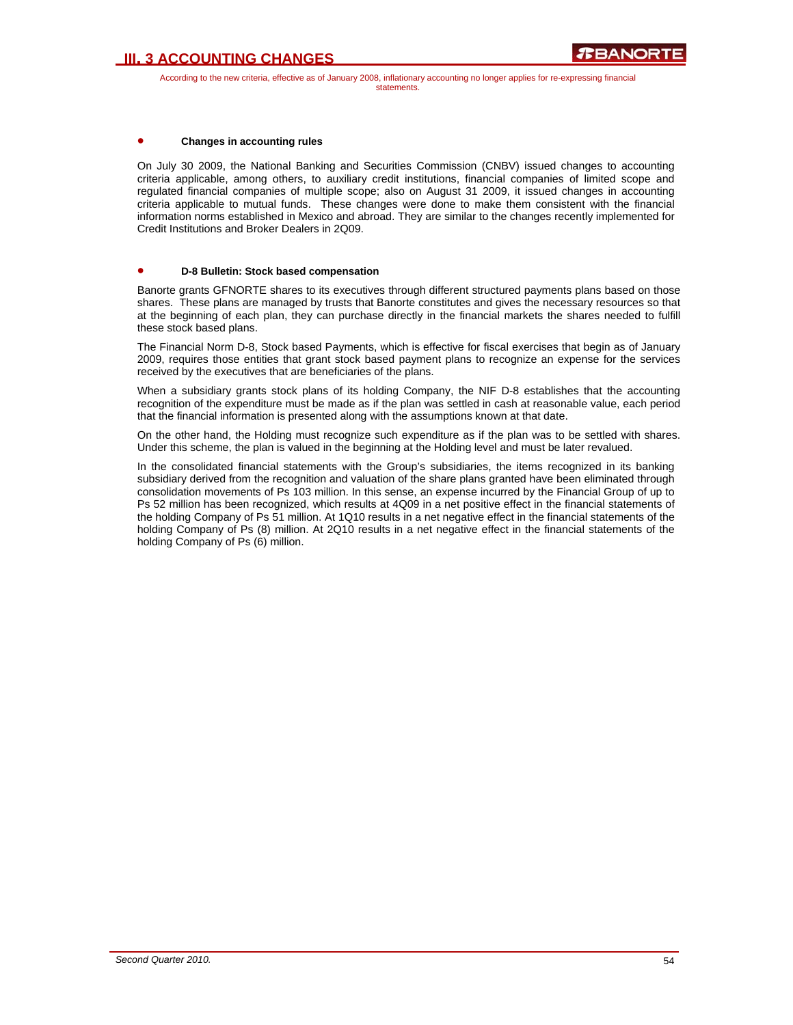According to the new criteria, effective as of January 2008, inflationary accounting no longer applies for re-expressing financial statements.

### • **Changes in accounting rules**

On July 30 2009, the National Banking and Securities Commission (CNBV) issued changes to accounting criteria applicable, among others, to auxiliary credit institutions, financial companies of limited scope and regulated financial companies of multiple scope; also on August 31 2009, it issued changes in accounting criteria applicable to mutual funds. These changes were done to make them consistent with the financial information norms established in Mexico and abroad. They are similar to the changes recently implemented for Credit Institutions and Broker Dealers in 2Q09.

#### • **D-8 Bulletin: Stock based compensation**

Banorte grants GFNORTE shares to its executives through different structured payments plans based on those shares. These plans are managed by trusts that Banorte constitutes and gives the necessary resources so that at the beginning of each plan, they can purchase directly in the financial markets the shares needed to fulfill these stock based plans.

The Financial Norm D-8, Stock based Payments, which is effective for fiscal exercises that begin as of January 2009, requires those entities that grant stock based payment plans to recognize an expense for the services received by the executives that are beneficiaries of the plans.

When a subsidiary grants stock plans of its holding Company, the NIF D-8 establishes that the accounting recognition of the expenditure must be made as if the plan was settled in cash at reasonable value, each period that the financial information is presented along with the assumptions known at that date.

On the other hand, the Holding must recognize such expenditure as if the plan was to be settled with shares. Under this scheme, the plan is valued in the beginning at the Holding level and must be later revalued.

In the consolidated financial statements with the Group's subsidiaries, the items recognized in its banking subsidiary derived from the recognition and valuation of the share plans granted have been eliminated through consolidation movements of Ps 103 million. In this sense, an expense incurred by the Financial Group of up to Ps 52 million has been recognized, which results at 4Q09 in a net positive effect in the financial statements of the holding Company of Ps 51 million. At 1Q10 results in a net negative effect in the financial statements of the holding Company of Ps (8) million. At 2Q10 results in a net negative effect in the financial statements of the holding Company of Ps (6) million.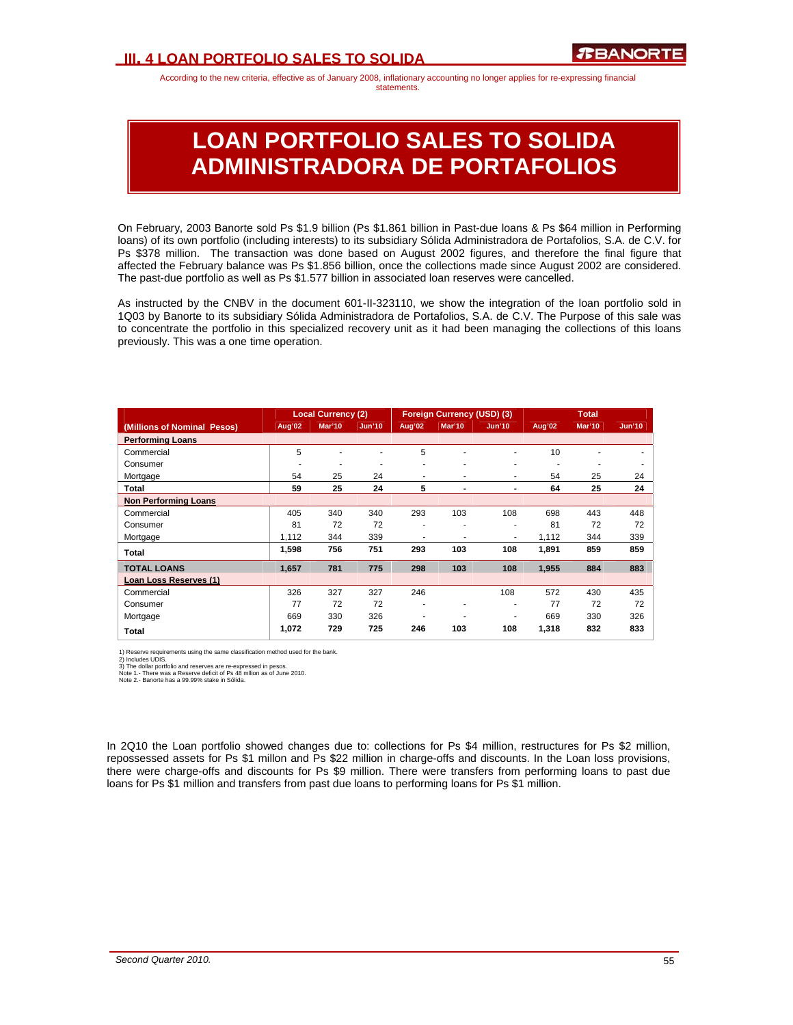### **III. 4 LOAN PORTFOLIO SALES TO SOLIDA**

According to the new criteria, effective as of January 2008, inflationary accounting no longer applies for re-expressing financial statements.

# **LOAN PORTFOLIO SALES TO SOLIDA ADMINISTRADORA DE PORTAFOLIOS**

On February, 2003 Banorte sold Ps \$1.9 billion (Ps \$1.861 billion in Past-due loans & Ps \$64 million in Performing loans) of its own portfolio (including interests) to its subsidiary Sólida Administradora de Portafolios, S.A. de C.V. for Ps \$378 million. The transaction was done based on August 2002 figures, and therefore the final figure that affected the February balance was Ps \$1.856 billion, once the collections made since August 2002 are considered. The past-due portfolio as well as Ps \$1.577 billion in associated loan reserves were cancelled.

As instructed by the CNBV in the document 601-II-323110, we show the integration of the loan portfolio sold in 1Q03 by Banorte to its subsidiary Sólida Administradora de Portafolios, S.A. de C.V. The Purpose of this sale was to concentrate the portfolio in this specialized recovery unit as it had been managing the collections of this loans previously. This was a one time operation.

|                             |        | <b>Local Currency (2)</b> |               |        | Foreign Currency (USD) (3) |               | <b>Total</b> |               |               |
|-----------------------------|--------|---------------------------|---------------|--------|----------------------------|---------------|--------------|---------------|---------------|
| (Millions of Nominal Pesos) | Aug'02 | <b>Mar'10</b>             | <b>Jun'10</b> | Aug'02 | <b>Mar'10</b>              | <b>Jun'10</b> | Aug'02       | <b>Mar'10</b> | <b>Jun'10</b> |
| <b>Performing Loans</b>     |        |                           |               |        |                            |               |              |               |               |
| Commercial                  | 5      |                           |               | 5      | ٠                          | ٠             | 10           |               |               |
| Consumer                    | ٠      | ۰                         | ۰             | ۰      | ٠                          | ٠             | ٠            | ۰             |               |
| Mortgage                    | 54     | 25                        | 24            | ۰      | ٠                          | ۰             | 54           | 25            | 24            |
| Total                       | 59     | 25                        | 24            | 5      | ٠                          |               | 64           | 25            | 24            |
| <b>Non Performing Loans</b> |        |                           |               |        |                            |               |              |               |               |
| Commercial                  | 405    | 340                       | 340           | 293    | 103                        | 108           | 698          | 443           | 448           |
| Consumer                    | 81     | 72                        | 72            | ۰      | ۰                          | ٠             | 81           | 72            | 72            |
| Mortgage                    | 1.112  | 344                       | 339           | ۰      | ٠                          | ۰             | 1,112        | 344           | 339           |
| Total                       | 1,598  | 756                       | 751           | 293    | 103                        | 108           | 1,891        | 859           | 859           |
| <b>TOTAL LOANS</b>          | 1,657  | 781                       | 775           | 298    | 103                        | 108           | 1,955        | 884           | 883           |
| Loan Loss Reserves (1)      |        |                           |               |        |                            |               |              |               |               |
| Commercial                  | 326    | 327                       | 327           | 246    |                            | 108           | 572          | 430           | 435           |
| Consumer                    | 77     | 72                        | 72            | ۰      | ٠                          | ۰             | 77           | 72            | 72            |
| Mortgage                    | 669    | 330                       | 326           |        |                            | ۰             | 669          | 330           | 326           |
| Total                       | 1,072  | 729                       | 725           | 246    | 103                        | 108           | 1,318        | 832           | 833           |

1) Reserve requirements using the same classification method used for the bank.

2) Includes UDIS.<br>3) The dollar portfolio and reserves are re-expressed in pesos.<br>Note 1.- There was a Reserve deficit of Ps 48 mllion as of June 2010.<br>Note 2.- Banorte has a 99.99% stake in Sólida.

In 2Q10 the Loan portfolio showed changes due to: collections for Ps \$4 million, restructures for Ps \$2 million, repossessed assets for Ps \$1 millon and Ps \$22 million in charge-offs and discounts. In the Loan loss provisions, there were charge-offs and discounts for Ps \$9 million. There were transfers from performing loans to past due loans for Ps \$1 million and transfers from past due loans to performing loans for Ps \$1 million.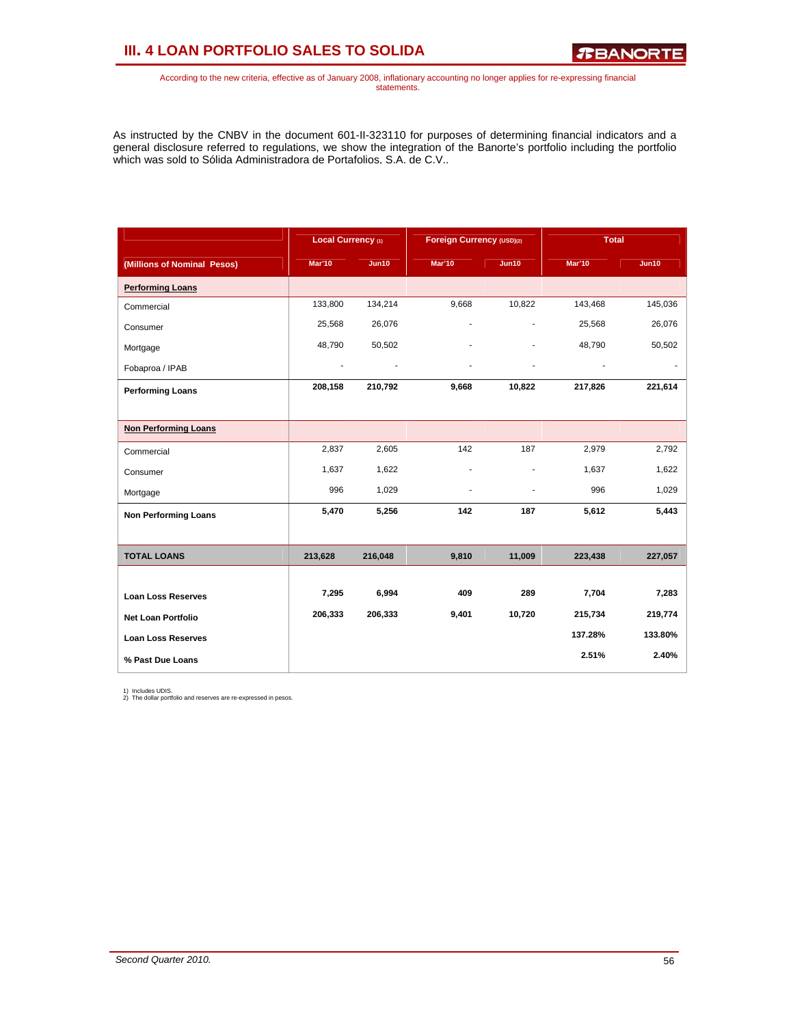## **III. 4 LOAN PORTFOLIO SALES TO SOLIDA**

*R***BANORTE** 

According to the new criteria, effective as of January 2008, inflationary accounting no longer applies for re-expressing financial statements.

As instructed by the CNBV in the document 601-II-323110 for purposes of determining financial indicators and a general disclosure referred to regulations, we show the integration of the Banorte's portfolio including the portfolio which was sold to Sólida Administradora de Portafolios, S.A. de C.V..

|                             | Local Currency (1) |              | Foreign Currency (USD)(2) |              |               | <b>Total</b> |
|-----------------------------|--------------------|--------------|---------------------------|--------------|---------------|--------------|
| (Millions of Nominal Pesos) | Mar'10             | <b>Jun10</b> | Mar'10                    | <b>Jun10</b> | <b>Mar'10</b> | <b>Jun10</b> |
| <b>Performing Loans</b>     |                    |              |                           |              |               |              |
| Commercial                  | 133,800            | 134,214      | 9,668                     | 10,822       | 143,468       | 145,036      |
| Consumer                    | 25,568             | 26,076       | ä,                        |              | 25,568        | 26,076       |
| Mortgage                    | 48,790             | 50,502       |                           |              | 48,790        | 50,502       |
| Fobaproa / IPAB             |                    |              |                           |              |               |              |
| <b>Performing Loans</b>     | 208,158            | 210,792      | 9,668                     | 10,822       | 217,826       | 221,614      |
|                             |                    |              |                           |              |               |              |
| <b>Non Performing Loans</b> |                    |              |                           |              |               |              |
| Commercial                  | 2,837              | 2,605        | 142                       | 187          | 2,979         | 2,792        |
| Consumer                    | 1,637              | 1,622        |                           | ٠            | 1,637         | 1,622        |
| Mortgage                    | 996                | 1,029        | ä,                        | ٠            | 996           | 1,029        |
| <b>Non Performing Loans</b> | 5,470              | 5,256        | 142                       | 187          | 5,612         | 5,443        |
|                             |                    |              |                           |              |               |              |
| <b>TOTAL LOANS</b>          | 213,628            | 216,048      | 9,810                     | 11,009       | 223,438       | 227,057      |
|                             |                    |              |                           |              |               |              |
| <b>Loan Loss Reserves</b>   | 7,295              | 6,994        | 409                       | 289          | 7,704         | 7,283        |
| <b>Net Loan Portfolio</b>   | 206,333            | 206,333      | 9,401                     | 10,720       | 215,734       | 219,774      |
| <b>Loan Loss Reserves</b>   |                    |              |                           |              | 137.28%       | 133.80%      |
| % Past Due Loans            |                    |              |                           |              | 2.51%         | 2.40%        |

1) Includes UDIS. 2) The dollar portfolio and reserves are re-expressed in pesos.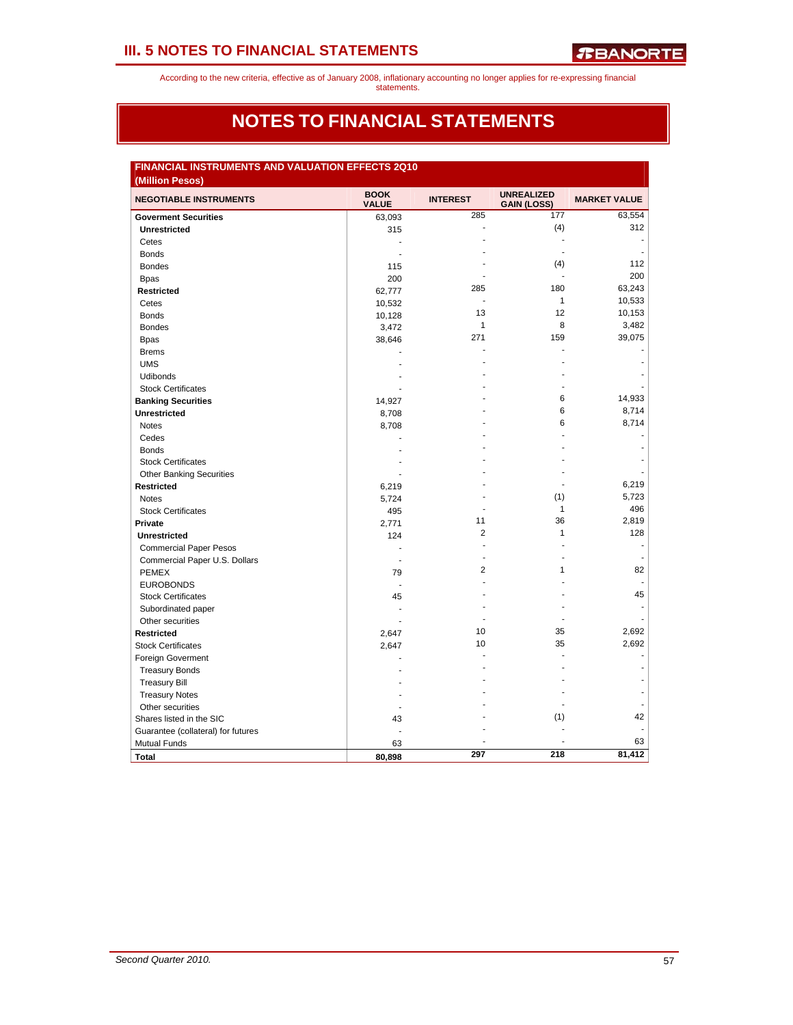According to the new criteria, effective as of January 2008, inflationary accounting no longer applies for re-expressing financial statements.

# **NOTES TO FINANCIAL STATEMENTS**

| FINANCIAL INSTRUMENTS AND VALUATION EFFECTS 2Q10<br>(Million Pesos) |                             |                 |                                         |                     |
|---------------------------------------------------------------------|-----------------------------|-----------------|-----------------------------------------|---------------------|
| <b>NEGOTIABLE INSTRUMENTS</b>                                       | <b>BOOK</b><br><b>VALUE</b> | <b>INTEREST</b> | <b>UNREALIZED</b><br><b>GAIN (LOSS)</b> | <b>MARKET VALUE</b> |
| <b>Goverment Securities</b>                                         | 63,093                      | 285             | 177                                     | 63,554              |
| <b>Unrestricted</b>                                                 | 315                         | $\overline{a}$  | (4)                                     | 312                 |
| Cetes                                                               | ÷,                          |                 | L.                                      |                     |
| <b>Bonds</b>                                                        |                             |                 |                                         |                     |
| <b>Bondes</b>                                                       | 115                         |                 | (4)                                     | 112                 |
| <b>Bpas</b>                                                         | 200                         |                 |                                         | 200                 |
| <b>Restricted</b>                                                   | 62,777                      | 285             | 180                                     | 63,243              |
| Cetes                                                               | 10,532                      | ä,              | $\mathbf{1}$                            | 10,533              |
| <b>Bonds</b>                                                        | 10,128                      | 13              | 12                                      | 10,153              |
| <b>Bondes</b>                                                       | 3,472                       | 1               | 8                                       | 3,482               |
| <b>Bpas</b>                                                         | 38,646                      | 271             | 159                                     | 39,075              |
| <b>Brems</b>                                                        |                             |                 |                                         |                     |
| <b>UMS</b>                                                          |                             |                 |                                         |                     |
| Udibonds                                                            |                             |                 |                                         |                     |
| <b>Stock Certificates</b>                                           |                             |                 | ÷                                       |                     |
| <b>Banking Securities</b>                                           | 14,927                      |                 | 6                                       | 14,933              |
| <b>Unrestricted</b>                                                 | 8,708                       |                 | 6                                       | 8,714               |
| <b>Notes</b>                                                        | 8,708                       |                 | 6                                       | 8,714               |
| Cedes                                                               |                             |                 |                                         |                     |
| <b>Bonds</b>                                                        |                             |                 |                                         |                     |
|                                                                     |                             |                 |                                         |                     |
| <b>Stock Certificates</b>                                           |                             |                 |                                         |                     |
| <b>Other Banking Securities</b>                                     |                             |                 |                                         | 6,219               |
| <b>Restricted</b>                                                   | 6,219                       |                 | (1)                                     | 5,723               |
| <b>Notes</b>                                                        | 5,724                       |                 | $\mathbf{1}$                            | 496                 |
| <b>Stock Certificates</b>                                           | 495                         | 11              | 36                                      | 2,819               |
| Private                                                             | 2,771                       | $\overline{2}$  | $\mathbf{1}$                            | 128                 |
| <b>Unrestricted</b>                                                 | 124                         |                 |                                         |                     |
| <b>Commercial Paper Pesos</b>                                       | ÷.                          |                 |                                         |                     |
| Commercial Paper U.S. Dollars                                       |                             |                 |                                         |                     |
| <b>PEMEX</b>                                                        | 79                          | 2               | 1                                       | 82                  |
| <b>EUROBONDS</b>                                                    | $\overline{a}$              |                 |                                         | ÷,                  |
| <b>Stock Certificates</b>                                           | 45                          |                 |                                         | 45                  |
| Subordinated paper                                                  | ÷.                          |                 |                                         |                     |
| Other securities                                                    |                             |                 |                                         |                     |
| <b>Restricted</b>                                                   | 2,647                       | 10              | 35                                      | 2,692               |
| <b>Stock Certificates</b>                                           | 2,647                       | 10              | 35                                      | 2,692               |
| Foreign Goverment                                                   |                             |                 |                                         |                     |
| <b>Treasury Bonds</b>                                               |                             |                 |                                         |                     |
| <b>Treasury Bill</b>                                                |                             |                 |                                         |                     |
| <b>Treasury Notes</b>                                               |                             |                 |                                         |                     |
| Other securities                                                    |                             |                 |                                         |                     |
| Shares listed in the SIC                                            | 43                          |                 | (1)                                     | 42                  |
| Guarantee (collateral) for futures                                  |                             |                 |                                         |                     |
| <b>Mutual Funds</b>                                                 | 63                          |                 |                                         | 63                  |
| <b>Total</b>                                                        | 80.898                      | 297             | 218                                     | 81,412              |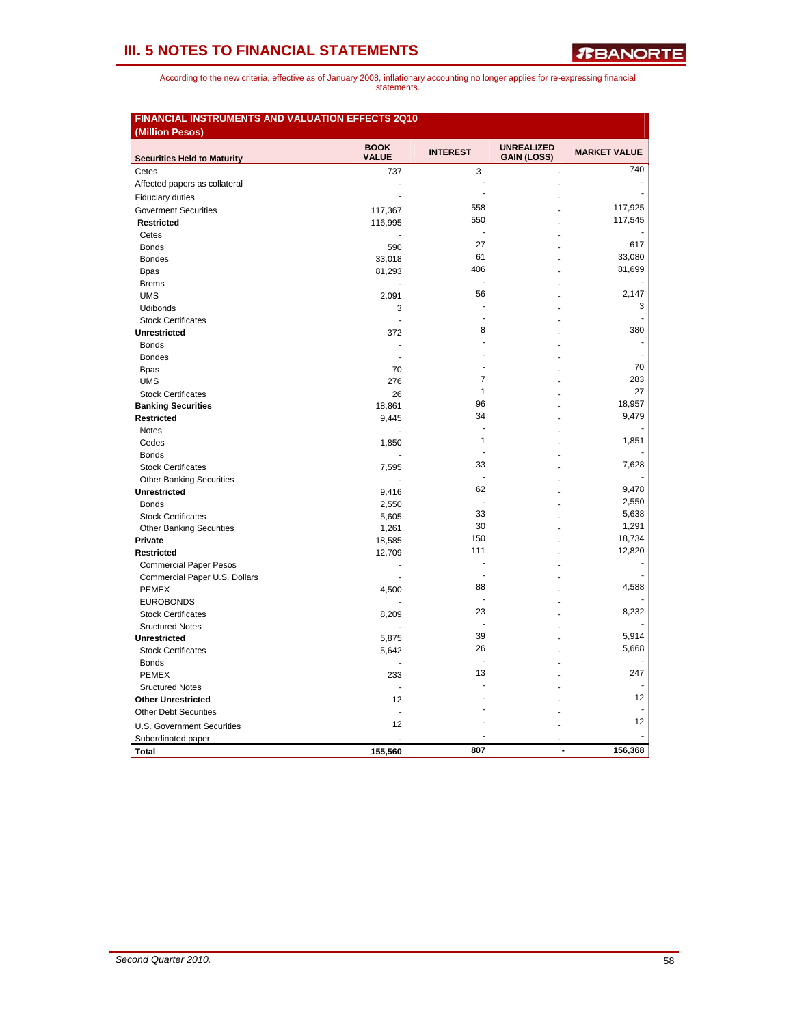| (Million Pesos)                    | <b>BOOK</b>  |                 | <b>UNREALIZED</b>  |                     |
|------------------------------------|--------------|-----------------|--------------------|---------------------|
| <b>Securities Held to Maturity</b> | <b>VALUE</b> | <b>INTEREST</b> | <b>GAIN (LOSS)</b> | <b>MARKET VALUE</b> |
| Cetes                              | 737          | 3               | $\overline{a}$     | 740                 |
| Affected papers as collateral      |              | ä,              |                    |                     |
| <b>Fiduciary duties</b>            | ä,           | ÷.              |                    |                     |
| <b>Goverment Securities</b>        | 117,367      | 558             |                    | 117,925             |
| <b>Restricted</b>                  | 116,995      | 550             |                    | 117,545             |
| Cetes                              |              | Ĭ.              |                    |                     |
| <b>Bonds</b>                       | 590          | 27              |                    | 617                 |
| <b>Bondes</b>                      | 33,018       | 61              |                    | 33,080              |
| <b>Bpas</b>                        | 81,293       | 406             |                    | 81,699              |
| <b>Brems</b>                       |              | ä,              |                    |                     |
| <b>UMS</b>                         | 2,091        | 56              |                    | 2,147               |
| Udibonds                           | 3            |                 |                    | 3                   |
| <b>Stock Certificates</b>          |              |                 |                    |                     |
| <b>Unrestricted</b>                | 372          | 8               |                    | 380                 |
| <b>Bonds</b>                       |              |                 |                    |                     |
| <b>Bondes</b>                      |              |                 |                    |                     |
| <b>Bpas</b>                        | 70           |                 |                    | 70                  |
| <b>UMS</b>                         | 276          | $\overline{7}$  |                    | 283                 |
| <b>Stock Certificates</b>          | 26           | 1               |                    | 27                  |
| <b>Banking Securities</b>          | 18,861       | 96              |                    | 18,957              |
| Restricted                         | 9,445        | 34              |                    | 9,479               |
| Notes                              |              |                 |                    |                     |
| Cedes                              | 1,850        | 1               |                    | 1,851               |
| <b>Bonds</b>                       |              |                 |                    |                     |
| <b>Stock Certificates</b>          | 7,595        | 33              |                    | 7,628               |
| <b>Other Banking Securities</b>    |              | ä,              |                    |                     |
| <b>Unrestricted</b>                | 9,416        | 62              |                    | 9,478               |
| <b>Bonds</b>                       | 2,550        | J.              |                    | 2,550               |
| <b>Stock Certificates</b>          | 5,605        | 33              |                    | 5,638               |
| <b>Other Banking Securities</b>    | 1,261        | 30              |                    | 1,291               |
| Private                            | 18,585       | 150             |                    | 18,734              |
| <b>Restricted</b>                  | 12,709       | 111             |                    | 12,820              |
| <b>Commercial Paper Pesos</b>      |              |                 |                    |                     |
| Commercial Paper U.S. Dollars      |              |                 |                    |                     |
| <b>PEMEX</b>                       | 4,500        | 88              |                    | 4,588               |
| <b>EUROBONDS</b>                   |              |                 |                    |                     |
| <b>Stock Certificates</b>          | 8,209        | 23              |                    | 8,232               |
| <b>Sructured Notes</b>             |              | ä,              |                    |                     |
| <b>Unrestricted</b>                | 5,875        | 39              |                    | 5,914               |
| <b>Stock Certificates</b>          | 5,642        | 26              |                    | 5,668               |
| <b>Bonds</b>                       |              |                 |                    |                     |
| <b>PEMEX</b>                       | 233          | 13              |                    | 247                 |
| <b>Sructured Notes</b>             |              |                 |                    |                     |
| <b>Other Unrestricted</b>          | 12           |                 |                    | 12 <sup>2</sup>     |
| <b>Other Debt Securities</b>       | ä,           |                 |                    |                     |
| <b>U.S. Government Securities</b>  | 12           |                 |                    | 12                  |
| Subordinated paper                 |              |                 |                    |                     |
|                                    |              |                 |                    |                     |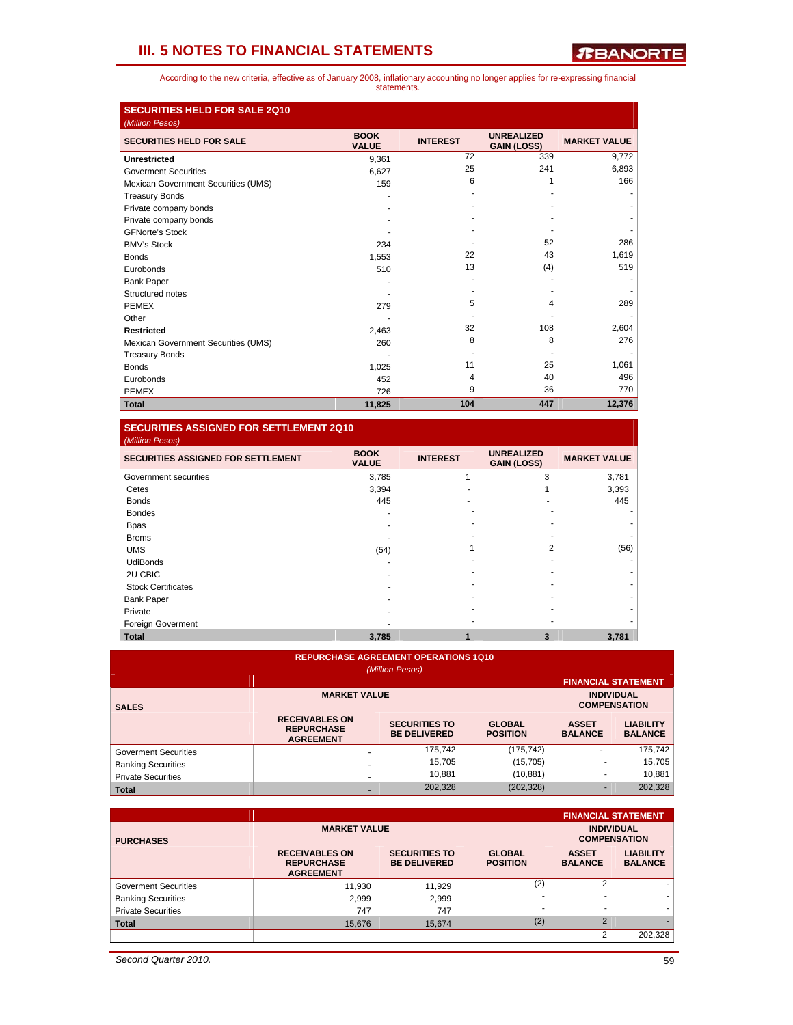According to the new criteria, effective as of January 2008, inflationary accounting no longer applies for re-expressing financial statements.

| <b>SECURITIES HELD FOR SALE 2Q10</b>               |                             |                 |                                         |                     |
|----------------------------------------------------|-----------------------------|-----------------|-----------------------------------------|---------------------|
| (Million Pesos)<br><b>SECURITIES HELD FOR SALE</b> | <b>BOOK</b><br><b>VALUE</b> | <b>INTEREST</b> | <b>UNREALIZED</b><br><b>GAIN (LOSS)</b> | <b>MARKET VALUE</b> |
| <b>Unrestricted</b>                                | 9,361                       | 72              | 339                                     | 9,772               |
| <b>Goverment Securities</b>                        | 6.627                       | 25              | 241                                     | 6,893               |
| Mexican Government Securities (UMS)                | 159                         | 6               |                                         | 166                 |
| <b>Treasury Bonds</b>                              |                             |                 |                                         |                     |
| Private company bonds                              |                             |                 |                                         |                     |
| Private company bonds                              |                             |                 |                                         |                     |
| <b>GFNorte's Stock</b>                             |                             |                 |                                         |                     |
| <b>BMV's Stock</b>                                 | 234                         |                 | 52                                      | 286                 |
| <b>Bonds</b>                                       | 1,553                       | 22              | 43                                      | 1,619               |
| Eurobonds                                          | 510                         | 13              | (4)                                     | 519                 |
| <b>Bank Paper</b>                                  |                             |                 |                                         |                     |
| Structured notes                                   |                             |                 |                                         |                     |
| <b>PEMEX</b>                                       | 279                         | 5               | 4                                       | 289                 |
| Other                                              |                             |                 |                                         |                     |
| <b>Restricted</b>                                  | 2,463                       | 32              | 108                                     | 2,604               |
| Mexican Government Securities (UMS)                | 260                         | 8               | 8                                       | 276                 |
| <b>Treasury Bonds</b>                              |                             |                 |                                         |                     |
| <b>Bonds</b>                                       | 1,025                       | 11              | 25                                      | 1,061               |
| Eurobonds                                          | 452                         | 4               | 40                                      | 496                 |
| <b>PEMEX</b>                                       | 726                         | 9               | 36                                      | 770                 |
| <b>Total</b>                                       | 11,825                      | 104             | 447                                     | 12,376              |

### **SECURITIES ASSIGNED FOR SETTLEMENT 2Q10**

| (Million Pesos)                           |                             |                 |                                         |                     |
|-------------------------------------------|-----------------------------|-----------------|-----------------------------------------|---------------------|
| <b>SECURITIES ASSIGNED FOR SETTLEMENT</b> | <b>BOOK</b><br><b>VALUE</b> | <b>INTEREST</b> | <b>UNREALIZED</b><br><b>GAIN (LOSS)</b> | <b>MARKET VALUE</b> |
| Government securities                     | 3,785                       |                 | 3                                       | 3,781               |
| Cetes                                     | 3,394                       |                 |                                         | 3,393               |
| <b>Bonds</b>                              | 445                         |                 |                                         | 445                 |
| <b>Bondes</b>                             |                             |                 |                                         |                     |
| <b>Bpas</b>                               |                             |                 |                                         |                     |
| <b>Brems</b>                              |                             |                 |                                         |                     |
| <b>UMS</b>                                | (54)                        |                 | $\mathcal{P}$                           | (56)                |
| <b>UdiBonds</b>                           |                             |                 |                                         |                     |
| 2U CBIC                                   |                             |                 |                                         |                     |
| <b>Stock Certificates</b>                 |                             |                 |                                         |                     |
| <b>Bank Paper</b>                         |                             |                 |                                         |                     |
| Private                                   |                             |                 |                                         |                     |
| <b>Foreign Goverment</b>                  |                             |                 |                                         |                     |
| <b>Total</b>                              | 3,785                       |                 | 3                                       | 3,781               |

### **REPURCHASE AGREEMENT OPERATIONS 1Q10**

|                             |                                                                | (Million Pesos)                             |                                  |                                |                                          |
|-----------------------------|----------------------------------------------------------------|---------------------------------------------|----------------------------------|--------------------------------|------------------------------------------|
|                             |                                                                |                                             |                                  |                                | <b>FINANCIAL STATEMENT</b>               |
| <b>SALES</b>                | <b>MARKET VALUE</b>                                            |                                             |                                  |                                | <b>INDIVIDUAL</b><br><b>COMPENSATION</b> |
|                             | <b>RECEIVABLES ON</b><br><b>REPURCHASE</b><br><b>AGREEMENT</b> | <b>SECURITIES TO</b><br><b>BE DELIVERED</b> | <b>GLOBAL</b><br><b>POSITION</b> | <b>ASSET</b><br><b>BALANCE</b> | <b>LIABILITY</b><br><b>BALANCE</b>       |
| <b>Goverment Securities</b> |                                                                | 175.742                                     | (175, 742)                       | ۰                              | 175,742                                  |
| <b>Banking Securities</b>   |                                                                | 15.705                                      | (15, 705)                        |                                | 15.705                                   |
| <b>Private Securities</b>   | $\overline{\phantom{a}}$                                       | 10.881                                      | (10, 881)                        | ۰                              | 10,881                                   |
| <b>Total</b>                |                                                                | 202,328                                     | (202, 328)                       | -                              | 202,328                                  |

|                             |                                                                |                                             |                                  |                                | <b>FINANCIAL STATEMENT</b>               |
|-----------------------------|----------------------------------------------------------------|---------------------------------------------|----------------------------------|--------------------------------|------------------------------------------|
| <b>PURCHASES</b>            | <b>MARKET VALUE</b>                                            |                                             |                                  |                                | <b>INDIVIDUAL</b><br><b>COMPENSATION</b> |
|                             | <b>RECEIVABLES ON</b><br><b>REPURCHASE</b><br><b>AGREEMENT</b> | <b>SECURITIES TO</b><br><b>BE DELIVERED</b> | <b>GLOBAL</b><br><b>POSITION</b> | <b>ASSET</b><br><b>BALANCE</b> | <b>LIABILITY</b><br><b>BALANCE</b>       |
| <b>Goverment Securities</b> | 11.930                                                         | 11.929                                      | (2)                              | 2                              |                                          |
| <b>Banking Securities</b>   | 2.999                                                          | 2,999                                       |                                  |                                |                                          |
| <b>Private Securities</b>   | 747                                                            | 747                                         |                                  |                                |                                          |
| <b>Total</b>                | 15,676                                                         | 15,674                                      | (2)                              | $\mathcal{P}$                  |                                          |
|                             |                                                                |                                             |                                  | 2                              | 202,328                                  |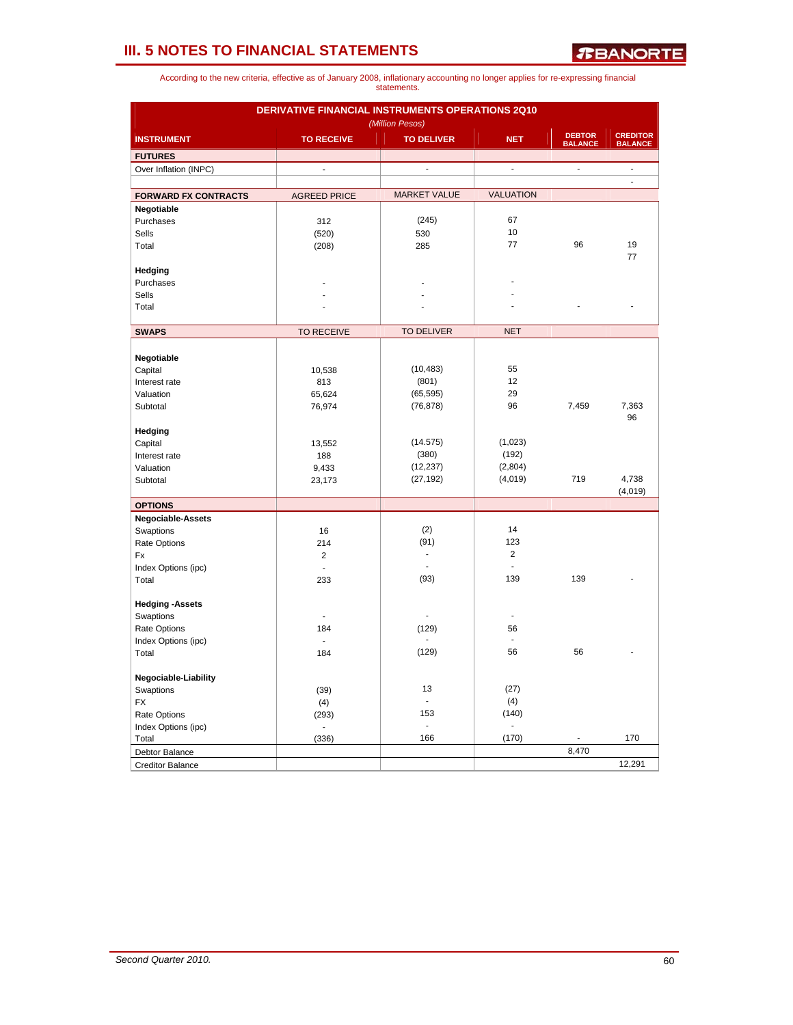|                             | <b>DERIVATIVE FINANCIAL INSTRUMENTS OPERATIONS 2Q10</b> |                     |                  |                                 |                                   |
|-----------------------------|---------------------------------------------------------|---------------------|------------------|---------------------------------|-----------------------------------|
|                             |                                                         | (Million Pesos)     |                  |                                 |                                   |
| <b>INSTRUMENT</b>           | <b>TO RECEIVE</b>                                       | <b>TO DELIVER</b>   | <b>NET</b>       | <b>DEBTOR</b><br><b>BALANCE</b> | <b>CREDITOR</b><br><b>BALANCE</b> |
| <b>FUTURES</b>              |                                                         |                     |                  |                                 |                                   |
| Over Inflation (INPC)       | $\overline{a}$                                          | l,                  | L.               | $\overline{a}$                  | $\overline{\phantom{a}}$          |
| <b>FORWARD FX CONTRACTS</b> | <b>AGREED PRICE</b>                                     | <b>MARKET VALUE</b> | <b>VALUATION</b> |                                 | $\blacksquare$                    |
| Negotiable                  |                                                         |                     |                  |                                 |                                   |
| Purchases                   | 312                                                     | (245)               | 67               |                                 |                                   |
| <b>Sells</b>                | (520)                                                   | 530                 | 10               |                                 |                                   |
| Total                       | (208)                                                   | 285                 | 77               | 96                              | 19                                |
|                             |                                                         |                     |                  |                                 | 77                                |
| Hedging                     |                                                         |                     |                  |                                 |                                   |
| Purchases                   |                                                         |                     |                  |                                 |                                   |
| <b>Sells</b>                |                                                         |                     |                  |                                 |                                   |
| Total                       |                                                         |                     |                  |                                 |                                   |
|                             |                                                         |                     |                  |                                 |                                   |
| <b>SWAPS</b>                | <b>TO RECEIVE</b>                                       | <b>TO DELIVER</b>   | <b>NET</b>       |                                 |                                   |
|                             |                                                         |                     |                  |                                 |                                   |
| Negotiable                  |                                                         |                     |                  |                                 |                                   |
| Capital                     | 10,538                                                  | (10, 483)           | 55               |                                 |                                   |
| Interest rate               | 813                                                     | (801)               | 12               |                                 |                                   |
| Valuation                   | 65,624                                                  | (65, 595)           | 29               |                                 |                                   |
| Subtotal                    | 76,974                                                  | (76, 878)           | 96               | 7,459                           | 7,363                             |
|                             |                                                         |                     |                  |                                 | 96                                |
| Hedging                     |                                                         |                     |                  |                                 |                                   |
| Capital                     | 13,552                                                  | (14.575)            | (1,023)          |                                 |                                   |
| Interest rate               | 188                                                     | (380)               | (192)            |                                 |                                   |
| Valuation                   | 9,433                                                   | (12, 237)           | (2,804)          |                                 |                                   |
| Subtotal                    | 23,173                                                  | (27, 192)           | (4,019)          | 719                             | 4,738                             |
|                             |                                                         |                     |                  |                                 | (4,019)                           |
| <b>OPTIONS</b>              |                                                         |                     |                  |                                 |                                   |
| <b>Negociable-Assets</b>    |                                                         |                     |                  |                                 |                                   |
| Swaptions                   | 16                                                      | (2)                 | 14               |                                 |                                   |
| Rate Options                | 214                                                     | (91)                | 123              |                                 |                                   |
| Fx                          | $\overline{2}$                                          | $\blacksquare$      | $\overline{2}$   |                                 |                                   |
| Index Options (ipc)         | $\overline{\phantom{a}}$                                |                     | ä,               |                                 |                                   |
| Total                       | 233                                                     | (93)                | 139              | 139                             |                                   |
| <b>Hedging -Assets</b>      |                                                         |                     |                  |                                 |                                   |
| Swaptions                   |                                                         | ÷,                  | ÷,               |                                 |                                   |
| Rate Options                | 184                                                     | (129)               | 56               |                                 |                                   |
| Index Options (ipc)         | $\blacksquare$                                          | ٠                   | ÷                |                                 |                                   |
| Total                       | 184                                                     | (129)               | 56               | 56                              |                                   |
|                             |                                                         |                     |                  |                                 |                                   |
| Negociable-Liability        |                                                         |                     |                  |                                 |                                   |
| Swaptions                   | (39)                                                    | 13                  | (27)             |                                 |                                   |
| <b>FX</b>                   | (4)                                                     | L.                  | (4)              |                                 |                                   |
| Rate Options                | (293)                                                   | 153                 | (140)            |                                 |                                   |
| Index Options (ipc)         | $\blacksquare$                                          | $\overline{a}$      |                  |                                 |                                   |
| Total                       | (336)                                                   | 166                 | (170)            |                                 | 170                               |
| Debtor Balance              |                                                         |                     |                  | 8,470                           |                                   |
| <b>Creditor Balance</b>     |                                                         |                     |                  |                                 | 12,291                            |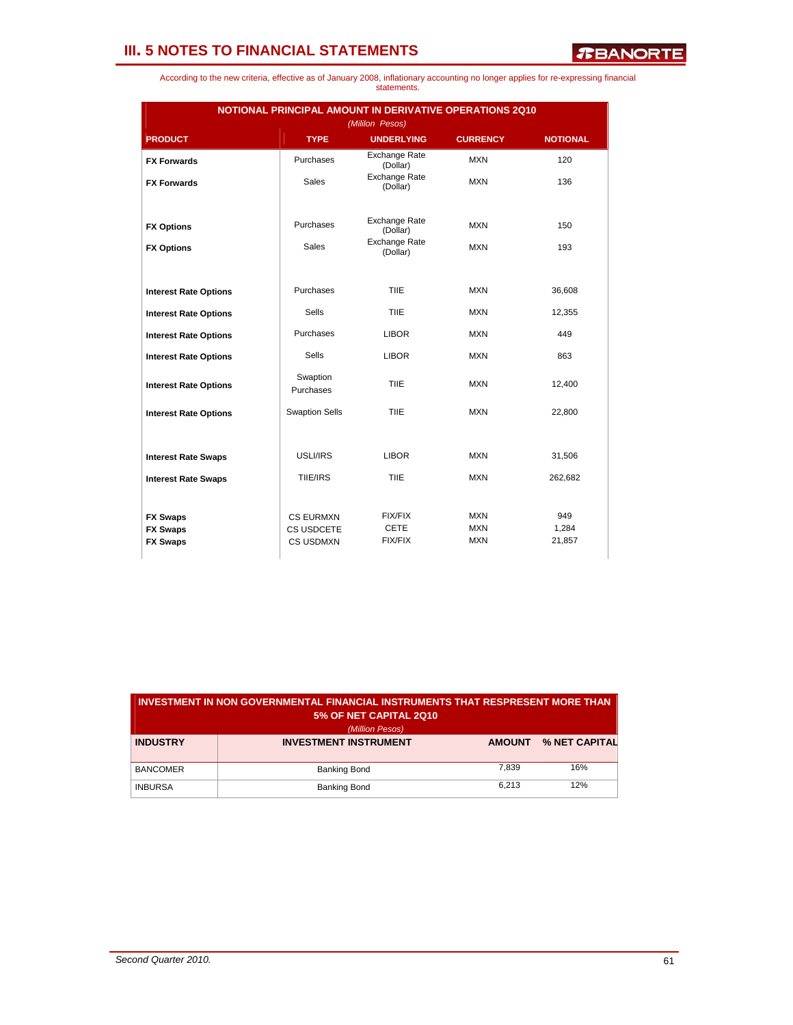| NOTIONAL PRINCIPAL AMOUNT IN DERIVATIVE OPERATIONS 2Q10<br>(Mililon Pesos) |                                |                                  |                          |                 |  |  |  |  |
|----------------------------------------------------------------------------|--------------------------------|----------------------------------|--------------------------|-----------------|--|--|--|--|
| <b>PRODUCT</b>                                                             | <b>TYPE</b>                    | <b>UNDERLYING</b>                | <b>CURRENCY</b>          | <b>NOTIONAL</b> |  |  |  |  |
| <b>FX Forwards</b>                                                         | <b>Purchases</b>               | Exchange Rate<br>(Dollar)        | <b>MXN</b>               | 120             |  |  |  |  |
| <b>FX Forwards</b>                                                         | <b>Sales</b>                   | Exchange Rate<br>(Dollar)        | <b>MXN</b>               | 136             |  |  |  |  |
| <b>FX Options</b>                                                          | <b>Purchases</b>               | <b>Exchange Rate</b><br>(Dollar) | <b>MXN</b>               | 150             |  |  |  |  |
| <b>FX Options</b>                                                          | Sales                          | <b>Exchange Rate</b><br>(Dollar) | <b>MXN</b>               | 193             |  |  |  |  |
| <b>Interest Rate Options</b>                                               | Purchases                      | TIIE                             | <b>MXN</b>               | 36,608          |  |  |  |  |
| <b>Interest Rate Options</b>                                               | <b>Sells</b>                   | <b>TIIE</b>                      | <b>MXN</b>               | 12,355          |  |  |  |  |
| <b>Interest Rate Options</b>                                               | Purchases                      | <b>LIBOR</b>                     | <b>MXN</b>               | 449             |  |  |  |  |
| <b>Interest Rate Options</b>                                               | Sells                          | <b>LIBOR</b>                     | <b>MXN</b>               | 863             |  |  |  |  |
| <b>Interest Rate Options</b>                                               | Swaption<br>Purchases          | <b>TIIE</b>                      | <b>MXN</b>               | 12,400          |  |  |  |  |
| <b>Interest Rate Options</b>                                               | <b>Swaption Sells</b>          | TIIE                             | <b>MXN</b>               | 22.800          |  |  |  |  |
| <b>Interest Rate Swaps</b>                                                 | USLI/IRS                       | <b>LIBOR</b>                     | <b>MXN</b>               | 31,506          |  |  |  |  |
| <b>Interest Rate Swaps</b>                                                 | TIIE/IRS                       | <b>TIIE</b>                      | <b>MXN</b>               | 262.682         |  |  |  |  |
| <b>FX Swaps</b>                                                            | <b>CS EURMXN</b><br>CS USDCETE | <b>FIX/FIX</b><br><b>CETE</b>    | <b>MXN</b><br><b>MXN</b> | 949<br>1,284    |  |  |  |  |
| <b>FX Swaps</b><br><b>FX Swaps</b>                                         | <b>CS USDMXN</b>               | <b>FIX/FIX</b>                   | <b>MXN</b>               | 21,857          |  |  |  |  |

| INVESTMENT IN NON GOVERNMENTAL FINANCIAL INSTRUMENTS THAT RESPRESENT MORE THAN<br>5% OF NET CAPITAL 2Q10<br>(Million Pesos) |                              |               |               |  |  |
|-----------------------------------------------------------------------------------------------------------------------------|------------------------------|---------------|---------------|--|--|
| <b>INDUSTRY</b>                                                                                                             | <b>INVESTMENT INSTRUMENT</b> | <b>AMOUNT</b> | % NET CAPITAL |  |  |
| <b>BANCOMER</b>                                                                                                             | <b>Banking Bond</b>          | 7.839         | 16%           |  |  |
| <b>INBURSA</b>                                                                                                              | <b>Banking Bond</b>          | 6.213         | 12%           |  |  |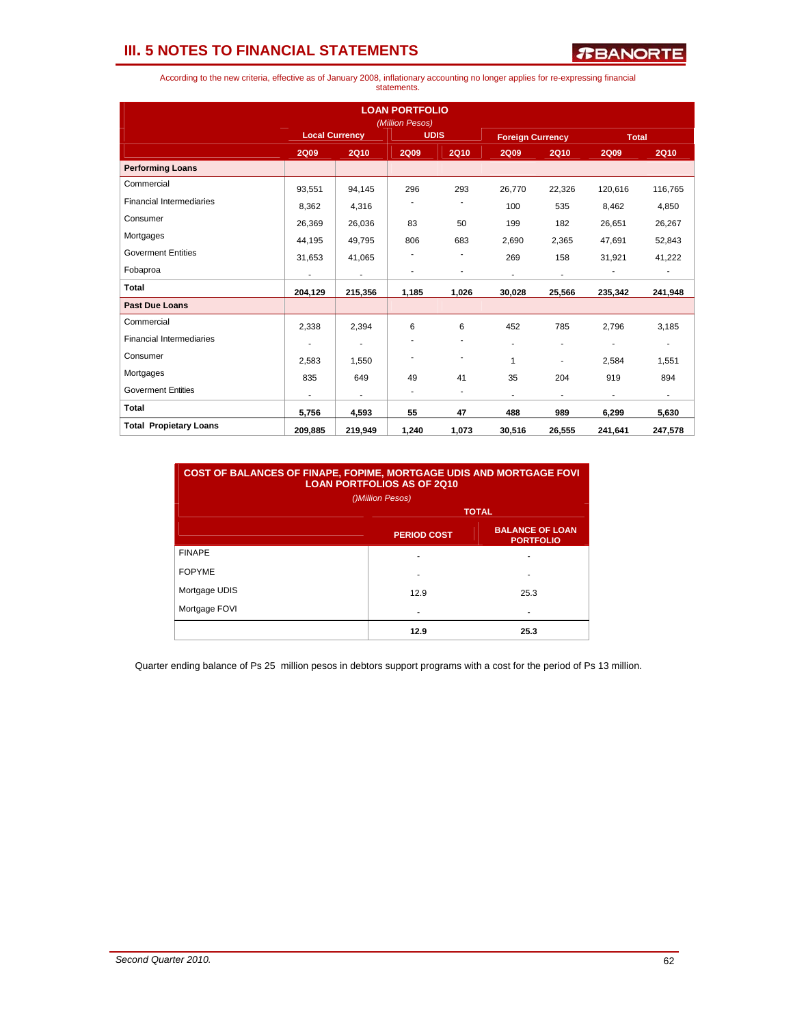*R***BANORTE** 

According to the new criteria, effective as of January 2008, inflationary accounting no longer applies for re-expressing financial statements.

|                                 |                          |                          | <b>LOAN PORTFOLIO</b><br>(Million Pesos) |             |                         |                |                |                          |
|---------------------------------|--------------------------|--------------------------|------------------------------------------|-------------|-------------------------|----------------|----------------|--------------------------|
|                                 | <b>Local Currency</b>    |                          | <b>UDIS</b>                              |             | <b>Foreign Currency</b> |                | <b>Total</b>   |                          |
|                                 | <b>2Q09</b>              | <b>2Q10</b>              | <b>2Q09</b>                              | <b>2Q10</b> | <b>2Q09</b>             | <b>2Q10</b>    | <b>2Q09</b>    | <b>2Q10</b>              |
| <b>Performing Loans</b>         |                          |                          |                                          |             |                         |                |                |                          |
| Commercial                      | 93,551                   | 94,145                   | 296                                      | 293         | 26,770                  | 22,326         | 120,616        | 116,765                  |
| <b>Financial Intermediaries</b> | 8,362                    | 4,316                    |                                          |             | 100                     | 535            | 8,462          | 4,850                    |
| Consumer                        | 26,369                   | 26,036                   | 83                                       | 50          | 199                     | 182            | 26,651         | 26,267                   |
| Mortgages                       | 44,195                   | 49,795                   | 806                                      | 683         | 2,690                   | 2,365          | 47,691         | 52,843                   |
| <b>Goverment Entities</b>       | 31,653                   | 41,065                   |                                          |             | 269                     | 158            | 31,921         | 41,222                   |
| Fobaproa                        | $\overline{\phantom{a}}$ | $\overline{\phantom{a}}$ |                                          | ٠           | $\blacksquare$          | $\overline{a}$ |                | $\overline{\phantom{0}}$ |
| <b>Total</b>                    | 204,129                  | 215,356                  | 1,185                                    | 1,026       | 30,028                  | 25,566         | 235,342        | 241,948                  |
| <b>Past Due Loans</b>           |                          |                          |                                          |             |                         |                |                |                          |
| Commercial                      | 2.338                    | 2,394                    | 6                                        | 6           | 452                     | 785            | 2.796          | 3,185                    |
| <b>Financial Intermediaries</b> | ٠                        | ٠                        |                                          |             | ۰                       | ٠              | ٠              | $\overline{\phantom{0}}$ |
| Consumer                        | 2,583                    | 1,550                    |                                          |             | $\mathbf{1}$            | ٠              | 2,584          | 1,551                    |
| Mortgages                       | 835                      | 649                      | 49                                       | 41          | 35                      | 204            | 919            | 894                      |
| <b>Goverment Entities</b>       | $\blacksquare$           | $\blacksquare$           | ٠                                        | ٠           | $\sim$                  | $\blacksquare$ | $\blacksquare$ | $\sim$                   |
| <b>Total</b>                    | 5,756                    | 4,593                    | 55                                       | 47          | 488                     | 989            | 6,299          | 5,630                    |
| <b>Total Propietary Loans</b>   | 209,885                  | 219,949                  | 1,240                                    | 1,073       | 30,516                  | 26,555         | 241,641        | 247,578                  |

| <b>COST OF BALANCES OF FINAPE, FOPIME, MORTGAGE UDIS AND MORTGAGE FOVI</b><br><b>LOAN PORTFOLIOS AS OF 2Q10</b><br>()Million Pesos) |                    |                                            |  |  |  |
|-------------------------------------------------------------------------------------------------------------------------------------|--------------------|--------------------------------------------|--|--|--|
|                                                                                                                                     | <b>TOTAL</b>       |                                            |  |  |  |
|                                                                                                                                     | <b>PERIOD COST</b> | <b>BALANCE OF LOAN</b><br><b>PORTFOLIO</b> |  |  |  |
| <b>FINAPE</b>                                                                                                                       |                    |                                            |  |  |  |
| <b>FOPYME</b>                                                                                                                       |                    |                                            |  |  |  |
| Mortgage UDIS                                                                                                                       | 12.9               | 25.3                                       |  |  |  |
| Mortgage FOVI                                                                                                                       |                    |                                            |  |  |  |
|                                                                                                                                     | 12.9               | 25.3                                       |  |  |  |

Quarter ending balance of Ps 25 million pesos in debtors support programs with a cost for the period of Ps 13 million.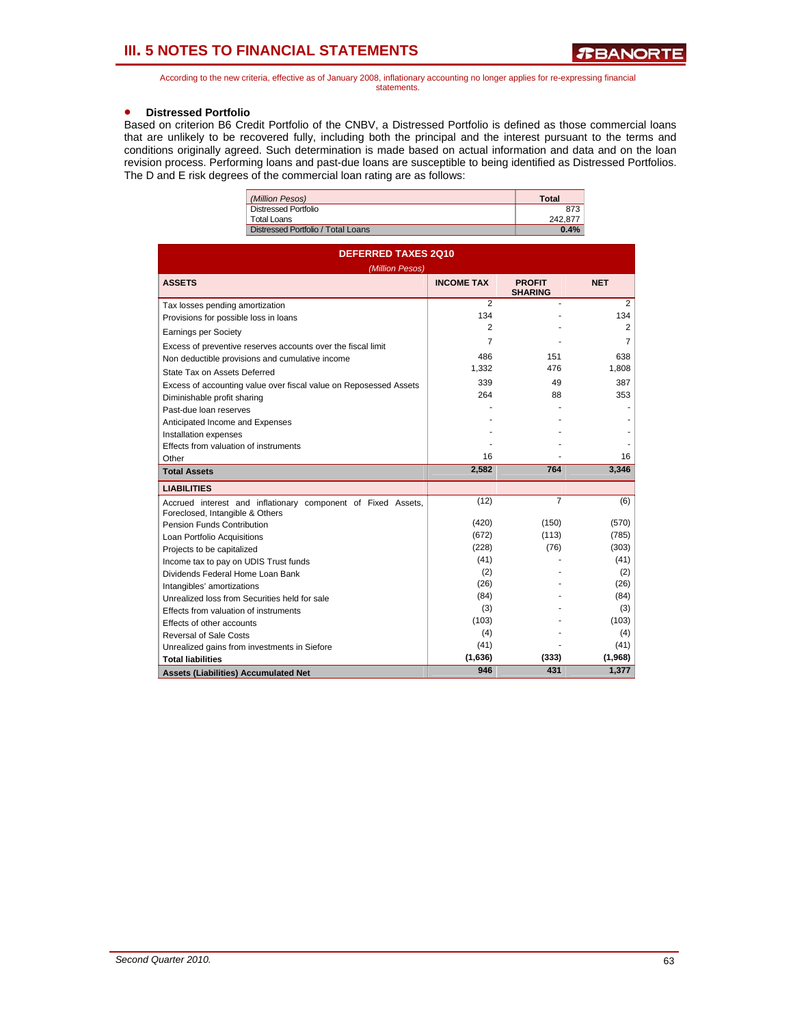According to the new criteria, effective as of January 2008, inflationary accounting no longer applies for re-expressing financial statements.

### • **Distressed Portfolio**

Based on criterion B6 Credit Portfolio of the CNBV, a Distressed Portfolio is defined as those commercial loans that are unlikely to be recovered fully, including both the principal and the interest pursuant to the terms and conditions originally agreed. Such determination is made based on actual information and data and on the loan revision process. Performing loans and past-due loans are susceptible to being identified as Distressed Portfolios. The D and E risk degrees of the commercial loan rating are as follows:

| (Million Pesos)                    | <b>Total</b> |
|------------------------------------|--------------|
| Distressed Portfolio               | 873          |
| Total Loans                        | 242.877      |
| Distressed Portfolio / Total Loans | 0.4%         |

| <b>DEFERRED TAXES 2010</b><br>(Million Pesos)                                                   |                   |                                 |            |
|-------------------------------------------------------------------------------------------------|-------------------|---------------------------------|------------|
| <b>ASSETS</b>                                                                                   | <b>INCOME TAX</b> | <b>PROFIT</b><br><b>SHARING</b> | <b>NET</b> |
| Tax losses pending amortization                                                                 | $\overline{2}$    |                                 | 2          |
| Provisions for possible loss in loans                                                           | 134               |                                 | 134        |
| <b>Earnings per Society</b>                                                                     | 2                 |                                 | 2          |
| Excess of preventive reserves accounts over the fiscal limit                                    | 7                 |                                 | 7          |
| Non deductible provisions and cumulative income                                                 | 486               | 151                             | 638        |
| State Tax on Assets Deferred                                                                    | 1.332             | 476                             | 1,808      |
| Excess of accounting value over fiscal value on Reposessed Assets                               | 339               | 49                              | 387        |
| Diminishable profit sharing                                                                     | 264               | 88                              | 353        |
| Past-due loan reserves                                                                          |                   |                                 |            |
| Anticipated Income and Expenses                                                                 |                   |                                 |            |
| Installation expenses                                                                           |                   |                                 |            |
| Effects from valuation of instruments                                                           |                   |                                 |            |
| Other                                                                                           | 16                |                                 | 16         |
| <b>Total Assets</b>                                                                             | 2,582             | 764                             | 3,346      |
| <b>LIABILITIES</b>                                                                              |                   |                                 |            |
| Accrued interest and inflationary component of Fixed Assets,<br>Foreclosed, Intangible & Others | (12)              | $\overline{7}$                  | (6)        |
| Pension Funds Contribution                                                                      | (420)             | (150)                           | (570)      |
| Loan Portfolio Acquisitions                                                                     | (672)             | (113)                           | (785)      |
| Projects to be capitalized                                                                      | (228)             | (76)                            | (303)      |
| Income tax to pay on UDIS Trust funds                                                           | (41)              |                                 | (41)       |
| Dividends Federal Home Loan Bank                                                                | (2)               |                                 | (2)        |
| Intangibles' amortizations                                                                      | (26)              |                                 | (26)       |
| Unrealized loss from Securities held for sale                                                   | (84)              |                                 | (84)       |
| Effects from valuation of instruments                                                           | (3)               |                                 | (3)        |
| Effects of other accounts                                                                       | (103)             |                                 | (103)      |
| <b>Reversal of Sale Costs</b>                                                                   | (4)               |                                 | (4)        |
| Unrealized gains from investments in Siefore                                                    | (41)              |                                 | (41)       |
| <b>Total liabilities</b>                                                                        | (1,636)           | (333)                           | (1,968)    |
| <b>Assets (Liabilities) Accumulated Net</b>                                                     | 946               | 431                             | 1,377      |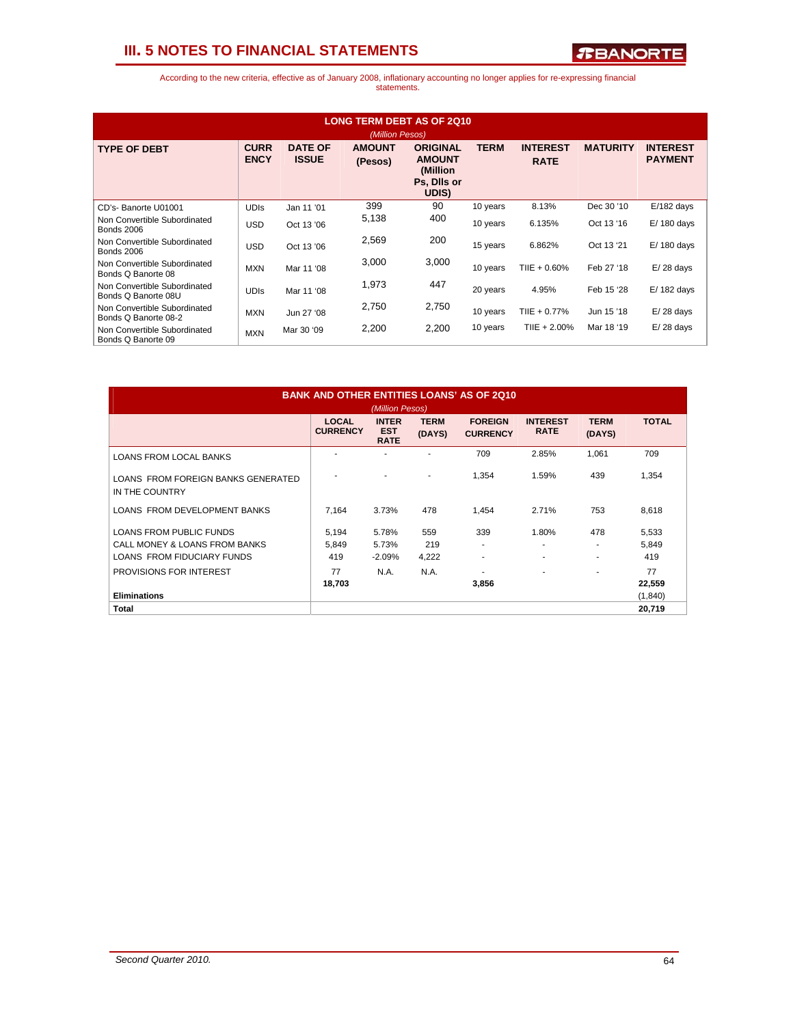

| <b>LONG TERM DEBT AS OF 2010</b><br>(Million Pesos)  |                            |                                |                          |                                                                       |             |                                |                 |                                   |
|------------------------------------------------------|----------------------------|--------------------------------|--------------------------|-----------------------------------------------------------------------|-------------|--------------------------------|-----------------|-----------------------------------|
| <b>TYPE OF DEBT</b>                                  | <b>CURR</b><br><b>ENCY</b> | <b>DATE OF</b><br><b>ISSUE</b> | <b>AMOUNT</b><br>(Pesos) | <b>ORIGINAL</b><br><b>AMOUNT</b><br>(Million)<br>Ps, Dils or<br>UDIS) | <b>TERM</b> | <b>INTEREST</b><br><b>RATE</b> | <b>MATURITY</b> | <b>INTEREST</b><br><b>PAYMENT</b> |
| CD's- Banorte U01001                                 | <b>UDIS</b>                | Jan 11 '01                     | 399                      | 90                                                                    | 10 years    | 8.13%                          | Dec 30 '10      | $E/182$ days                      |
| Non Convertible Subordinated<br><b>Bonds 2006</b>    | <b>USD</b>                 | Oct 13 '06                     | 5,138                    | 400                                                                   | 10 years    | 6.135%                         | Oct 13 '16      | $E/180$ days                      |
| Non Convertible Subordinated<br><b>Bonds 2006</b>    | <b>USD</b>                 | Oct 13 '06                     | 2,569                    | 200                                                                   | 15 years    | 6.862%                         | Oct 13 '21      | $E/180$ days                      |
| Non Convertible Subordinated<br>Bonds Q Banorte 08   | <b>MXN</b>                 | Mar 11 '08                     | 3,000                    | 3,000                                                                 | 10 years    | $T IIE + 0.60\%$               | Feb 27 '18      | $E/28$ days                       |
| Non Convertible Subordinated<br>Bonds Q Banorte 08U  | <b>UDIS</b>                | Mar 11 '08                     | 1,973                    | 447                                                                   | 20 years    | 4.95%                          | Feb 15 '28      | $E/182$ days                      |
| Non Convertible Subordinated<br>Bonds Q Banorte 08-2 | <b>MXN</b>                 | Jun 27 '08                     | 2,750                    | 2,750                                                                 | 10 years    | TIIE + 0.77%                   | Jun 15 '18      | $E/28$ days                       |
| Non Convertible Subordinated<br>Bonds Q Banorte 09   | <b>MXN</b>                 | Mar 30 '09                     | 2,200                    | 2,200                                                                 | 10 years    | $TIIE + 2.00\%$                | Mar 18 '19      | $E/28$ days                       |

| <b>BANK AND OTHER ENTITIES LOANS' AS OF 2010</b><br>(Million Pesos) |                                 |                                           |                       |                                   |                                |                          |              |
|---------------------------------------------------------------------|---------------------------------|-------------------------------------------|-----------------------|-----------------------------------|--------------------------------|--------------------------|--------------|
|                                                                     | <b>LOCAL</b><br><b>CURRENCY</b> | <b>INTER</b><br><b>EST</b><br><b>RATE</b> | <b>TERM</b><br>(DAYS) | <b>FOREIGN</b><br><b>CURRENCY</b> | <b>INTEREST</b><br><b>RATE</b> | <b>TERM</b><br>(DAYS)    | <b>TOTAL</b> |
| <b>LOANS FROM LOCAL BANKS</b>                                       |                                 |                                           |                       | 709                               | 2.85%                          | 1.061                    | 709          |
| LOANS FROM FOREIGN BANKS GENERATED<br>IN THE COUNTRY                |                                 |                                           |                       | 1.354                             | 1.59%                          | 439                      | 1,354        |
| LOANS FROM DEVELOPMENT BANKS                                        | 7.164                           | 3.73%                                     | 478                   | 1.454                             | 2.71%                          | 753                      | 8,618        |
| <b>LOANS FROM PUBLIC FUNDS</b>                                      | 5,194                           | 5.78%                                     | 559                   | 339                               | 1.80%                          | 478                      | 5,533        |
| CALL MONEY & LOANS FROM BANKS                                       | 5,849                           | 5.73%                                     | 219                   |                                   | $\overline{\phantom{a}}$       | $\overline{\phantom{a}}$ | 5,849        |
| LOANS FROM FIDUCIARY FUNDS                                          | 419                             | $-2.09%$                                  | 4,222                 | ٠                                 | $\overline{\phantom{a}}$       | $\overline{\phantom{a}}$ | 419          |
| PROVISIONS FOR INTEREST                                             | 77                              | N.A.                                      | N.A.                  |                                   | $\overline{\phantom{a}}$       |                          | 77           |
|                                                                     | 18,703                          |                                           |                       | 3,856                             |                                |                          | 22,559       |
| <b>Eliminations</b>                                                 |                                 |                                           |                       |                                   |                                |                          | (1, 840)     |
| Total                                                               |                                 |                                           |                       |                                   |                                |                          | 20,719       |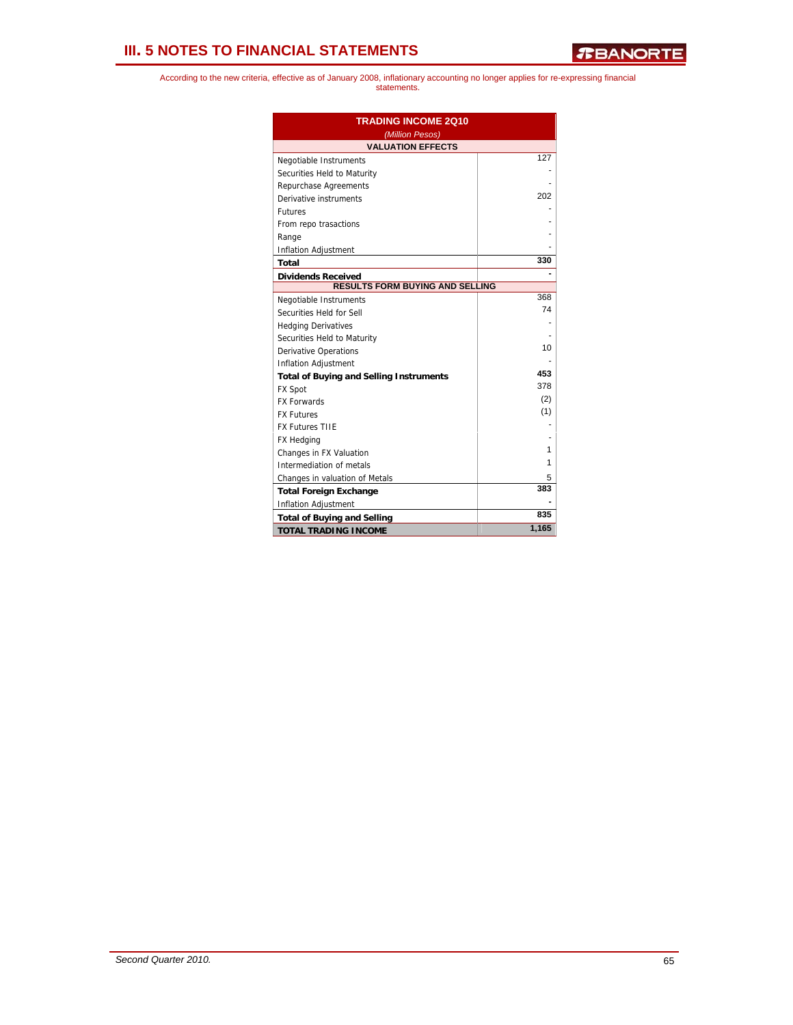| <b>TRADING INCOME 2010</b><br>(Million Pesos)  |       |  |  |  |  |  |
|------------------------------------------------|-------|--|--|--|--|--|
| <b>VALUATION EFFECTS</b>                       |       |  |  |  |  |  |
| Negotiable Instruments                         | 127   |  |  |  |  |  |
| Securities Held to Maturity                    |       |  |  |  |  |  |
| Repurchase Agreements                          |       |  |  |  |  |  |
| Derivative instruments                         | 202   |  |  |  |  |  |
| <b>Futures</b>                                 |       |  |  |  |  |  |
| From repo trasactions                          |       |  |  |  |  |  |
| Range                                          |       |  |  |  |  |  |
| Inflation Adjustment                           |       |  |  |  |  |  |
| Total                                          | 330   |  |  |  |  |  |
| <b>Dividends Received</b>                      |       |  |  |  |  |  |
| RESULTS FORM BUYING AND SELLING                |       |  |  |  |  |  |
| Negotiable Instruments                         | 368   |  |  |  |  |  |
| Securities Held for Sell                       | 74    |  |  |  |  |  |
| <b>Hedging Derivatives</b>                     |       |  |  |  |  |  |
| Securities Held to Maturity                    |       |  |  |  |  |  |
| <b>Derivative Operations</b>                   | 10    |  |  |  |  |  |
| <b>Inflation Adjustment</b>                    |       |  |  |  |  |  |
| <b>Total of Buying and Selling Instruments</b> | 453   |  |  |  |  |  |
| <b>FX Spot</b>                                 | 378   |  |  |  |  |  |
| <b>FX Forwards</b>                             | (2)   |  |  |  |  |  |
| <b>FX Futures</b>                              | (1)   |  |  |  |  |  |
| <b>FX Futures TIIE</b>                         |       |  |  |  |  |  |
| <b>FX Hedging</b>                              |       |  |  |  |  |  |
| Changes in FX Valuation                        | 1     |  |  |  |  |  |
| Intermediation of metals                       | 1     |  |  |  |  |  |
| Changes in valuation of Metals                 | 5     |  |  |  |  |  |
| <b>Total Foreign Exchange</b>                  | 383   |  |  |  |  |  |
| Inflation Adjustment                           |       |  |  |  |  |  |
| <b>Total of Buying and Selling</b>             | 835   |  |  |  |  |  |
| <b>TOTAL TRADING INCOME</b>                    | 1,165 |  |  |  |  |  |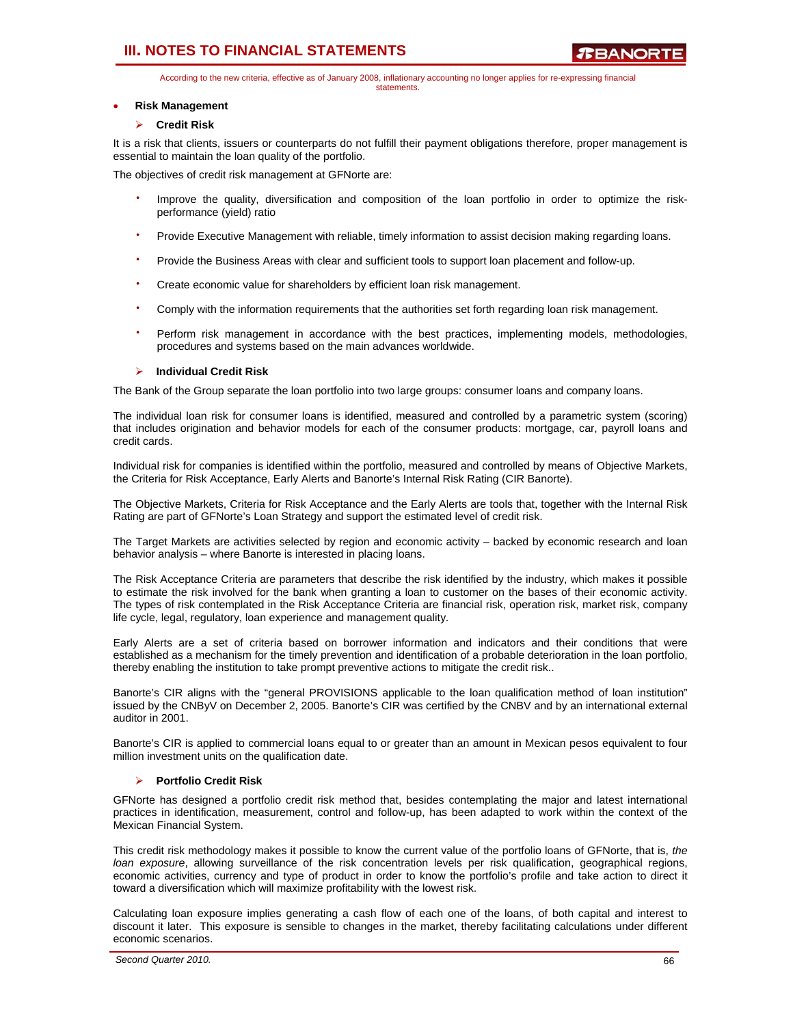According to the new criteria, effective as of January 2008, inflationary accounting no longer applies for re-expressing financial statements.

#### • **Risk Management**

### ¾ **Credit Risk**

It is a risk that clients, issuers or counterparts do not fulfill their payment obligations therefore, proper management is essential to maintain the loan quality of the portfolio.

The objectives of credit risk management at GFNorte are:

- Improve the quality, diversification and composition of the loan portfolio in order to optimize the riskperformance (yield) ratio
- Provide Executive Management with reliable, timely information to assist decision making regarding loans.
- Provide the Business Areas with clear and sufficient tools to support loan placement and follow-up.
- Create economic value for shareholders by efficient loan risk management.
- Comply with the information requirements that the authorities set forth regarding loan risk management.
- Perform risk management in accordance with the best practices, implementing models, methodologies, procedures and systems based on the main advances worldwide.

### ¾ **Individual Credit Risk**

The Bank of the Group separate the loan portfolio into two large groups: consumer loans and company loans.

The individual loan risk for consumer loans is identified, measured and controlled by a parametric system (scoring) that includes origination and behavior models for each of the consumer products: mortgage, car, payroll loans and credit cards.

Individual risk for companies is identified within the portfolio, measured and controlled by means of Objective Markets, the Criteria for Risk Acceptance, Early Alerts and Banorte's Internal Risk Rating (CIR Banorte).

The Objective Markets, Criteria for Risk Acceptance and the Early Alerts are tools that, together with the Internal Risk Rating are part of GFNorte's Loan Strategy and support the estimated level of credit risk.

The Target Markets are activities selected by region and economic activity – backed by economic research and loan behavior analysis – where Banorte is interested in placing loans.

The Risk Acceptance Criteria are parameters that describe the risk identified by the industry, which makes it possible to estimate the risk involved for the bank when granting a loan to customer on the bases of their economic activity. The types of risk contemplated in the Risk Acceptance Criteria are financial risk, operation risk, market risk, company life cycle, legal, regulatory, loan experience and management quality.

Early Alerts are a set of criteria based on borrower information and indicators and their conditions that were established as a mechanism for the timely prevention and identification of a probable deterioration in the loan portfolio, thereby enabling the institution to take prompt preventive actions to mitigate the credit risk..

Banorte's CIR aligns with the "general PROVISIONS applicable to the loan qualification method of loan institution" issued by the CNByV on December 2, 2005. Banorte's CIR was certified by the CNBV and by an international external auditor in 2001.

Banorte's CIR is applied to commercial loans equal to or greater than an amount in Mexican pesos equivalent to four million investment units on the qualification date.

#### ¾ **Portfolio Credit Risk**

GFNorte has designed a portfolio credit risk method that, besides contemplating the major and latest international practices in identification, measurement, control and follow-up, has been adapted to work within the context of the Mexican Financial System.

This credit risk methodology makes it possible to know the current value of the portfolio loans of GFNorte, that is, *the loan exposure*, allowing surveillance of the risk concentration levels per risk qualification, geographical regions, economic activities, currency and type of product in order to know the portfolio's profile and take action to direct it toward a diversification which will maximize profitability with the lowest risk.

Calculating loan exposure implies generating a cash flow of each one of the loans, of both capital and interest to discount it later. This exposure is sensible to changes in the market, thereby facilitating calculations under different economic scenarios.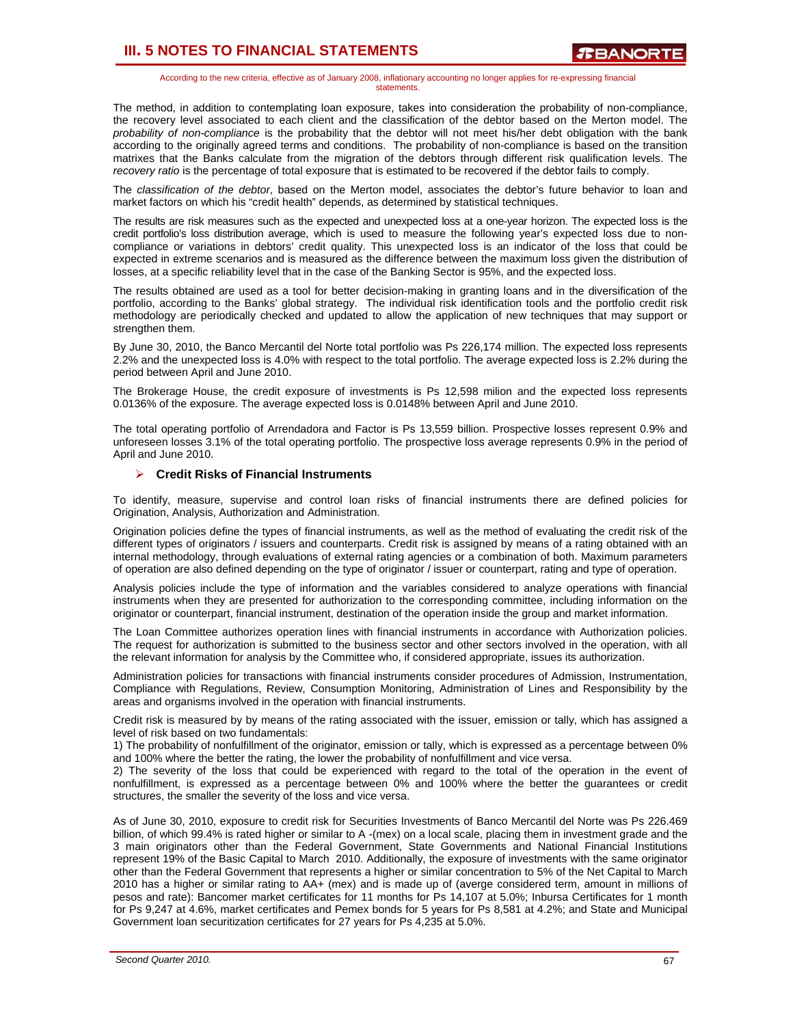According to the new criteria, effective as of January 2008, inflationary accounting no longer applies for re-expressing financial statements.

The method, in addition to contemplating loan exposure, takes into consideration the probability of non-compliance, the recovery level associated to each client and the classification of the debtor based on the Merton model. The *probability of non-compliance* is the probability that the debtor will not meet his/her debt obligation with the bank according to the originally agreed terms and conditions. The probability of non-compliance is based on the transition matrixes that the Banks calculate from the migration of the debtors through different risk qualification levels. The *recovery ratio* is the percentage of total exposure that is estimated to be recovered if the debtor fails to comply.

The *classification of the debtor*, based on the Merton model, associates the debtor's future behavior to loan and market factors on which his "credit health" depends, as determined by statistical techniques.

The results are risk measures such as the expected and unexpected loss at a one-year horizon. The expected loss is the credit portfolio's loss distribution average, which is used to measure the following year's expected loss due to noncompliance or variations in debtors' credit quality. This unexpected loss is an indicator of the loss that could be expected in extreme scenarios and is measured as the difference between the maximum loss given the distribution of losses, at a specific reliability level that in the case of the Banking Sector is 95%, and the expected loss.

The results obtained are used as a tool for better decision-making in granting loans and in the diversification of the portfolio, according to the Banks' global strategy. The individual risk identification tools and the portfolio credit risk methodology are periodically checked and updated to allow the application of new techniques that may support or strengthen them.

By June 30, 2010, the Banco Mercantil del Norte total portfolio was Ps 226,174 million. The expected loss represents 2.2% and the unexpected loss is 4.0% with respect to the total portfolio. The average expected loss is 2.2% during the period between April and June 2010.

The Brokerage House, the credit exposure of investments is Ps 12,598 milion and the expected loss represents 0.0136% of the exposure. The average expected loss is 0.0148% between April and June 2010.

The total operating portfolio of Arrendadora and Factor is Ps 13,559 billion. Prospective losses represent 0.9% and unforeseen losses 3.1% of the total operating portfolio. The prospective loss average represents 0.9% in the period of April and June 2010.

### ¾ **Credit Risks of Financial Instruments**

To identify, measure, supervise and control loan risks of financial instruments there are defined policies for Origination, Analysis, Authorization and Administration.

Origination policies define the types of financial instruments, as well as the method of evaluating the credit risk of the different types of originators / issuers and counterparts. Credit risk is assigned by means of a rating obtained with an internal methodology, through evaluations of external rating agencies or a combination of both. Maximum parameters of operation are also defined depending on the type of originator / issuer or counterpart, rating and type of operation.

Analysis policies include the type of information and the variables considered to analyze operations with financial instruments when they are presented for authorization to the corresponding committee, including information on the originator or counterpart, financial instrument, destination of the operation inside the group and market information.

The Loan Committee authorizes operation lines with financial instruments in accordance with Authorization policies. The request for authorization is submitted to the business sector and other sectors involved in the operation, with all the relevant information for analysis by the Committee who, if considered appropriate, issues its authorization.

Administration policies for transactions with financial instruments consider procedures of Admission, Instrumentation, Compliance with Regulations, Review, Consumption Monitoring, Administration of Lines and Responsibility by the areas and organisms involved in the operation with financial instruments.

Credit risk is measured by by means of the rating associated with the issuer, emission or tally, which has assigned a level of risk based on two fundamentals:

1) The probability of nonfulfillment of the originator, emission or tally, which is expressed as a percentage between 0% and 100% where the better the rating, the lower the probability of nonfulfillment and vice versa.

2) The severity of the loss that could be experienced with regard to the total of the operation in the event of nonfulfillment, is expressed as a percentage between 0% and 100% where the better the guarantees or credit structures, the smaller the severity of the loss and vice versa.

As of June 30, 2010, exposure to credit risk for Securities Investments of Banco Mercantil del Norte was Ps 226.469 billion, of which 99.4% is rated higher or similar to A -(mex) on a local scale, placing them in investment grade and the 3 main originators other than the Federal Government, State Governments and National Financial Institutions represent 19% of the Basic Capital to March 2010. Additionally, the exposure of investments with the same originator other than the Federal Government that represents a higher or similar concentration to 5% of the Net Capital to March 2010 has a higher or similar rating to AA+ (mex) and is made up of (averge considered term, amount in millions of pesos and rate): Bancomer market certificates for 11 months for Ps 14,107 at 5.0%; Inbursa Certificates for 1 month for Ps 9,247 at 4.6%, market certificates and Pemex bonds for 5 years for Ps 8,581 at 4.2%; and State and Municipal Government loan securitization certificates for 27 years for Ps 4,235 at 5.0%.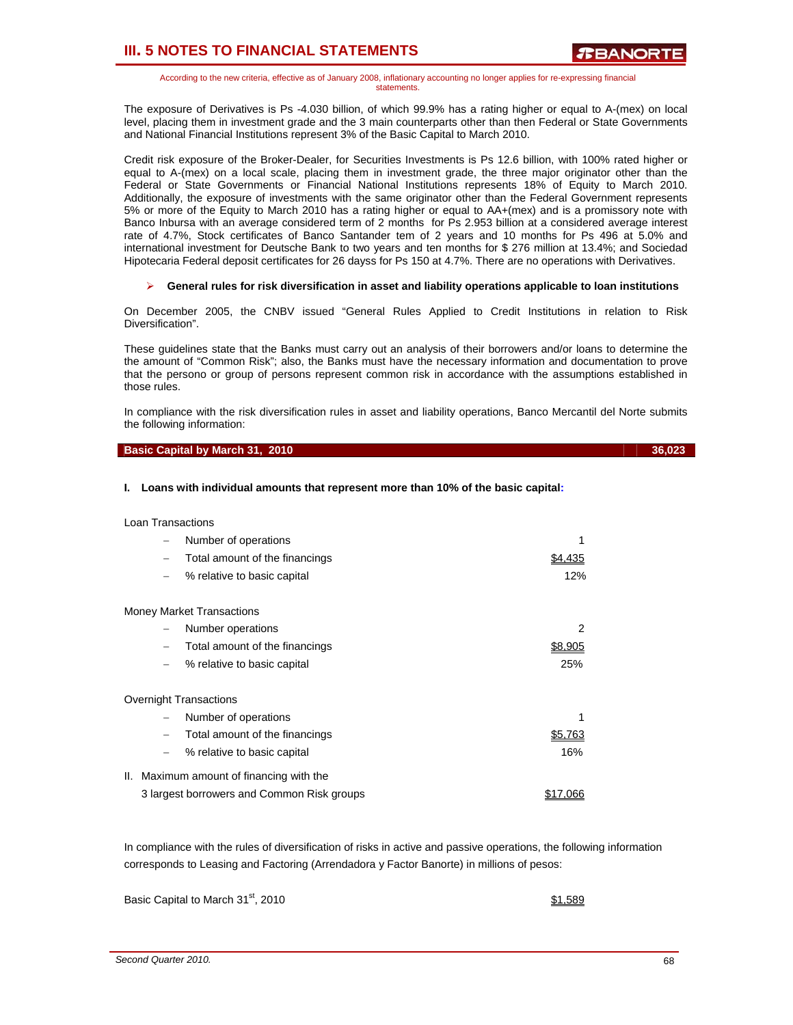According to the new criteria, effective as of January 2008, inflationary accounting no longer applies for re-expressing financial statements.

The exposure of Derivatives is Ps -4.030 billion, of which 99.9% has a rating higher or equal to A-(mex) on local level, placing them in investment grade and the 3 main counterparts other than then Federal or State Governments and National Financial Institutions represent 3% of the Basic Capital to March 2010.

Credit risk exposure of the Broker-Dealer, for Securities Investments is Ps 12.6 billion, with 100% rated higher or equal to A-(mex) on a local scale, placing them in investment grade, the three major originator other than the Federal or State Governments or Financial National Institutions represents 18% of Equity to March 2010. Additionally, the exposure of investments with the same originator other than the Federal Government represents 5% or more of the Equity to March 2010 has a rating higher or equal to AA+(mex) and is a promissory note with Banco Inbursa with an average considered term of 2 months for Ps 2.953 billion at a considered average interest rate of 4.7%, Stock certificates of Banco Santander tem of 2 years and 10 months for Ps 496 at 5.0% and international investment for Deutsche Bank to two years and ten months for \$ 276 million at 13.4%; and Sociedad Hipotecaria Federal deposit certificates for 26 dayss for Ps 150 at 4.7%. There are no operations with Derivatives.

### ¾ **General rules for risk diversification in asset and liability operations applicable to loan institutions**

On December 2005, the CNBV issued "General Rules Applied to Credit Institutions in relation to Risk Diversification".

These guidelines state that the Banks must carry out an analysis of their borrowers and/or loans to determine the the amount of "Common Risk"; also, the Banks must have the necessary information and documentation to prove that the persono or group of persons represent common risk in accordance with the assumptions established in those rules.

In compliance with the risk diversification rules in asset and liability operations, Banco Mercantil del Norte submits the following information:

#### **Basic Capital by March 31, 2010** 36,023 **36,023**

#### **I. Loans with individual amounts that represent more than 10% of the basic capital:**

| <b>Loan Transactions</b> |
|--------------------------|
|--------------------------|

|   | Number of operations                       |          |
|---|--------------------------------------------|----------|
| - | Total amount of the financings             | \$4.435  |
| - | % relative to basic capital                | 12%      |
|   | <b>Money Market Transactions</b>           |          |
|   | Number operations                          | 2        |
| - | Total amount of the financings             | \$8.905  |
|   | % relative to basic capital                | 25%      |
|   | Overnight Transactions                     |          |
|   | Number of operations                       | 1        |
|   | Total amount of the financings             | \$5.763  |
|   | % relative to basic capital                | 16%      |
|   | II. Maximum amount of financing with the   |          |
|   | 3 largest borrowers and Common Risk groups | \$17.066 |

In compliance with the rules of diversification of risks in active and passive operations, the following information corresponds to Leasing and Factoring (Arrendadora y Factor Banorte) in millions of pesos:

Basic Capital to March  $31<sup>st</sup>$ , 2010  $$1,589$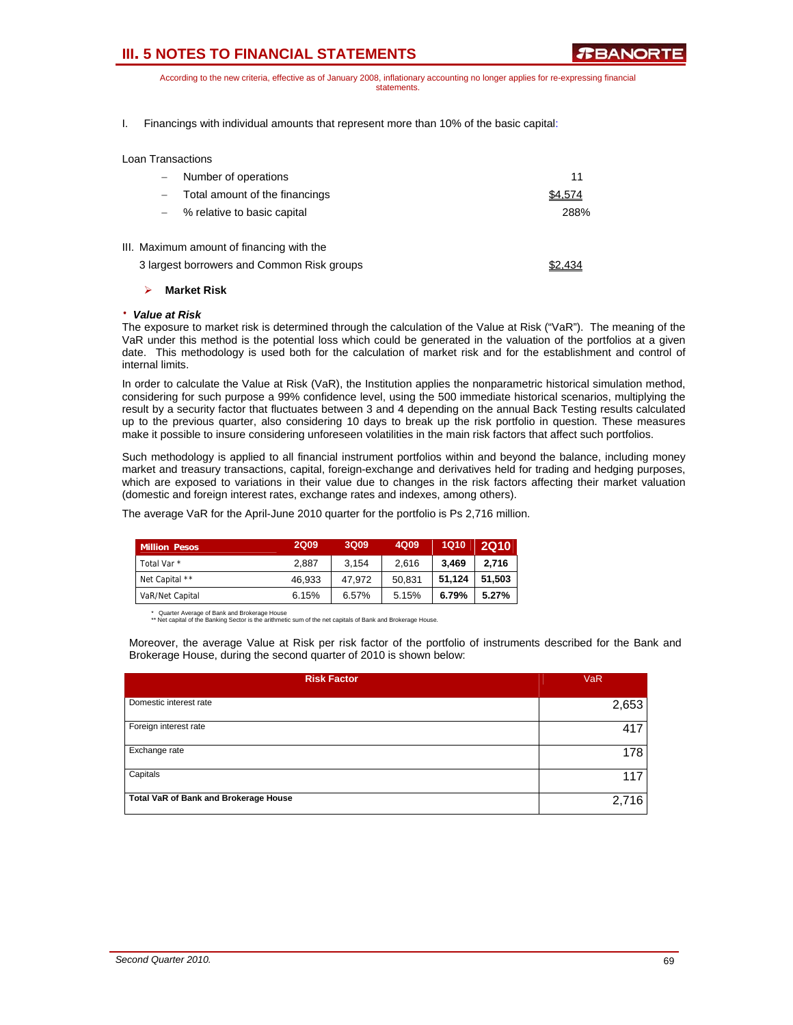According to the new criteria, effective as of January 2008, inflationary accounting no longer applies for re-expressing financial statements.

I. Financings with individual amounts that represent more than 10% of the basic capital:

| Loan Transactions |
|-------------------|
|-------------------|

| Number of operations<br>$\overline{\phantom{m}}$ | 11      |
|--------------------------------------------------|---------|
| Total amount of the financings                   | \$4.574 |
| % relative to basic capital                      | 288%    |
|                                                  |         |
| III. Maximum amount of financing with the        |         |
| 3 largest borrowers and Common Risk groups       |         |

#### ¾ **Market Risk**

#### ⋅ *Value at Risk*

The exposure to market risk is determined through the calculation of the Value at Risk ("VaR"). The meaning of the VaR under this method is the potential loss which could be generated in the valuation of the portfolios at a given date. This methodology is used both for the calculation of market risk and for the establishment and control of internal limits.

In order to calculate the Value at Risk (VaR), the Institution applies the nonparametric historical simulation method, considering for such purpose a 99% confidence level, using the 500 immediate historical scenarios, multiplying the result by a security factor that fluctuates between 3 and 4 depending on the annual Back Testing results calculated up to the previous quarter, also considering 10 days to break up the risk portfolio in question. These measures make it possible to insure considering unforeseen volatilities in the main risk factors that affect such portfolios.

Such methodology is applied to all financial instrument portfolios within and beyond the balance, including money market and treasury transactions, capital, foreign-exchange and derivatives held for trading and hedging purposes, which are exposed to variations in their value due to changes in the risk factors affecting their market valuation (domestic and foreign interest rates, exchange rates and indexes, among others).

The average VaR for the April-June 2010 quarter for the portfolio is Ps 2,716 million.

| <b>Million Pesos</b> | <b>2Q09</b> | 3Q09   | 4Q09   | <b>1Q10</b> | <b>2Q10</b> |
|----------------------|-------------|--------|--------|-------------|-------------|
| Total Var *          | 2.887       | 3.154  | 2.616  | 3.469       | 2.716       |
| Net Capital **       | 46,933      | 47.972 | 50.831 | 51.124      | 51.503      |
| VaR/Net Capital      | 6.15%       | 6.57%  | 5.15%  | 6.79%       | 5.27%       |

\* Quarter Average of Bank and Brokerage House \*\* Net capital of the Banking Sector is the arithmetic sum of the net capitals of Bank and Brokerage House.

Moreover, the average Value at Risk per risk factor of the portfolio of instruments described for the Bank and Brokerage House, during the second quarter of 2010 is shown below:

| <b>Risk Factor</b>                    | <b>VaR</b> |
|---------------------------------------|------------|
| Domestic interest rate                | 2,653      |
| Foreign interest rate                 | 417        |
| Exchange rate                         | 178        |
| Capitals                              | 117        |
| Total VaR of Bank and Brokerage House | 2,716      |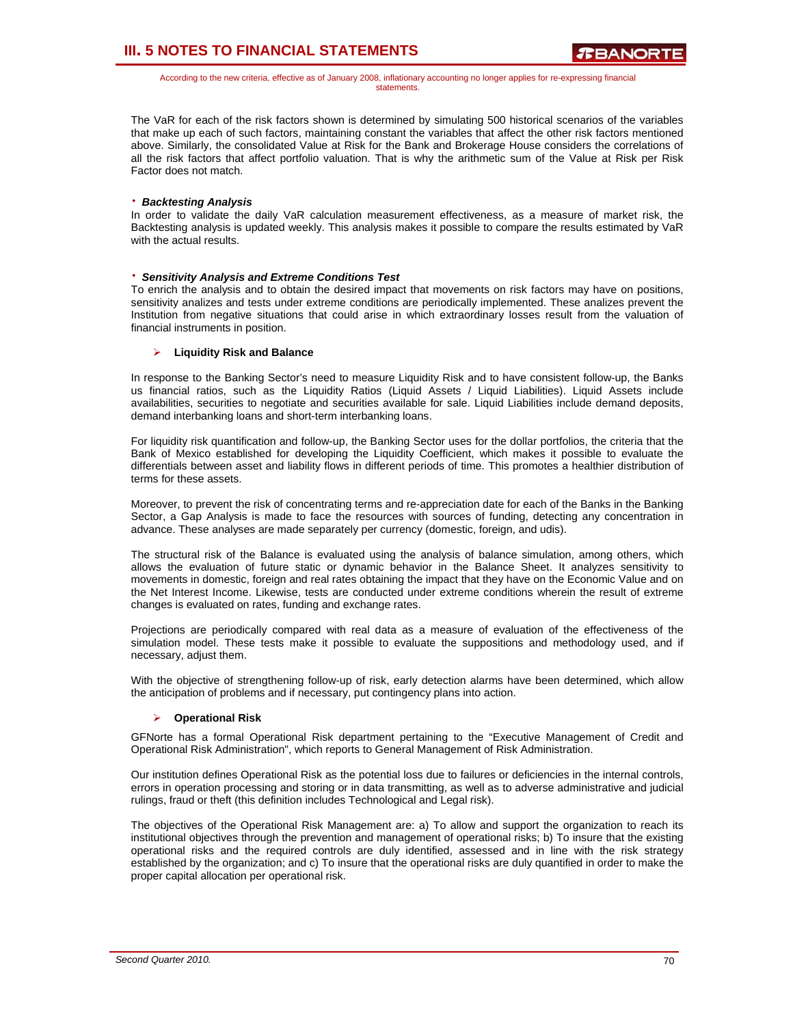According to the new criteria, effective as of January 2008, inflationary accounting no longer applies for re-expressing financial statements.

The VaR for each of the risk factors shown is determined by simulating 500 historical scenarios of the variables that make up each of such factors, maintaining constant the variables that affect the other risk factors mentioned above. Similarly, the consolidated Value at Risk for the Bank and Brokerage House considers the correlations of all the risk factors that affect portfolio valuation. That is why the arithmetic sum of the Value at Risk per Risk Factor does not match.

### ⋅ *Backtesting Analysis*

In order to validate the daily VaR calculation measurement effectiveness, as a measure of market risk, the Backtesting analysis is updated weekly. This analysis makes it possible to compare the results estimated by VaR with the actual results.

### ⋅ *Sensitivity Analysis and Extreme Conditions Test*

To enrich the analysis and to obtain the desired impact that movements on risk factors may have on positions, sensitivity analizes and tests under extreme conditions are periodically implemented. These analizes prevent the Institution from negative situations that could arise in which extraordinary losses result from the valuation of financial instruments in position.

### ¾ **Liquidity Risk and Balance**

In response to the Banking Sector's need to measure Liquidity Risk and to have consistent follow-up, the Banks us financial ratios, such as the Liquidity Ratios (Liquid Assets / Liquid Liabilities). Liquid Assets include availabilities, securities to negotiate and securities available for sale. Liquid Liabilities include demand deposits, demand interbanking loans and short-term interbanking loans.

For liquidity risk quantification and follow-up, the Banking Sector uses for the dollar portfolios, the criteria that the Bank of Mexico established for developing the Liquidity Coefficient, which makes it possible to evaluate the differentials between asset and liability flows in different periods of time. This promotes a healthier distribution of terms for these assets.

Moreover, to prevent the risk of concentrating terms and re-appreciation date for each of the Banks in the Banking Sector, a Gap Analysis is made to face the resources with sources of funding, detecting any concentration in advance. These analyses are made separately per currency (domestic, foreign, and udis).

The structural risk of the Balance is evaluated using the analysis of balance simulation, among others, which allows the evaluation of future static or dynamic behavior in the Balance Sheet. It analyzes sensitivity to movements in domestic, foreign and real rates obtaining the impact that they have on the Economic Value and on the Net Interest Income. Likewise, tests are conducted under extreme conditions wherein the result of extreme changes is evaluated on rates, funding and exchange rates.

Projections are periodically compared with real data as a measure of evaluation of the effectiveness of the simulation model. These tests make it possible to evaluate the suppositions and methodology used, and if necessary, adjust them.

With the objective of strengthening follow-up of risk, early detection alarms have been determined, which allow the anticipation of problems and if necessary, put contingency plans into action.

#### ¾ **Operational Risk**

GFNorte has a formal Operational Risk department pertaining to the "Executive Management of Credit and Operational Risk Administration", which reports to General Management of Risk Administration.

Our institution defines Operational Risk as the potential loss due to failures or deficiencies in the internal controls, errors in operation processing and storing or in data transmitting, as well as to adverse administrative and judicial rulings, fraud or theft (this definition includes Technological and Legal risk).

The objectives of the Operational Risk Management are: a) To allow and support the organization to reach its institutional objectives through the prevention and management of operational risks; b) To insure that the existing operational risks and the required controls are duly identified, assessed and in line with the risk strategy established by the organization; and c) To insure that the operational risks are duly quantified in order to make the proper capital allocation per operational risk.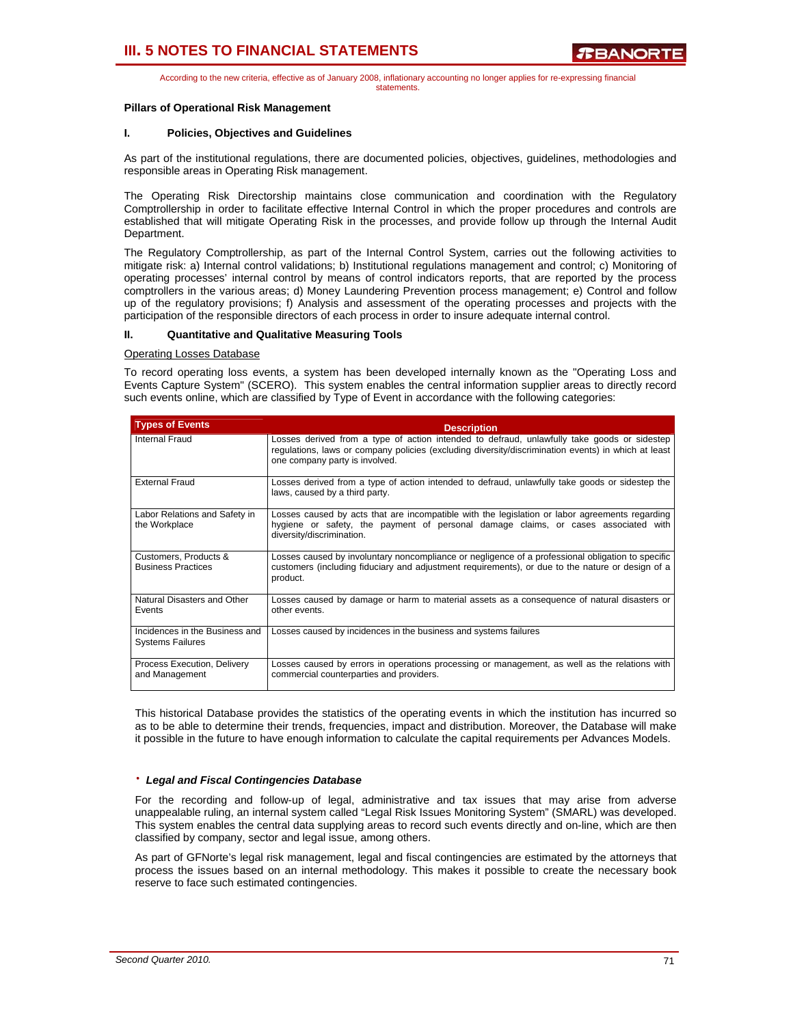According to the new criteria, effective as of January 2008, inflationary accounting no longer applies for re-expressing financial statements.

### **Pillars of Operational Risk Management**

### **I. Policies, Objectives and Guidelines**

As part of the institutional regulations, there are documented policies, objectives, guidelines, methodologies and responsible areas in Operating Risk management.

The Operating Risk Directorship maintains close communication and coordination with the Regulatory Comptrollership in order to facilitate effective Internal Control in which the proper procedures and controls are established that will mitigate Operating Risk in the processes, and provide follow up through the Internal Audit Department.

The Regulatory Comptrollership, as part of the Internal Control System, carries out the following activities to mitigate risk: a) Internal control validations; b) Institutional regulations management and control; c) Monitoring of operating processes' internal control by means of control indicators reports, that are reported by the process comptrollers in the various areas; d) Money Laundering Prevention process management; e) Control and follow up of the regulatory provisions; f) Analysis and assessment of the operating processes and projects with the participation of the responsible directors of each process in order to insure adequate internal control.

### **II. Quantitative and Qualitative Measuring Tools**

#### Operating Losses Database

To record operating loss events, a system has been developed internally known as the "Operating Loss and Events Capture System" (SCERO). This system enables the central information supplier areas to directly record such events online, which are classified by Type of Event in accordance with the following categories:

| <b>Types of Events</b>                                    | <b>Description</b>                                                                                                                                                                                                                   |
|-----------------------------------------------------------|--------------------------------------------------------------------------------------------------------------------------------------------------------------------------------------------------------------------------------------|
| Internal Fraud                                            | Losses derived from a type of action intended to defraud, unlawfully take goods or sidestep<br>regulations, laws or company policies (excluding diversity/discrimination events) in which at least<br>one company party is involved. |
| <b>External Fraud</b>                                     | Losses derived from a type of action intended to defraud, unlawfully take goods or sidestep the<br>laws, caused by a third party.                                                                                                    |
| Labor Relations and Safety in<br>the Workplace            | Losses caused by acts that are incompatible with the legislation or labor agreements regarding<br>hygiene or safety, the payment of personal damage claims, or cases associated with<br>diversity/discrimination.                    |
| Customers, Products &<br><b>Business Practices</b>        | Losses caused by involuntary noncompliance or negligence of a professional obligation to specific<br>customers (including fiduciary and adjustment requirements), or due to the nature or design of a<br>product.                    |
| Natural Disasters and Other<br>Events                     | Losses caused by damage or harm to material assets as a consequence of natural disasters or<br>other events.                                                                                                                         |
| Incidences in the Business and<br><b>Systems Failures</b> | Losses caused by incidences in the business and systems failures                                                                                                                                                                     |
| Process Execution, Delivery<br>and Management             | Losses caused by errors in operations processing or management, as well as the relations with<br>commercial counterparties and providers.                                                                                            |

This historical Database provides the statistics of the operating events in which the institution has incurred so as to be able to determine their trends, frequencies, impact and distribution. Moreover, the Database will make it possible in the future to have enough information to calculate the capital requirements per Advances Models.

#### ⋅ *Legal and Fiscal Contingencies Database*

For the recording and follow-up of legal, administrative and tax issues that may arise from adverse unappealable ruling, an internal system called "Legal Risk Issues Monitoring System" (SMARL) was developed. This system enables the central data supplying areas to record such events directly and on-line, which are then classified by company, sector and legal issue, among others.

As part of GFNorte's legal risk management, legal and fiscal contingencies are estimated by the attorneys that process the issues based on an internal methodology. This makes it possible to create the necessary book reserve to face such estimated contingencies.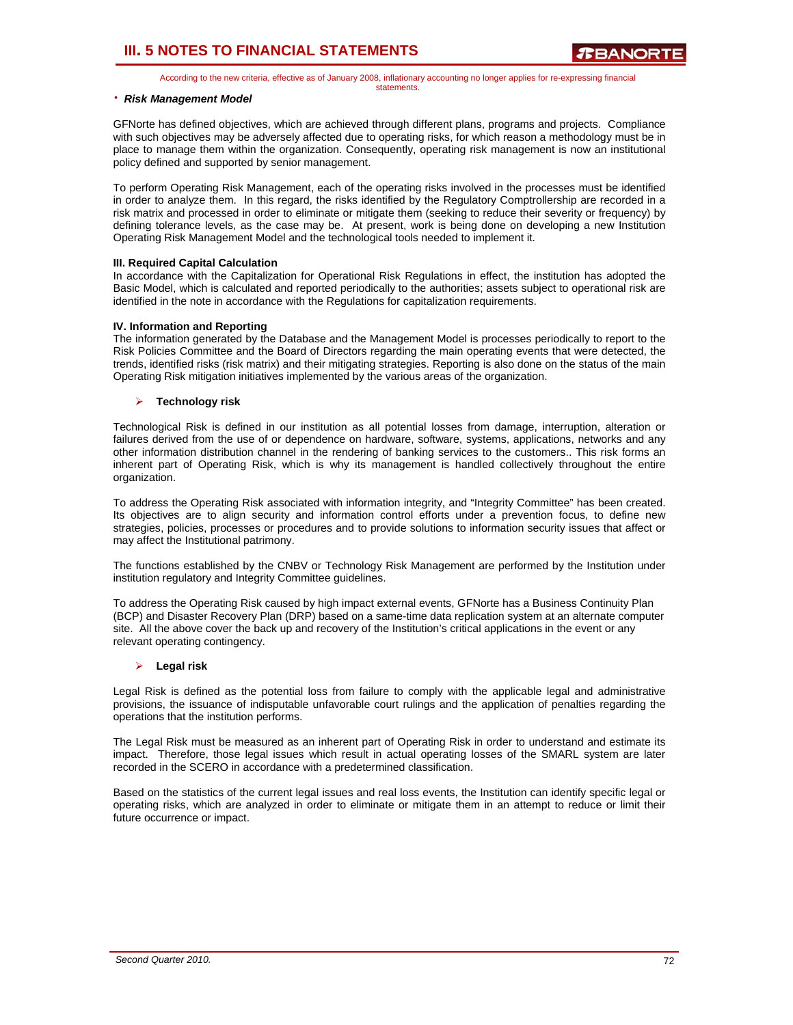According to the new criteria, effective as of January 2008, inflationary accounting no longer applies for re-expressing financial statements.

#### ⋅ *Risk Management Model*

GFNorte has defined objectives, which are achieved through different plans, programs and projects. Compliance with such objectives may be adversely affected due to operating risks, for which reason a methodology must be in place to manage them within the organization. Consequently, operating risk management is now an institutional policy defined and supported by senior management.

To perform Operating Risk Management, each of the operating risks involved in the processes must be identified in order to analyze them. In this regard, the risks identified by the Regulatory Comptrollership are recorded in a risk matrix and processed in order to eliminate or mitigate them (seeking to reduce their severity or frequency) by defining tolerance levels, as the case may be. At present, work is being done on developing a new Institution Operating Risk Management Model and the technological tools needed to implement it.

#### **III. Required Capital Calculation**

In accordance with the Capitalization for Operational Risk Regulations in effect, the institution has adopted the Basic Model, which is calculated and reported periodically to the authorities; assets subject to operational risk are identified in the note in accordance with the Regulations for capitalization requirements.

#### **IV. Information and Reporting**

The information generated by the Database and the Management Model is processes periodically to report to the Risk Policies Committee and the Board of Directors regarding the main operating events that were detected, the trends, identified risks (risk matrix) and their mitigating strategies. Reporting is also done on the status of the main Operating Risk mitigation initiatives implemented by the various areas of the organization.

#### ¾ **Technology risk**

Technological Risk is defined in our institution as all potential losses from damage, interruption, alteration or failures derived from the use of or dependence on hardware, software, systems, applications, networks and any other information distribution channel in the rendering of banking services to the customers.. This risk forms an inherent part of Operating Risk, which is why its management is handled collectively throughout the entire organization.

To address the Operating Risk associated with information integrity, and "Integrity Committee" has been created. Its objectives are to align security and information control efforts under a prevention focus, to define new strategies, policies, processes or procedures and to provide solutions to information security issues that affect or may affect the Institutional patrimony.

The functions established by the CNBV or Technology Risk Management are performed by the Institution under institution regulatory and Integrity Committee guidelines.

To address the Operating Risk caused by high impact external events, GFNorte has a Business Continuity Plan (BCP) and Disaster Recovery Plan (DRP) based on a same-time data replication system at an alternate computer site. All the above cover the back up and recovery of the Institution's critical applications in the event or any relevant operating contingency.

#### ¾ **Legal risk**

Legal Risk is defined as the potential loss from failure to comply with the applicable legal and administrative provisions, the issuance of indisputable unfavorable court rulings and the application of penalties regarding the operations that the institution performs.

The Legal Risk must be measured as an inherent part of Operating Risk in order to understand and estimate its impact. Therefore, those legal issues which result in actual operating losses of the SMARL system are later recorded in the SCERO in accordance with a predetermined classification.

Based on the statistics of the current legal issues and real loss events, the Institution can identify specific legal or operating risks, which are analyzed in order to eliminate or mitigate them in an attempt to reduce or limit their future occurrence or impact.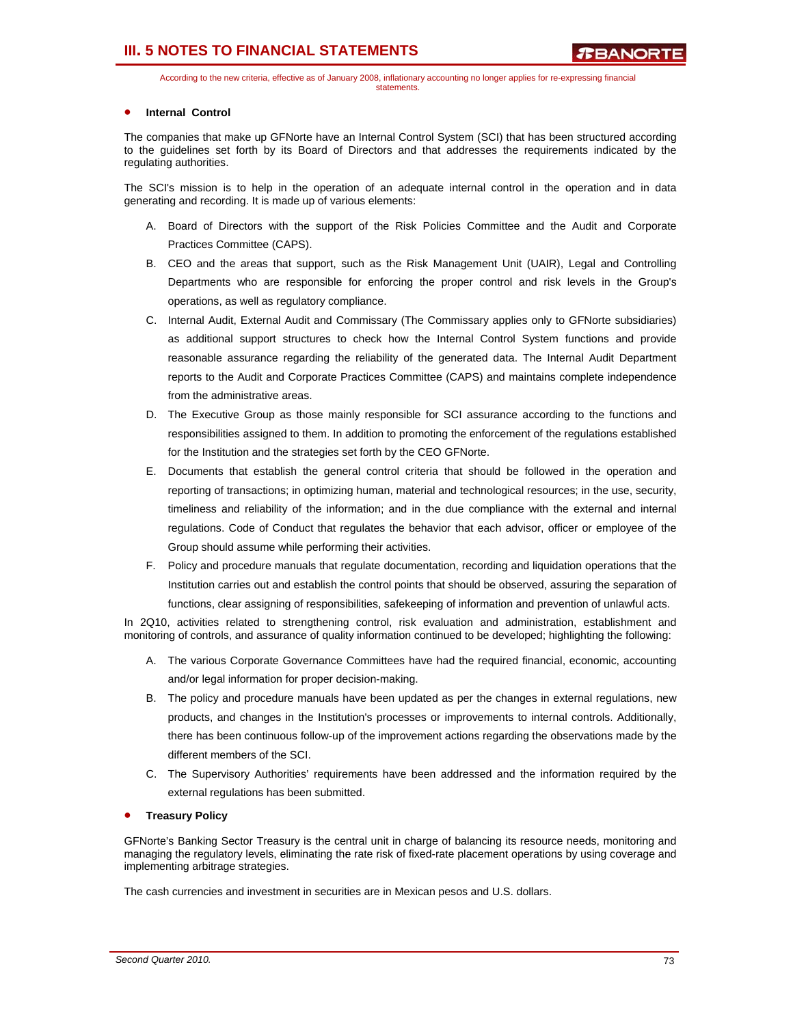According to the new criteria, effective as of January 2008, inflationary accounting no longer applies for re-expressing financial statements.

## **Internal Control**

The companies that make up GFNorte have an Internal Control System (SCI) that has been structured according to the guidelines set forth by its Board of Directors and that addresses the requirements indicated by the regulating authorities.

The SCI's mission is to help in the operation of an adequate internal control in the operation and in data generating and recording. It is made up of various elements:

- A. Board of Directors with the support of the Risk Policies Committee and the Audit and Corporate Practices Committee (CAPS).
- B. CEO and the areas that support, such as the Risk Management Unit (UAIR), Legal and Controlling Departments who are responsible for enforcing the proper control and risk levels in the Group's operations, as well as regulatory compliance.
- C. Internal Audit, External Audit and Commissary (The Commissary applies only to GFNorte subsidiaries) as additional support structures to check how the Internal Control System functions and provide reasonable assurance regarding the reliability of the generated data. The Internal Audit Department reports to the Audit and Corporate Practices Committee (CAPS) and maintains complete independence from the administrative areas.
- D. The Executive Group as those mainly responsible for SCI assurance according to the functions and responsibilities assigned to them. In addition to promoting the enforcement of the regulations established for the Institution and the strategies set forth by the CEO GFNorte.
- E. Documents that establish the general control criteria that should be followed in the operation and reporting of transactions; in optimizing human, material and technological resources; in the use, security, timeliness and reliability of the information; and in the due compliance with the external and internal regulations. Code of Conduct that regulates the behavior that each advisor, officer or employee of the Group should assume while performing their activities.
- F. Policy and procedure manuals that regulate documentation, recording and liquidation operations that the Institution carries out and establish the control points that should be observed, assuring the separation of functions, clear assigning of responsibilities, safekeeping of information and prevention of unlawful acts.

In 2Q10, activities related to strengthening control, risk evaluation and administration, establishment and monitoring of controls, and assurance of quality information continued to be developed; highlighting the following:

- A. The various Corporate Governance Committees have had the required financial, economic, accounting and/or legal information for proper decision-making.
- B. The policy and procedure manuals have been updated as per the changes in external regulations, new products, and changes in the Institution's processes or improvements to internal controls. Additionally, there has been continuous follow-up of the improvement actions regarding the observations made by the different members of the SCI.
- C. The Supervisory Authorities' requirements have been addressed and the information required by the external regulations has been submitted.

### • **Treasury Policy**

GFNorte's Banking Sector Treasury is the central unit in charge of balancing its resource needs, monitoring and managing the regulatory levels, eliminating the rate risk of fixed-rate placement operations by using coverage and implementing arbitrage strategies.

The cash currencies and investment in securities are in Mexican pesos and U.S. dollars.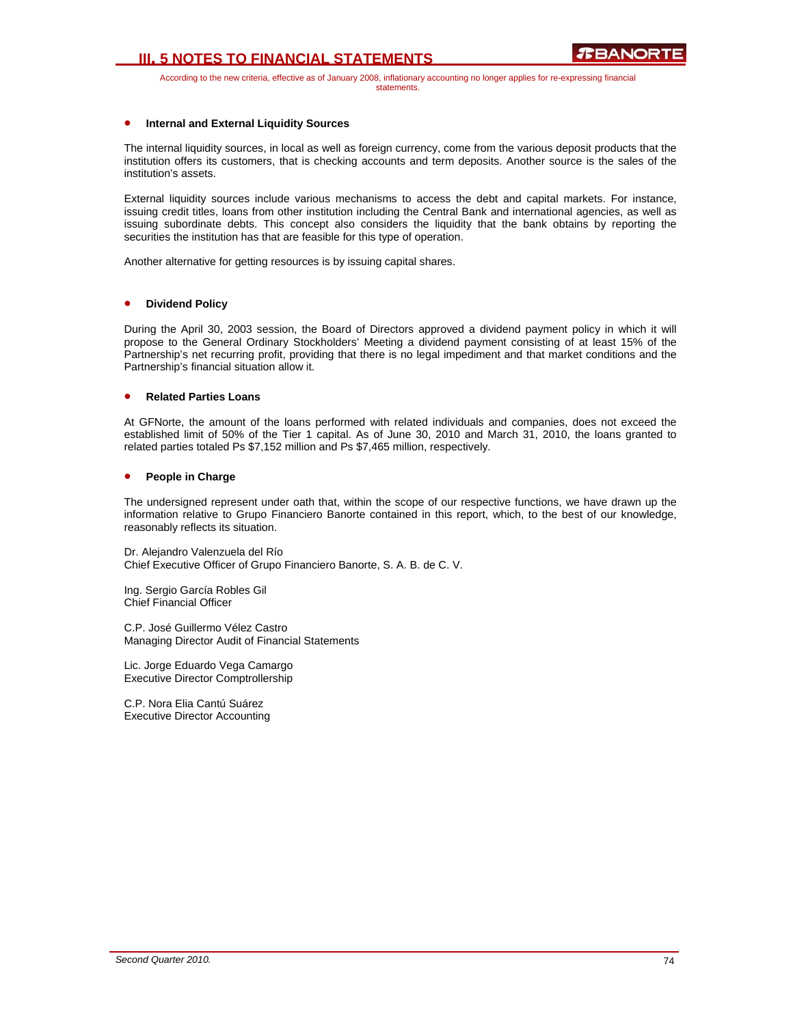# **III. 5 NOTES TO FINANCIAL STATEMENTS**

According to the new criteria, effective as of January 2008, inflationary accounting no longer applies for re-expressing financial statements.

## • **Internal and External Liquidity Sources**

The internal liquidity sources, in local as well as foreign currency, come from the various deposit products that the institution offers its customers, that is checking accounts and term deposits. Another source is the sales of the institution's assets.

External liquidity sources include various mechanisms to access the debt and capital markets. For instance, issuing credit titles, loans from other institution including the Central Bank and international agencies, as well as issuing subordinate debts. This concept also considers the liquidity that the bank obtains by reporting the securities the institution has that are feasible for this type of operation.

Another alternative for getting resources is by issuing capital shares.

#### • **Dividend Policy**

During the April 30, 2003 session, the Board of Directors approved a dividend payment policy in which it will propose to the General Ordinary Stockholders' Meeting a dividend payment consisting of at least 15% of the Partnership's net recurring profit, providing that there is no legal impediment and that market conditions and the Partnership's financial situation allow it.

#### • **Related Parties Loans**

At GFNorte, the amount of the loans performed with related individuals and companies, does not exceed the established limit of 50% of the Tier 1 capital. As of June 30, 2010 and March 31, 2010, the loans granted to related parties totaled Ps \$7,152 million and Ps \$7,465 million, respectively.

#### • **People in Charge**

The undersigned represent under oath that, within the scope of our respective functions, we have drawn up the information relative to Grupo Financiero Banorte contained in this report, which, to the best of our knowledge, reasonably reflects its situation.

Dr. Alejandro Valenzuela del Río Chief Executive Officer of Grupo Financiero Banorte, S. A. B. de C. V.

Ing. Sergio García Robles Gil Chief Financial Officer

C.P. José Guillermo Vélez Castro Managing Director Audit of Financial Statements

Lic. Jorge Eduardo Vega Camargo Executive Director Comptrollership

C.P. Nora Elia Cantú Suárez Executive Director Accounting